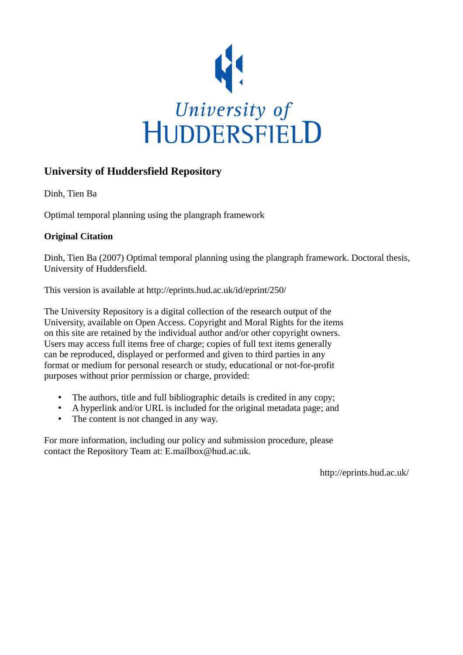

# **University of Huddersfield Repository**

Dinh, Tien Ba

Optimal temporal planning using the plangraph framework

# **Original Citation**

Dinh, Tien Ba (2007) Optimal temporal planning using the plangraph framework. Doctoral thesis, University of Huddersfield.

This version is available at http://eprints.hud.ac.uk/id/eprint/250/

The University Repository is a digital collection of the research output of the University, available on Open Access. Copyright and Moral Rights for the items on this site are retained by the individual author and/or other copyright owners. Users may access full items free of charge; copies of full text items generally can be reproduced, displayed or performed and given to third parties in any format or medium for personal research or study, educational or not-for-profit purposes without prior permission or charge, provided:

- The authors, title and full bibliographic details is credited in any copy;
- A hyperlink and/or URL is included for the original metadata page; and
- The content is not changed in any way.

For more information, including our policy and submission procedure, please contact the Repository Team at: E.mailbox@hud.ac.uk.

http://eprints.hud.ac.uk/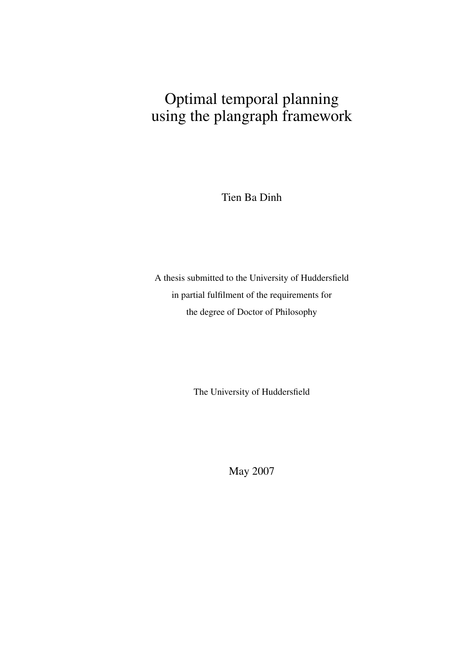# Optimal temporal planning using the plangraph framework

Tien Ba Dinh

A thesis submitted to the University of Huddersfield in partial fulfilment of the requirements for the degree of Doctor of Philosophy

The University of Huddersfield

May 2007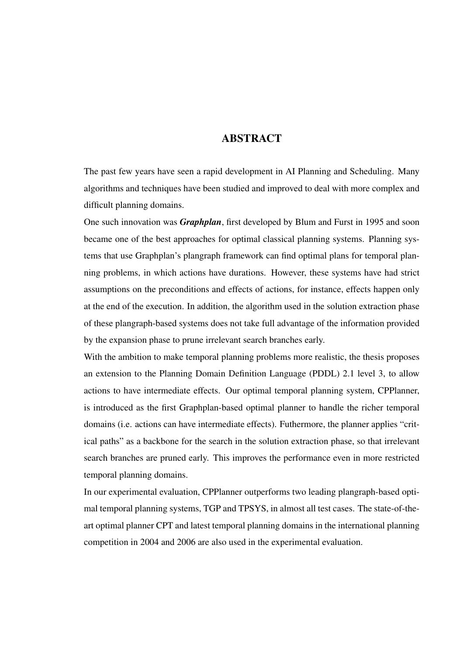### ABSTRACT

The past few years have seen a rapid development in AI Planning and Scheduling. Many algorithms and techniques have been studied and improved to deal with more complex and difficult planning domains.

One such innovation was *Graphplan*, first developed by Blum and Furst in 1995 and soon became one of the best approaches for optimal classical planning systems. Planning systems that use Graphplan's plangraph framework can find optimal plans for temporal planning problems, in which actions have durations. However, these systems have had strict assumptions on the preconditions and effects of actions, for instance, effects happen only at the end of the execution. In addition, the algorithm used in the solution extraction phase of these plangraph-based systems does not take full advantage of the information provided by the expansion phase to prune irrelevant search branches early.

With the ambition to make temporal planning problems more realistic, the thesis proposes an extension to the Planning Domain Definition Language (PDDL) 2.1 level 3, to allow actions to have intermediate effects. Our optimal temporal planning system, CPPlanner, is introduced as the first Graphplan-based optimal planner to handle the richer temporal domains (i.e. actions can have intermediate effects). Futhermore, the planner applies "critical paths" as a backbone for the search in the solution extraction phase, so that irrelevant search branches are pruned early. This improves the performance even in more restricted temporal planning domains.

In our experimental evaluation, CPPlanner outperforms two leading plangraph-based optimal temporal planning systems, TGP and TPSYS, in almost all test cases. The state-of-theart optimal planner CPT and latest temporal planning domains in the international planning competition in 2004 and 2006 are also used in the experimental evaluation.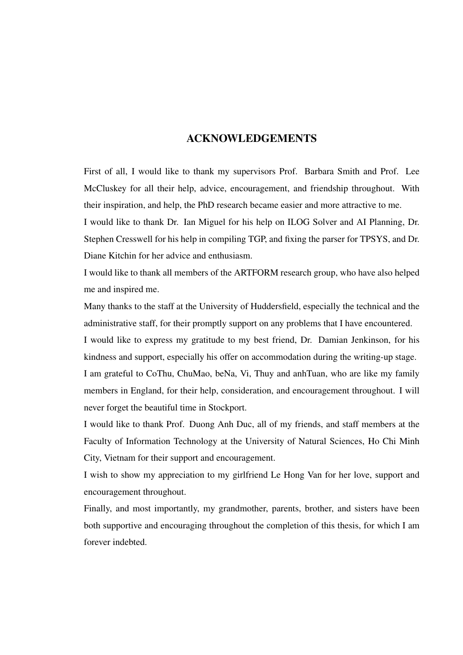### ACKNOWLEDGEMENTS

First of all, I would like to thank my supervisors Prof. Barbara Smith and Prof. Lee McCluskey for all their help, advice, encouragement, and friendship throughout. With their inspiration, and help, the PhD research became easier and more attractive to me.

I would like to thank Dr. Ian Miguel for his help on ILOG Solver and AI Planning, Dr. Stephen Cresswell for his help in compiling TGP, and fixing the parser for TPSYS, and Dr. Diane Kitchin for her advice and enthusiasm.

I would like to thank all members of the ARTFORM research group, who have also helped me and inspired me.

Many thanks to the staff at the University of Huddersfield, especially the technical and the administrative staff, for their promptly support on any problems that I have encountered.

I would like to express my gratitude to my best friend, Dr. Damian Jenkinson, for his kindness and support, especially his offer on accommodation during the writing-up stage.

I am grateful to CoThu, ChuMao, beNa, Vi, Thuy and anhTuan, who are like my family members in England, for their help, consideration, and encouragement throughout. I will never forget the beautiful time in Stockport.

I would like to thank Prof. Duong Anh Duc, all of my friends, and staff members at the Faculty of Information Technology at the University of Natural Sciences, Ho Chi Minh City, Vietnam for their support and encouragement.

I wish to show my appreciation to my girlfriend Le Hong Van for her love, support and encouragement throughout.

Finally, and most importantly, my grandmother, parents, brother, and sisters have been both supportive and encouraging throughout the completion of this thesis, for which I am forever indebted.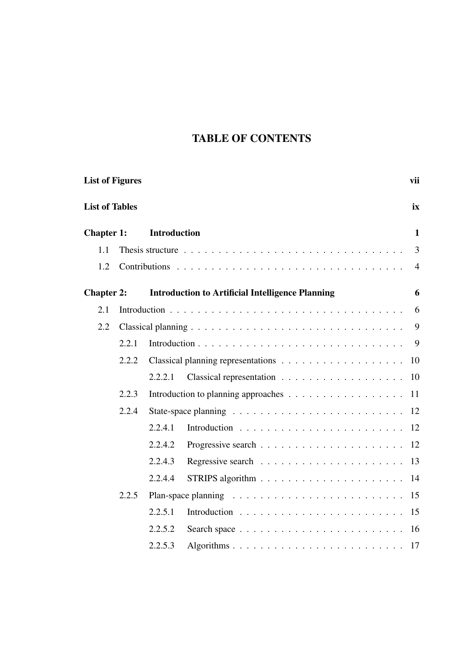# TABLE OF CONTENTS

| <b>List of Figures</b> |       |                     | vii                                                                           |                |
|------------------------|-------|---------------------|-------------------------------------------------------------------------------|----------------|
| <b>List of Tables</b>  |       |                     |                                                                               | ix             |
| <b>Chapter 1:</b>      |       | <b>Introduction</b> |                                                                               | 1              |
| 1.1                    |       |                     |                                                                               | $\mathfrak{Z}$ |
| 1.2                    |       |                     |                                                                               | $\overline{4}$ |
| <b>Chapter 2:</b>      |       |                     | <b>Introduction to Artificial Intelligence Planning</b>                       | 6              |
| 2.1                    |       |                     |                                                                               | 6              |
| 2.2                    |       |                     |                                                                               | 9              |
|                        | 2.2.1 |                     |                                                                               | 9              |
|                        | 2.2.2 |                     |                                                                               | 10             |
|                        |       | 2.2.2.1             |                                                                               | 10             |
|                        | 2.2.3 |                     |                                                                               | 11             |
|                        | 2.2.4 |                     |                                                                               |                |
|                        |       | 2.2.4.1             |                                                                               |                |
|                        |       | 2.2.4.2             |                                                                               | 12             |
|                        |       | 2.2.4.3             |                                                                               | 13             |
|                        |       | 2.2.4.4             |                                                                               |                |
|                        | 2.2.5 |                     | Plan-space planning $\ldots \ldots \ldots \ldots \ldots \ldots \ldots \ldots$ | 15             |
|                        |       | 2.2.5.1             |                                                                               | 15             |
|                        |       | 2.2.5.2             |                                                                               | 16             |
|                        |       | 2.2.5.3             |                                                                               |                |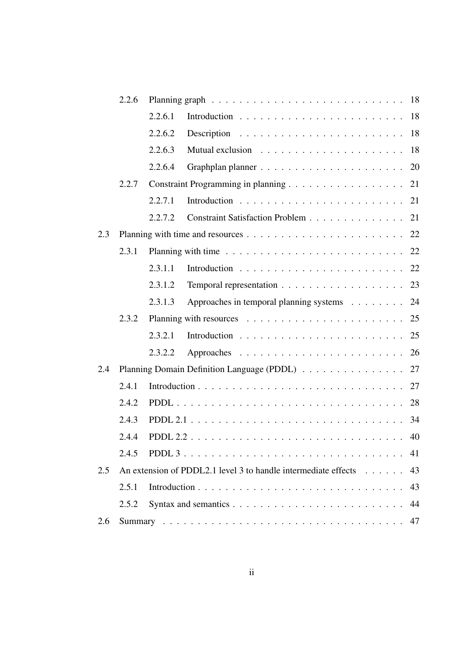|     | 2.2.6 |                                                                |    |
|-----|-------|----------------------------------------------------------------|----|
|     |       | 2.2.6.1                                                        |    |
|     |       | 2.2.6.2                                                        |    |
|     |       | 2.2.6.3                                                        |    |
|     |       | 2.2.6.4                                                        |    |
|     | 2.2.7 |                                                                | 21 |
|     |       | 2.2.7.1                                                        |    |
|     |       | Constraint Satisfaction Problem 21<br>2.2.7.2                  |    |
| 2.3 |       |                                                                |    |
|     | 2.3.1 |                                                                |    |
|     |       | 2.3.1.1                                                        |    |
|     |       | Temporal representation 23<br>2.3.1.2                          |    |
|     |       | Approaches in temporal planning systems 24<br>2.3.1.3          |    |
|     | 2.3.2 |                                                                |    |
|     |       | 2.3.2.1                                                        |    |
|     |       | 2.3.2.2                                                        |    |
| 2.4 |       | Planning Domain Definition Language (PDDL)                     | 27 |
|     | 2.4.1 |                                                                | 27 |
|     | 2.4.2 |                                                                |    |
|     | 2.4.3 |                                                                |    |
|     | 2.4.4 |                                                                |    |
|     | 2.4.5 |                                                                | 41 |
| 2.5 |       | An extension of PDDL2.1 level 3 to handle intermediate effects | 43 |
|     | 2.5.1 |                                                                | 43 |
|     | 2.5.2 |                                                                | 44 |
| 2.6 |       |                                                                | 47 |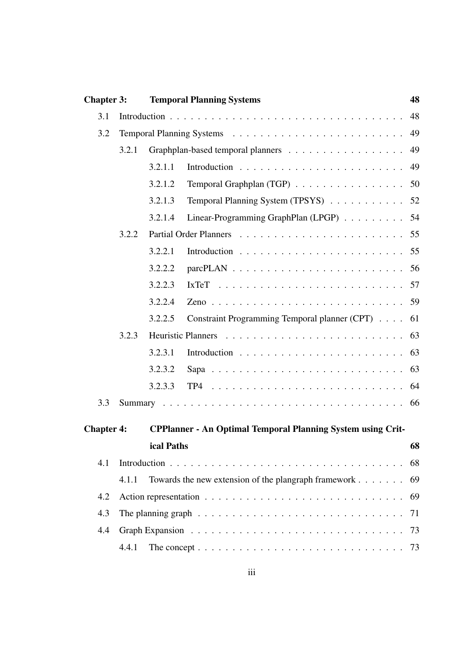| <b>Chapter 3:</b> |       | <b>Temporal Planning Systems</b> |                                                                                            | 48 |
|-------------------|-------|----------------------------------|--------------------------------------------------------------------------------------------|----|
| 3.1               |       |                                  |                                                                                            | 48 |
| 3.2               |       |                                  |                                                                                            |    |
|                   | 3.2.1 |                                  | Graphplan-based temporal planners 49                                                       |    |
|                   |       | 3.2.1.1                          |                                                                                            | 49 |
|                   |       | 3.2.1.2                          | Temporal Graphplan (TGP) 50                                                                |    |
|                   |       | 3.2.1.3                          | Temporal Planning System (TPSYS) 52                                                        |    |
|                   |       | 3.2.1.4                          | Linear-Programming GraphPlan (LPGP) 54                                                     |    |
|                   | 3.2.2 |                                  |                                                                                            |    |
|                   |       | 3.2.2.1                          |                                                                                            |    |
|                   |       | 3.2.2.2                          |                                                                                            |    |
|                   |       | 3.2.2.3                          |                                                                                            |    |
|                   |       | 3.2.2.4                          |                                                                                            |    |
|                   |       | 3.2.2.5                          | Constraint Programming Temporal planner (CPT)                                              | 61 |
|                   | 3.2.3 |                                  |                                                                                            |    |
|                   |       | 3.2.3.1                          |                                                                                            |    |
|                   |       | 3.2.3.2                          |                                                                                            |    |
|                   |       | 3.2.3.3                          |                                                                                            |    |
| 3.3               |       |                                  |                                                                                            |    |
|                   |       |                                  |                                                                                            |    |
| <b>Chapter 4:</b> |       |                                  | <b>CPPlanner - An Optimal Temporal Planning System using Crit-</b>                         |    |
|                   |       | ical Paths                       | $\sim$ 68                                                                                  |    |
| 4.1               |       |                                  |                                                                                            | 68 |
|                   | 4.1.1 |                                  | Towards the new extension of the plangraph framework                                       | 69 |
| 4.2               |       |                                  |                                                                                            | 69 |
| 4.3               |       |                                  | The planning graph $\ldots \ldots \ldots \ldots \ldots \ldots \ldots \ldots \ldots \ldots$ | 71 |
| 4.4               |       |                                  |                                                                                            |    |
|                   | 4.4.1 |                                  |                                                                                            |    |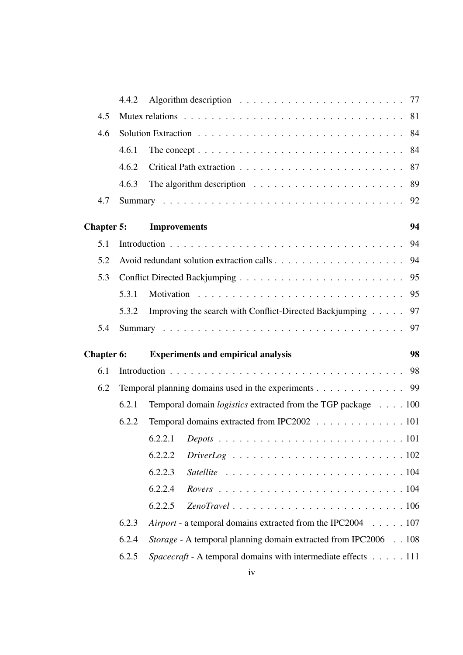|                   | 4.4.2 |                                                                        |
|-------------------|-------|------------------------------------------------------------------------|
| 4.5               |       |                                                                        |
| 4.6               |       |                                                                        |
|                   | 4.6.1 |                                                                        |
|                   | 4.6.2 |                                                                        |
|                   | 4.6.3 |                                                                        |
| 4.7               |       |                                                                        |
| <b>Chapter 5:</b> |       | 94<br><b>Improvements</b>                                              |
| 5.1               |       |                                                                        |
| 5.2               |       |                                                                        |
| 5.3               |       |                                                                        |
|                   | 5.3.1 |                                                                        |
|                   | 5.3.2 | Improving the search with Conflict-Directed Backjumping<br>97          |
| 5.4               |       |                                                                        |
|                   |       |                                                                        |
| <b>Chapter 6:</b> |       | 98<br><b>Experiments and empirical analysis</b>                        |
| 6.1               |       |                                                                        |
| 6.2               |       | Temporal planning domains used in the experiments 99                   |
|                   | 6.2.1 | Temporal domain <i>logistics</i> extracted from the TGP package 100    |
|                   | 6.2.2 | Temporal domains extracted from IPC2002 101                            |
|                   |       |                                                                        |
|                   |       | 6.2.2.2                                                                |
|                   |       | 6.2.2.3                                                                |
|                   |       | 6.2.2.4                                                                |
|                   |       | 6.2.2.5                                                                |
|                   | 6.2.3 | Airport - a temporal domains extracted from the IPC2004 107            |
|                   | 6.2.4 | <i>Storage</i> - A temporal planning domain extracted from IPC2006 108 |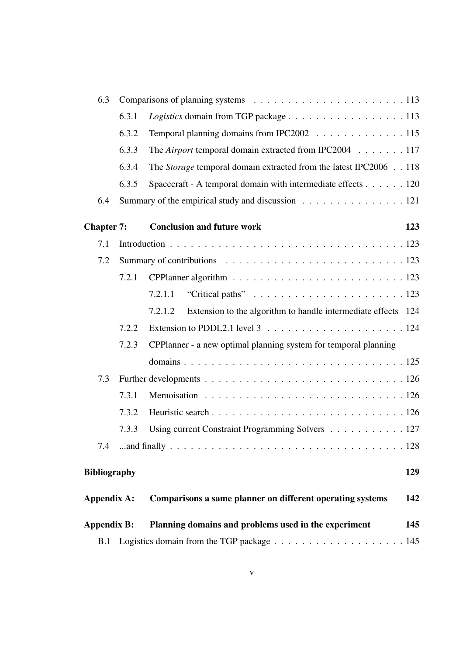| 6.3                 |       |                                                                                     |     |
|---------------------|-------|-------------------------------------------------------------------------------------|-----|
|                     | 6.3.1 | Logistics domain from TGP package 113                                               |     |
|                     | 6.3.2 | Temporal planning domains from IPC2002 115                                          |     |
|                     | 6.3.3 | The Airport temporal domain extracted from IPC2004 117                              |     |
|                     | 6.3.4 | The Storage temporal domain extracted from the latest IPC2006 118                   |     |
|                     | 6.3.5 | Spacecraft - A temporal domain with intermediate effects 120                        |     |
| 6.4                 |       | Summary of the empirical study and discussion 121                                   |     |
| <b>Chapter 7:</b>   |       | <b>Conclusion and future work</b>                                                   | 123 |
| 7.1                 |       |                                                                                     |     |
| 7.2                 |       |                                                                                     |     |
|                     | 7.2.1 |                                                                                     |     |
|                     |       | 7.2.1.1                                                                             |     |
|                     |       | Extension to the algorithm to handle intermediate effects 124<br>7.2.1.2            |     |
|                     | 7.2.2 | Extension to PDDL2.1 level $3 \ldots \ldots \ldots \ldots \ldots \ldots \ldots 124$ |     |
|                     | 7.2.3 | CPPlanner - a new optimal planning system for temporal planning                     |     |
|                     |       |                                                                                     |     |
| 7.3                 |       |                                                                                     |     |
|                     | 7.3.1 |                                                                                     |     |
|                     | 7.3.2 |                                                                                     |     |
|                     | 7.3.3 | Using current Constraint Programming Solvers 127                                    |     |
| 7.4                 |       |                                                                                     |     |
| <b>Bibliography</b> |       |                                                                                     | 129 |
| <b>Appendix A:</b>  |       | Comparisons a same planner on different operating systems                           | 142 |
| <b>Appendix B:</b>  |       | Planning domains and problems used in the experiment                                | 145 |
| B.1                 |       |                                                                                     |     |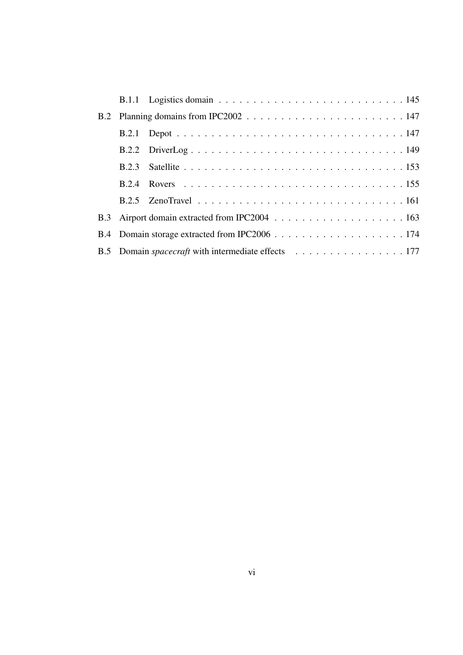|  | B.5 Domain spacecraft with intermediate effects 177 |
|--|-----------------------------------------------------|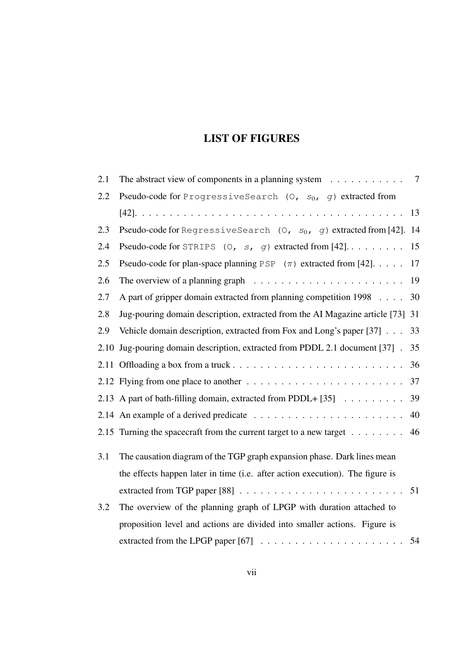# LIST OF FIGURES

| 2.1  | The abstract view of components in a planning system $\dots \dots \dots$                      | 7  |
|------|-----------------------------------------------------------------------------------------------|----|
| 2.2  | Pseudo-code for ProgressiveSearch (0, $s_0$ , g) extracted from                               |    |
|      |                                                                                               | 13 |
| 2.3  | Pseudo-code for RegressiveSearch (0, $s_0$ , g) extracted from [42]. 14                       |    |
| 2.4  | Pseudo-code for STRIPS $(0, s, g)$ extracted from $[42] \ldots \ldots$                        | 15 |
| 2.5  | Pseudo-code for plan-space planning PSP $(\pi)$ extracted from [42].                          | 17 |
| 2.6  | The overview of a planning graph $\ldots \ldots \ldots \ldots \ldots \ldots \ldots \ldots$ 19 |    |
| 2.7  | A part of gripper domain extracted from planning competition 1998                             | 30 |
| 2.8  | Jug-pouring domain description, extracted from the AI Magazine article [73] 31                |    |
| 2.9  | Vehicle domain description, extracted from Fox and Long's paper [37]                          | 33 |
| 2.10 | Jug-pouring domain description, extracted from PDDL 2.1 document [37].                        | 35 |
|      |                                                                                               | 36 |
|      | 2.12 Flying from one place to another $\dots \dots \dots \dots \dots \dots \dots \dots \dots$ | 37 |
|      | 2.13 A part of bath-filling domain, extracted from PDDL+ $[35]$                               | 39 |
|      |                                                                                               | 40 |
|      | 2.15 Turning the spacecraft from the current target to a new target $\dots \dots$             | 46 |
| 3.1  | The causation diagram of the TGP graph expansion phase. Dark lines mean                       |    |
|      | the effects happen later in time (i.e. after action execution). The figure is                 |    |
|      |                                                                                               |    |
| 3.2  | The overview of the planning graph of LPGP with duration attached to                          |    |
|      | proposition level and actions are divided into smaller actions. Figure is                     |    |
|      |                                                                                               |    |
|      |                                                                                               |    |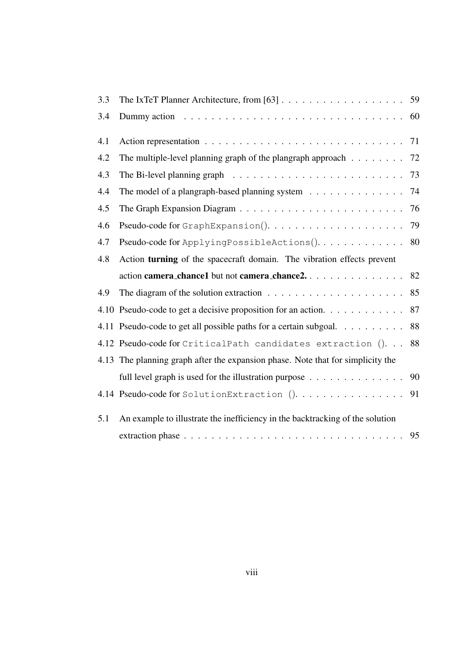| 3.3 |                                                                                           |    |
|-----|-------------------------------------------------------------------------------------------|----|
| 3.4 |                                                                                           |    |
| 4.1 |                                                                                           |    |
| 4.2 | The multiple-level planning graph of the plangraph approach $\dots \dots$                 | 72 |
| 4.3 |                                                                                           | 73 |
| 4.4 | The model of a plangraph-based planning system 74                                         |    |
| 4.5 |                                                                                           | 76 |
| 4.6 | Pseudo-code for GraphExpansion()                                                          | 79 |
| 4.7 | Pseudo-code for ApplyingPossibleActions() 80                                              |    |
| 4.8 | Action turning of the spacecraft domain. The vibration effects prevent                    |    |
|     |                                                                                           |    |
|     | action camera_chance1 but not camera_chance2. 82                                          |    |
| 4.9 | The diagram of the solution extraction $\ldots \ldots \ldots \ldots \ldots \ldots \ldots$ | 85 |
|     | 4.10 Pseudo-code to get a decisive proposition for an action.                             | 87 |
|     | 4.11 Pseudo-code to get all possible paths for a certain subgoal.                         | 88 |
|     | 4.12 Pseudo-code for CriticalPath candidates extraction (). 88                            |    |
|     | 4.13 The planning graph after the expansion phase. Note that for simplicity the           |    |
|     | full level graph is used for the illustration purpose 90                                  |    |
|     |                                                                                           |    |
| 5.1 | An example to illustrate the inefficiency in the backtracking of the solution             |    |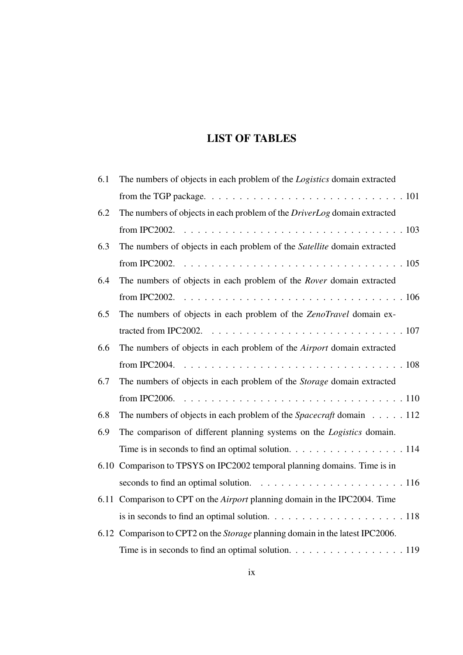# LIST OF TABLES

| 6.1 | The numbers of objects in each problem of the Logistics domain extracted                                 |  |
|-----|----------------------------------------------------------------------------------------------------------|--|
|     | from the TGP package. $\ldots \ldots \ldots \ldots \ldots \ldots \ldots \ldots \ldots \ldots \ldots 101$ |  |
| 6.2 | The numbers of objects in each problem of the <i>DriverLog</i> domain extracted                          |  |
|     |                                                                                                          |  |
| 6.3 | The numbers of objects in each problem of the Satellite domain extracted                                 |  |
|     |                                                                                                          |  |
| 6.4 | The numbers of objects in each problem of the Rover domain extracted                                     |  |
|     |                                                                                                          |  |
| 6.5 | The numbers of objects in each problem of the ZenoTravel domain ex-                                      |  |
|     |                                                                                                          |  |
| 6.6 | The numbers of objects in each problem of the Airport domain extracted                                   |  |
|     |                                                                                                          |  |
| 6.7 | The numbers of objects in each problem of the Storage domain extracted                                   |  |
|     |                                                                                                          |  |
| 6.8 | The numbers of objects in each problem of the <i>Spacecraft</i> domain $\dots$ 112                       |  |
| 6.9 | The comparison of different planning systems on the <i>Logistics</i> domain.                             |  |
|     | Time is in seconds to find an optimal solution. 114                                                      |  |
|     | 6.10 Comparison to TPSYS on IPC2002 temporal planning domains. Time is in                                |  |
|     | seconds to find an optimal solution. $\ldots \ldots \ldots \ldots \ldots \ldots \ldots 116$              |  |
|     | 6.11 Comparison to CPT on the <i>Airport</i> planning domain in the IPC2004. Time                        |  |
|     | is in seconds to find an optimal solution. $\ldots \ldots \ldots \ldots \ldots \ldots \ldots 118$        |  |
|     | 6.12 Comparison to CPT2 on the <i>Storage</i> planning domain in the latest IPC2006.                     |  |
|     | Time is in seconds to find an optimal solution. $\ldots \ldots \ldots \ldots \ldots \ldots 119$          |  |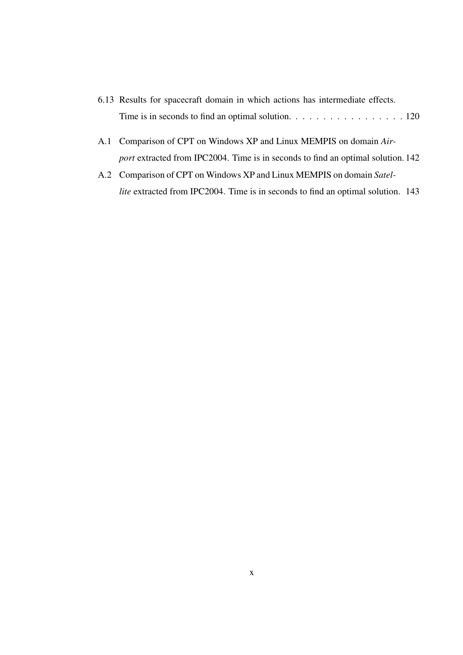- 6.13 Results for spacecraft domain in which actions has intermediate effects. Time is in seconds to find an optimal solution. . . . . . . . . . . . . . . . . 120
- A.1 Comparison of CPT on Windows XP and Linux MEMPIS on domain *Airport* extracted from IPC2004. Time is in seconds to find an optimal solution. 142
- A.2 Comparison of CPT on Windows XP and Linux MEMPIS on domain *Satellite* extracted from IPC2004. Time is in seconds to find an optimal solution. 143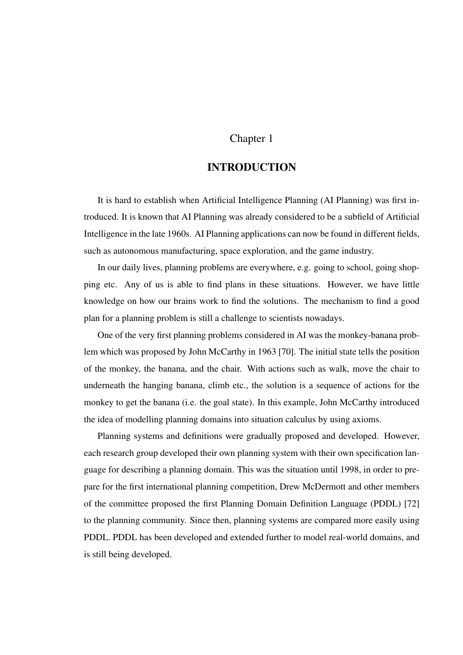### Chapter 1

# INTRODUCTION

It is hard to establish when Artificial Intelligence Planning (AI Planning) was first introduced. It is known that AI Planning was already considered to be a subfield of Artificial Intelligence in the late 1960s. AI Planning applications can now be found in different fields, such as autonomous manufacturing, space exploration, and the game industry.

In our daily lives, planning problems are everywhere, e.g. going to school, going shopping etc. Any of us is able to find plans in these situations. However, we have little knowledge on how our brains work to find the solutions. The mechanism to find a good plan for a planning problem is still a challenge to scientists nowadays.

One of the very first planning problems considered in AI was the monkey-banana problem which was proposed by John McCarthy in 1963 [70]. The initial state tells the position of the monkey, the banana, and the chair. With actions such as walk, move the chair to underneath the hanging banana, climb etc., the solution is a sequence of actions for the monkey to get the banana (i.e. the goal state). In this example, John McCarthy introduced the idea of modelling planning domains into situation calculus by using axioms.

Planning systems and definitions were gradually proposed and developed. However, each research group developed their own planning system with their own specification language for describing a planning domain. This was the situation until 1998, in order to prepare for the first international planning competition, Drew McDermott and other members of the committee proposed the first Planning Domain Definition Language (PDDL) [72] to the planning community. Since then, planning systems are compared more easily using PDDL. PDDL has been developed and extended further to model real-world domains, and is still being developed.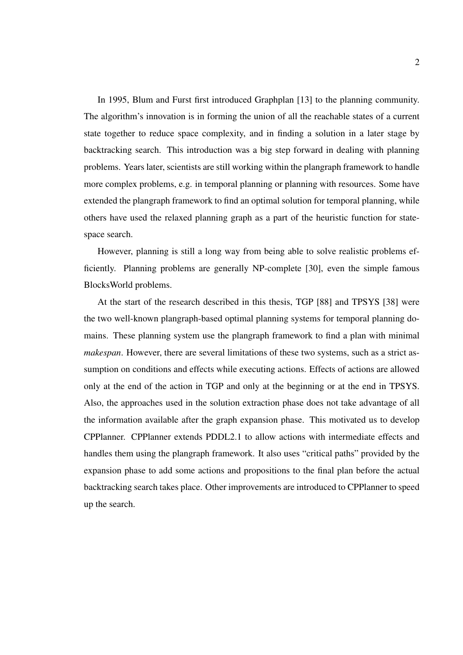In 1995, Blum and Furst first introduced Graphplan [13] to the planning community. The algorithm's innovation is in forming the union of all the reachable states of a current state together to reduce space complexity, and in finding a solution in a later stage by backtracking search. This introduction was a big step forward in dealing with planning problems. Years later, scientists are still working within the plangraph framework to handle more complex problems, e.g. in temporal planning or planning with resources. Some have extended the plangraph framework to find an optimal solution for temporal planning, while others have used the relaxed planning graph as a part of the heuristic function for statespace search.

However, planning is still a long way from being able to solve realistic problems efficiently. Planning problems are generally NP-complete [30], even the simple famous BlocksWorld problems.

At the start of the research described in this thesis, TGP [88] and TPSYS [38] were the two well-known plangraph-based optimal planning systems for temporal planning domains. These planning system use the plangraph framework to find a plan with minimal *makespan*. However, there are several limitations of these two systems, such as a strict assumption on conditions and effects while executing actions. Effects of actions are allowed only at the end of the action in TGP and only at the beginning or at the end in TPSYS. Also, the approaches used in the solution extraction phase does not take advantage of all the information available after the graph expansion phase. This motivated us to develop CPPlanner. CPPlanner extends PDDL2.1 to allow actions with intermediate effects and handles them using the plangraph framework. It also uses "critical paths" provided by the expansion phase to add some actions and propositions to the final plan before the actual backtracking search takes place. Other improvements are introduced to CPPlanner to speed up the search.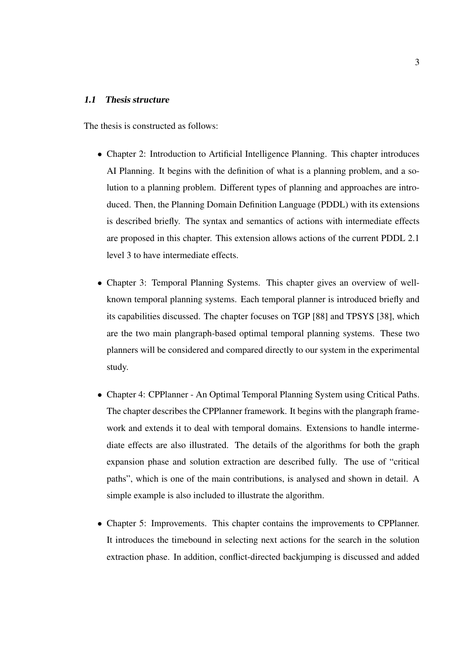#### 1.1 Thesis structure

The thesis is constructed as follows:

- Chapter 2: Introduction to Artificial Intelligence Planning. This chapter introduces AI Planning. It begins with the definition of what is a planning problem, and a solution to a planning problem. Different types of planning and approaches are introduced. Then, the Planning Domain Definition Language (PDDL) with its extensions is described briefly. The syntax and semantics of actions with intermediate effects are proposed in this chapter. This extension allows actions of the current PDDL 2.1 level 3 to have intermediate effects.
- Chapter 3: Temporal Planning Systems. This chapter gives an overview of wellknown temporal planning systems. Each temporal planner is introduced briefly and its capabilities discussed. The chapter focuses on TGP [88] and TPSYS [38], which are the two main plangraph-based optimal temporal planning systems. These two planners will be considered and compared directly to our system in the experimental study.
- Chapter 4: CPPlanner An Optimal Temporal Planning System using Critical Paths. The chapter describes the CPPlanner framework. It begins with the plangraph framework and extends it to deal with temporal domains. Extensions to handle intermediate effects are also illustrated. The details of the algorithms for both the graph expansion phase and solution extraction are described fully. The use of "critical paths", which is one of the main contributions, is analysed and shown in detail. A simple example is also included to illustrate the algorithm.
- Chapter 5: Improvements. This chapter contains the improvements to CPPlanner. It introduces the timebound in selecting next actions for the search in the solution extraction phase. In addition, conflict-directed backjumping is discussed and added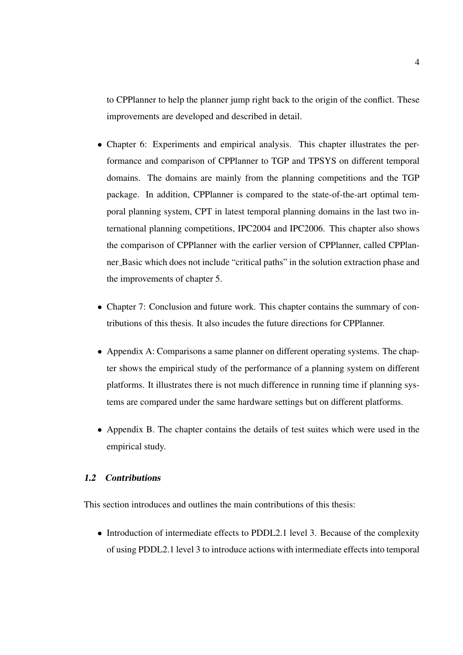to CPPlanner to help the planner jump right back to the origin of the conflict. These improvements are developed and described in detail.

- Chapter 6: Experiments and empirical analysis. This chapter illustrates the performance and comparison of CPPlanner to TGP and TPSYS on different temporal domains. The domains are mainly from the planning competitions and the TGP package. In addition, CPPlanner is compared to the state-of-the-art optimal temporal planning system, CPT in latest temporal planning domains in the last two international planning competitions, IPC2004 and IPC2006. This chapter also shows the comparison of CPPlanner with the earlier version of CPPlanner, called CPPlanner Basic which does not include "critical paths" in the solution extraction phase and the improvements of chapter 5.
- Chapter 7: Conclusion and future work. This chapter contains the summary of contributions of this thesis. It also incudes the future directions for CPPlanner.
- Appendix A: Comparisons a same planner on different operating systems. The chapter shows the empirical study of the performance of a planning system on different platforms. It illustrates there is not much difference in running time if planning systems are compared under the same hardware settings but on different platforms.
- Appendix B. The chapter contains the details of test suites which were used in the empirical study.

#### 1.2 Contributions

This section introduces and outlines the main contributions of this thesis:

• Introduction of intermediate effects to PDDL2.1 level 3. Because of the complexity of using PDDL2.1 level 3 to introduce actions with intermediate effects into temporal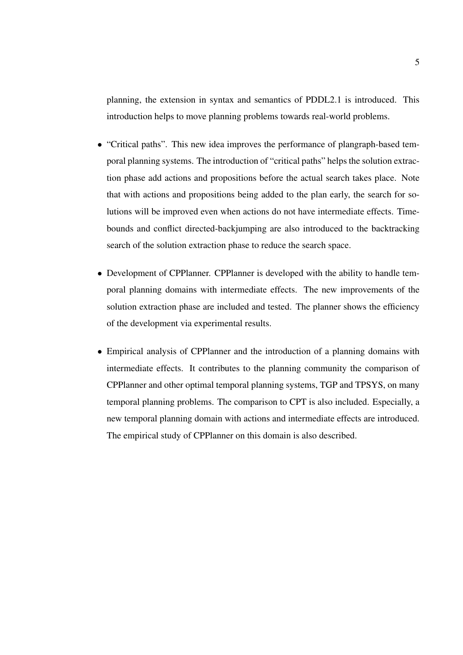planning, the extension in syntax and semantics of PDDL2.1 is introduced. This introduction helps to move planning problems towards real-world problems.

- "Critical paths". This new idea improves the performance of plangraph-based temporal planning systems. The introduction of "critical paths" helps the solution extraction phase add actions and propositions before the actual search takes place. Note that with actions and propositions being added to the plan early, the search for solutions will be improved even when actions do not have intermediate effects. Timebounds and conflict directed-backjumping are also introduced to the backtracking search of the solution extraction phase to reduce the search space.
- Development of CPPlanner. CPPlanner is developed with the ability to handle temporal planning domains with intermediate effects. The new improvements of the solution extraction phase are included and tested. The planner shows the efficiency of the development via experimental results.
- Empirical analysis of CPPlanner and the introduction of a planning domains with intermediate effects. It contributes to the planning community the comparison of CPPlanner and other optimal temporal planning systems, TGP and TPSYS, on many temporal planning problems. The comparison to CPT is also included. Especially, a new temporal planning domain with actions and intermediate effects are introduced. The empirical study of CPPlanner on this domain is also described.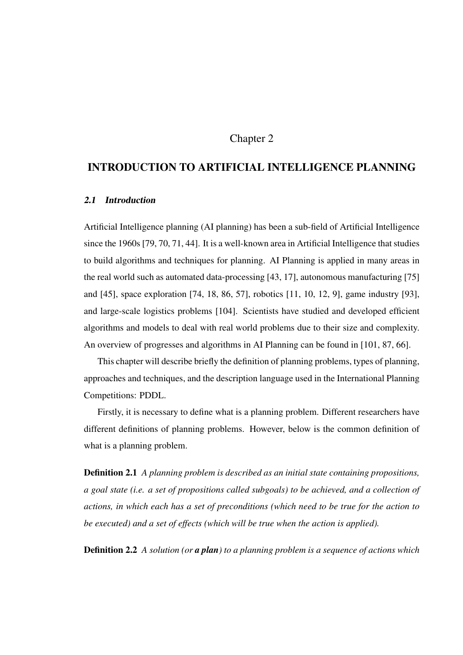### Chapter 2

# INTRODUCTION TO ARTIFICIAL INTELLIGENCE PLANNING

### 2.1 Introduction

Artificial Intelligence planning (AI planning) has been a sub-field of Artificial Intelligence since the 1960s [79, 70, 71, 44]. It is a well-known area in Artificial Intelligence that studies to build algorithms and techniques for planning. AI Planning is applied in many areas in the real world such as automated data-processing [43, 17], autonomous manufacturing [75] and [45], space exploration [74, 18, 86, 57], robotics [11, 10, 12, 9], game industry [93], and large-scale logistics problems [104]. Scientists have studied and developed efficient algorithms and models to deal with real world problems due to their size and complexity. An overview of progresses and algorithms in AI Planning can be found in [101, 87, 66].

This chapter will describe briefly the definition of planning problems, types of planning, approaches and techniques, and the description language used in the International Planning Competitions: PDDL.

Firstly, it is necessary to define what is a planning problem. Different researchers have different definitions of planning problems. However, below is the common definition of what is a planning problem.

Definition 2.1 *A planning problem is described as an initial state containing propositions, a goal state (i.e. a set of propositions called subgoals) to be achieved, and a collection of actions, in which each has a set of preconditions (which need to be true for the action to be executed) and a set of effects (which will be true when the action is applied).*

Definition 2.2 *A solution (or a plan) to a planning problem is a sequence of actions which*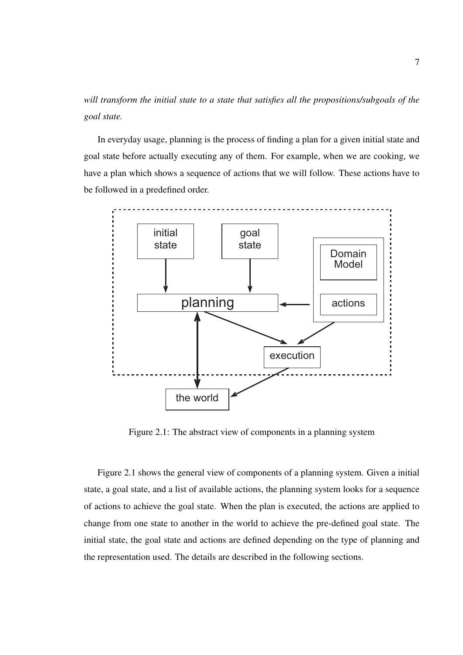*will transform the initial state to a state that satisfies all the propositions/subgoals of the goal state.*

In everyday usage, planning is the process of finding a plan for a given initial state and goal state before actually executing any of them. For example, when we are cooking, we have a plan which shows a sequence of actions that we will follow. These actions have to be followed in a predefined order.



Figure 2.1: The abstract view of components in a planning system

Figure 2.1 shows the general view of components of a planning system. Given a initial state, a goal state, and a list of available actions, the planning system looks for a sequence of actions to achieve the goal state. When the plan is executed, the actions are applied to change from one state to another in the world to achieve the pre-defined goal state. The initial state, the goal state and actions are defined depending on the type of planning and the representation used. The details are described in the following sections.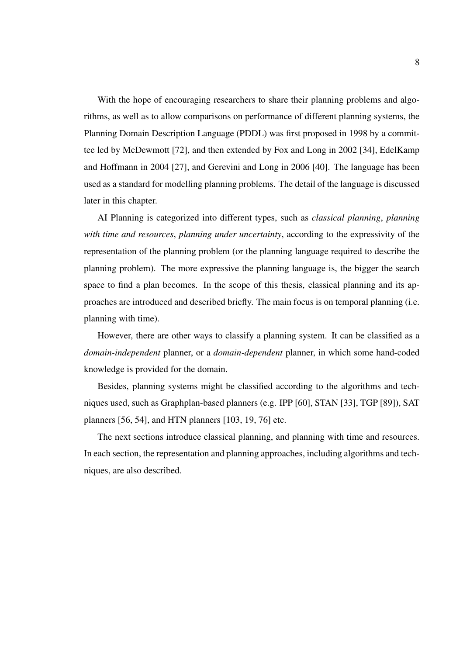With the hope of encouraging researchers to share their planning problems and algorithms, as well as to allow comparisons on performance of different planning systems, the Planning Domain Description Language (PDDL) was first proposed in 1998 by a committee led by McDewmott [72], and then extended by Fox and Long in 2002 [34], EdelKamp and Hoffmann in 2004 [27], and Gerevini and Long in 2006 [40]. The language has been used as a standard for modelling planning problems. The detail of the language is discussed later in this chapter.

AI Planning is categorized into different types, such as *classical planning*, *planning with time and resources*, *planning under uncertainty*, according to the expressivity of the representation of the planning problem (or the planning language required to describe the planning problem). The more expressive the planning language is, the bigger the search space to find a plan becomes. In the scope of this thesis, classical planning and its approaches are introduced and described briefly. The main focus is on temporal planning (i.e. planning with time).

However, there are other ways to classify a planning system. It can be classified as a *domain-independent* planner, or a *domain-dependent* planner, in which some hand-coded knowledge is provided for the domain.

Besides, planning systems might be classified according to the algorithms and techniques used, such as Graphplan-based planners (e.g. IPP [60], STAN [33], TGP [89]), SAT planners [56, 54], and HTN planners [103, 19, 76] etc.

The next sections introduce classical planning, and planning with time and resources. In each section, the representation and planning approaches, including algorithms and techniques, are also described.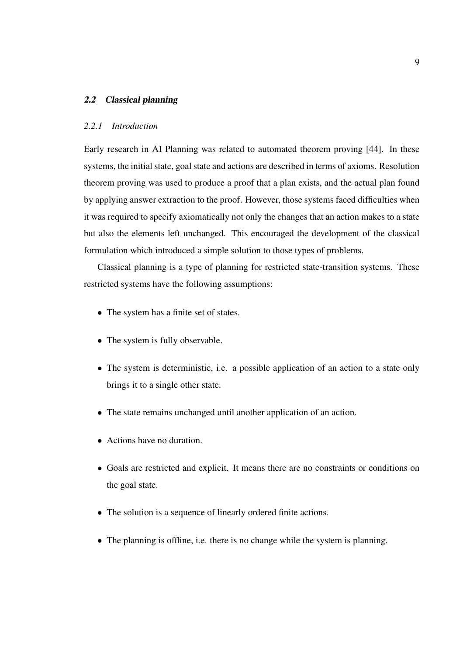#### 2.2 Classical planning

#### *2.2.1 Introduction*

Early research in AI Planning was related to automated theorem proving [44]. In these systems, the initial state, goal state and actions are described in terms of axioms. Resolution theorem proving was used to produce a proof that a plan exists, and the actual plan found by applying answer extraction to the proof. However, those systems faced difficulties when it was required to specify axiomatically not only the changes that an action makes to a state but also the elements left unchanged. This encouraged the development of the classical formulation which introduced a simple solution to those types of problems.

Classical planning is a type of planning for restricted state-transition systems. These restricted systems have the following assumptions:

- The system has a finite set of states.
- The system is fully observable.
- The system is deterministic, i.e. a possible application of an action to a state only brings it to a single other state.
- The state remains unchanged until another application of an action.
- Actions have no duration.
- Goals are restricted and explicit. It means there are no constraints or conditions on the goal state.
- The solution is a sequence of linearly ordered finite actions.
- The planning is offline, i.e. there is no change while the system is planning.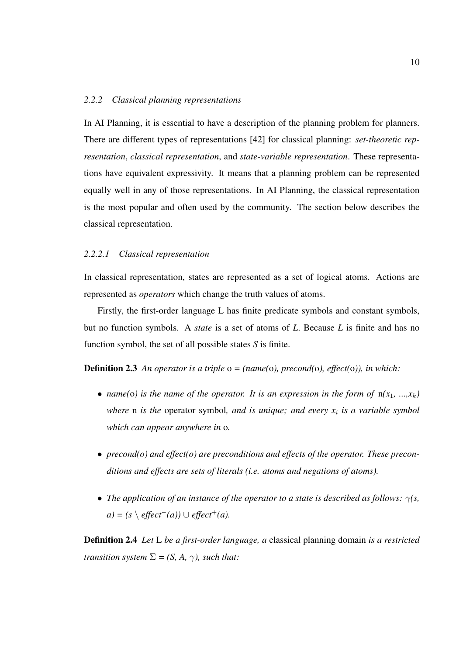#### *2.2.2 Classical planning representations*

In AI Planning, it is essential to have a description of the planning problem for planners. There are different types of representations [42] for classical planning: *set-theoretic representation*, *classical representation*, and *state-variable representation*. These representations have equivalent expressivity. It means that a planning problem can be represented equally well in any of those representations. In AI Planning, the classical representation is the most popular and often used by the community. The section below describes the classical representation.

#### *2.2.2.1 Classical representation*

In classical representation, states are represented as a set of logical atoms. Actions are represented as *operators* which change the truth values of atoms.

Firstly, the first-order language L has finite predicate symbols and constant symbols, but no function symbols. A *state* is a set of atoms of *L*. Because *L* is finite and has no function symbol, the set of all possible states *S* is finite.

Definition 2.3 *An operator is a triple* o *= (name(*o*), precond(*o*), effect(*o*)), in which:*

- *name(o)* is the name of the operator. It is an expression in the form of  $n(x_1, ..., x_k)$ *where* n *is the* operator symbol*, and is unique; and every x*<sup>i</sup> *is a variable symbol which can appear anywhere in* o*.*
- *precond(o) and effect(o) are preconditions and effects of the operator. These preconditions and effects are sets of literals (i.e. atoms and negations of atoms).*
- *The application of an instance of the operator to a state is described as follows:* γ*(s, a*) =  $(s \setminus \text{effect}^-(a)) \cup \text{effect}^+(a)$ .

Definition 2.4 *Let* L *be a first-order language, a* classical planning domain *is a restricted transition system*  $\Sigma = (S, A, \gamma)$ *, such that:*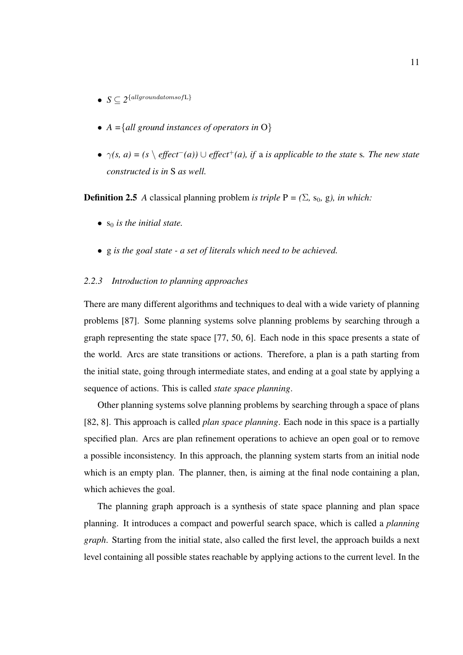- $\bullet \ \ S \subseteq 2^{\{allground atoms of L\}}$
- *A =*{*all ground instances of operators in* O}
- $\gamma(s, a) = (s \setminus \text{effect}^-(a)) \cup \text{effect}^+(a), \text{ if a is applicable to the state s. The new state$ *constructed is in* S *as well.*

**Definition 2.5** *A* classical planning problem *is triple*  $P = (\Sigma, s_0, g)$ *, in which:* 

- $\bullet$  s<sub>0</sub> is the initial state.
- g *is the goal state a set of literals which need to be achieved.*

#### *2.2.3 Introduction to planning approaches*

There are many different algorithms and techniques to deal with a wide variety of planning problems [87]. Some planning systems solve planning problems by searching through a graph representing the state space [77, 50, 6]. Each node in this space presents a state of the world. Arcs are state transitions or actions. Therefore, a plan is a path starting from the initial state, going through intermediate states, and ending at a goal state by applying a sequence of actions. This is called *state space planning*.

Other planning systems solve planning problems by searching through a space of plans [82, 8]. This approach is called *plan space planning*. Each node in this space is a partially specified plan. Arcs are plan refinement operations to achieve an open goal or to remove a possible inconsistency. In this approach, the planning system starts from an initial node which is an empty plan. The planner, then, is aiming at the final node containing a plan, which achieves the goal.

The planning graph approach is a synthesis of state space planning and plan space planning. It introduces a compact and powerful search space, which is called a *planning graph*. Starting from the initial state, also called the first level, the approach builds a next level containing all possible states reachable by applying actions to the current level. In the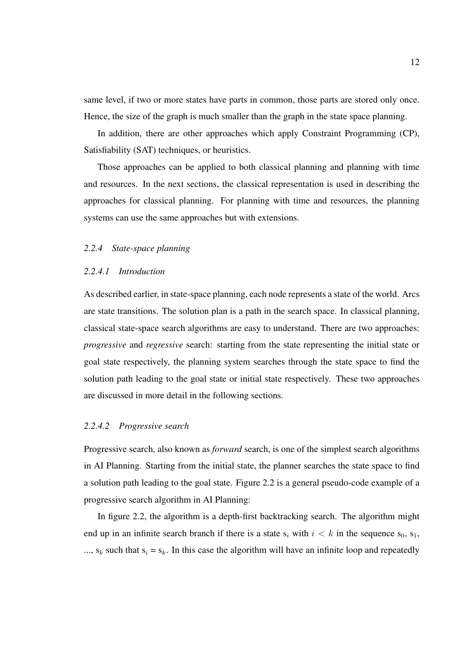same level, if two or more states have parts in common, those parts are stored only once. Hence, the size of the graph is much smaller than the graph in the state space planning.

In addition, there are other approaches which apply Constraint Programming (CP), Satisfiability (SAT) techniques, or heuristics.

Those approaches can be applied to both classical planning and planning with time and resources. In the next sections, the classical representation is used in describing the approaches for classical planning. For planning with time and resources, the planning systems can use the same approaches but with extensions.

#### *2.2.4 State-space planning*

#### *2.2.4.1 Introduction*

As described earlier, in state-space planning, each node represents a state of the world. Arcs are state transitions. The solution plan is a path in the search space. In classical planning, classical state-space search algorithms are easy to understand. There are two approaches: *progressive* and *regressive* search: starting from the state representing the initial state or goal state respectively, the planning system searches through the state space to find the solution path leading to the goal state or initial state respectively. These two approaches are discussed in more detail in the following sections.

#### *2.2.4.2 Progressive search*

Progressive search, also known as *forward* search, is one of the simplest search algorithms in AI Planning. Starting from the initial state, the planner searches the state space to find a solution path leading to the goal state. Figure 2.2 is a general pseudo-code example of a progressive search algorithm in AI Planning:

In figure 2.2, the algorithm is a depth-first backtracking search. The algorithm might end up in an infinite search branch if there is a state  $s_i$  with  $i < k$  in the sequence  $s_0$ ,  $s_1$ , ...,  $s_k$  such that  $s_i = s_k$ . In this case the algorithm will have an infinite loop and repeatedly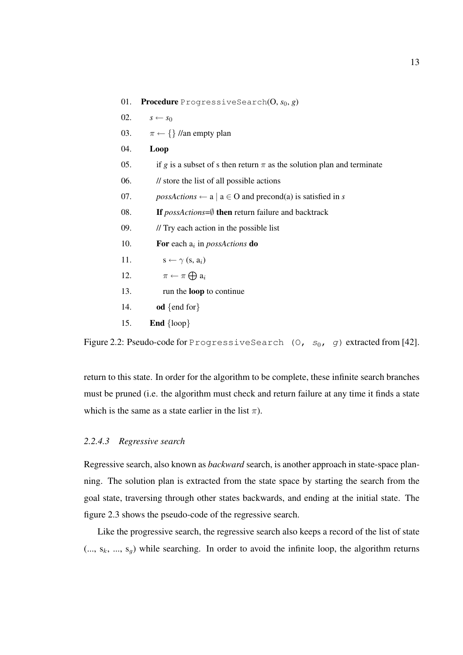| 01. | <b>Procedure</b> ProgressiveSearch $(0, s_0, g)$                                                   |
|-----|----------------------------------------------------------------------------------------------------|
| 02. | $s \leftarrow s_0$                                                                                 |
| 03. | $\pi \leftarrow \{\}$ //an empty plan                                                              |
| 04. | Loop                                                                                               |
| 05. | if g is a subset of s then return $\pi$ as the solution plan and terminate                         |
| 06. | // store the list of all possible actions                                                          |
| 07. | $poss Actions \leftarrow a \mid a \in O \text{ and } \text{precond}(a) \text{ is satisfied in } s$ |
| 08. | If $posActions = \emptyset$ then return failure and backtrack                                      |
| 09. | // Try each action in the possible list                                                            |
| 10. | For each $a_i$ in <i>possActions</i> do                                                            |
| 11. | $s \leftarrow \gamma$ (s, a <sub>i</sub> )                                                         |
| 12. | $\pi \leftarrow \pi \bigoplus a_i$                                                                 |
| 13. | run the <b>loop</b> to continue                                                                    |
| 14. | od {end for}                                                                                       |
| 15. | <b>End</b> $\{loop\}$                                                                              |

Figure 2.2: Pseudo-code for ProgressiveSearch (O,  $s_0$ , g) extracted from [42].

return to this state. In order for the algorithm to be complete, these infinite search branches must be pruned (i.e. the algorithm must check and return failure at any time it finds a state which is the same as a state earlier in the list  $\pi$ ).

#### *2.2.4.3 Regressive search*

Regressive search, also known as *backward* search, is another approach in state-space planning. The solution plan is extracted from the state space by starting the search from the goal state, traversing through other states backwards, and ending at the initial state. The figure 2.3 shows the pseudo-code of the regressive search.

Like the progressive search, the regressive search also keeps a record of the list of state  $(..., s_k, ..., s_g)$  while searching. In order to avoid the infinite loop, the algorithm returns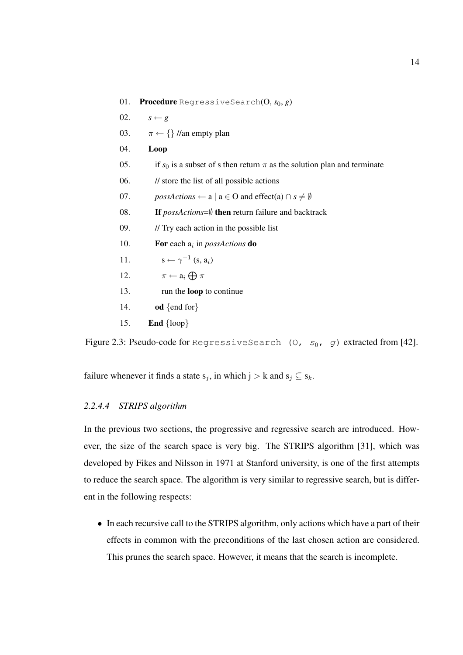- 01. **Procedure** RegressiveSearch $(0, s_0, g)$
- 02.  $s \leftarrow g$
- 03.  $\pi \leftarrow \{\}$  //an empty plan
- 04. Loop
- 05. if  $s_0$  is a subset of s then return  $\pi$  as the solution plan and terminate
- 06. // store the list of all possible actions
- 07. *possActions* ← a | a  $\in$  O and effect(a)  $\cap$  *s*  $\neq$  *Ø*
- 08. If *possActions*=∅ then return failure and backtrack
- 09. // Try each action in the possible list
- 10. **For each a**<sub>i</sub> in *possActions* **do**
- 11.  $s \leftarrow \gamma^{-1} (s, a_i)$
- 12.  $\pi \leftarrow a_i \bigoplus \pi$
- 13. run the loop to continue
- 14. od  $\{end for\}$
- 15. **End**  $\{loop\}$

Figure 2.3: Pseudo-code for RegressiveSearch (0,  $s_0$ , g) extracted from [42].

failure whenever it finds a state  $s_j$ , in which  $j > k$  and  $s_j \subseteq s_k$ .

#### *2.2.4.4 STRIPS algorithm*

In the previous two sections, the progressive and regressive search are introduced. However, the size of the search space is very big. The STRIPS algorithm [31], which was developed by Fikes and Nilsson in 1971 at Stanford university, is one of the first attempts to reduce the search space. The algorithm is very similar to regressive search, but is different in the following respects:

• In each recursive call to the STRIPS algorithm, only actions which have a part of their effects in common with the preconditions of the last chosen action are considered. This prunes the search space. However, it means that the search is incomplete.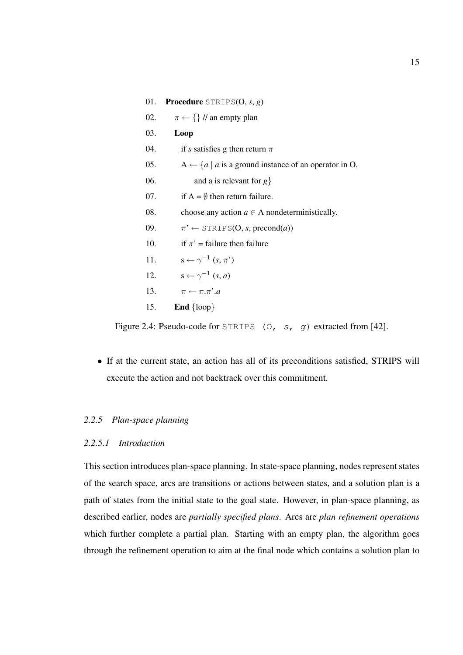01. Procedure STRIPS(O, *s*, *g*) 02.  $\pi \leftarrow \{\}$  // an empty plan 03. Loop 04. if *s* satisfies g then return  $\pi$ 05. A  $\leftarrow$  {*a* | *a* is a ground instance of an operator in O, 06. and a is relevant for *g*} 07. if  $A = \emptyset$  then return failure. 08. choose any action  $a \in A$  nondeterministically. 09.  $\pi' \leftarrow \text{STRIPS}(O, s, \text{precond}(a))$ 10. if  $\pi'$  = failure then failure 11.  $s \leftarrow \gamma^{-1} (s, \pi')$ 12.  $s \leftarrow \gamma^{-1} (s, a)$ 13.  $\pi \leftarrow \pi \cdot \pi'.a$ 15. End  $\{loop\}$ 

Figure 2.4: Pseudo-code for STRIPS (0, s, g) extracted from [42].

• If at the current state, an action has all of its preconditions satisfied, STRIPS will execute the action and not backtrack over this commitment.

#### *2.2.5 Plan-space planning*

#### *2.2.5.1 Introduction*

This section introduces plan-space planning. In state-space planning, nodes represent states of the search space, arcs are transitions or actions between states, and a solution plan is a path of states from the initial state to the goal state. However, in plan-space planning, as described earlier, nodes are *partially specified plans*. Arcs are *plan refinement operations* which further complete a partial plan. Starting with an empty plan, the algorithm goes through the refinement operation to aim at the final node which contains a solution plan to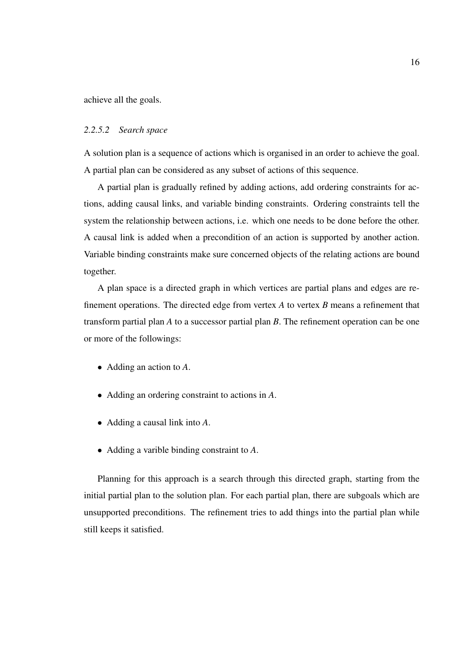achieve all the goals.

#### *2.2.5.2 Search space*

A solution plan is a sequence of actions which is organised in an order to achieve the goal. A partial plan can be considered as any subset of actions of this sequence.

A partial plan is gradually refined by adding actions, add ordering constraints for actions, adding causal links, and variable binding constraints. Ordering constraints tell the system the relationship between actions, i.e. which one needs to be done before the other. A causal link is added when a precondition of an action is supported by another action. Variable binding constraints make sure concerned objects of the relating actions are bound together.

A plan space is a directed graph in which vertices are partial plans and edges are refinement operations. The directed edge from vertex *A* to vertex *B* means a refinement that transform partial plan *A* to a successor partial plan *B*. The refinement operation can be one or more of the followings:

- Adding an action to *A*.
- Adding an ordering constraint to actions in *A*.
- Adding a causal link into *A*.
- Adding a varible binding constraint to *A*.

Planning for this approach is a search through this directed graph, starting from the initial partial plan to the solution plan. For each partial plan, there are subgoals which are unsupported preconditions. The refinement tries to add things into the partial plan while still keeps it satisfied.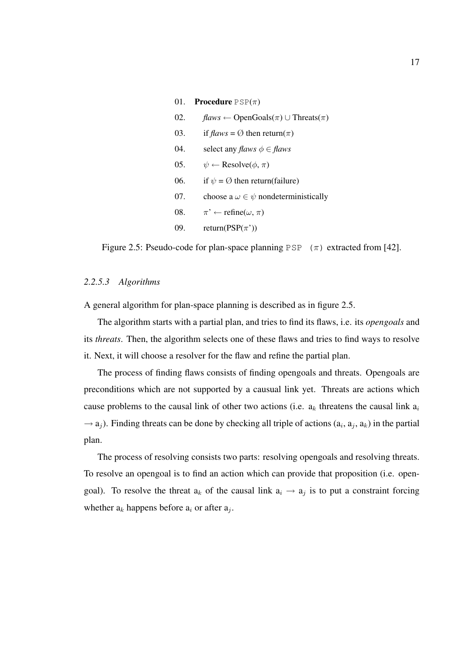# 01. **Procedure**  $PSP(\pi)$ 02. *flaws* ← OpenGoals( $\pi$ ) ∪ Threats( $\pi$ ) 03. if  $flaws = \emptyset$  then return( $\pi$ ) 04. select any *flaws*  $\phi \in$  *flaws* 05.  $\psi \leftarrow \text{Resolve}(\phi, \pi)$ 06. if  $\psi = \emptyset$  then return(failure) 07. choose a  $\omega \in \psi$  nondeterministically 08.  $\pi' \leftarrow \text{refine}(\omega, \pi)$ 09. return(PSP( $\pi$ '))

Figure 2.5: Pseudo-code for plan-space planning PSP  $(\pi)$  extracted from [42].

#### *2.2.5.3 Algorithms*

A general algorithm for plan-space planning is described as in figure 2.5.

The algorithm starts with a partial plan, and tries to find its flaws, i.e. its *opengoals* and its *threats*. Then, the algorithm selects one of these flaws and tries to find ways to resolve it. Next, it will choose a resolver for the flaw and refine the partial plan.

The process of finding flaws consists of finding opengoals and threats. Opengoals are preconditions which are not supported by a causual link yet. Threats are actions which cause problems to the causal link of other two actions (i.e.  $a_k$  threatens the causal link  $a_i$  $\rightarrow$  a<sub>j</sub>). Finding threats can be done by checking all triple of actions (a<sub>i</sub>, a<sub>j</sub>, a<sub>k</sub>) in the partial plan.

The process of resolving consists two parts: resolving opengoals and resolving threats. To resolve an opengoal is to find an action which can provide that proposition (i.e. opengoal). To resolve the threat  $a_k$  of the causal link  $a_i \rightarrow a_j$  is to put a constraint forcing whether  $a_k$  happens before  $a_i$  or after  $a_j$ .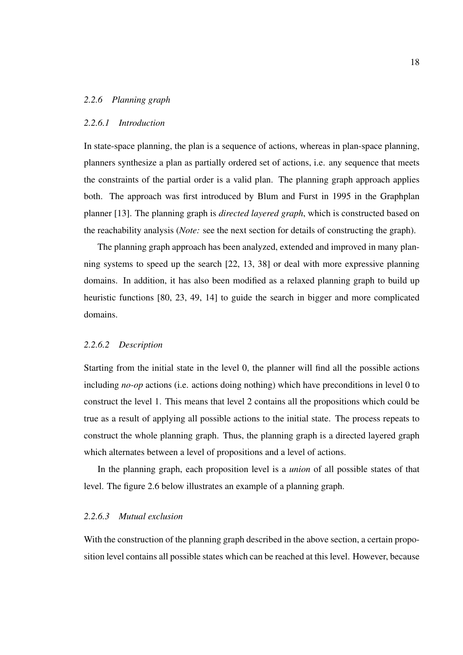#### *2.2.6 Planning graph*

#### *2.2.6.1 Introduction*

In state-space planning, the plan is a sequence of actions, whereas in plan-space planning, planners synthesize a plan as partially ordered set of actions, i.e. any sequence that meets the constraints of the partial order is a valid plan. The planning graph approach applies both. The approach was first introduced by Blum and Furst in 1995 in the Graphplan planner [13]. The planning graph is *directed layered graph*, which is constructed based on the reachability analysis (*Note:* see the next section for details of constructing the graph).

The planning graph approach has been analyzed, extended and improved in many planning systems to speed up the search [22, 13, 38] or deal with more expressive planning domains. In addition, it has also been modified as a relaxed planning graph to build up heuristic functions [80, 23, 49, 14] to guide the search in bigger and more complicated domains.

#### *2.2.6.2 Description*

Starting from the initial state in the level 0, the planner will find all the possible actions including *no-op* actions (i.e. actions doing nothing) which have preconditions in level 0 to construct the level 1. This means that level 2 contains all the propositions which could be true as a result of applying all possible actions to the initial state. The process repeats to construct the whole planning graph. Thus, the planning graph is a directed layered graph which alternates between a level of propositions and a level of actions.

In the planning graph, each proposition level is a *union* of all possible states of that level. The figure 2.6 below illustrates an example of a planning graph.

#### *2.2.6.3 Mutual exclusion*

With the construction of the planning graph described in the above section, a certain proposition level contains all possible states which can be reached at this level. However, because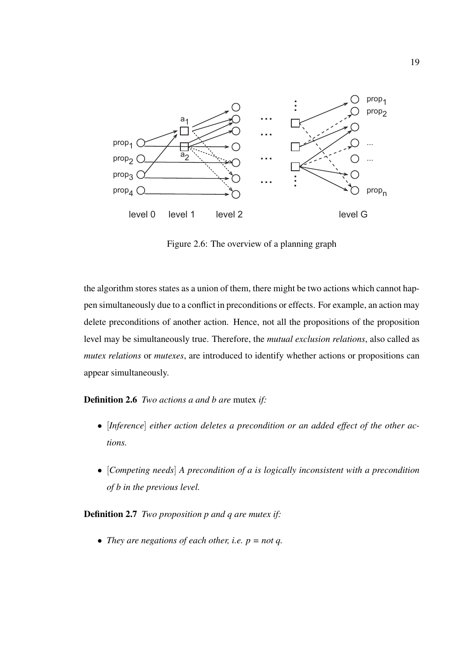

Figure 2.6: The overview of a planning graph

the algorithm stores states as a union of them, there might be two actions which cannot happen simultaneously due to a conflict in preconditions or effects. For example, an action may delete preconditions of another action. Hence, not all the propositions of the proposition level may be simultaneously true. Therefore, the *mutual exclusion relations*, also called as *mutex relations* or *mutexes*, are introduced to identify whether actions or propositions can appear simultaneously.

Definition 2.6 *Two actions a and b are* mutex *if:*

- [*Inference*] *either action deletes a precondition or an added effect of the other actions.*
- [*Competing needs*] *A precondition of a is logically inconsistent with a precondition of b in the previous level.*

Definition 2.7 *Two proposition p and q are mutex if:*

• *They are negations of each other, i.e. p = not q.*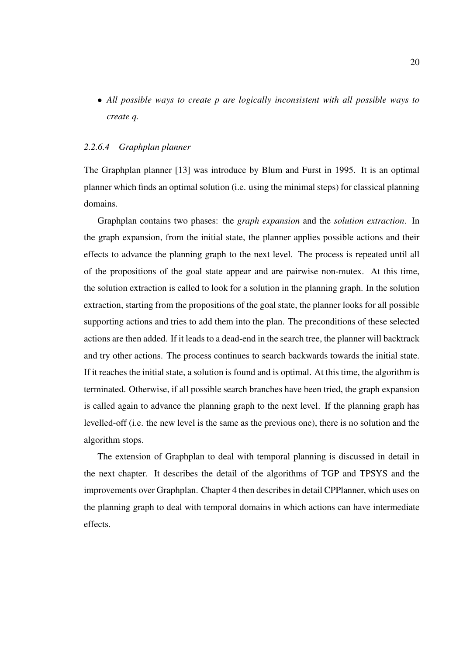• *All possible ways to create p are logically inconsistent with all possible ways to create q.*

#### *2.2.6.4 Graphplan planner*

The Graphplan planner [13] was introduce by Blum and Furst in 1995. It is an optimal planner which finds an optimal solution (i.e. using the minimal steps) for classical planning domains.

Graphplan contains two phases: the *graph expansion* and the *solution extraction*. In the graph expansion, from the initial state, the planner applies possible actions and their effects to advance the planning graph to the next level. The process is repeated until all of the propositions of the goal state appear and are pairwise non-mutex. At this time, the solution extraction is called to look for a solution in the planning graph. In the solution extraction, starting from the propositions of the goal state, the planner looks for all possible supporting actions and tries to add them into the plan. The preconditions of these selected actions are then added. If it leads to a dead-end in the search tree, the planner will backtrack and try other actions. The process continues to search backwards towards the initial state. If it reaches the initial state, a solution is found and is optimal. At this time, the algorithm is terminated. Otherwise, if all possible search branches have been tried, the graph expansion is called again to advance the planning graph to the next level. If the planning graph has levelled-off (i.e. the new level is the same as the previous one), there is no solution and the algorithm stops.

The extension of Graphplan to deal with temporal planning is discussed in detail in the next chapter. It describes the detail of the algorithms of TGP and TPSYS and the improvements over Graphplan. Chapter 4 then describes in detail CPPlanner, which uses on the planning graph to deal with temporal domains in which actions can have intermediate effects.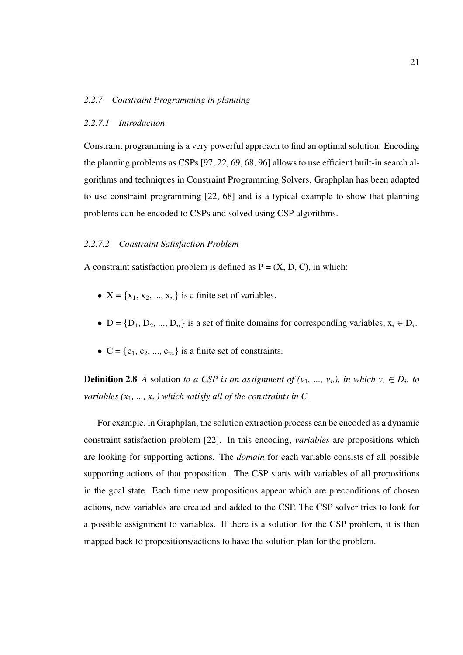#### *2.2.7 Constraint Programming in planning*

#### *2.2.7.1 Introduction*

Constraint programming is a very powerful approach to find an optimal solution. Encoding the planning problems as CSPs [97, 22, 69, 68, 96] allows to use efficient built-in search algorithms and techniques in Constraint Programming Solvers. Graphplan has been adapted to use constraint programming [22, 68] and is a typical example to show that planning problems can be encoded to CSPs and solved using CSP algorithms.

#### *2.2.7.2 Constraint Satisfaction Problem*

A constraint satisfaction problem is defined as  $P = (X, D, C)$ , in which:

- $X = \{x_1, x_2, ..., x_n\}$  is a finite set of variables.
- $D = \{D_1, D_2, ..., D_n\}$  is a set of finite domains for corresponding variables,  $x_i \in D_i$ .
- $C = \{c_1, c_2, ..., c_m\}$  is a finite set of constraints.

**Definition 2.8** *A* solution *to a CSP is an assignment of*  $(v_1, ..., v_n)$ *, in which*  $v_i \in D_i$ *, to variables*  $(x_1, ..., x_n)$  *which satisfy all of the constraints in C.* 

For example, in Graphplan, the solution extraction process can be encoded as a dynamic constraint satisfaction problem [22]. In this encoding, *variables* are propositions which are looking for supporting actions. The *domain* for each variable consists of all possible supporting actions of that proposition. The CSP starts with variables of all propositions in the goal state. Each time new propositions appear which are preconditions of chosen actions, new variables are created and added to the CSP. The CSP solver tries to look for a possible assignment to variables. If there is a solution for the CSP problem, it is then mapped back to propositions/actions to have the solution plan for the problem.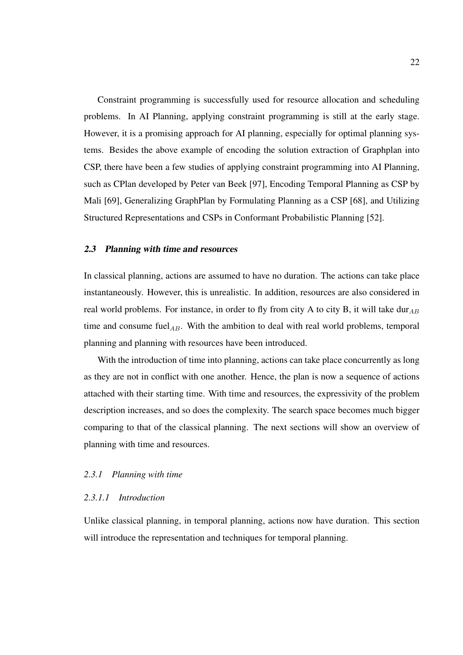Constraint programming is successfully used for resource allocation and scheduling problems. In AI Planning, applying constraint programming is still at the early stage. However, it is a promising approach for AI planning, especially for optimal planning systems. Besides the above example of encoding the solution extraction of Graphplan into CSP, there have been a few studies of applying constraint programming into AI Planning, such as CPlan developed by Peter van Beek [97], Encoding Temporal Planning as CSP by Mali [69], Generalizing GraphPlan by Formulating Planning as a CSP [68], and Utilizing Structured Representations and CSPs in Conformant Probabilistic Planning [52].

#### 2.3 Planning with time and resources

In classical planning, actions are assumed to have no duration. The actions can take place instantaneously. However, this is unrealistic. In addition, resources are also considered in real world problems. For instance, in order to fly from city A to city B, it will take dur $_{AB}$ time and consume fuel<sub>AB</sub>. With the ambition to deal with real world problems, temporal planning and planning with resources have been introduced.

With the introduction of time into planning, actions can take place concurrently as long as they are not in conflict with one another. Hence, the plan is now a sequence of actions attached with their starting time. With time and resources, the expressivity of the problem description increases, and so does the complexity. The search space becomes much bigger comparing to that of the classical planning. The next sections will show an overview of planning with time and resources.

#### *2.3.1 Planning with time*

#### *2.3.1.1 Introduction*

Unlike classical planning, in temporal planning, actions now have duration. This section will introduce the representation and techniques for temporal planning.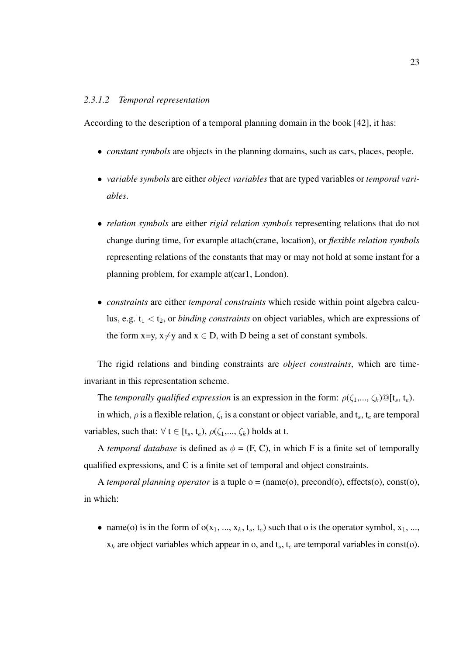### *2.3.1.2 Temporal representation*

According to the description of a temporal planning domain in the book [42], it has:

- *constant symbols* are objects in the planning domains, such as cars, places, people.
- *variable symbols* are either *object variables* that are typed variables or *temporal variables*.
- *relation symbols* are either *rigid relation symbols* representing relations that do not change during time, for example attach(crane, location), or *flexible relation symbols* representing relations of the constants that may or may not hold at some instant for a planning problem, for example at(car1, London).
- *constraints* are either *temporal constraints* which reside within point algebra calculus, e.g.  $t_1 < t_2$ , or *binding constraints* on object variables, which are expressions of the form x=y,  $x \neq y$  and  $x \in D$ , with D being a set of constant symbols.

The rigid relations and binding constraints are *object constraints*, which are timeinvariant in this representation scheme.

The *temporally qualified expression* is an expression in the form:  $\rho(\zeta_1,...,\zeta_k) \mathbb{Q}[\mathbf{t}_s, \mathbf{t}_e)$ .

in which,  $\rho$  is a flexible relation,  $\zeta_i$  is a constant or object variable, and  $t_s$ ,  $t_e$  are temporal variables, such that:  $\forall$  t  $\in$  [t<sub>s</sub>, t<sub>e</sub>),  $\rho(\zeta_1,...,\zeta_k)$  holds at t.

A *temporal database* is defined as  $\phi = (F, C)$ , in which F is a finite set of temporally qualified expressions, and C is a finite set of temporal and object constraints.

A *temporal planning operator* is a tuple o = (name(o), precond(o), effects(o), const(o), in which:

• name(o) is in the form of  $o(x_1, ..., x_k, t_s, t_e)$  such that o is the operator symbol,  $x_1, ..., x_k$  $x_k$  are object variables which appear in o, and  $t_s$ ,  $t_e$  are temporal variables in const(o).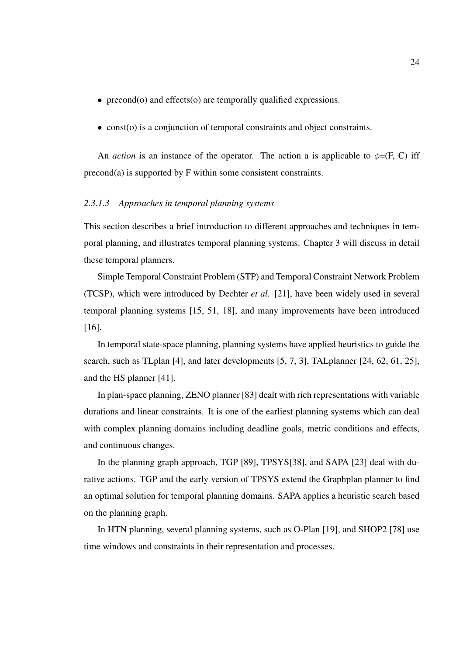- precond(o) and effects(o) are temporally qualified expressions.
- const(o) is a conjunction of temporal constraints and object constraints.

An *action* is an instance of the operator. The action a is applicable to  $\phi = (F, C)$  iff precond(a) is supported by F within some consistent constraints.

# *2.3.1.3 Approaches in temporal planning systems*

This section describes a brief introduction to different approaches and techniques in temporal planning, and illustrates temporal planning systems. Chapter 3 will discuss in detail these temporal planners.

Simple Temporal Constraint Problem (STP) and Temporal Constraint Network Problem (TCSP), which were introduced by Dechter *et al.* [21], have been widely used in several temporal planning systems [15, 51, 18], and many improvements have been introduced [16].

In temporal state-space planning, planning systems have applied heuristics to guide the search, such as TLplan [4], and later developments [5, 7, 3], TALplanner [24, 62, 61, 25], and the HS planner [41].

In plan-space planning, ZENO planner [83] dealt with rich representations with variable durations and linear constraints. It is one of the earliest planning systems which can deal with complex planning domains including deadline goals, metric conditions and effects, and continuous changes.

In the planning graph approach, TGP [89], TPSYS[38], and SAPA [23] deal with durative actions. TGP and the early version of TPSYS extend the Graphplan planner to find an optimal solution for temporal planning domains. SAPA applies a heuristic search based on the planning graph.

In HTN planning, several planning systems, such as O-Plan [19], and SHOP2 [78] use time windows and constraints in their representation and processes.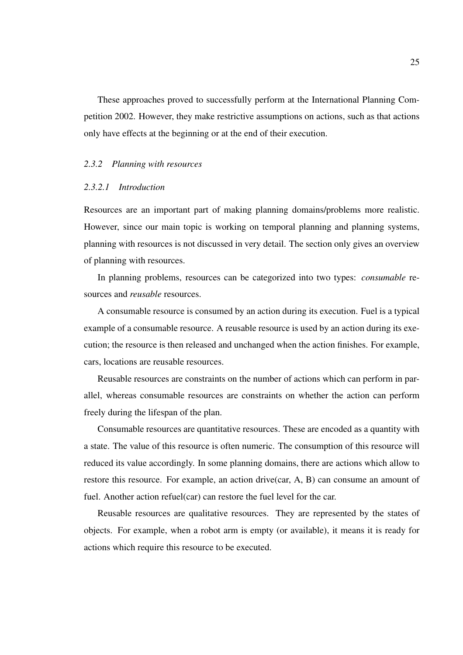These approaches proved to successfully perform at the International Planning Competition 2002. However, they make restrictive assumptions on actions, such as that actions only have effects at the beginning or at the end of their execution.

#### *2.3.2 Planning with resources*

# *2.3.2.1 Introduction*

Resources are an important part of making planning domains/problems more realistic. However, since our main topic is working on temporal planning and planning systems, planning with resources is not discussed in very detail. The section only gives an overview of planning with resources.

In planning problems, resources can be categorized into two types: *consumable* resources and *reusable* resources.

A consumable resource is consumed by an action during its execution. Fuel is a typical example of a consumable resource. A reusable resource is used by an action during its execution; the resource is then released and unchanged when the action finishes. For example, cars, locations are reusable resources.

Reusable resources are constraints on the number of actions which can perform in parallel, whereas consumable resources are constraints on whether the action can perform freely during the lifespan of the plan.

Consumable resources are quantitative resources. These are encoded as a quantity with a state. The value of this resource is often numeric. The consumption of this resource will reduced its value accordingly. In some planning domains, there are actions which allow to restore this resource. For example, an action drive(car, A, B) can consume an amount of fuel. Another action refuel(car) can restore the fuel level for the car.

Reusable resources are qualitative resources. They are represented by the states of objects. For example, when a robot arm is empty (or available), it means it is ready for actions which require this resource to be executed.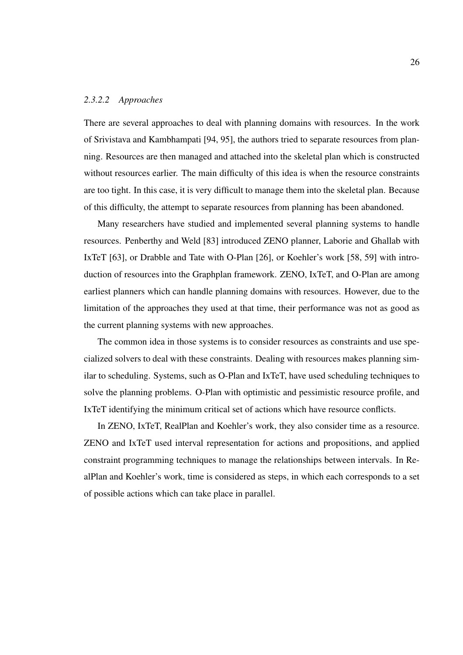### *2.3.2.2 Approaches*

There are several approaches to deal with planning domains with resources. In the work of Srivistava and Kambhampati [94, 95], the authors tried to separate resources from planning. Resources are then managed and attached into the skeletal plan which is constructed without resources earlier. The main difficulty of this idea is when the resource constraints are too tight. In this case, it is very difficult to manage them into the skeletal plan. Because of this difficulty, the attempt to separate resources from planning has been abandoned.

Many researchers have studied and implemented several planning systems to handle resources. Penberthy and Weld [83] introduced ZENO planner, Laborie and Ghallab with IxTeT [63], or Drabble and Tate with O-Plan [26], or Koehler's work [58, 59] with introduction of resources into the Graphplan framework. ZENO, IxTeT, and O-Plan are among earliest planners which can handle planning domains with resources. However, due to the limitation of the approaches they used at that time, their performance was not as good as the current planning systems with new approaches.

The common idea in those systems is to consider resources as constraints and use specialized solvers to deal with these constraints. Dealing with resources makes planning similar to scheduling. Systems, such as O-Plan and IxTeT, have used scheduling techniques to solve the planning problems. O-Plan with optimistic and pessimistic resource profile, and IxTeT identifying the minimum critical set of actions which have resource conflicts.

In ZENO, IxTeT, RealPlan and Koehler's work, they also consider time as a resource. ZENO and IxTeT used interval representation for actions and propositions, and applied constraint programming techniques to manage the relationships between intervals. In RealPlan and Koehler's work, time is considered as steps, in which each corresponds to a set of possible actions which can take place in parallel.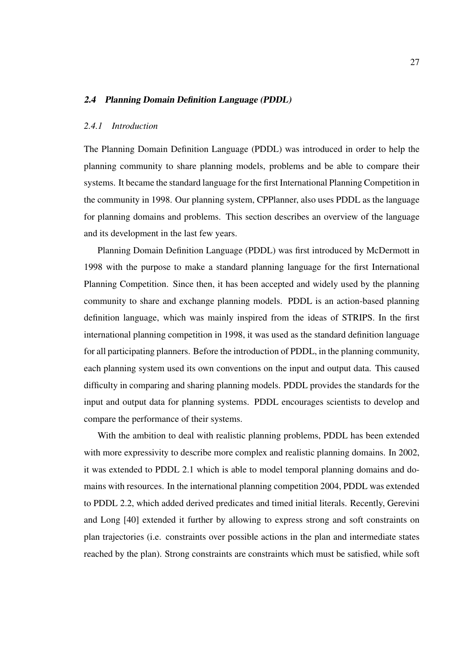### 2.4 Planning Domain Definition Language (PDDL)

## *2.4.1 Introduction*

The Planning Domain Definition Language (PDDL) was introduced in order to help the planning community to share planning models, problems and be able to compare their systems. It became the standard language for the first International Planning Competition in the community in 1998. Our planning system, CPPlanner, also uses PDDL as the language for planning domains and problems. This section describes an overview of the language and its development in the last few years.

Planning Domain Definition Language (PDDL) was first introduced by McDermott in 1998 with the purpose to make a standard planning language for the first International Planning Competition. Since then, it has been accepted and widely used by the planning community to share and exchange planning models. PDDL is an action-based planning definition language, which was mainly inspired from the ideas of STRIPS. In the first international planning competition in 1998, it was used as the standard definition language for all participating planners. Before the introduction of PDDL, in the planning community, each planning system used its own conventions on the input and output data. This caused difficulty in comparing and sharing planning models. PDDL provides the standards for the input and output data for planning systems. PDDL encourages scientists to develop and compare the performance of their systems.

With the ambition to deal with realistic planning problems, PDDL has been extended with more expressivity to describe more complex and realistic planning domains. In 2002, it was extended to PDDL 2.1 which is able to model temporal planning domains and domains with resources. In the international planning competition 2004, PDDL was extended to PDDL 2.2, which added derived predicates and timed initial literals. Recently, Gerevini and Long [40] extended it further by allowing to express strong and soft constraints on plan trajectories (i.e. constraints over possible actions in the plan and intermediate states reached by the plan). Strong constraints are constraints which must be satisfied, while soft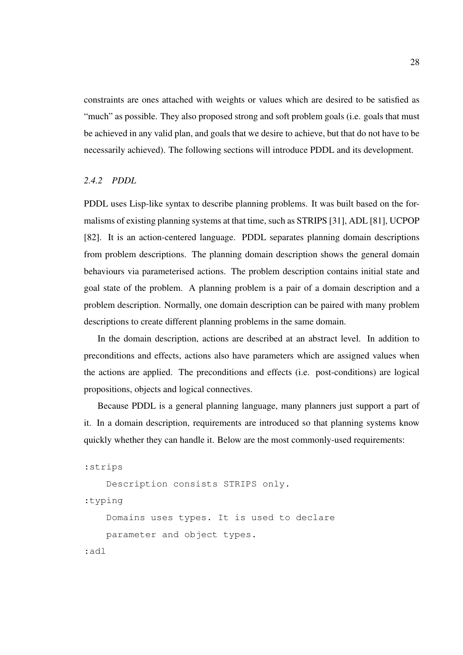constraints are ones attached with weights or values which are desired to be satisfied as "much" as possible. They also proposed strong and soft problem goals (i.e. goals that must be achieved in any valid plan, and goals that we desire to achieve, but that do not have to be necessarily achieved). The following sections will introduce PDDL and its development.

### *2.4.2 PDDL*

PDDL uses Lisp-like syntax to describe planning problems. It was built based on the formalisms of existing planning systems at that time, such as STRIPS [31], ADL [81], UCPOP [82]. It is an action-centered language. PDDL separates planning domain descriptions from problem descriptions. The planning domain description shows the general domain behaviours via parameterised actions. The problem description contains initial state and goal state of the problem. A planning problem is a pair of a domain description and a problem description. Normally, one domain description can be paired with many problem descriptions to create different planning problems in the same domain.

In the domain description, actions are described at an abstract level. In addition to preconditions and effects, actions also have parameters which are assigned values when the actions are applied. The preconditions and effects (i.e. post-conditions) are logical propositions, objects and logical connectives.

Because PDDL is a general planning language, many planners just support a part of it. In a domain description, requirements are introduced so that planning systems know quickly whether they can handle it. Below are the most commonly-used requirements:

```
:strips
```
Description consists STRIPS only.

:typing

Domains uses types. It is used to declare

parameter and object types.

```
:adl
```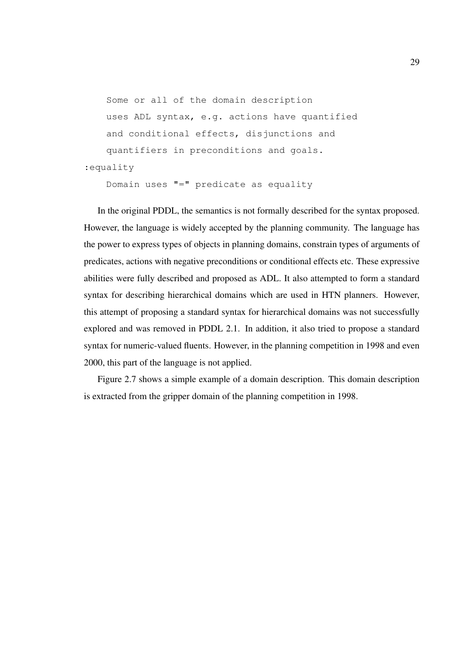```
Some or all of the domain description
   uses ADL syntax, e.g. actions have quantified
   and conditional effects, disjunctions and
   quantifiers in preconditions and goals.
:equality
   Domain uses "=" predicate as equality
```
In the original PDDL, the semantics is not formally described for the syntax proposed. However, the language is widely accepted by the planning community. The language has the power to express types of objects in planning domains, constrain types of arguments of predicates, actions with negative preconditions or conditional effects etc. These expressive abilities were fully described and proposed as ADL. It also attempted to form a standard syntax for describing hierarchical domains which are used in HTN planners. However, this attempt of proposing a standard syntax for hierarchical domains was not successfully explored and was removed in PDDL 2.1. In addition, it also tried to propose a standard syntax for numeric-valued fluents. However, in the planning competition in 1998 and even 2000, this part of the language is not applied.

Figure 2.7 shows a simple example of a domain description. This domain description is extracted from the gripper domain of the planning competition in 1998.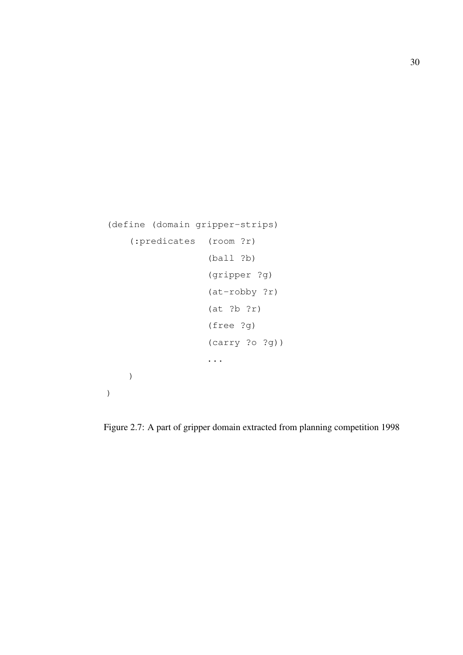```
(define (domain gripper-strips)
    (:predicates (room ?r)
                   (ball ?b)
                   (gripper ?g)
                   (at-robby ?r)
                   (at ?b ?r)
                   (free ?g)
                   (carry ?o ?g))
                   ...
    )
)
```
Figure 2.7: A part of gripper domain extracted from planning competition 1998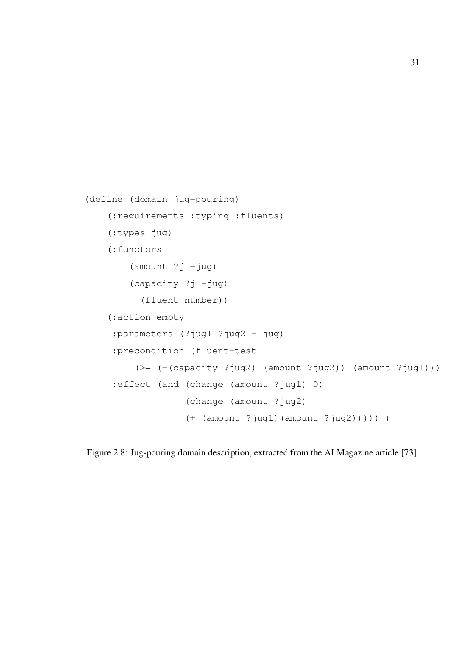```
(define (domain jug-pouring)
    (:requirements :typing :fluents)
    (:types jug)
    (:functors
        (amount ?j -jug)
        (capacity ?j -jug)
         -(fluent number))
    (:action empty
     :parameters (?jug1 ?jug2 - jug)
     :precondition (fluent-test
         (>= (-(\text{capacity ?jug2}) (\text{amount ?jug2})) (\text{amount ?jug1})).:effect (and (change (amount ?jug1) 0)
                   (change (amount ?jug2)
                   (+ (amount ?jug1)(amount ?jug2))))) )
```
Figure 2.8: Jug-pouring domain description, extracted from the AI Magazine article [73]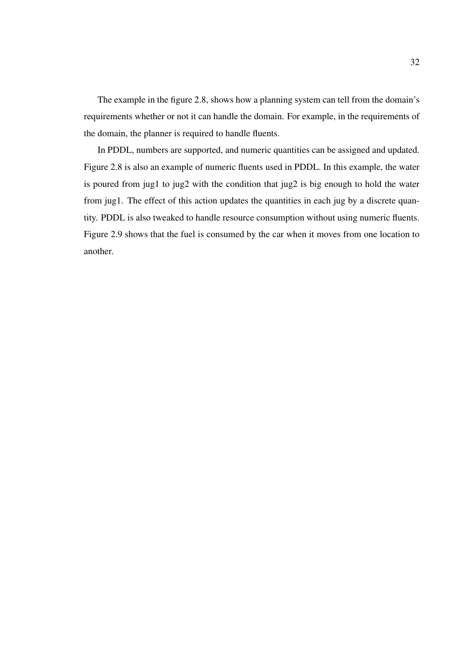The example in the figure 2.8, shows how a planning system can tell from the domain's requirements whether or not it can handle the domain. For example, in the requirements of the domain, the planner is required to handle fluents.

In PDDL, numbers are supported, and numeric quantities can be assigned and updated. Figure 2.8 is also an example of numeric fluents used in PDDL. In this example, the water is poured from jug1 to jug2 with the condition that jug2 is big enough to hold the water from jug1. The effect of this action updates the quantities in each jug by a discrete quantity. PDDL is also tweaked to handle resource consumption without using numeric fluents. Figure 2.9 shows that the fuel is consumed by the car when it moves from one location to another.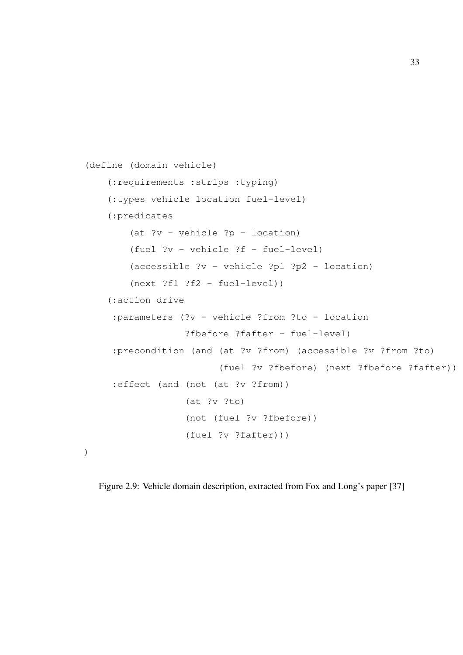```
(define (domain vehicle)
    (:requirements :strips :typing)
    (:types vehicle location fuel-level)
    (:predicates
        (at ?v - vehicle ?p - location)(fuel ?v - vehicle ?f - fuel-level)
        (accessible ?v - vehicle ?p1 ?p2 - location)
        (next ?f1 ?f2 - fuel-level))
    (:action drive
     :parameters (?v - vehicle ?from ?to - location
                  ?fbefore ?fafter - fuel-level)
     :precondition (and (at ?v ?from) (accessible ?v ?from ?to)
                         (fuel ?v ?fbefore) (next ?fbefore ?fafter))
     :effect (and (not (at ?v ?from))
                  (at ?v ?to)
                  (not (fuel ?v ?fbefore))
                  (fuel ?v ?fafter)))
)
```
Figure 2.9: Vehicle domain description, extracted from Fox and Long's paper [37]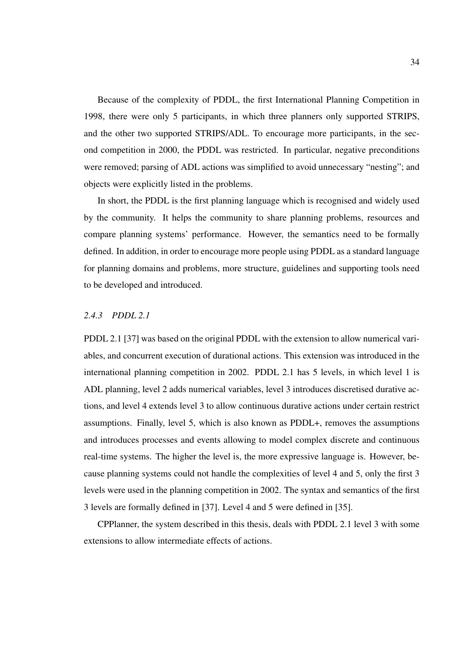Because of the complexity of PDDL, the first International Planning Competition in 1998, there were only 5 participants, in which three planners only supported STRIPS, and the other two supported STRIPS/ADL. To encourage more participants, in the second competition in 2000, the PDDL was restricted. In particular, negative preconditions were removed; parsing of ADL actions was simplified to avoid unnecessary "nesting"; and objects were explicitly listed in the problems.

In short, the PDDL is the first planning language which is recognised and widely used by the community. It helps the community to share planning problems, resources and compare planning systems' performance. However, the semantics need to be formally defined. In addition, in order to encourage more people using PDDL as a standard language for planning domains and problems, more structure, guidelines and supporting tools need to be developed and introduced.

# *2.4.3 PDDL 2.1*

PDDL 2.1 [37] was based on the original PDDL with the extension to allow numerical variables, and concurrent execution of durational actions. This extension was introduced in the international planning competition in 2002. PDDL 2.1 has 5 levels, in which level 1 is ADL planning, level 2 adds numerical variables, level 3 introduces discretised durative actions, and level 4 extends level 3 to allow continuous durative actions under certain restrict assumptions. Finally, level 5, which is also known as PDDL+, removes the assumptions and introduces processes and events allowing to model complex discrete and continuous real-time systems. The higher the level is, the more expressive language is. However, because planning systems could not handle the complexities of level 4 and 5, only the first 3 levels were used in the planning competition in 2002. The syntax and semantics of the first 3 levels are formally defined in [37]. Level 4 and 5 were defined in [35].

CPPlanner, the system described in this thesis, deals with PDDL 2.1 level 3 with some extensions to allow intermediate effects of actions.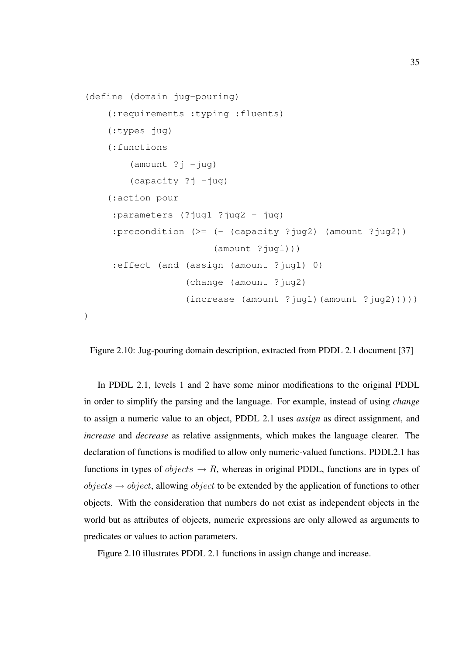```
(define (domain jug-pouring)
    (:requirements :typing :fluents)
    (:types jug)
    (:functions
        (amount ?j -jug)(capacity ?j -jug)(:action pour
     :parameters (?jug1 ?jug2 - jug)
     :precondition (>= (- (capacity ?jug2) (amount ?jug2))
                        (\text{amount ?jug1})):effect (and (assign (amount ?jug1) 0)
                   (change (amount ?jug2)
                   (increase (amount ?juq1)(amount ?juq2)))))
```
Figure 2.10: Jug-pouring domain description, extracted from PDDL 2.1 document [37]

In PDDL 2.1, levels 1 and 2 have some minor modifications to the original PDDL in order to simplify the parsing and the language. For example, instead of using *change* to assign a numeric value to an object, PDDL 2.1 uses *assign* as direct assignment, and *increase* and *decrease* as relative assignments, which makes the language clearer. The declaration of functions is modified to allow only numeric-valued functions. PDDL2.1 has functions in types of  $objects \rightarrow R$ , whereas in original PDDL, functions are in types of  $objects \rightarrow object$ , allowing *object* to be extended by the application of functions to other objects. With the consideration that numbers do not exist as independent objects in the world but as attributes of objects, numeric expressions are only allowed as arguments to predicates or values to action parameters.

Figure 2.10 illustrates PDDL 2.1 functions in assign change and increase.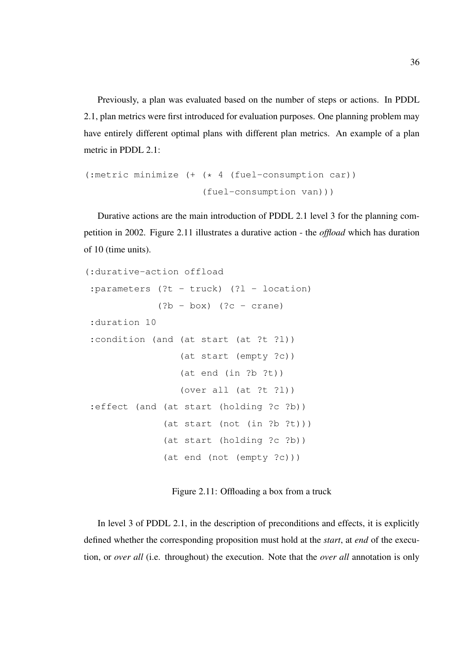Previously, a plan was evaluated based on the number of steps or actions. In PDDL 2.1, plan metrics were first introduced for evaluation purposes. One planning problem may have entirely different optimal plans with different plan metrics. An example of a plan metric in PDDL 2.1:

```
(:metric minimize (+ (* 4 (fuel-consumption car))
                     (fuel-consumption van)))
```
Durative actions are the main introduction of PDDL 2.1 level 3 for the planning competition in 2002. Figure 2.11 illustrates a durative action - the *offload* which has duration of 10 (time units).

```
(:durative-action offload
: parameters (?t - truck) (?l - location)(?b - box) (?c - crane):duration 10
:condition (and (at start (at ?t ?l))
                 (at start (empty ?c))
                 (at end (in ?b ?t))
                 (over all (at ?t ?l))
:effect (and (at start (holding ?c ?b))
              (at start (not (in ?b ?t)))
              (at start (holding ?c ?b))
              (at end (not (empty ?c)))
```
Figure 2.11: Offloading a box from a truck

In level 3 of PDDL 2.1, in the description of preconditions and effects, it is explicitly defined whether the corresponding proposition must hold at the *start*, at *end* of the execution, or *over all* (i.e. throughout) the execution. Note that the *over all* annotation is only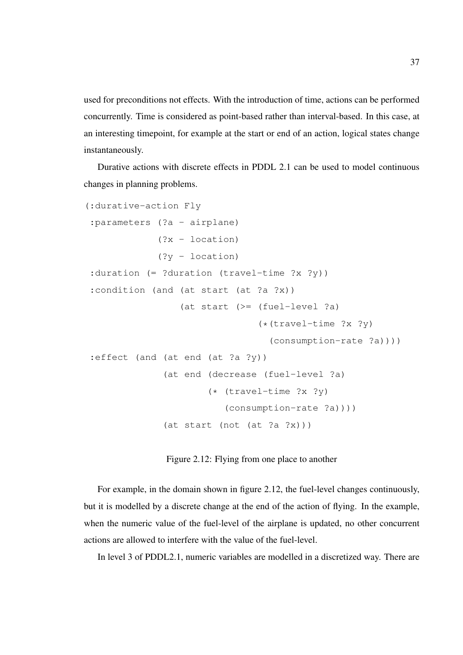used for preconditions not effects. With the introduction of time, actions can be performed concurrently. Time is considered as point-based rather than interval-based. In this case, at an interesting timepoint, for example at the start or end of an action, logical states change instantaneously.

Durative actions with discrete effects in PDDL 2.1 can be used to model continuous changes in planning problems.

```
(:durative-action Fly
:parameters (?a - airplane)
             (?x - location)
             (?y - location)
:duration (= ?duration (travel-time ?x ?y))
:condition (and (at start (at ?a ?x))
                 (at start (>= (fuel-level ?a)
                                (*(travel-time ?x ?y)
                                  (consumption-rate ?a))))
:effect (and (at end (at ?a ?y))
              (at end (decrease (fuel-level ?a)
                      (* (travel-time ?x ?y)
                          (consumption-rate ?a))))
              (at start (not (at ?a ?x)))
```
Figure 2.12: Flying from one place to another

For example, in the domain shown in figure 2.12, the fuel-level changes continuously, but it is modelled by a discrete change at the end of the action of flying. In the example, when the numeric value of the fuel-level of the airplane is updated, no other concurrent actions are allowed to interfere with the value of the fuel-level.

In level 3 of PDDL2.1, numeric variables are modelled in a discretized way. There are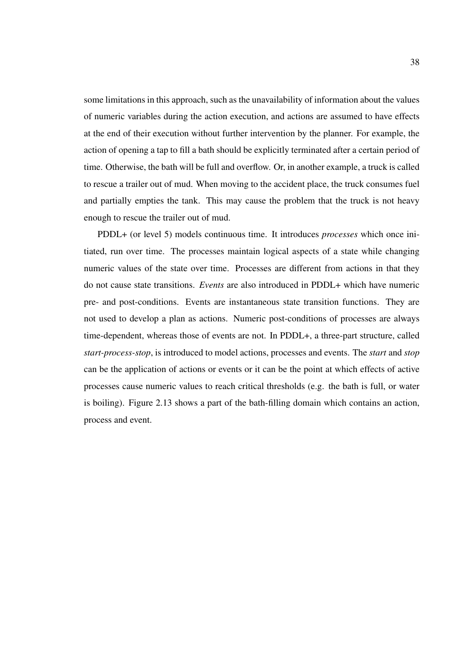some limitations in this approach, such as the unavailability of information about the values of numeric variables during the action execution, and actions are assumed to have effects at the end of their execution without further intervention by the planner. For example, the action of opening a tap to fill a bath should be explicitly terminated after a certain period of time. Otherwise, the bath will be full and overflow. Or, in another example, a truck is called to rescue a trailer out of mud. When moving to the accident place, the truck consumes fuel and partially empties the tank. This may cause the problem that the truck is not heavy enough to rescue the trailer out of mud.

PDDL+ (or level 5) models continuous time. It introduces *processes* which once initiated, run over time. The processes maintain logical aspects of a state while changing numeric values of the state over time. Processes are different from actions in that they do not cause state transitions. *Events* are also introduced in PDDL+ which have numeric pre- and post-conditions. Events are instantaneous state transition functions. They are not used to develop a plan as actions. Numeric post-conditions of processes are always time-dependent, whereas those of events are not. In PDDL+, a three-part structure, called *start-process-stop*, is introduced to model actions, processes and events. The *start* and *stop* can be the application of actions or events or it can be the point at which effects of active processes cause numeric values to reach critical thresholds (e.g. the bath is full, or water is boiling). Figure 2.13 shows a part of the bath-filling domain which contains an action, process and event.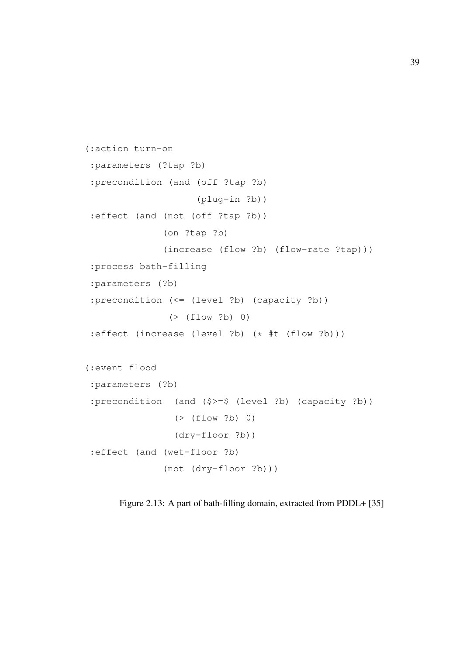```
(:action turn-on
:parameters (?tap ?b)
:precondition (and (off ?tap ?b)
                    (plug-in ?b))
:effect (and (not (off ?tap ?b))
              (on ?tap ?b)
              (increase (flow ?b) (flow-rate ?tap)))
:process bath-filling
:parameters (?b)
:precondition (<= (level ?b) (capacity ?b))
               ( (flow ?b) 0)
:effect (increase (level ?b) (* #t (flow ?b)))
(:event flood
:parameters (?b)
:precondition (and ($>=$ (level ?b) (capacity ?b))
                (> (flow ?b) 0)
                (dry-floor ?b))
:effect (and (wet-floor ?b)
              (not (dry-floor ?b)))
```
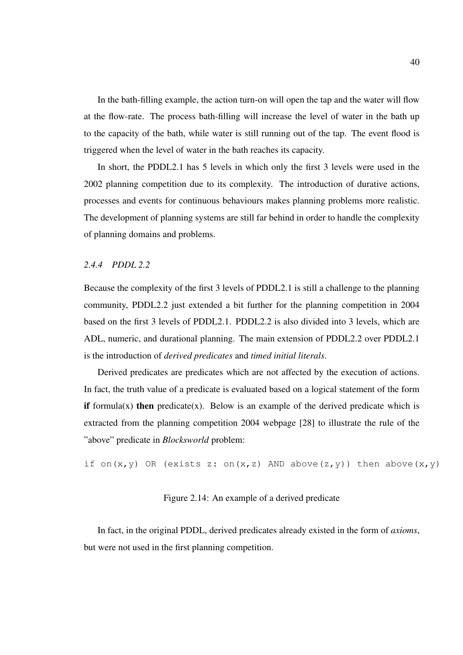In the bath-filling example, the action turn-on will open the tap and the water will flow at the flow-rate. The process bath-filling will increase the level of water in the bath up to the capacity of the bath, while water is still running out of the tap. The event flood is triggered when the level of water in the bath reaches its capacity.

In short, the PDDL2.1 has 5 levels in which only the first 3 levels were used in the 2002 planning competition due to its complexity. The introduction of durative actions, processes and events for continuous behaviours makes planning problems more realistic. The development of planning systems are still far behind in order to handle the complexity of planning domains and problems.

## *2.4.4 PDDL 2.2*

Because the complexity of the first 3 levels of PDDL2.1 is still a challenge to the planning community, PDDL2.2 just extended a bit further for the planning competition in 2004 based on the first 3 levels of PDDL2.1. PDDL2.2 is also divided into 3 levels, which are ADL, numeric, and durational planning. The main extension of PDDL2.2 over PDDL2.1 is the introduction of *derived predicates* and *timed initial literals*.

Derived predicates are predicates which are not affected by the execution of actions. In fact, the truth value of a predicate is evaluated based on a logical statement of the form if formula(x) then predicate(x). Below is an example of the derived predicate which is extracted from the planning competition 2004 webpage [28] to illustrate the rule of the "above" predicate in *Blocksworld* problem:

if on(x,y) OR (exists z: on(x,z) AND above(z,y)) then above(x,y)

Figure 2.14: An example of a derived predicate

In fact, in the original PDDL, derived predicates already existed in the form of *axioms*, but were not used in the first planning competition.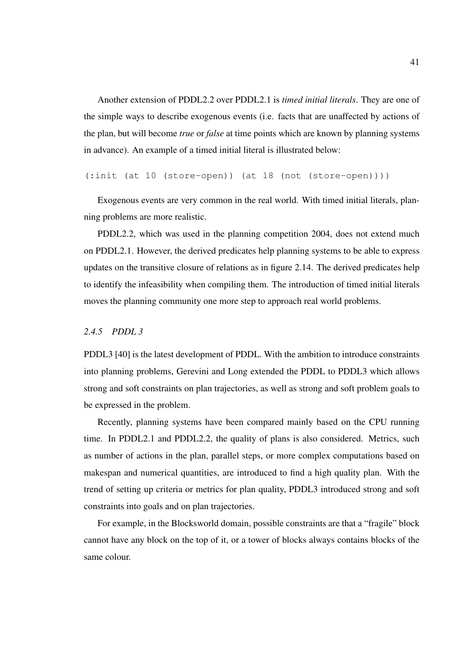Another extension of PDDL2.2 over PDDL2.1 is *timed initial literals*. They are one of the simple ways to describe exogenous events (i.e. facts that are unaffected by actions of the plan, but will become *true* or *false* at time points which are known by planning systems in advance). An example of a timed initial literal is illustrated below:

(:init (at 10 (store-open)) (at 18 (not (store-open))))

Exogenous events are very common in the real world. With timed initial literals, planning problems are more realistic.

PDDL2.2, which was used in the planning competition 2004, does not extend much on PDDL2.1. However, the derived predicates help planning systems to be able to express updates on the transitive closure of relations as in figure 2.14. The derived predicates help to identify the infeasibility when compiling them. The introduction of timed initial literals moves the planning community one more step to approach real world problems.

# *2.4.5 PDDL 3*

PDDL3 [40] is the latest development of PDDL. With the ambition to introduce constraints into planning problems, Gerevini and Long extended the PDDL to PDDL3 which allows strong and soft constraints on plan trajectories, as well as strong and soft problem goals to be expressed in the problem.

Recently, planning systems have been compared mainly based on the CPU running time. In PDDL2.1 and PDDL2.2, the quality of plans is also considered. Metrics, such as number of actions in the plan, parallel steps, or more complex computations based on makespan and numerical quantities, are introduced to find a high quality plan. With the trend of setting up criteria or metrics for plan quality, PDDL3 introduced strong and soft constraints into goals and on plan trajectories.

For example, in the Blocksworld domain, possible constraints are that a "fragile" block cannot have any block on the top of it, or a tower of blocks always contains blocks of the same colour.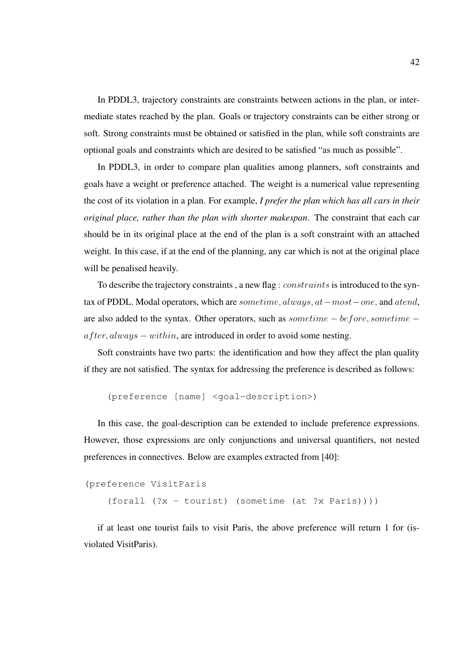In PDDL3, trajectory constraints are constraints between actions in the plan, or intermediate states reached by the plan. Goals or trajectory constraints can be either strong or soft. Strong constraints must be obtained or satisfied in the plan, while soft constraints are optional goals and constraints which are desired to be satisfied "as much as possible".

In PDDL3, in order to compare plan qualities among planners, soft constraints and goals have a weight or preference attached. The weight is a numerical value representing the cost of its violation in a plan. For example, *I prefer the plan which has all cars in their original place, rather than the plan with shorter makespan*. The constraint that each car should be in its original place at the end of the plan is a soft constraint with an attached weight. In this case, if at the end of the planning, any car which is not at the original place will be penalised heavily.

To describe the trajectory constraints, a new flag: *constraints* is introduced to the syntax of PDDL. Modal operators, which are sometime, always, at−most−one, and atend, are also added to the syntax. Other operators, such as sometime − before, sometime −  $after, always - within, are introduced in order to avoid some nesting.$ 

Soft constraints have two parts: the identification and how they affect the plan quality if they are not satisfied. The syntax for addressing the preference is described as follows:

(preference [name] <goal-description>)

In this case, the goal-description can be extended to include preference expressions. However, those expressions are only conjunctions and universal quantifiers, not nested preferences in connectives. Below are examples extracted from [40]:

```
(preference VisitParis
    (forall (?x - tourist) (sometime (at ?x Paris))))
```
if at least one tourist fails to visit Paris, the above preference will return 1 for (isviolated VisitParis).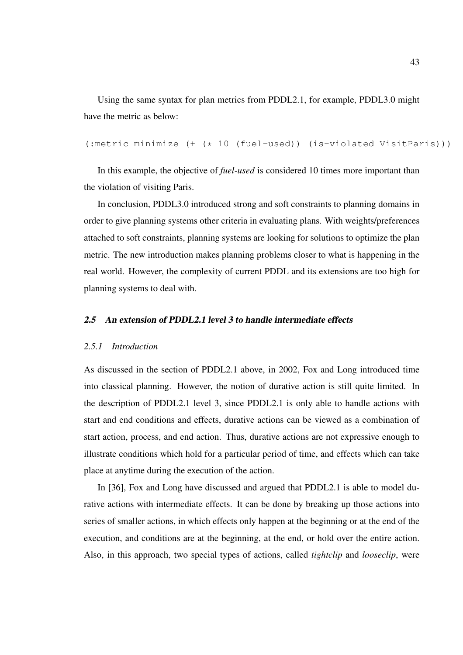Using the same syntax for plan metrics from PDDL2.1, for example, PDDL3.0 might have the metric as below:

(:metric minimize (+ (\* 10 (fuel-used)) (is-violated VisitParis)))

In this example, the objective of *fuel-used* is considered 10 times more important than the violation of visiting Paris.

In conclusion, PDDL3.0 introduced strong and soft constraints to planning domains in order to give planning systems other criteria in evaluating plans. With weights/preferences attached to soft constraints, planning systems are looking for solutions to optimize the plan metric. The new introduction makes planning problems closer to what is happening in the real world. However, the complexity of current PDDL and its extensions are too high for planning systems to deal with.

# 2.5 An extension of PDDL2.1 level 3 to handle intermediate effects

### *2.5.1 Introduction*

As discussed in the section of PDDL2.1 above, in 2002, Fox and Long introduced time into classical planning. However, the notion of durative action is still quite limited. In the description of PDDL2.1 level 3, since PDDL2.1 is only able to handle actions with start and end conditions and effects, durative actions can be viewed as a combination of start action, process, and end action. Thus, durative actions are not expressive enough to illustrate conditions which hold for a particular period of time, and effects which can take place at anytime during the execution of the action.

In [36], Fox and Long have discussed and argued that PDDL2.1 is able to model durative actions with intermediate effects. It can be done by breaking up those actions into series of smaller actions, in which effects only happen at the beginning or at the end of the execution, and conditions are at the beginning, at the end, or hold over the entire action. Also, in this approach, two special types of actions, called *tightclip* and *looseclip*, were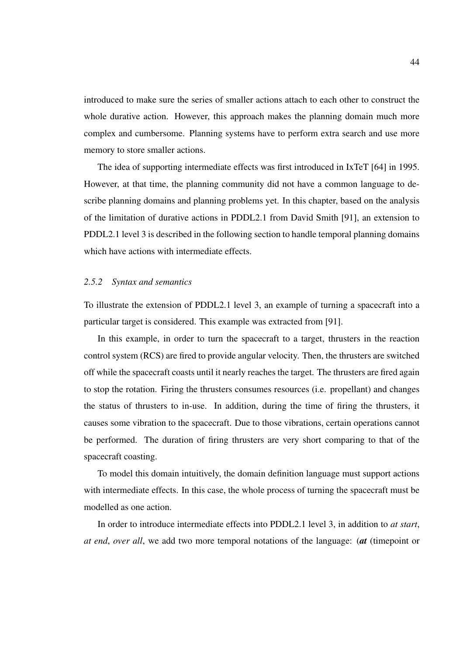introduced to make sure the series of smaller actions attach to each other to construct the whole durative action. However, this approach makes the planning domain much more complex and cumbersome. Planning systems have to perform extra search and use more memory to store smaller actions.

The idea of supporting intermediate effects was first introduced in IxTeT [64] in 1995. However, at that time, the planning community did not have a common language to describe planning domains and planning problems yet. In this chapter, based on the analysis of the limitation of durative actions in PDDL2.1 from David Smith [91], an extension to PDDL2.1 level 3 is described in the following section to handle temporal planning domains which have actions with intermediate effects.

### *2.5.2 Syntax and semantics*

To illustrate the extension of PDDL2.1 level 3, an example of turning a spacecraft into a particular target is considered. This example was extracted from [91].

In this example, in order to turn the spacecraft to a target, thrusters in the reaction control system (RCS) are fired to provide angular velocity. Then, the thrusters are switched off while the spacecraft coasts until it nearly reaches the target. The thrusters are fired again to stop the rotation. Firing the thrusters consumes resources (i.e. propellant) and changes the status of thrusters to in-use. In addition, during the time of firing the thrusters, it causes some vibration to the spacecraft. Due to those vibrations, certain operations cannot be performed. The duration of firing thrusters are very short comparing to that of the spacecraft coasting.

To model this domain intuitively, the domain definition language must support actions with intermediate effects. In this case, the whole process of turning the spacecraft must be modelled as one action.

In order to introduce intermediate effects into PDDL2.1 level 3, in addition to *at start*, *at end*, *over all*, we add two more temporal notations of the language: (*at* (timepoint or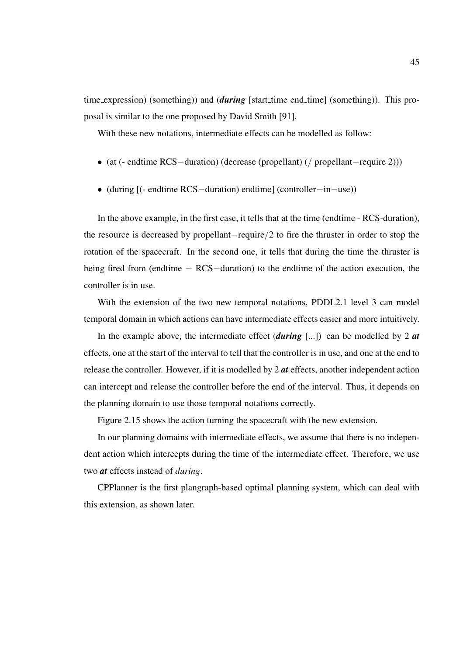time expression) (something)) and *(during* [start\_time end\_time] (something)). This proposal is similar to the one proposed by David Smith [91].

With these new notations, intermediate effects can be modelled as follow:

- (at (- endtime RCS−duration) (decrease (propellant) (/ propellant−require 2)))
- (during [(- endtime RCS−duration) endtime] (controller−in−use))

In the above example, in the first case, it tells that at the time (endtime - RCS-duration), the resource is decreased by propellant−require/2 to fire the thruster in order to stop the rotation of the spacecraft. In the second one, it tells that during the time the thruster is being fired from (endtime − RCS−duration) to the endtime of the action execution, the controller is in use.

With the extension of the two new temporal notations, PDDL2.1 level 3 can model temporal domain in which actions can have intermediate effects easier and more intuitively.

In the example above, the intermediate effect (*during* [...]) can be modelled by 2 *at* effects, one at the start of the interval to tell that the controller is in use, and one at the end to release the controller. However, if it is modelled by 2 *at* effects, another independent action can intercept and release the controller before the end of the interval. Thus, it depends on the planning domain to use those temporal notations correctly.

Figure 2.15 shows the action turning the spacecraft with the new extension.

In our planning domains with intermediate effects, we assume that there is no independent action which intercepts during the time of the intermediate effect. Therefore, we use two *at* effects instead of *during*.

CPPlanner is the first plangraph-based optimal planning system, which can deal with this extension, as shown later.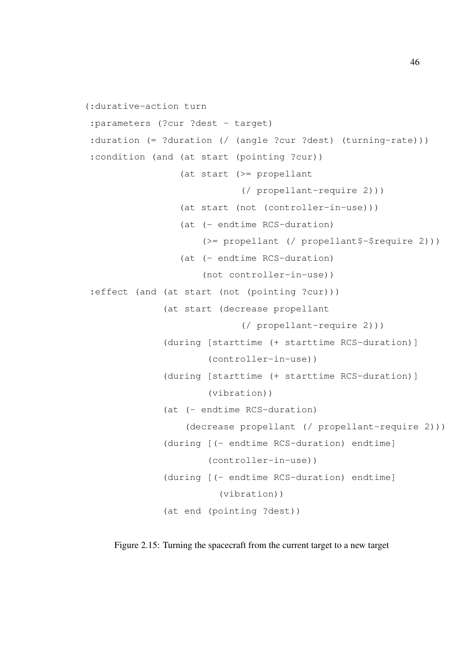```
(:durative-action turn
:parameters (?cur ?dest - target)
:duration (= ?duration (/ (angle ?cur ?dest) (turning-rate)))
:condition (and (at start (pointing ?cur))
                 (at start (>= propellant
                            (/ propellant-require 2)))
                 (at start (not (controller-in-use)))
                 (at (- endtime RCS-duration)
                     (>= propellant (/ propellant$-$require 2)))
                 (at (- endtime RCS-duration)
                     (not controller-in-use))
 :effect (and (at start (not (pointing ?cur)))
              (at start (decrease propellant
                            (/ propellant-require 2)))
              (during [starttime (+ starttime RCS-duration)]
                      (controller-in-use))
              (during [starttime (+ starttime RCS-duration)]
                      (vibration))
              (at (- endtime RCS-duration)
                  (decrease propellant (/ propellant-require 2)))
              (during [(- endtime RCS-duration) endtime]
                      (controller-in-use))
              (during [(- endtime RCS-duration) endtime]
                        (vibration))
              (at end (pointing ?dest))
```
Figure 2.15: Turning the spacecraft from the current target to a new target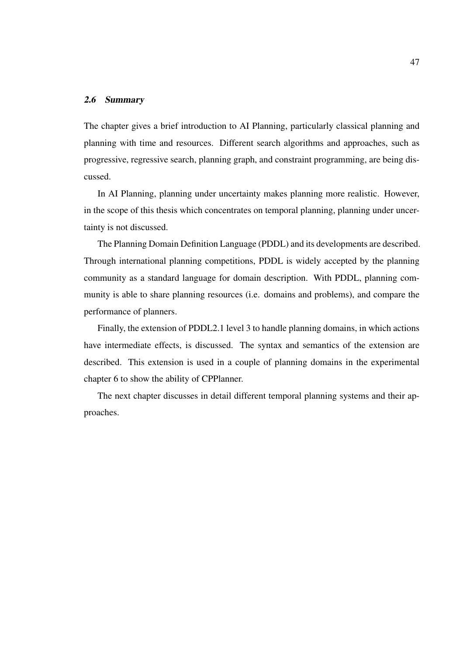# 2.6 Summary

The chapter gives a brief introduction to AI Planning, particularly classical planning and planning with time and resources. Different search algorithms and approaches, such as progressive, regressive search, planning graph, and constraint programming, are being discussed.

In AI Planning, planning under uncertainty makes planning more realistic. However, in the scope of this thesis which concentrates on temporal planning, planning under uncertainty is not discussed.

The Planning Domain Definition Language (PDDL) and its developments are described. Through international planning competitions, PDDL is widely accepted by the planning community as a standard language for domain description. With PDDL, planning community is able to share planning resources (i.e. domains and problems), and compare the performance of planners.

Finally, the extension of PDDL2.1 level 3 to handle planning domains, in which actions have intermediate effects, is discussed. The syntax and semantics of the extension are described. This extension is used in a couple of planning domains in the experimental chapter 6 to show the ability of CPPlanner.

The next chapter discusses in detail different temporal planning systems and their approaches.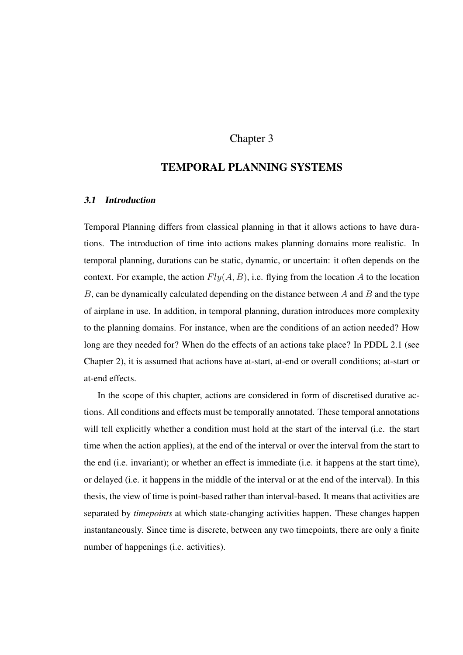# Chapter 3

# TEMPORAL PLANNING SYSTEMS

# 3.1 Introduction

Temporal Planning differs from classical planning in that it allows actions to have durations. The introduction of time into actions makes planning domains more realistic. In temporal planning, durations can be static, dynamic, or uncertain: it often depends on the context. For example, the action  $Fly(A, B)$ , i.e. flying from the location A to the location  $B$ , can be dynamically calculated depending on the distance between  $A$  and  $B$  and the type of airplane in use. In addition, in temporal planning, duration introduces more complexity to the planning domains. For instance, when are the conditions of an action needed? How long are they needed for? When do the effects of an actions take place? In PDDL 2.1 (see Chapter 2), it is assumed that actions have at-start, at-end or overall conditions; at-start or at-end effects.

In the scope of this chapter, actions are considered in form of discretised durative actions. All conditions and effects must be temporally annotated. These temporal annotations will tell explicitly whether a condition must hold at the start of the interval (i.e. the start time when the action applies), at the end of the interval or over the interval from the start to the end (i.e. invariant); or whether an effect is immediate (i.e. it happens at the start time), or delayed (i.e. it happens in the middle of the interval or at the end of the interval). In this thesis, the view of time is point-based rather than interval-based. It means that activities are separated by *timepoints* at which state-changing activities happen. These changes happen instantaneously. Since time is discrete, between any two timepoints, there are only a finite number of happenings (i.e. activities).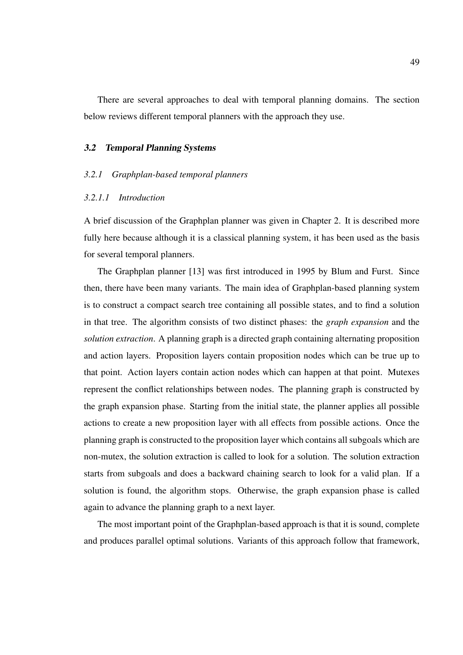There are several approaches to deal with temporal planning domains. The section below reviews different temporal planners with the approach they use.

### 3.2 Temporal Planning Systems

### *3.2.1 Graphplan-based temporal planners*

### *3.2.1.1 Introduction*

A brief discussion of the Graphplan planner was given in Chapter 2. It is described more fully here because although it is a classical planning system, it has been used as the basis for several temporal planners.

The Graphplan planner [13] was first introduced in 1995 by Blum and Furst. Since then, there have been many variants. The main idea of Graphplan-based planning system is to construct a compact search tree containing all possible states, and to find a solution in that tree. The algorithm consists of two distinct phases: the *graph expansion* and the *solution extraction*. A planning graph is a directed graph containing alternating proposition and action layers. Proposition layers contain proposition nodes which can be true up to that point. Action layers contain action nodes which can happen at that point. Mutexes represent the conflict relationships between nodes. The planning graph is constructed by the graph expansion phase. Starting from the initial state, the planner applies all possible actions to create a new proposition layer with all effects from possible actions. Once the planning graph is constructed to the proposition layer which contains all subgoals which are non-mutex, the solution extraction is called to look for a solution. The solution extraction starts from subgoals and does a backward chaining search to look for a valid plan. If a solution is found, the algorithm stops. Otherwise, the graph expansion phase is called again to advance the planning graph to a next layer.

The most important point of the Graphplan-based approach is that it is sound, complete and produces parallel optimal solutions. Variants of this approach follow that framework,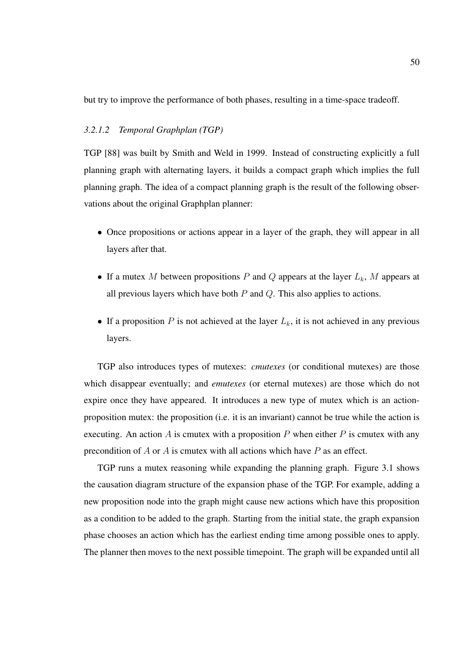but try to improve the performance of both phases, resulting in a time-space tradeoff.

### *3.2.1.2 Temporal Graphplan (TGP)*

TGP [88] was built by Smith and Weld in 1999. Instead of constructing explicitly a full planning graph with alternating layers, it builds a compact graph which implies the full planning graph. The idea of a compact planning graph is the result of the following observations about the original Graphplan planner:

- Once propositions or actions appear in a layer of the graph, they will appear in all layers after that.
- If a mutex M between propositions P and Q appears at the layer  $L_k$ , M appears at all previous layers which have both  $P$  and  $Q$ . This also applies to actions.
- If a proposition P is not achieved at the layer  $L_k$ , it is not achieved in any previous layers.

TGP also introduces types of mutexes: *cmutexes* (or conditional mutexes) are those which disappear eventually; and *emutexes* (or eternal mutexes) are those which do not expire once they have appeared. It introduces a new type of mutex which is an actionproposition mutex: the proposition (i.e. it is an invariant) cannot be true while the action is executing. An action A is cmutex with a proposition P when either P is cmutex with any precondition of  $A$  or  $A$  is cmutex with all actions which have  $P$  as an effect.

TGP runs a mutex reasoning while expanding the planning graph. Figure 3.1 shows the causation diagram structure of the expansion phase of the TGP. For example, adding a new proposition node into the graph might cause new actions which have this proposition as a condition to be added to the graph. Starting from the initial state, the graph expansion phase chooses an action which has the earliest ending time among possible ones to apply. The planner then moves to the next possible timepoint. The graph will be expanded until all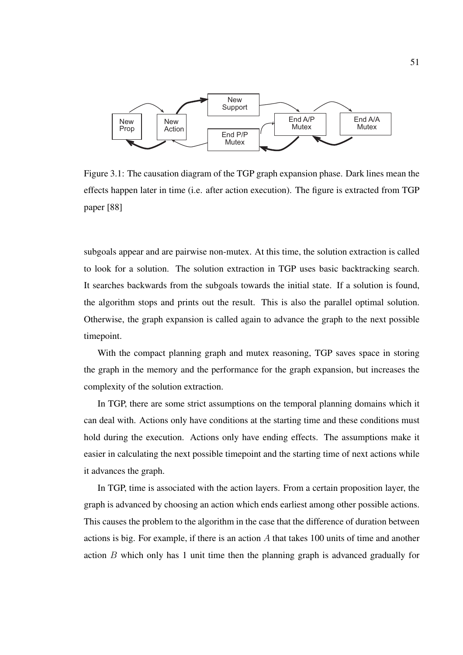

Figure 3.1: The causation diagram of the TGP graph expansion phase. Dark lines mean the effects happen later in time (i.e. after action execution). The figure is extracted from TGP paper [88]

subgoals appear and are pairwise non-mutex. At this time, the solution extraction is called to look for a solution. The solution extraction in TGP uses basic backtracking search. It searches backwards from the subgoals towards the initial state. If a solution is found, the algorithm stops and prints out the result. This is also the parallel optimal solution. Otherwise, the graph expansion is called again to advance the graph to the next possible timepoint.

With the compact planning graph and mutex reasoning, TGP saves space in storing the graph in the memory and the performance for the graph expansion, but increases the complexity of the solution extraction.

In TGP, there are some strict assumptions on the temporal planning domains which it can deal with. Actions only have conditions at the starting time and these conditions must hold during the execution. Actions only have ending effects. The assumptions make it easier in calculating the next possible timepoint and the starting time of next actions while it advances the graph.

In TGP, time is associated with the action layers. From a certain proposition layer, the graph is advanced by choosing an action which ends earliest among other possible actions. This causes the problem to the algorithm in the case that the difference of duration between actions is big. For example, if there is an action A that takes 100 units of time and another action B which only has 1 unit time then the planning graph is advanced gradually for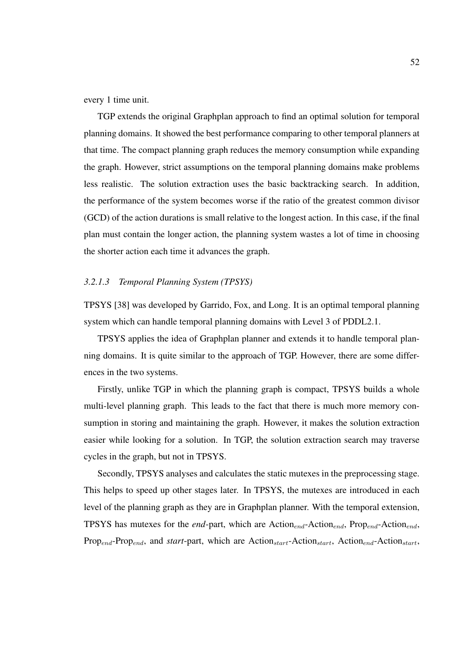every 1 time unit.

TGP extends the original Graphplan approach to find an optimal solution for temporal planning domains. It showed the best performance comparing to other temporal planners at that time. The compact planning graph reduces the memory consumption while expanding the graph. However, strict assumptions on the temporal planning domains make problems less realistic. The solution extraction uses the basic backtracking search. In addition, the performance of the system becomes worse if the ratio of the greatest common divisor (GCD) of the action durations is small relative to the longest action. In this case, if the final plan must contain the longer action, the planning system wastes a lot of time in choosing the shorter action each time it advances the graph.

### *3.2.1.3 Temporal Planning System (TPSYS)*

TPSYS [38] was developed by Garrido, Fox, and Long. It is an optimal temporal planning system which can handle temporal planning domains with Level 3 of PDDL2.1.

TPSYS applies the idea of Graphplan planner and extends it to handle temporal planning domains. It is quite similar to the approach of TGP. However, there are some differences in the two systems.

Firstly, unlike TGP in which the planning graph is compact, TPSYS builds a whole multi-level planning graph. This leads to the fact that there is much more memory consumption in storing and maintaining the graph. However, it makes the solution extraction easier while looking for a solution. In TGP, the solution extraction search may traverse cycles in the graph, but not in TPSYS.

Secondly, TPSYS analyses and calculates the static mutexes in the preprocessing stage. This helps to speed up other stages later. In TPSYS, the mutexes are introduced in each level of the planning graph as they are in Graphplan planner. With the temporal extension, TPSYS has mutexes for the *end*-part, which are  $Action_{end}$ -Action<sub>end</sub>, Prop<sub>end</sub>-Action<sub>end</sub>, Prop<sub>end</sub>-Prop<sub>end</sub>, and *start*-part, which are Action<sub>start</sub>-Action<sub>start</sub>, Action<sub>end</sub>-Action<sub>start</sub>,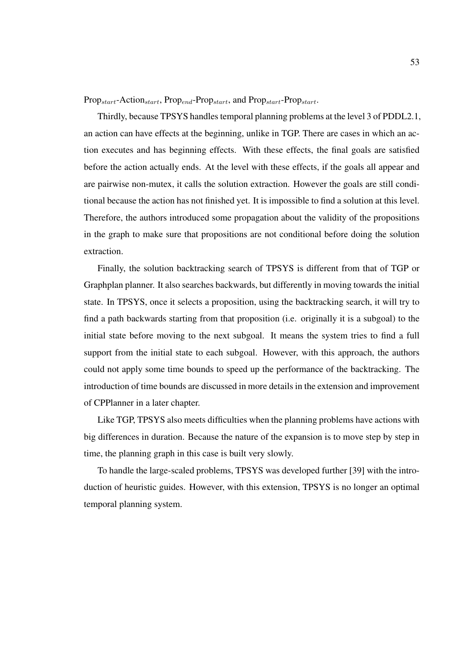Prop<sub>start</sub>-Action<sub>start</sub>, Prop<sub>end</sub>-Prop<sub>start</sub>, and Prop<sub>start</sub>-Prop<sub>start</sub>.

Thirdly, because TPSYS handles temporal planning problems at the level 3 of PDDL2.1, an action can have effects at the beginning, unlike in TGP. There are cases in which an action executes and has beginning effects. With these effects, the final goals are satisfied before the action actually ends. At the level with these effects, if the goals all appear and are pairwise non-mutex, it calls the solution extraction. However the goals are still conditional because the action has not finished yet. It is impossible to find a solution at this level. Therefore, the authors introduced some propagation about the validity of the propositions in the graph to make sure that propositions are not conditional before doing the solution extraction.

Finally, the solution backtracking search of TPSYS is different from that of TGP or Graphplan planner. It also searches backwards, but differently in moving towards the initial state. In TPSYS, once it selects a proposition, using the backtracking search, it will try to find a path backwards starting from that proposition (i.e. originally it is a subgoal) to the initial state before moving to the next subgoal. It means the system tries to find a full support from the initial state to each subgoal. However, with this approach, the authors could not apply some time bounds to speed up the performance of the backtracking. The introduction of time bounds are discussed in more details in the extension and improvement of CPPlanner in a later chapter.

Like TGP, TPSYS also meets difficulties when the planning problems have actions with big differences in duration. Because the nature of the expansion is to move step by step in time, the planning graph in this case is built very slowly.

To handle the large-scaled problems, TPSYS was developed further [39] with the introduction of heuristic guides. However, with this extension, TPSYS is no longer an optimal temporal planning system.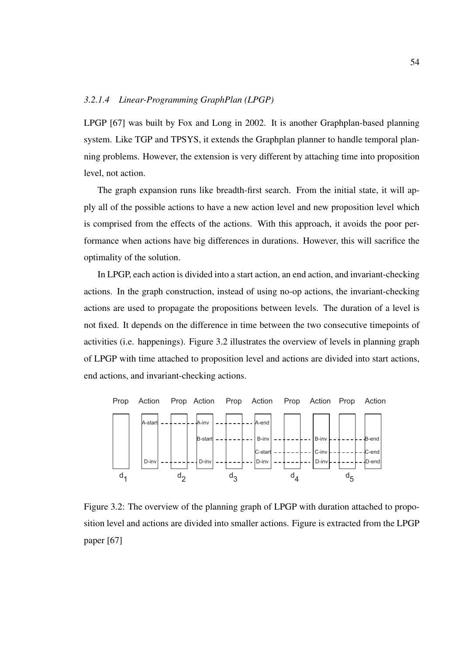# *3.2.1.4 Linear-Programming GraphPlan (LPGP)*

LPGP [67] was built by Fox and Long in 2002. It is another Graphplan-based planning system. Like TGP and TPSYS, it extends the Graphplan planner to handle temporal planning problems. However, the extension is very different by attaching time into proposition level, not action.

The graph expansion runs like breadth-first search. From the initial state, it will apply all of the possible actions to have a new action level and new proposition level which is comprised from the effects of the actions. With this approach, it avoids the poor performance when actions have big differences in durations. However, this will sacrifice the optimality of the solution.

In LPGP, each action is divided into a start action, an end action, and invariant-checking actions. In the graph construction, instead of using no-op actions, the invariant-checking actions are used to propagate the propositions between levels. The duration of a level is not fixed. It depends on the difference in time between the two consecutive timepoints of activities (i.e. happenings). Figure 3.2 illustrates the overview of levels in planning graph of LPGP with time attached to proposition level and actions are divided into start actions, end actions, and invariant-checking actions.



Figure 3.2: The overview of the planning graph of LPGP with duration attached to proposition level and actions are divided into smaller actions. Figure is extracted from the LPGP paper [67]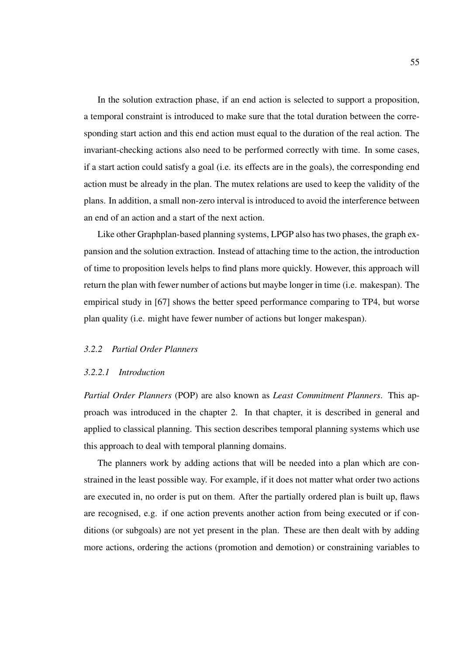In the solution extraction phase, if an end action is selected to support a proposition, a temporal constraint is introduced to make sure that the total duration between the corresponding start action and this end action must equal to the duration of the real action. The invariant-checking actions also need to be performed correctly with time. In some cases, if a start action could satisfy a goal (i.e. its effects are in the goals), the corresponding end action must be already in the plan. The mutex relations are used to keep the validity of the plans. In addition, a small non-zero interval is introduced to avoid the interference between an end of an action and a start of the next action.

Like other Graphplan-based planning systems, LPGP also has two phases, the graph expansion and the solution extraction. Instead of attaching time to the action, the introduction of time to proposition levels helps to find plans more quickly. However, this approach will return the plan with fewer number of actions but maybe longer in time (i.e. makespan). The empirical study in [67] shows the better speed performance comparing to TP4, but worse plan quality (i.e. might have fewer number of actions but longer makespan).

### *3.2.2 Partial Order Planners*

### *3.2.2.1 Introduction*

*Partial Order Planners* (POP) are also known as *Least Commitment Planners*. This approach was introduced in the chapter 2. In that chapter, it is described in general and applied to classical planning. This section describes temporal planning systems which use this approach to deal with temporal planning domains.

The planners work by adding actions that will be needed into a plan which are constrained in the least possible way. For example, if it does not matter what order two actions are executed in, no order is put on them. After the partially ordered plan is built up, flaws are recognised, e.g. if one action prevents another action from being executed or if conditions (or subgoals) are not yet present in the plan. These are then dealt with by adding more actions, ordering the actions (promotion and demotion) or constraining variables to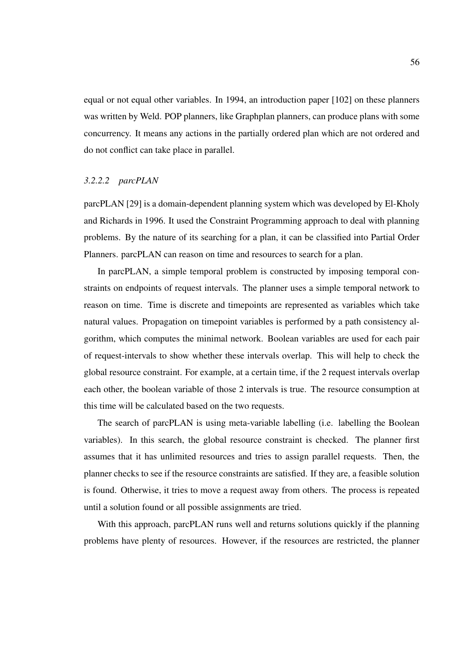equal or not equal other variables. In 1994, an introduction paper [102] on these planners was written by Weld. POP planners, like Graphplan planners, can produce plans with some concurrency. It means any actions in the partially ordered plan which are not ordered and do not conflict can take place in parallel.

### *3.2.2.2 parcPLAN*

parcPLAN [29] is a domain-dependent planning system which was developed by El-Kholy and Richards in 1996. It used the Constraint Programming approach to deal with planning problems. By the nature of its searching for a plan, it can be classified into Partial Order Planners. parcPLAN can reason on time and resources to search for a plan.

In parcPLAN, a simple temporal problem is constructed by imposing temporal constraints on endpoints of request intervals. The planner uses a simple temporal network to reason on time. Time is discrete and timepoints are represented as variables which take natural values. Propagation on timepoint variables is performed by a path consistency algorithm, which computes the minimal network. Boolean variables are used for each pair of request-intervals to show whether these intervals overlap. This will help to check the global resource constraint. For example, at a certain time, if the 2 request intervals overlap each other, the boolean variable of those 2 intervals is true. The resource consumption at this time will be calculated based on the two requests.

The search of parcPLAN is using meta-variable labelling (i.e. labelling the Boolean variables). In this search, the global resource constraint is checked. The planner first assumes that it has unlimited resources and tries to assign parallel requests. Then, the planner checks to see if the resource constraints are satisfied. If they are, a feasible solution is found. Otherwise, it tries to move a request away from others. The process is repeated until a solution found or all possible assignments are tried.

With this approach, parcPLAN runs well and returns solutions quickly if the planning problems have plenty of resources. However, if the resources are restricted, the planner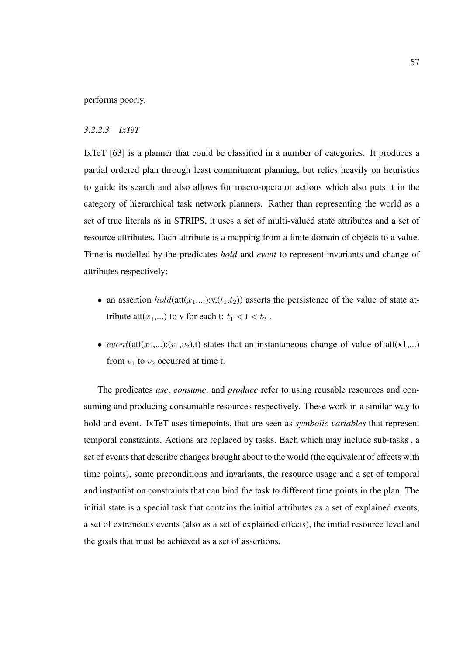performs poorly.

### *3.2.2.3 IxTeT*

IxTeT [63] is a planner that could be classified in a number of categories. It produces a partial ordered plan through least commitment planning, but relies heavily on heuristics to guide its search and also allows for macro-operator actions which also puts it in the category of hierarchical task network planners. Rather than representing the world as a set of true literals as in STRIPS, it uses a set of multi-valued state attributes and a set of resource attributes. Each attribute is a mapping from a finite domain of objects to a value. Time is modelled by the predicates *hold* and *event* to represent invariants and change of attributes respectively:

- an assertion  $hold(\text{att}(x_1,...):v,(t_1,t_2))$  asserts the persistence of the value of state attribute att $(x_1,...)$  to v for each t:  $t_1 < t < t_2$ .
- event(att(x<sub>1</sub>,...):(v<sub>1</sub>,v<sub>2</sub>),t) states that an instantaneous change of value of att(x1,...) from  $v_1$  to  $v_2$  occurred at time t.

The predicates *use*, *consume*, and *produce* refer to using reusable resources and consuming and producing consumable resources respectively. These work in a similar way to hold and event. IxTeT uses timepoints, that are seen as *symbolic variables* that represent temporal constraints. Actions are replaced by tasks. Each which may include sub-tasks , a set of events that describe changes brought about to the world (the equivalent of effects with time points), some preconditions and invariants, the resource usage and a set of temporal and instantiation constraints that can bind the task to different time points in the plan. The initial state is a special task that contains the initial attributes as a set of explained events, a set of extraneous events (also as a set of explained effects), the initial resource level and the goals that must be achieved as a set of assertions.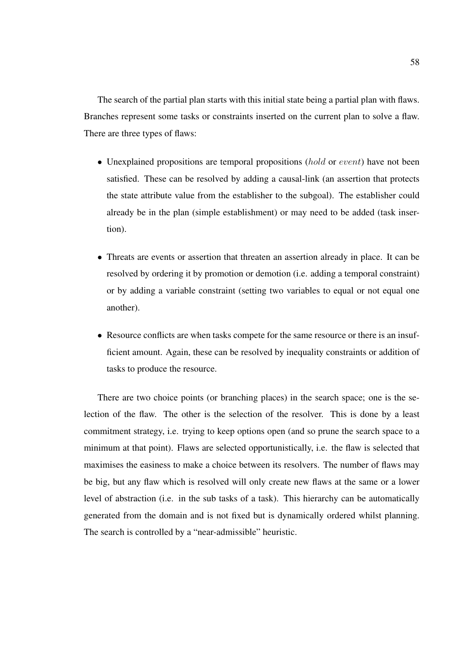The search of the partial plan starts with this initial state being a partial plan with flaws. Branches represent some tasks or constraints inserted on the current plan to solve a flaw. There are three types of flaws:

- Unexplained propositions are temporal propositions  $(hold \text{ or } event)$  have not been satisfied. These can be resolved by adding a causal-link (an assertion that protects the state attribute value from the establisher to the subgoal). The establisher could already be in the plan (simple establishment) or may need to be added (task insertion).
- Threats are events or assertion that threaten an assertion already in place. It can be resolved by ordering it by promotion or demotion (i.e. adding a temporal constraint) or by adding a variable constraint (setting two variables to equal or not equal one another).
- Resource conflicts are when tasks compete for the same resource or there is an insufficient amount. Again, these can be resolved by inequality constraints or addition of tasks to produce the resource.

There are two choice points (or branching places) in the search space; one is the selection of the flaw. The other is the selection of the resolver. This is done by a least commitment strategy, i.e. trying to keep options open (and so prune the search space to a minimum at that point). Flaws are selected opportunistically, i.e. the flaw is selected that maximises the easiness to make a choice between its resolvers. The number of flaws may be big, but any flaw which is resolved will only create new flaws at the same or a lower level of abstraction (i.e. in the sub tasks of a task). This hierarchy can be automatically generated from the domain and is not fixed but is dynamically ordered whilst planning. The search is controlled by a "near-admissible" heuristic.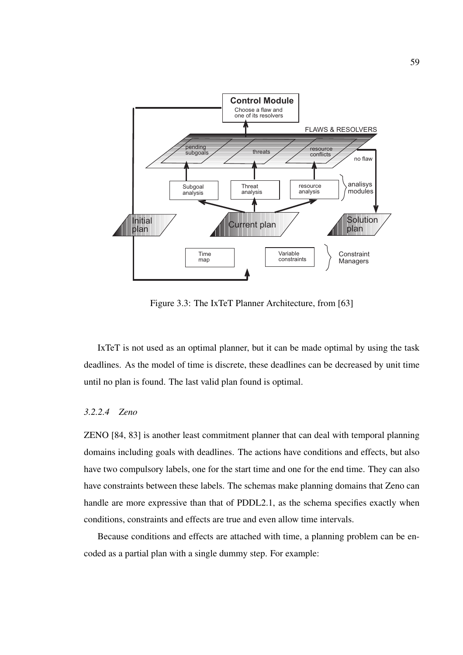

Figure 3.3: The IxTeT Planner Architecture, from [63]

IxTeT is not used as an optimal planner, but it can be made optimal by using the task deadlines. As the model of time is discrete, these deadlines can be decreased by unit time until no plan is found. The last valid plan found is optimal.

## *3.2.2.4 Zeno*

ZENO [84, 83] is another least commitment planner that can deal with temporal planning domains including goals with deadlines. The actions have conditions and effects, but also have two compulsory labels, one for the start time and one for the end time. They can also have constraints between these labels. The schemas make planning domains that Zeno can handle are more expressive than that of PDDL2.1, as the schema specifies exactly when conditions, constraints and effects are true and even allow time intervals.

Because conditions and effects are attached with time, a planning problem can be encoded as a partial plan with a single dummy step. For example: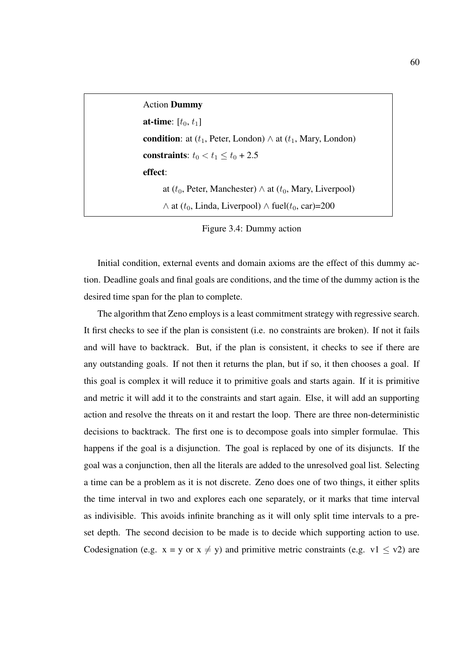Action Dummy **at-time**:  $[t_0, t_1]$ condition: at  $(t_1,$  Peter, London)  $\wedge$  at  $(t_1,$  Mary, London) constraints:  $t_0 < t_1 \leq t_0 + 2.5$ effect: at ( $t_0$ , Peter, Manchester)  $\wedge$  at ( $t_0$ , Mary, Liverpool)  $\wedge$  at ( $t_0$ , Linda, Liverpool)  $\wedge$  fuel( $t_0$ , car)=200

Initial condition, external events and domain axioms are the effect of this dummy action. Deadline goals and final goals are conditions, and the time of the dummy action is the desired time span for the plan to complete.

The algorithm that Zeno employs is a least commitment strategy with regressive search. It first checks to see if the plan is consistent (i.e. no constraints are broken). If not it fails and will have to backtrack. But, if the plan is consistent, it checks to see if there are any outstanding goals. If not then it returns the plan, but if so, it then chooses a goal. If this goal is complex it will reduce it to primitive goals and starts again. If it is primitive and metric it will add it to the constraints and start again. Else, it will add an supporting action and resolve the threats on it and restart the loop. There are three non-deterministic decisions to backtrack. The first one is to decompose goals into simpler formulae. This happens if the goal is a disjunction. The goal is replaced by one of its disjuncts. If the goal was a conjunction, then all the literals are added to the unresolved goal list. Selecting a time can be a problem as it is not discrete. Zeno does one of two things, it either splits the time interval in two and explores each one separately, or it marks that time interval as indivisible. This avoids infinite branching as it will only split time intervals to a preset depth. The second decision to be made is to decide which supporting action to use. Codesignation (e.g.  $x = y$  or  $x \neq y$ ) and primitive metric constraints (e.g. v1  $\leq$  v2) are

Figure 3.4: Dummy action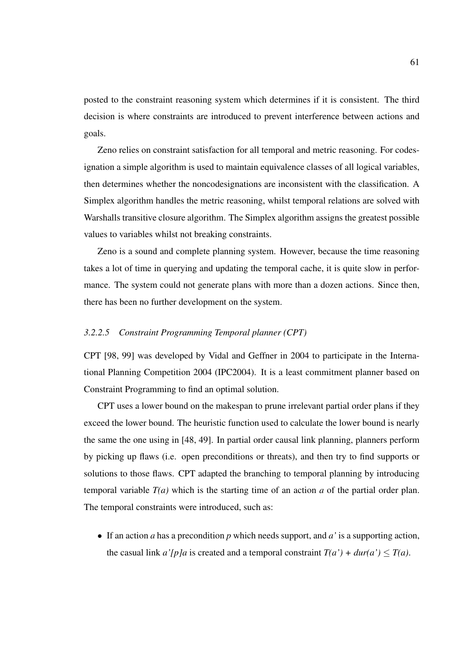posted to the constraint reasoning system which determines if it is consistent. The third decision is where constraints are introduced to prevent interference between actions and goals.

Zeno relies on constraint satisfaction for all temporal and metric reasoning. For codesignation a simple algorithm is used to maintain equivalence classes of all logical variables, then determines whether the noncodesignations are inconsistent with the classification. A Simplex algorithm handles the metric reasoning, whilst temporal relations are solved with Warshalls transitive closure algorithm. The Simplex algorithm assigns the greatest possible values to variables whilst not breaking constraints.

Zeno is a sound and complete planning system. However, because the time reasoning takes a lot of time in querying and updating the temporal cache, it is quite slow in performance. The system could not generate plans with more than a dozen actions. Since then, there has been no further development on the system.

## *3.2.2.5 Constraint Programming Temporal planner (CPT)*

CPT [98, 99] was developed by Vidal and Geffner in 2004 to participate in the International Planning Competition 2004 (IPC2004). It is a least commitment planner based on Constraint Programming to find an optimal solution.

CPT uses a lower bound on the makespan to prune irrelevant partial order plans if they exceed the lower bound. The heuristic function used to calculate the lower bound is nearly the same the one using in [48, 49]. In partial order causal link planning, planners perform by picking up flaws (i.e. open preconditions or threats), and then try to find supports or solutions to those flaws. CPT adapted the branching to temporal planning by introducing temporal variable *T(a)* which is the starting time of an action *a* of the partial order plan. The temporal constraints were introduced, such as:

• If an action *a* has a precondition *p* which needs support, and *a'* is a supporting action, the casual link *a'*[p]*a* is created and a temporal constraint  $T(a') + dur(a') \leq T(a)$ .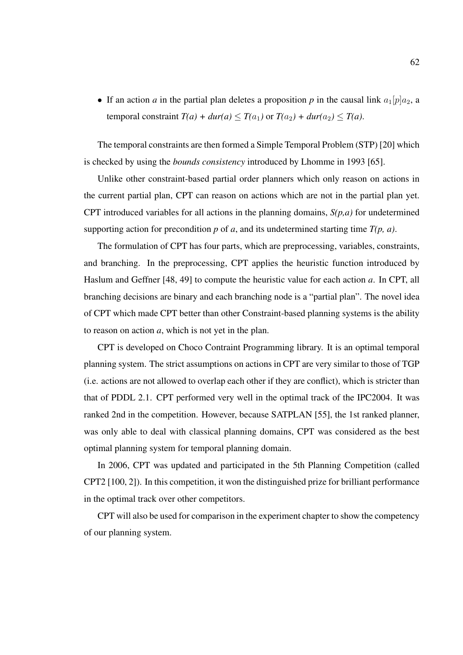• If an action *a* in the partial plan deletes a proposition *p* in the causal link  $a_1[p]a_2$ , a temporal constraint  $T(a) + dur(a) \leq T(a_1)$  or  $T(a_2) + dur(a_2) \leq T(a)$ .

The temporal constraints are then formed a Simple Temporal Problem (STP) [20] which is checked by using the *bounds consistency* introduced by Lhomme in 1993 [65].

Unlike other constraint-based partial order planners which only reason on actions in the current partial plan, CPT can reason on actions which are not in the partial plan yet. CPT introduced variables for all actions in the planning domains, *S(p,a)* for undetermined supporting action for precondition *p* of *a*, and its undetermined starting time *T(p, a)*.

The formulation of CPT has four parts, which are preprocessing, variables, constraints, and branching. In the preprocessing, CPT applies the heuristic function introduced by Haslum and Geffner [48, 49] to compute the heuristic value for each action *a*. In CPT, all branching decisions are binary and each branching node is a "partial plan". The novel idea of CPT which made CPT better than other Constraint-based planning systems is the ability to reason on action *a*, which is not yet in the plan.

CPT is developed on Choco Contraint Programming library. It is an optimal temporal planning system. The strict assumptions on actions in CPT are very similar to those of TGP (i.e. actions are not allowed to overlap each other if they are conflict), which is stricter than that of PDDL 2.1. CPT performed very well in the optimal track of the IPC2004. It was ranked 2nd in the competition. However, because SATPLAN [55], the 1st ranked planner, was only able to deal with classical planning domains, CPT was considered as the best optimal planning system for temporal planning domain.

In 2006, CPT was updated and participated in the 5th Planning Competition (called CPT2 [100, 2]). In this competition, it won the distinguished prize for brilliant performance in the optimal track over other competitors.

CPT will also be used for comparison in the experiment chapter to show the competency of our planning system.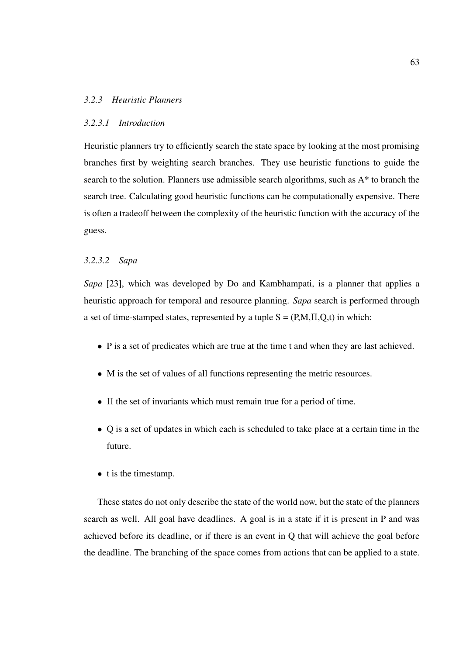## *3.2.3 Heuristic Planners*

#### *3.2.3.1 Introduction*

Heuristic planners try to efficiently search the state space by looking at the most promising branches first by weighting search branches. They use heuristic functions to guide the search to the solution. Planners use admissible search algorithms, such as A\* to branch the search tree. Calculating good heuristic functions can be computationally expensive. There is often a tradeoff between the complexity of the heuristic function with the accuracy of the guess.

## *3.2.3.2 Sapa*

*Sapa* [23], which was developed by Do and Kambhampati, is a planner that applies a heuristic approach for temporal and resource planning. *Sapa* search is performed through a set of time-stamped states, represented by a tuple  $S = (P,M,\Pi,Q,t)$  in which:

- P is a set of predicates which are true at the time t and when they are last achieved.
- M is the set of values of all functions representing the metric resources.
- $\bullet$   $\Pi$  the set of invariants which must remain true for a period of time.
- Q is a set of updates in which each is scheduled to take place at a certain time in the future.
- t is the timestamp.

These states do not only describe the state of the world now, but the state of the planners search as well. All goal have deadlines. A goal is in a state if it is present in P and was achieved before its deadline, or if there is an event in Q that will achieve the goal before the deadline. The branching of the space comes from actions that can be applied to a state.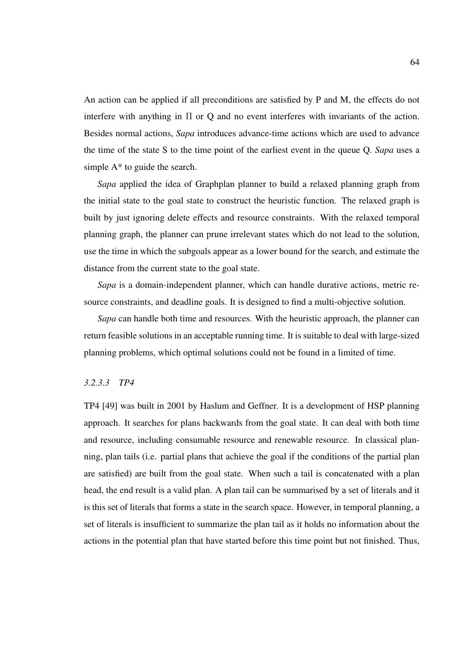An action can be applied if all preconditions are satisfied by P and M, the effects do not interfere with anything in  $\Pi$  or Q and no event interferes with invariants of the action. Besides normal actions, *Sapa* introduces advance-time actions which are used to advance the time of the state S to the time point of the earliest event in the queue Q. *Sapa* uses a simple  $A^*$  to guide the search.

*Sapa* applied the idea of Graphplan planner to build a relaxed planning graph from the initial state to the goal state to construct the heuristic function. The relaxed graph is built by just ignoring delete effects and resource constraints. With the relaxed temporal planning graph, the planner can prune irrelevant states which do not lead to the solution, use the time in which the subgoals appear as a lower bound for the search, and estimate the distance from the current state to the goal state.

*Sapa* is a domain-independent planner, which can handle durative actions, metric resource constraints, and deadline goals. It is designed to find a multi-objective solution.

*Sapa* can handle both time and resources. With the heuristic approach, the planner can return feasible solutions in an acceptable running time. It is suitable to deal with large-sized planning problems, which optimal solutions could not be found in a limited of time.

## *3.2.3.3 TP4*

TP4 [49] was built in 2001 by Haslum and Geffner. It is a development of HSP planning approach. It searches for plans backwards from the goal state. It can deal with both time and resource, including consumable resource and renewable resource. In classical planning, plan tails (i.e. partial plans that achieve the goal if the conditions of the partial plan are satisfied) are built from the goal state. When such a tail is concatenated with a plan head, the end result is a valid plan. A plan tail can be summarised by a set of literals and it is this set of literals that forms a state in the search space. However, in temporal planning, a set of literals is insufficient to summarize the plan tail as it holds no information about the actions in the potential plan that have started before this time point but not finished. Thus,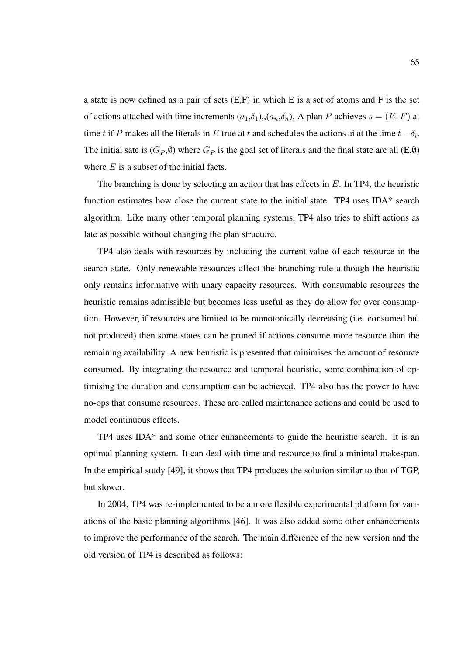a state is now defined as a pair of sets (E,F) in which E is a set of atoms and F is the set of actions attached with time increments  $(a_1,\delta_1), (a_n,\delta_n)$ . A plan P achieves  $s = (E, F)$  at time t if P makes all the literals in E true at t and schedules the actions ai at the time  $t - \delta_i$ . The initial sate is  $(G_P, \emptyset)$  where  $G_P$  is the goal set of literals and the final state are all  $(E, \emptyset)$ where  $E$  is a subset of the initial facts.

The branching is done by selecting an action that has effects in  $E$ . In TP4, the heuristic function estimates how close the current state to the initial state. TP4 uses IDA\* search algorithm. Like many other temporal planning systems, TP4 also tries to shift actions as late as possible without changing the plan structure.

TP4 also deals with resources by including the current value of each resource in the search state. Only renewable resources affect the branching rule although the heuristic only remains informative with unary capacity resources. With consumable resources the heuristic remains admissible but becomes less useful as they do allow for over consumption. However, if resources are limited to be monotonically decreasing (i.e. consumed but not produced) then some states can be pruned if actions consume more resource than the remaining availability. A new heuristic is presented that minimises the amount of resource consumed. By integrating the resource and temporal heuristic, some combination of optimising the duration and consumption can be achieved. TP4 also has the power to have no-ops that consume resources. These are called maintenance actions and could be used to model continuous effects.

TP4 uses IDA\* and some other enhancements to guide the heuristic search. It is an optimal planning system. It can deal with time and resource to find a minimal makespan. In the empirical study [49], it shows that TP4 produces the solution similar to that of TGP, but slower.

In 2004, TP4 was re-implemented to be a more flexible experimental platform for variations of the basic planning algorithms [46]. It was also added some other enhancements to improve the performance of the search. The main difference of the new version and the old version of TP4 is described as follows: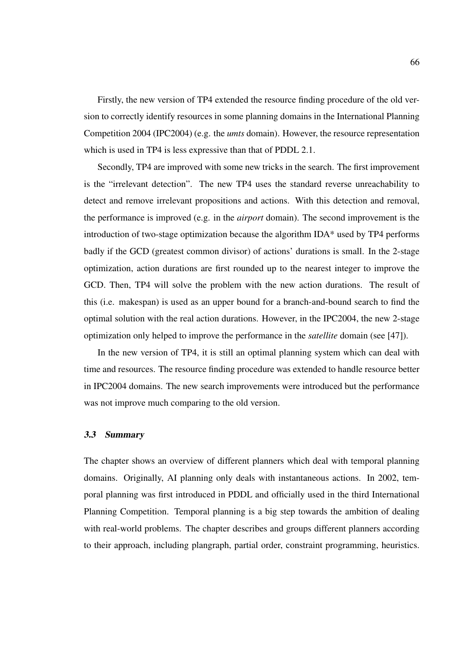Firstly, the new version of TP4 extended the resource finding procedure of the old version to correctly identify resources in some planning domains in the International Planning Competition 2004 (IPC2004) (e.g. the *umts* domain). However, the resource representation which is used in TP4 is less expressive than that of PDDL 2.1.

Secondly, TP4 are improved with some new tricks in the search. The first improvement is the "irrelevant detection". The new TP4 uses the standard reverse unreachability to detect and remove irrelevant propositions and actions. With this detection and removal, the performance is improved (e.g. in the *airport* domain). The second improvement is the introduction of two-stage optimization because the algorithm IDA\* used by TP4 performs badly if the GCD (greatest common divisor) of actions' durations is small. In the 2-stage optimization, action durations are first rounded up to the nearest integer to improve the GCD. Then, TP4 will solve the problem with the new action durations. The result of this (i.e. makespan) is used as an upper bound for a branch-and-bound search to find the optimal solution with the real action durations. However, in the IPC2004, the new 2-stage optimization only helped to improve the performance in the *satellite* domain (see [47]).

In the new version of TP4, it is still an optimal planning system which can deal with time and resources. The resource finding procedure was extended to handle resource better in IPC2004 domains. The new search improvements were introduced but the performance was not improve much comparing to the old version.

#### 3.3 Summary

The chapter shows an overview of different planners which deal with temporal planning domains. Originally, AI planning only deals with instantaneous actions. In 2002, temporal planning was first introduced in PDDL and officially used in the third International Planning Competition. Temporal planning is a big step towards the ambition of dealing with real-world problems. The chapter describes and groups different planners according to their approach, including plangraph, partial order, constraint programming, heuristics.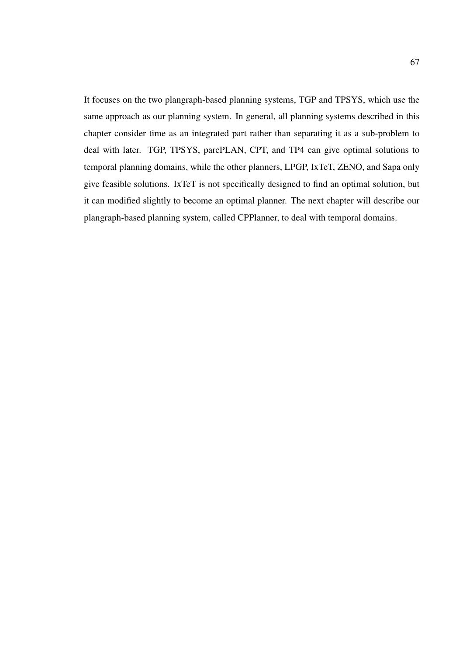It focuses on the two plangraph-based planning systems, TGP and TPSYS, which use the same approach as our planning system. In general, all planning systems described in this chapter consider time as an integrated part rather than separating it as a sub-problem to deal with later. TGP, TPSYS, parcPLAN, CPT, and TP4 can give optimal solutions to temporal planning domains, while the other planners, LPGP, IxTeT, ZENO, and Sapa only give feasible solutions. IxTeT is not specifically designed to find an optimal solution, but it can modified slightly to become an optimal planner. The next chapter will describe our plangraph-based planning system, called CPPlanner, to deal with temporal domains.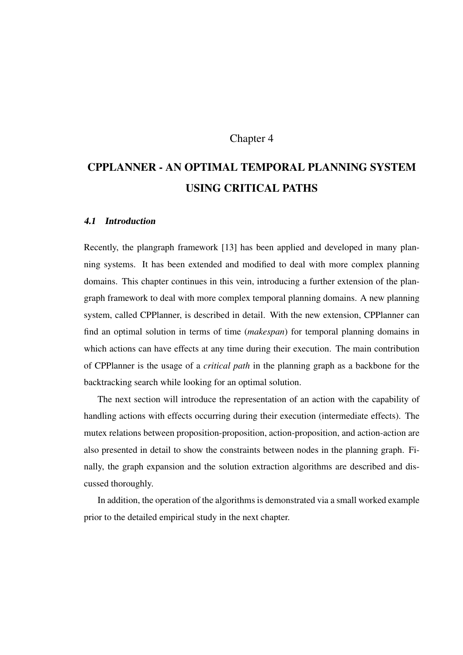## Chapter 4

# CPPLANNER - AN OPTIMAL TEMPORAL PLANNING SYSTEM USING CRITICAL PATHS

#### 4.1 Introduction

Recently, the plangraph framework [13] has been applied and developed in many planning systems. It has been extended and modified to deal with more complex planning domains. This chapter continues in this vein, introducing a further extension of the plangraph framework to deal with more complex temporal planning domains. A new planning system, called CPPlanner, is described in detail. With the new extension, CPPlanner can find an optimal solution in terms of time (*makespan*) for temporal planning domains in which actions can have effects at any time during their execution. The main contribution of CPPlanner is the usage of a *critical path* in the planning graph as a backbone for the backtracking search while looking for an optimal solution.

The next section will introduce the representation of an action with the capability of handling actions with effects occurring during their execution (intermediate effects). The mutex relations between proposition-proposition, action-proposition, and action-action are also presented in detail to show the constraints between nodes in the planning graph. Finally, the graph expansion and the solution extraction algorithms are described and discussed thoroughly.

In addition, the operation of the algorithms is demonstrated via a small worked example prior to the detailed empirical study in the next chapter.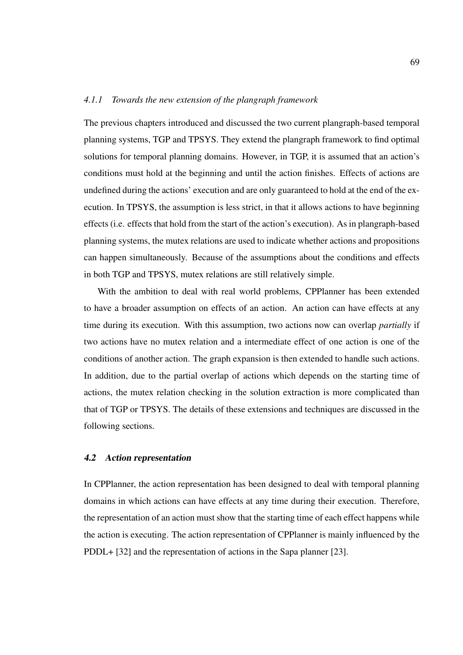#### *4.1.1 Towards the new extension of the plangraph framework*

The previous chapters introduced and discussed the two current plangraph-based temporal planning systems, TGP and TPSYS. They extend the plangraph framework to find optimal solutions for temporal planning domains. However, in TGP, it is assumed that an action's conditions must hold at the beginning and until the action finishes. Effects of actions are undefined during the actions' execution and are only guaranteed to hold at the end of the execution. In TPSYS, the assumption is less strict, in that it allows actions to have beginning effects (i.e. effects that hold from the start of the action's execution). As in plangraph-based planning systems, the mutex relations are used to indicate whether actions and propositions can happen simultaneously. Because of the assumptions about the conditions and effects in both TGP and TPSYS, mutex relations are still relatively simple.

With the ambition to deal with real world problems, CPPlanner has been extended to have a broader assumption on effects of an action. An action can have effects at any time during its execution. With this assumption, two actions now can overlap *partially* if two actions have no mutex relation and a intermediate effect of one action is one of the conditions of another action. The graph expansion is then extended to handle such actions. In addition, due to the partial overlap of actions which depends on the starting time of actions, the mutex relation checking in the solution extraction is more complicated than that of TGP or TPSYS. The details of these extensions and techniques are discussed in the following sections.

#### 4.2 Action representation

In CPPlanner, the action representation has been designed to deal with temporal planning domains in which actions can have effects at any time during their execution. Therefore, the representation of an action must show that the starting time of each effect happens while the action is executing. The action representation of CPPlanner is mainly influenced by the PDDL+ [32] and the representation of actions in the Sapa planner [23].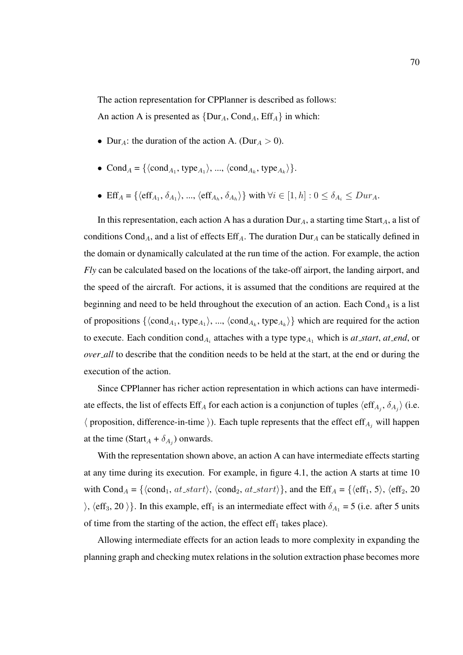The action representation for CPPlanner is described as follows:

An action A is presented as  $\{Dur_A, Cond_A, Eff_A\}$  in which:

- Dur<sub>A</sub>: the duration of the action A. (Dur<sub>A</sub> > 0).
- Cond<sub>A</sub> = { $\langle \text{cond}_{A_1}, \text{type}_{A_1} \rangle$ , ...,  $\langle \text{cond}_{A_k}, \text{type}_{A_k} \rangle$  }.
- Eff<sub>A</sub> = { $\langle \text{eff}_{A_1}, \delta_{A_1} \rangle$ , ...,  $\langle \text{eff}_{A_h}, \delta_{A_h} \rangle$ } with  $\forall i \in [1, h] : 0 \le \delta_{A_i} \le Dur_A$ .

In this representation, each action A has a duration  $Dur_A$ , a starting time Start<sub>A</sub>, a list of conditions Cond<sub>A</sub>, and a list of effects  $\text{Eff}_{A}$ . The duration  $\text{Dur}_{A}$  can be statically defined in the domain or dynamically calculated at the run time of the action. For example, the action *Fly* can be calculated based on the locations of the take-off airport, the landing airport, and the speed of the aircraft. For actions, it is assumed that the conditions are required at the beginning and need to be held throughout the execution of an action. Each Cond<sub>A</sub> is a list of propositions  $\{\langle cond_{A_1}, type_{A_1}\rangle, ..., \langle cond_{A_k}, type_{A_k}\rangle\}$  which are required for the action to execute. Each condition cond<sub>A<sub>i</sub></sub> attaches with a type type<sub>A<sub>1</sub></sub> which is *at\_start*, *at\_end*, or *over\_all* to describe that the condition needs to be held at the start, at the end or during the execution of the action.

Since CPPlanner has richer action representation in which actions can have intermediate effects, the list of effects Eff<sub>A</sub> for each action is a conjunction of tuples  $\langle \text{eff}_{A_i}, \delta_{A_j} \rangle$  (i.e.  $\langle$  proposition, difference-in-time  $\rangle$ ). Each tuple represents that the effect eff<sub>A<sub>j</sub> will happen</sub> at the time (Start<sub>A</sub> +  $\delta_{A_j}$ ) onwards.

With the representation shown above, an action A can have intermediate effects starting at any time during its execution. For example, in figure 4.1, the action A starts at time 10 with Cond<sub>A</sub> = { $\langle cond_1, at\_start \rangle$ ,  $\langle cond_2, at\_start \rangle$ }, and the Eff<sub>A</sub> = { $\langle eff_1, 5 \rangle$ ,  $\langle eff_2, 20 \rangle$  $\langle$ ,  $\langle \text{eff}_3, 20 \rangle$ . In this example, eff<sub>1</sub> is an intermediate effect with  $\delta_{A_1} = 5$  (i.e. after 5 units of time from the starting of the action, the effect  $\text{eff}_1$  takes place).

Allowing intermediate effects for an action leads to more complexity in expanding the planning graph and checking mutex relations in the solution extraction phase becomes more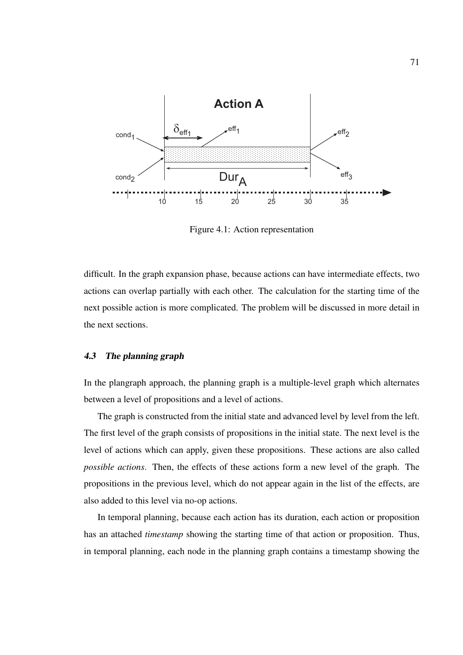

Figure 4.1: Action representation

difficult. In the graph expansion phase, because actions can have intermediate effects, two actions can overlap partially with each other. The calculation for the starting time of the next possible action is more complicated. The problem will be discussed in more detail in the next sections.

#### 4.3 The planning graph

In the plangraph approach, the planning graph is a multiple-level graph which alternates between a level of propositions and a level of actions.

The graph is constructed from the initial state and advanced level by level from the left. The first level of the graph consists of propositions in the initial state. The next level is the level of actions which can apply, given these propositions. These actions are also called *possible actions*. Then, the effects of these actions form a new level of the graph. The propositions in the previous level, which do not appear again in the list of the effects, are also added to this level via no-op actions.

In temporal planning, because each action has its duration, each action or proposition has an attached *timestamp* showing the starting time of that action or proposition. Thus, in temporal planning, each node in the planning graph contains a timestamp showing the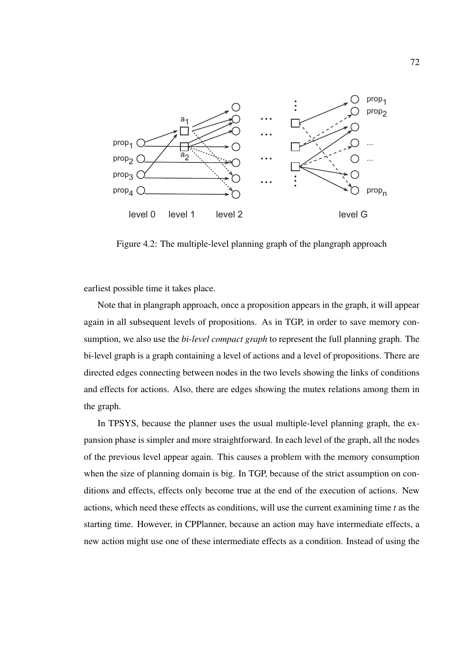

Figure 4.2: The multiple-level planning graph of the plangraph approach

earliest possible time it takes place.

Note that in plangraph approach, once a proposition appears in the graph, it will appear again in all subsequent levels of propositions. As in TGP, in order to save memory consumption, we also use the *bi-level compact graph* to represent the full planning graph. The bi-level graph is a graph containing a level of actions and a level of propositions. There are directed edges connecting between nodes in the two levels showing the links of conditions and effects for actions. Also, there are edges showing the mutex relations among them in the graph.

In TPSYS, because the planner uses the usual multiple-level planning graph, the expansion phase is simpler and more straightforward. In each level of the graph, all the nodes of the previous level appear again. This causes a problem with the memory consumption when the size of planning domain is big. In TGP, because of the strict assumption on conditions and effects, effects only become true at the end of the execution of actions. New actions, which need these effects as conditions, will use the current examining time *t* as the starting time. However, in CPPlanner, because an action may have intermediate effects, a new action might use one of these intermediate effects as a condition. Instead of using the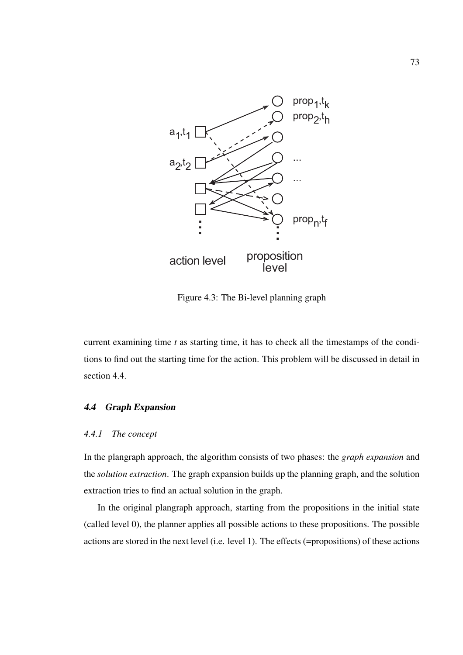

Figure 4.3: The Bi-level planning graph

current examining time *t* as starting time, it has to check all the timestamps of the conditions to find out the starting time for the action. This problem will be discussed in detail in section 4.4.

# 4.4 Graph Expansion

#### *4.4.1 The concept*

In the plangraph approach, the algorithm consists of two phases: the *graph expansion* and the *solution extraction*. The graph expansion builds up the planning graph, and the solution extraction tries to find an actual solution in the graph.

In the original plangraph approach, starting from the propositions in the initial state (called level 0), the planner applies all possible actions to these propositions. The possible actions are stored in the next level (i.e. level 1). The effects (=propositions) of these actions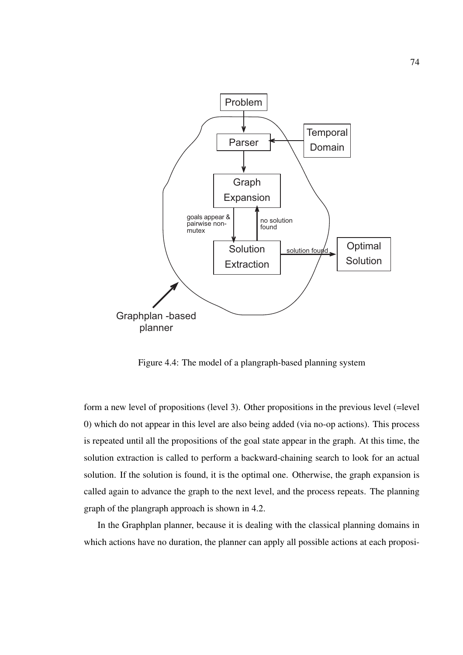

Figure 4.4: The model of a plangraph-based planning system

form a new level of propositions (level 3). Other propositions in the previous level (=level 0) which do not appear in this level are also being added (via no-op actions). This process is repeated until all the propositions of the goal state appear in the graph. At this time, the solution extraction is called to perform a backward-chaining search to look for an actual solution. If the solution is found, it is the optimal one. Otherwise, the graph expansion is called again to advance the graph to the next level, and the process repeats. The planning graph of the plangraph approach is shown in 4.2.

In the Graphplan planner, because it is dealing with the classical planning domains in which actions have no duration, the planner can apply all possible actions at each proposi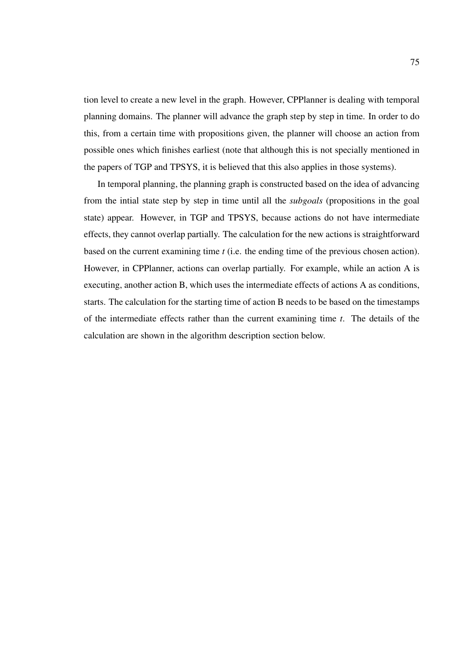tion level to create a new level in the graph. However, CPPlanner is dealing with temporal planning domains. The planner will advance the graph step by step in time. In order to do this, from a certain time with propositions given, the planner will choose an action from possible ones which finishes earliest (note that although this is not specially mentioned in the papers of TGP and TPSYS, it is believed that this also applies in those systems).

In temporal planning, the planning graph is constructed based on the idea of advancing from the intial state step by step in time until all the *subgoals* (propositions in the goal state) appear. However, in TGP and TPSYS, because actions do not have intermediate effects, they cannot overlap partially. The calculation for the new actions is straightforward based on the current examining time *t* (i.e. the ending time of the previous chosen action). However, in CPPlanner, actions can overlap partially. For example, while an action A is executing, another action B, which uses the intermediate effects of actions A as conditions, starts. The calculation for the starting time of action B needs to be based on the timestamps of the intermediate effects rather than the current examining time *t*. The details of the calculation are shown in the algorithm description section below.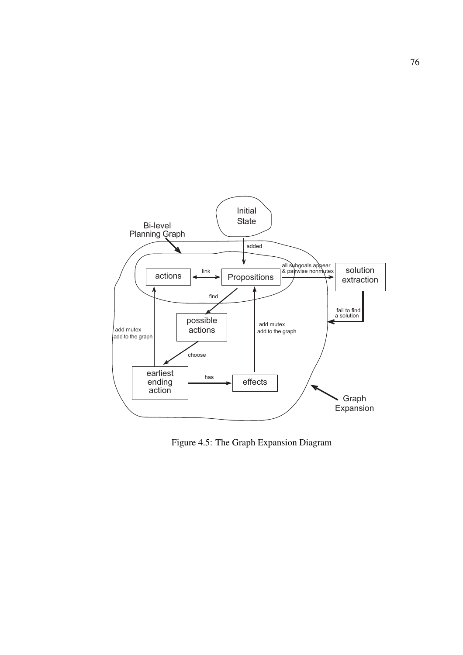

Figure 4.5: The Graph Expansion Diagram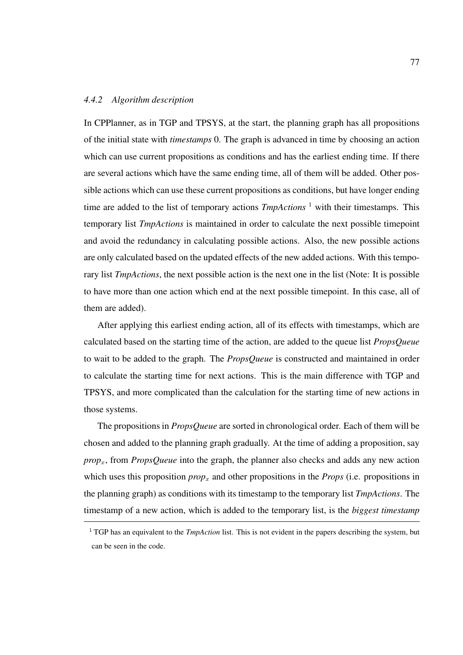#### *4.4.2 Algorithm description*

In CPPlanner, as in TGP and TPSYS, at the start, the planning graph has all propositions of the initial state with *timestamps* 0. The graph is advanced in time by choosing an action which can use current propositions as conditions and has the earliest ending time. If there are several actions which have the same ending time, all of them will be added. Other possible actions which can use these current propositions as conditions, but have longer ending time are added to the list of temporary actions *TmpActions*<sup>1</sup> with their timestamps. This temporary list *TmpActions* is maintained in order to calculate the next possible timepoint and avoid the redundancy in calculating possible actions. Also, the new possible actions are only calculated based on the updated effects of the new added actions. With this temporary list *TmpActions*, the next possible action is the next one in the list (Note: It is possible to have more than one action which end at the next possible timepoint. In this case, all of them are added).

After applying this earliest ending action, all of its effects with timestamps, which are calculated based on the starting time of the action, are added to the queue list *PropsQueue* to wait to be added to the graph. The *PropsQueue* is constructed and maintained in order to calculate the starting time for next actions. This is the main difference with TGP and TPSYS, and more complicated than the calculation for the starting time of new actions in those systems.

The propositions in *PropsQueue* are sorted in chronological order. Each of them will be chosen and added to the planning graph gradually. At the time of adding a proposition, say *prop<sub>x</sub>*, from *PropsQueue* into the graph, the planner also checks and adds any new action which uses this proposition  $prop_x$  and other propositions in the *Props* (i.e. propositions in the planning graph) as conditions with its timestamp to the temporary list *TmpActions*. The timestamp of a new action, which is added to the temporary list, is the *biggest timestamp*

<sup>&</sup>lt;sup>1</sup> TGP has an equivalent to the *TmpAction* list. This is not evident in the papers describing the system, but can be seen in the code.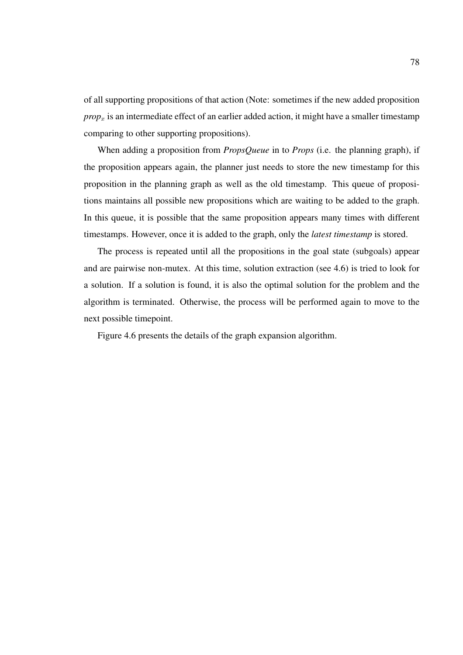of all supporting propositions of that action (Note: sometimes if the new added proposition  $prop<sub>x</sub>$  is an intermediate effect of an earlier added action, it might have a smaller timestamp comparing to other supporting propositions).

When adding a proposition from *PropsQueue* in to *Props* (i.e. the planning graph), if the proposition appears again, the planner just needs to store the new timestamp for this proposition in the planning graph as well as the old timestamp. This queue of propositions maintains all possible new propositions which are waiting to be added to the graph. In this queue, it is possible that the same proposition appears many times with different timestamps. However, once it is added to the graph, only the *latest timestamp* is stored.

The process is repeated until all the propositions in the goal state (subgoals) appear and are pairwise non-mutex. At this time, solution extraction (see 4.6) is tried to look for a solution. If a solution is found, it is also the optimal solution for the problem and the algorithm is terminated. Otherwise, the process will be performed again to move to the next possible timepoint.

Figure 4.6 presents the details of the graph expansion algorithm.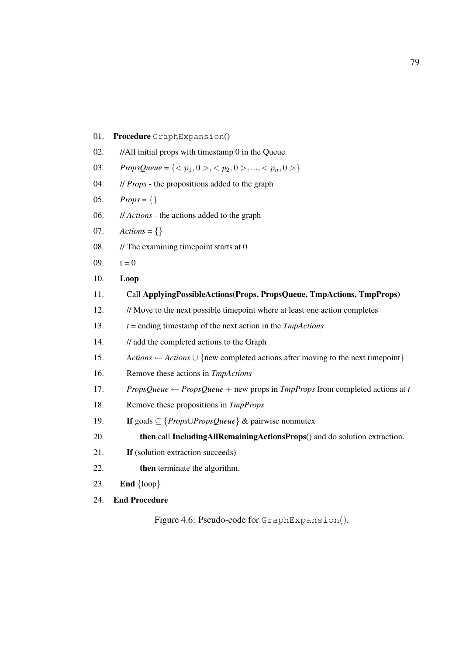| 01. | Procedure GraphExpansion()                                                                                         |
|-----|--------------------------------------------------------------------------------------------------------------------|
| 02. | //All initial props with timestamp 0 in the Queue                                                                  |
| 03. | <i>PropsQueue</i> = { $\langle p_1, 0 \rangle, \langle p_2, 0 \rangle, , \langle p_n, 0 \rangle$ }                 |
| 04. | // <i>Props</i> - the propositions added to the graph                                                              |
| 05. | $Props = \{\}$                                                                                                     |
| 06. | // Actions - the actions added to the graph                                                                        |
| 07. | $\textit{Actions} = \{\}$                                                                                          |
| 08. | $\frac{1}{\pi}$ The examining timepoint starts at 0                                                                |
| 09. | $t = 0$                                                                                                            |
| 10. | Loop                                                                                                               |
| 11. | Call ApplyingPossibleActions(Props, PropsQueue, TmpActions, TmpProps)                                              |
| 12. | // Move to the next possible timepoint where at least one action completes                                         |
| 13. | $t =$ ending timestamp of the next action in the <i>TmpActions</i>                                                 |
| 14. | // add the completed actions to the Graph                                                                          |
| 15. | Actions $\leftarrow$ Actions $\cup$ {new completed actions after moving to the next timepoint}                     |
| 16. | Remove these actions in TmpActions                                                                                 |
| 17. | <i>PropsQueue</i> $\leftarrow$ <i>PropsQueue</i> + new props in <i>TmpProps</i> from completed actions at <i>t</i> |
| 18. | Remove these propositions in TmpProps                                                                              |
| 19. | If goals $\subseteq$ { <i>Props</i> $\cup$ <i>PropsQueue</i> } & pairwise nonmutex                                 |
| 20. | then call IncludingAllRemainingActionsProps() and do solution extraction.                                          |
| 21. | If (solution extraction succeeds)                                                                                  |
| 22. | then terminate the algorithm.                                                                                      |
| 23. | <b>End</b> $\{loop\}$                                                                                              |
| 24. | <b>End Procedure</b>                                                                                               |
|     | Figure 4.6: Pseudo-code for GraphExpansion().                                                                      |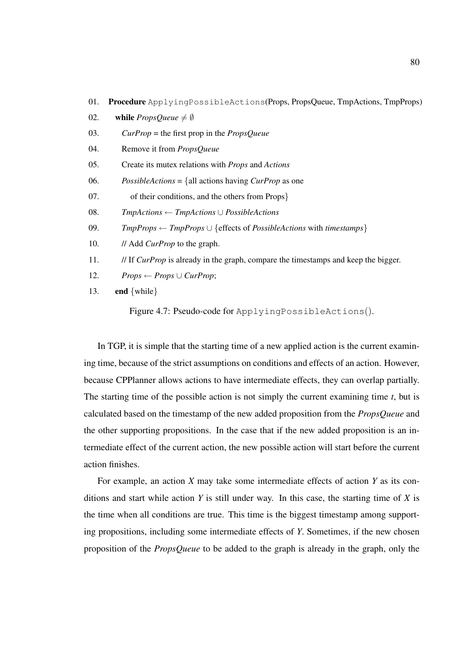|  | 01. Procedure ApplyingPossibleActions(Props, PropsQueue, TmpActions, TmpProps) |  |  |  |  |
|--|--------------------------------------------------------------------------------|--|--|--|--|
|--|--------------------------------------------------------------------------------|--|--|--|--|

- 02. while  $Proofe \neq \emptyset$
- 03. *CurProp* = the first prop in the *PropsQueue*
- 04. Remove it from *PropsQueue*
- 05. Create its mutex relations with *Props* and *Actions*
- 06. *PossibleActions* = {all actions having *CurProp* as one
- 07. of their conditions, and the others from Props}
- 08. *TmpActions* ← *TmpActions* ∪ *PossibleActions*
- 09. *TmpProps* ← *TmpProps* ∪ {effects of *PossibleActions* with *timestamps*}
- 10. // Add *CurProp* to the graph.
- 11. // If *CurProp* is already in the graph, compare the timestamps and keep the bigger.
- 12. *Props* ← *Props*  $\cup$  *CurProp*;
- 13. **end**  $\{while\}$

Figure 4.7: Pseudo-code for ApplyingPossibleActions().

In TGP, it is simple that the starting time of a new applied action is the current examining time, because of the strict assumptions on conditions and effects of an action. However, because CPPlanner allows actions to have intermediate effects, they can overlap partially. The starting time of the possible action is not simply the current examining time *t*, but is calculated based on the timestamp of the new added proposition from the *PropsQueue* and the other supporting propositions. In the case that if the new added proposition is an intermediate effect of the current action, the new possible action will start before the current action finishes.

For example, an action *X* may take some intermediate effects of action *Y* as its conditions and start while action *Y* is still under way. In this case, the starting time of *X* is the time when all conditions are true. This time is the biggest timestamp among supporting propositions, including some intermediate effects of *Y*. Sometimes, if the new chosen proposition of the *PropsQueue* to be added to the graph is already in the graph, only the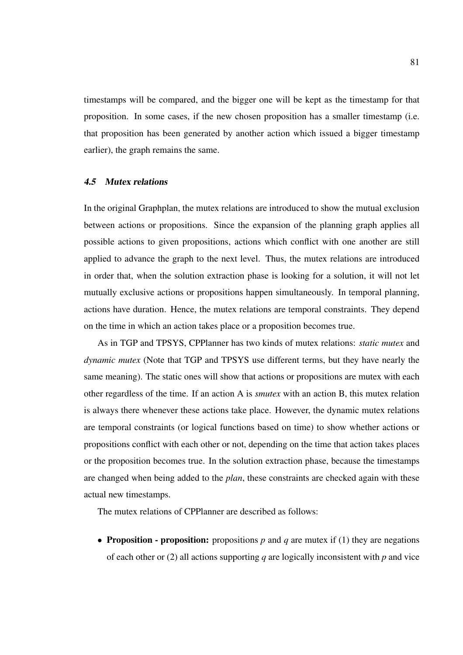timestamps will be compared, and the bigger one will be kept as the timestamp for that proposition. In some cases, if the new chosen proposition has a smaller timestamp (i.e. that proposition has been generated by another action which issued a bigger timestamp earlier), the graph remains the same.

#### 4.5 Mutex relations

In the original Graphplan, the mutex relations are introduced to show the mutual exclusion between actions or propositions. Since the expansion of the planning graph applies all possible actions to given propositions, actions which conflict with one another are still applied to advance the graph to the next level. Thus, the mutex relations are introduced in order that, when the solution extraction phase is looking for a solution, it will not let mutually exclusive actions or propositions happen simultaneously. In temporal planning, actions have duration. Hence, the mutex relations are temporal constraints. They depend on the time in which an action takes place or a proposition becomes true.

As in TGP and TPSYS, CPPlanner has two kinds of mutex relations: *static mutex* and *dynamic mutex* (Note that TGP and TPSYS use different terms, but they have nearly the same meaning). The static ones will show that actions or propositions are mutex with each other regardless of the time. If an action A is *smutex* with an action B, this mutex relation is always there whenever these actions take place. However, the dynamic mutex relations are temporal constraints (or logical functions based on time) to show whether actions or propositions conflict with each other or not, depending on the time that action takes places or the proposition becomes true. In the solution extraction phase, because the timestamps are changed when being added to the *plan*, these constraints are checked again with these actual new timestamps.

The mutex relations of CPPlanner are described as follows:

• Proposition - proposition: propositions *p* and *q* are mutex if (1) they are negations of each other or (2) all actions supporting *q* are logically inconsistent with *p* and vice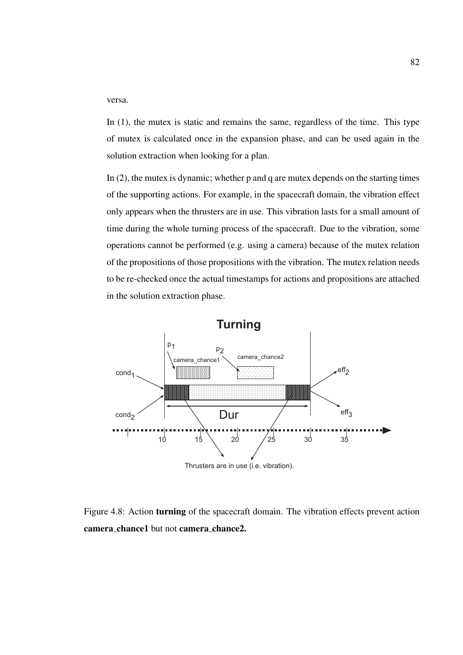versa.

In (1), the mutex is static and remains the same, regardless of the time. This type of mutex is calculated once in the expansion phase, and can be used again in the solution extraction when looking for a plan.

In (2), the mutex is dynamic; whether p and q are mutex depends on the starting times of the supporting actions. For example, in the spacecraft domain, the vibration effect only appears when the thrusters are in use. This vibration lasts for a small amount of time during the whole turning process of the spacecraft. Due to the vibration, some operations cannot be performed (e.g. using a camera) because of the mutex relation of the propositions of those propositions with the vibration. The mutex relation needs to be re-checked once the actual timestamps for actions and propositions are attached in the solution extraction phase.



Figure 4.8: Action turning of the spacecraft domain. The vibration effects prevent action camera chance1 but not camera chance2.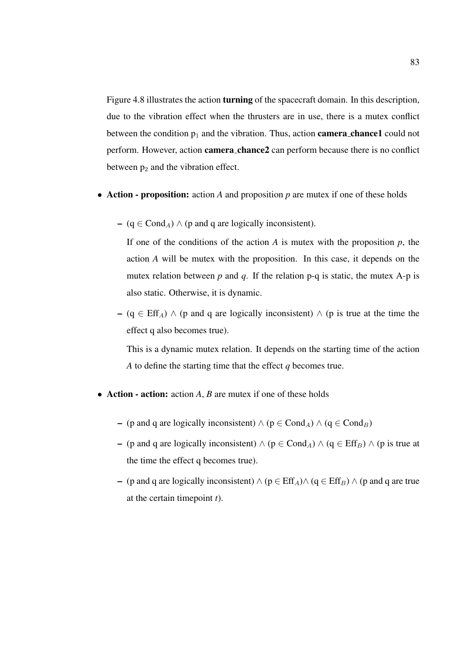Figure 4.8 illustrates the action turning of the spacecraft domain. In this description, due to the vibration effect when the thrusters are in use, there is a mutex conflict between the condition  $p_1$  and the vibration. Thus, action **camera chance1** could not perform. However, action camera chance2 can perform because there is no conflict between  $p_2$  and the vibration effect.

- Action proposition: action *A* and proposition *p* are mutex if one of these holds
	- ( $q \in Cond_A$ )  $\wedge$  (p and q are logically inconsistent).

If one of the conditions of the action  $A$  is mutex with the proposition  $p$ , the action *A* will be mutex with the proposition. In this case, it depends on the mutex relation between  $p$  and  $q$ . If the relation  $p-q$  is static, the mutex A-p is also static. Otherwise, it is dynamic.

– (q  $\in$  Eff<sub>A</sub>)  $\wedge$  (p and q are logically inconsistent)  $\wedge$  (p is true at the time the effect q also becomes true).

This is a dynamic mutex relation. It depends on the starting time of the action *A* to define the starting time that the effect *q* becomes true.

- Action action: action *A*, *B* are mutex if one of these holds
	- (p and q are logically inconsistent)  $\land$  (p ∈ Cond<sub>A</sub>)  $\land$  (q ∈ Cond<sub>B</sub>)
	- (p and q are logically inconsistent)  $\land$  (p ∈ Cond<sub>A</sub>)  $\land$  (q ∈ Eff<sub>B</sub>)  $\land$  (p is true at the time the effect q becomes true).
	- (p and q are logically inconsistent)  $\land$  (p  $\in$  Eff<sub>A</sub>) $\land$  (q  $\in$  Eff<sub>B</sub>)  $\land$  (p and q are true at the certain timepoint *t*).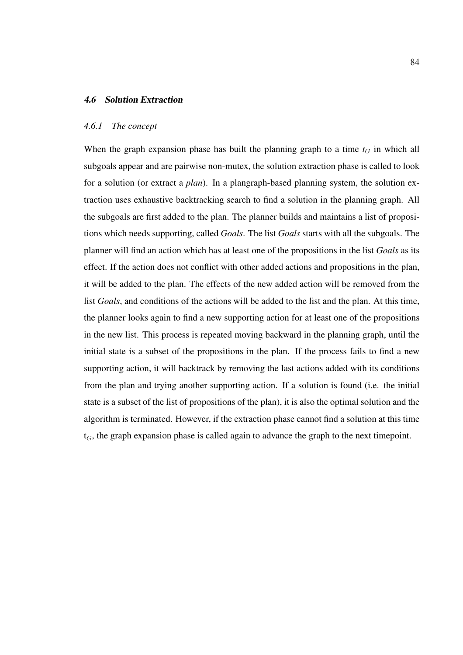## 4.6 Solution Extraction

#### *4.6.1 The concept*

When the graph expansion phase has built the planning graph to a time  $t_G$  in which all subgoals appear and are pairwise non-mutex, the solution extraction phase is called to look for a solution (or extract a *plan*). In a plangraph-based planning system, the solution extraction uses exhaustive backtracking search to find a solution in the planning graph. All the subgoals are first added to the plan. The planner builds and maintains a list of propositions which needs supporting, called *Goals*. The list *Goals* starts with all the subgoals. The planner will find an action which has at least one of the propositions in the list *Goals* as its effect. If the action does not conflict with other added actions and propositions in the plan, it will be added to the plan. The effects of the new added action will be removed from the list *Goals*, and conditions of the actions will be added to the list and the plan. At this time, the planner looks again to find a new supporting action for at least one of the propositions in the new list. This process is repeated moving backward in the planning graph, until the initial state is a subset of the propositions in the plan. If the process fails to find a new supporting action, it will backtrack by removing the last actions added with its conditions from the plan and trying another supporting action. If a solution is found (i.e. the initial state is a subset of the list of propositions of the plan), it is also the optimal solution and the algorithm is terminated. However, if the extraction phase cannot find a solution at this time  $t_G$ , the graph expansion phase is called again to advance the graph to the next timepoint.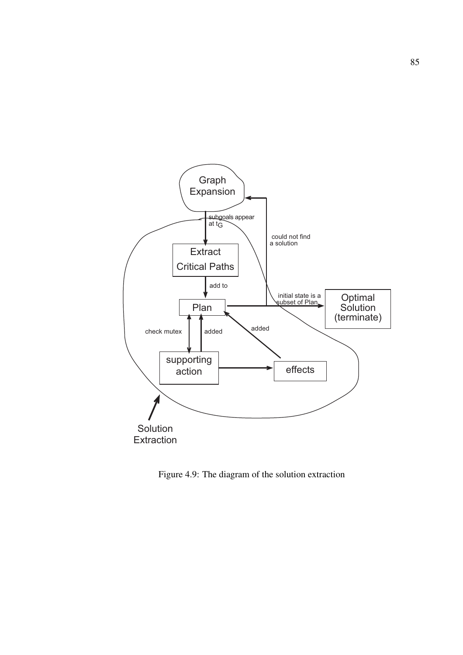

Figure 4.9: The diagram of the solution extraction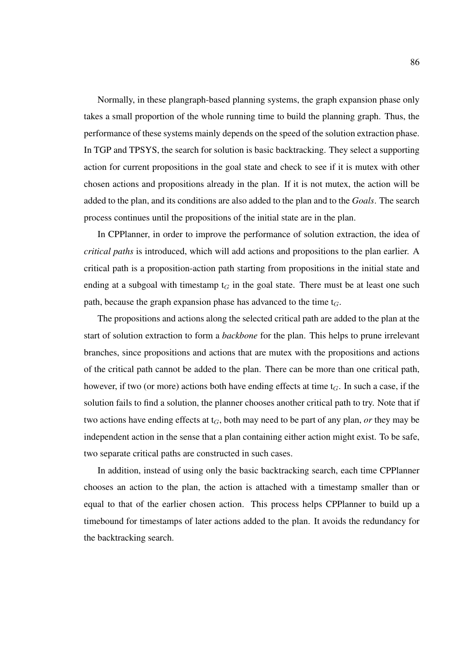Normally, in these plangraph-based planning systems, the graph expansion phase only takes a small proportion of the whole running time to build the planning graph. Thus, the performance of these systems mainly depends on the speed of the solution extraction phase. In TGP and TPSYS, the search for solution is basic backtracking. They select a supporting action for current propositions in the goal state and check to see if it is mutex with other chosen actions and propositions already in the plan. If it is not mutex, the action will be added to the plan, and its conditions are also added to the plan and to the *Goals*. The search process continues until the propositions of the initial state are in the plan.

In CPPlanner, in order to improve the performance of solution extraction, the idea of *critical paths* is introduced, which will add actions and propositions to the plan earlier. A critical path is a proposition-action path starting from propositions in the initial state and ending at a subgoal with timestamp  $t_G$  in the goal state. There must be at least one such path, because the graph expansion phase has advanced to the time  $t_G$ .

The propositions and actions along the selected critical path are added to the plan at the start of solution extraction to form a *backbone* for the plan. This helps to prune irrelevant branches, since propositions and actions that are mutex with the propositions and actions of the critical path cannot be added to the plan. There can be more than one critical path, however, if two (or more) actions both have ending effects at time  $t_G$ . In such a case, if the solution fails to find a solution, the planner chooses another critical path to try. Note that if two actions have ending effects at  $t_G$ , both may need to be part of any plan, *or* they may be independent action in the sense that a plan containing either action might exist. To be safe, two separate critical paths are constructed in such cases.

In addition, instead of using only the basic backtracking search, each time CPPlanner chooses an action to the plan, the action is attached with a timestamp smaller than or equal to that of the earlier chosen action. This process helps CPPlanner to build up a timebound for timestamps of later actions added to the plan. It avoids the redundancy for the backtracking search.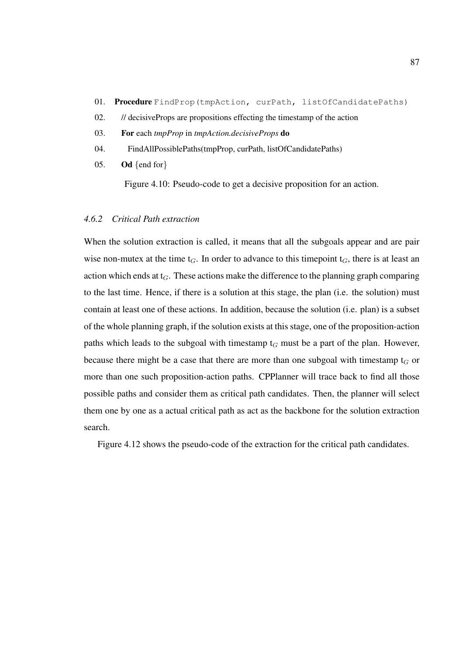- 01. Procedure FindProp(tmpAction, curPath, listOfCandidatePaths)
- 02. // decisiveProps are propositions effecting the timestamp of the action
- 03. For each *tmpProp* in *tmpAction.decisiveProps* do
- 04. FindAllPossiblePaths(tmpProp, curPath, listOfCandidatePaths)
- 05. Od  $\{end for\}$

Figure 4.10: Pseudo-code to get a decisive proposition for an action.

## *4.6.2 Critical Path extraction*

When the solution extraction is called, it means that all the subgoals appear and are pair wise non-mutex at the time  $t_G$ . In order to advance to this timepoint  $t_G$ , there is at least an action which ends at  $t_G$ . These actions make the difference to the planning graph comparing to the last time. Hence, if there is a solution at this stage, the plan (i.e. the solution) must contain at least one of these actions. In addition, because the solution (i.e. plan) is a subset of the whole planning graph, if the solution exists at this stage, one of the proposition-action paths which leads to the subgoal with timestamp  $t_G$  must be a part of the plan. However, because there might be a case that there are more than one subgoal with timestamp  $t_G$  or more than one such proposition-action paths. CPPlanner will trace back to find all those possible paths and consider them as critical path candidates. Then, the planner will select them one by one as a actual critical path as act as the backbone for the solution extraction search.

Figure 4.12 shows the pseudo-code of the extraction for the critical path candidates.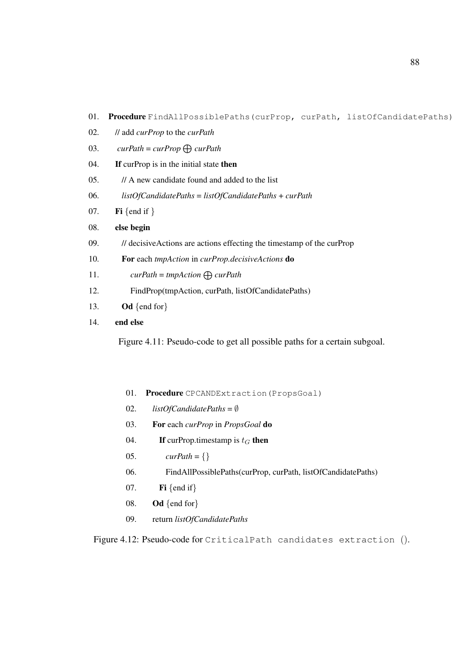- 01. Procedure FindAllPossiblePaths(curProp, curPath, listOfCandidatePaths)
- 02. // add *curProp* to the *curPath*
- 03.  $curPath = curProp \bigoplus curPath$
- 04. **If** curprop is in the initial state then
- 05. // A new candidate found and added to the list
- 06. *listOfCandidatePaths* = *listOfCandidatePaths* + *curPath*
- 07. **Fi** {end if }

#### 08. else begin

- 09. // decisiveActions are actions effecting the timestamp of the curProp
- 10. For each *tmpAction* in *curProp.decisiveActions* do
- 11.  $curPath = tmpAction \bigoplus curPath$
- 12. FindProp(tmpAction, curPath, listOfCandidatePaths)
- 13. Od  $\{end for\}$

## 14. end else

Figure 4.11: Pseudo-code to get all possible paths for a certain subgoal.

- 01. Procedure CPCANDExtraction (PropsGoal)
- 02. *listOfCandidatePaths* = ∅
- 03. For each *curProp* in *PropsGoal* do
- 04. If curProp.timestamp is  $t_G$  then
- 05.  $\text{curlPath} = \{\}$
- 06. FindAllPossiblePaths(curProp, curPath, listOfCandidatePaths)
- 07. Fi {end if}
- 08. Od {end for}
- 09. return *listOfCandidatePaths*

Figure 4.12: Pseudo-code for CriticalPath candidates extraction ().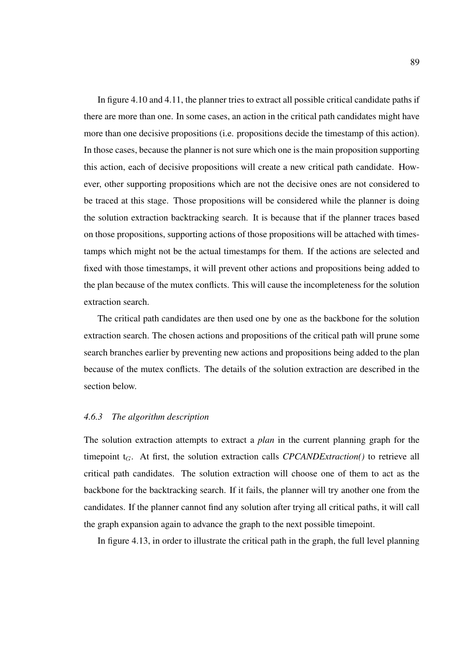In figure 4.10 and 4.11, the planner tries to extract all possible critical candidate paths if there are more than one. In some cases, an action in the critical path candidates might have more than one decisive propositions (i.e. propositions decide the timestamp of this action). In those cases, because the planner is not sure which one is the main proposition supporting this action, each of decisive propositions will create a new critical path candidate. However, other supporting propositions which are not the decisive ones are not considered to be traced at this stage. Those propositions will be considered while the planner is doing the solution extraction backtracking search. It is because that if the planner traces based on those propositions, supporting actions of those propositions will be attached with timestamps which might not be the actual timestamps for them. If the actions are selected and fixed with those timestamps, it will prevent other actions and propositions being added to the plan because of the mutex conflicts. This will cause the incompleteness for the solution extraction search.

The critical path candidates are then used one by one as the backbone for the solution extraction search. The chosen actions and propositions of the critical path will prune some search branches earlier by preventing new actions and propositions being added to the plan because of the mutex conflicts. The details of the solution extraction are described in the section below.

#### *4.6.3 The algorithm description*

The solution extraction attempts to extract a *plan* in the current planning graph for the timepoint  $t_G$ . At first, the solution extraction calls *CPCANDExtraction()* to retrieve all critical path candidates. The solution extraction will choose one of them to act as the backbone for the backtracking search. If it fails, the planner will try another one from the candidates. If the planner cannot find any solution after trying all critical paths, it will call the graph expansion again to advance the graph to the next possible timepoint.

In figure 4.13, in order to illustrate the critical path in the graph, the full level planning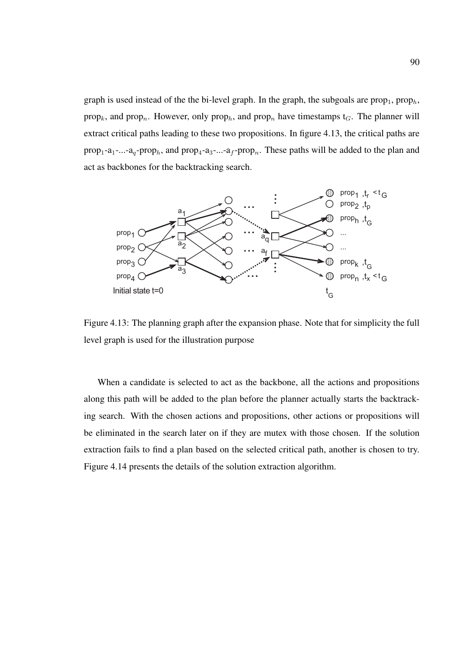graph is used instead of the the bi-level graph. In the graph, the subgoals are prop<sub>1</sub>, prop<sub>h</sub>, prop<sub>k</sub>, and prop<sub>n</sub>. However, only prop<sub>h</sub>, and prop<sub>n</sub> have timestamps t<sub>G</sub>. The planner will extract critical paths leading to these two propositions. In figure 4.13, the critical paths are  $prop_1-a_1- a_2- prop_h$ , and  $prop_4-a_3- ... - a_f- prop_n$ . These paths will be added to the plan and act as backbones for the backtracking search.



Figure 4.13: The planning graph after the expansion phase. Note that for simplicity the full level graph is used for the illustration purpose

When a candidate is selected to act as the backbone, all the actions and propositions along this path will be added to the plan before the planner actually starts the backtracking search. With the chosen actions and propositions, other actions or propositions will be eliminated in the search later on if they are mutex with those chosen. If the solution extraction fails to find a plan based on the selected critical path, another is chosen to try. Figure 4.14 presents the details of the solution extraction algorithm.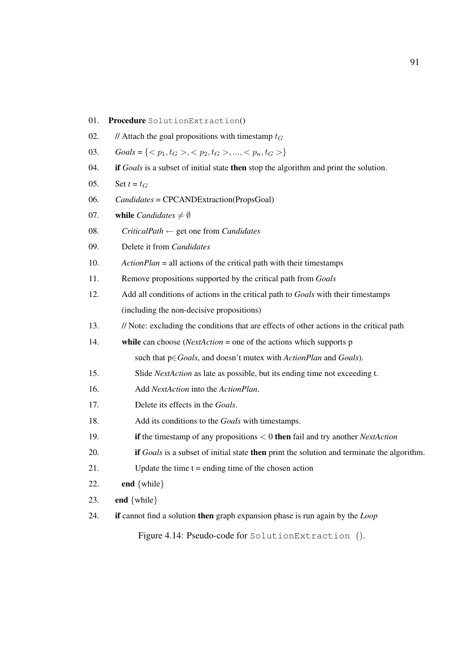| 01. | Procedure SolutionExtraction()                                                                          |  |  |  |  |
|-----|---------------------------------------------------------------------------------------------------------|--|--|--|--|
| 02. | // Attach the goal propositions with timestamp $t_G$                                                    |  |  |  |  |
| 03. | $\textit{Goals} = \{ \langle p_1, t_G \rangle, \langle p_2, t_G \rangle, , \langle p_n, t_G \rangle \}$ |  |  |  |  |
| 04. | if Goals is a subset of initial state then stop the algorithm and print the solution.                   |  |  |  |  |
| 05. | Set $t = t_G$                                                                                           |  |  |  |  |
| 06. | Candidates = CPCANDExtraction(PropsGoal)                                                                |  |  |  |  |
| 07. | while <i>Candidates</i> $\neq \emptyset$                                                                |  |  |  |  |
| 08. | $CriticalPath \leftarrow get$ one from <i>Candidates</i>                                                |  |  |  |  |
| 09. | Delete it from Candidates                                                                               |  |  |  |  |
| 10. | $ActionPlan = all actions of the critical path with their timestamps$                                   |  |  |  |  |
| 11. | Remove propositions supported by the critical path from Goals                                           |  |  |  |  |
| 12. | Add all conditions of actions in the critical path to Goals with their timestamps                       |  |  |  |  |
|     | (including the non-decisive propositions)                                                               |  |  |  |  |
| 13. | // Note: excluding the conditions that are effects of other actions in the critical path                |  |  |  |  |
| 14. | while can choose ( <i>NextAction</i> = one of the actions which supports $p$                            |  |  |  |  |
|     | such that $p \in \text{Goals}$ , and doesn't mutex with $ActionPlan$ and $Goals$ .                      |  |  |  |  |
| 15. | Slide NextAction as late as possible, but its ending time not exceeding t.                              |  |  |  |  |
| 16. | Add NextAction into the ActionPlan.                                                                     |  |  |  |  |
| 17. | Delete its effects in the Goals.                                                                        |  |  |  |  |
| 18. | Add its conditions to the Goals with timestamps.                                                        |  |  |  |  |
| 19. | if the timestamp of any propositions $< 0$ then fail and try another <i>NextAction</i>                  |  |  |  |  |
| 20. | if Goals is a subset of initial state then print the solution and terminate the algorithm.              |  |  |  |  |
| 21. | Update the time $t =$ ending time of the chosen action                                                  |  |  |  |  |
| 22. | end $\{while\}$                                                                                         |  |  |  |  |
| 23. | end $\{while\}$                                                                                         |  |  |  |  |
| 24. | if cannot find a solution then graph expansion phase is run again by the $Loop$                         |  |  |  |  |
|     | Figure 4.14: Pseudo-code for Solution Extraction ().                                                    |  |  |  |  |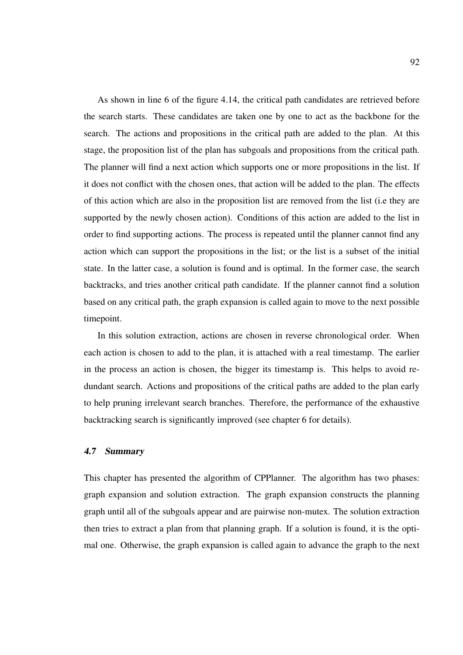As shown in line 6 of the figure 4.14, the critical path candidates are retrieved before the search starts. These candidates are taken one by one to act as the backbone for the search. The actions and propositions in the critical path are added to the plan. At this stage, the proposition list of the plan has subgoals and propositions from the critical path. The planner will find a next action which supports one or more propositions in the list. If it does not conflict with the chosen ones, that action will be added to the plan. The effects of this action which are also in the proposition list are removed from the list (i.e they are supported by the newly chosen action). Conditions of this action are added to the list in order to find supporting actions. The process is repeated until the planner cannot find any action which can support the propositions in the list; or the list is a subset of the initial state. In the latter case, a solution is found and is optimal. In the former case, the search backtracks, and tries another critical path candidate. If the planner cannot find a solution based on any critical path, the graph expansion is called again to move to the next possible timepoint.

In this solution extraction, actions are chosen in reverse chronological order. When each action is chosen to add to the plan, it is attached with a real timestamp. The earlier in the process an action is chosen, the bigger its timestamp is. This helps to avoid redundant search. Actions and propositions of the critical paths are added to the plan early to help pruning irrelevant search branches. Therefore, the performance of the exhaustive backtracking search is significantly improved (see chapter 6 for details).

## 4.7 Summary

This chapter has presented the algorithm of CPPlanner. The algorithm has two phases: graph expansion and solution extraction. The graph expansion constructs the planning graph until all of the subgoals appear and are pairwise non-mutex. The solution extraction then tries to extract a plan from that planning graph. If a solution is found, it is the optimal one. Otherwise, the graph expansion is called again to advance the graph to the next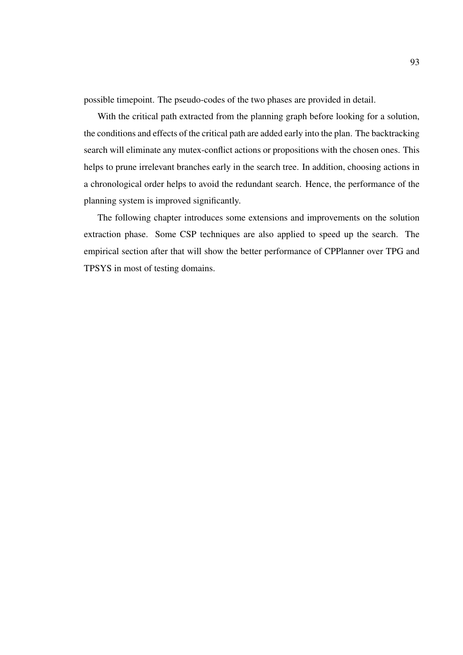possible timepoint. The pseudo-codes of the two phases are provided in detail.

With the critical path extracted from the planning graph before looking for a solution, the conditions and effects of the critical path are added early into the plan. The backtracking search will eliminate any mutex-conflict actions or propositions with the chosen ones. This helps to prune irrelevant branches early in the search tree. In addition, choosing actions in a chronological order helps to avoid the redundant search. Hence, the performance of the planning system is improved significantly.

The following chapter introduces some extensions and improvements on the solution extraction phase. Some CSP techniques are also applied to speed up the search. The empirical section after that will show the better performance of CPPlanner over TPG and TPSYS in most of testing domains.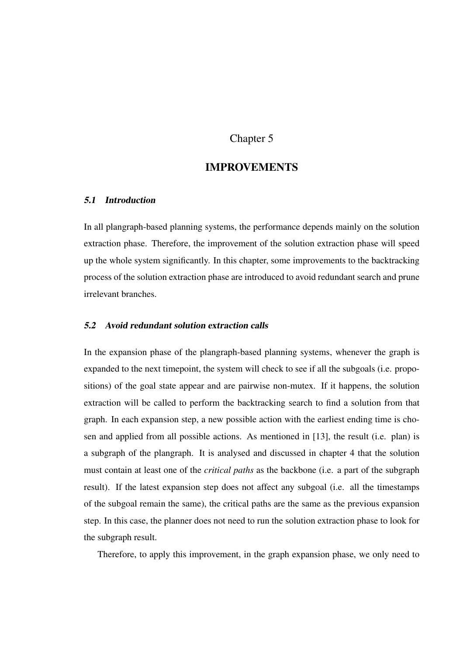# Chapter 5

# IMPROVEMENTS

## 5.1 Introduction

In all plangraph-based planning systems, the performance depends mainly on the solution extraction phase. Therefore, the improvement of the solution extraction phase will speed up the whole system significantly. In this chapter, some improvements to the backtracking process of the solution extraction phase are introduced to avoid redundant search and prune irrelevant branches.

#### 5.2 Avoid redundant solution extraction calls

In the expansion phase of the plangraph-based planning systems, whenever the graph is expanded to the next timepoint, the system will check to see if all the subgoals (i.e. propositions) of the goal state appear and are pairwise non-mutex. If it happens, the solution extraction will be called to perform the backtracking search to find a solution from that graph. In each expansion step, a new possible action with the earliest ending time is chosen and applied from all possible actions. As mentioned in [13], the result (i.e. plan) is a subgraph of the plangraph. It is analysed and discussed in chapter 4 that the solution must contain at least one of the *critical paths* as the backbone (i.e. a part of the subgraph result). If the latest expansion step does not affect any subgoal (i.e. all the timestamps of the subgoal remain the same), the critical paths are the same as the previous expansion step. In this case, the planner does not need to run the solution extraction phase to look for the subgraph result.

Therefore, to apply this improvement, in the graph expansion phase, we only need to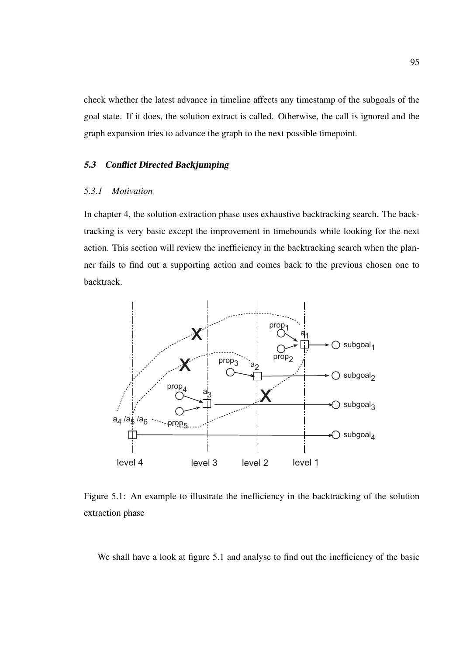check whether the latest advance in timeline affects any timestamp of the subgoals of the goal state. If it does, the solution extract is called. Otherwise, the call is ignored and the graph expansion tries to advance the graph to the next possible timepoint.

#### 5.3 Conflict Directed Backjumping

## *5.3.1 Motivation*

In chapter 4, the solution extraction phase uses exhaustive backtracking search. The backtracking is very basic except the improvement in timebounds while looking for the next action. This section will review the inefficiency in the backtracking search when the planner fails to find out a supporting action and comes back to the previous chosen one to backtrack.



Figure 5.1: An example to illustrate the inefficiency in the backtracking of the solution extraction phase

We shall have a look at figure 5.1 and analyse to find out the inefficiency of the basic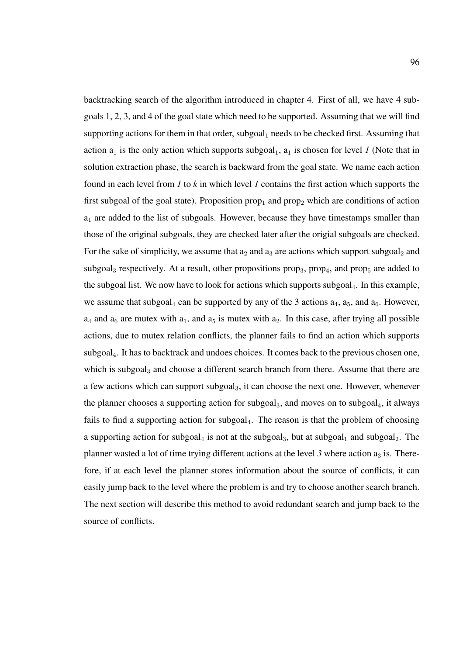backtracking search of the algorithm introduced in chapter 4. First of all, we have 4 subgoals 1, 2, 3, and 4 of the goal state which need to be supported. Assuming that we will find supporting actions for them in that order, subgoal<sub>1</sub> needs to be checked first. Assuming that action  $a_1$  is the only action which supports subgoal<sub>1</sub>,  $a_1$  is chosen for level *1* (Note that in solution extraction phase, the search is backward from the goal state. We name each action found in each level from *1* to *k* in which level *1* contains the first action which supports the first subgoal of the goal state). Proposition  $prop_1$  and  $prop_2$  which are conditions of action  $a_1$  are added to the list of subgoals. However, because they have timestamps smaller than those of the original subgoals, they are checked later after the origial subgoals are checked. For the sake of simplicity, we assume that  $a_2$  and  $a_3$  are actions which support subgoal<sub>2</sub> and subgoal<sub>3</sub> respectively. At a result, other propositions prop<sub>3</sub>, prop<sub>4</sub>, and prop<sub>5</sub> are added to the subgoal list. We now have to look for actions which supports subgoal. In this example, we assume that subgoal<sub>4</sub> can be supported by any of the 3 actions  $a_4$ ,  $a_5$ , and  $a_6$ . However,  $a_4$  and  $a_6$  are mutex with  $a_1$ , and  $a_5$  is mutex with  $a_2$ . In this case, after trying all possible actions, due to mutex relation conflicts, the planner fails to find an action which supports subgoal4. It has to backtrack and undoes choices. It comes back to the previous chosen one, which is subgoal<sub>3</sub> and choose a different search branch from there. Assume that there are a few actions which can support subgoal3, it can choose the next one. However, whenever the planner chooses a supporting action for subgoal<sub>3</sub>, and moves on to subgoal<sub>4</sub>, it always fails to find a supporting action for subgoal<sub>4</sub>. The reason is that the problem of choosing a supporting action for subgoal<sub>4</sub> is not at the subgoal<sub>3</sub>, but at subgoal<sub>1</sub> and subgoal<sub>2</sub>. The planner wasted a lot of time trying different actions at the level 3 where action  $a_3$  is. Therefore, if at each level the planner stores information about the source of conflicts, it can easily jump back to the level where the problem is and try to choose another search branch. The next section will describe this method to avoid redundant search and jump back to the source of conflicts.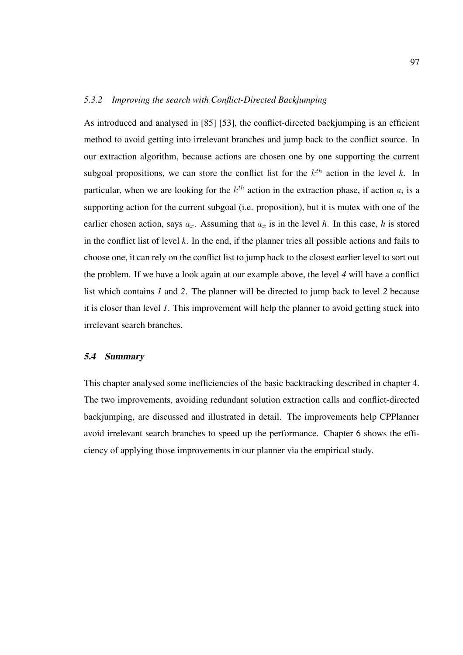## *5.3.2 Improving the search with Conflict-Directed Backjumping*

As introduced and analysed in [85] [53], the conflict-directed backjumping is an efficient method to avoid getting into irrelevant branches and jump back to the conflict source. In our extraction algorithm, because actions are chosen one by one supporting the current subgoal propositions, we can store the conflict list for the  $k^{th}$  action in the level k. In particular, when we are looking for the  $k^{th}$  action in the extraction phase, if action  $a_i$  is a supporting action for the current subgoal (i.e. proposition), but it is mutex with one of the earlier chosen action, says  $a_x$ . Assuming that  $a_x$  is in the level *h*. In this case, *h* is stored in the conflict list of level *k*. In the end, if the planner tries all possible actions and fails to choose one, it can rely on the conflict list to jump back to the closest earlier level to sort out the problem. If we have a look again at our example above, the level *4* will have a conflict list which contains *1* and *2*. The planner will be directed to jump back to level *2* because it is closer than level *1*. This improvement will help the planner to avoid getting stuck into irrelevant search branches.

### 5.4 Summary

This chapter analysed some inefficiencies of the basic backtracking described in chapter 4. The two improvements, avoiding redundant solution extraction calls and conflict-directed backjumping, are discussed and illustrated in detail. The improvements help CPPlanner avoid irrelevant search branches to speed up the performance. Chapter 6 shows the efficiency of applying those improvements in our planner via the empirical study.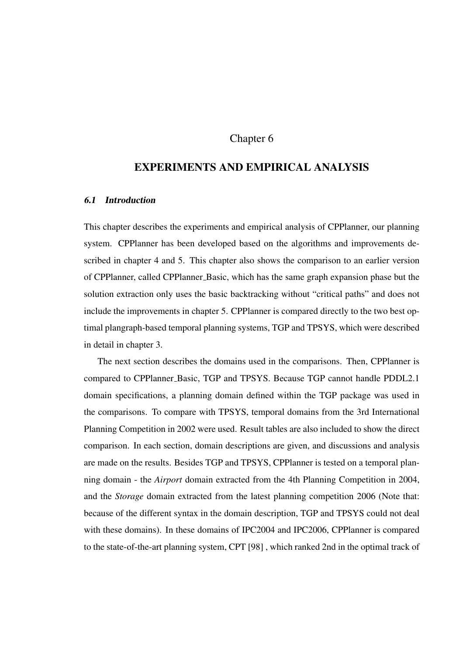## Chapter 6

# EXPERIMENTS AND EMPIRICAL ANALYSIS

## 6.1 Introduction

This chapter describes the experiments and empirical analysis of CPPlanner, our planning system. CPPlanner has been developed based on the algorithms and improvements described in chapter 4 and 5. This chapter also shows the comparison to an earlier version of CPPlanner, called CPPlanner Basic, which has the same graph expansion phase but the solution extraction only uses the basic backtracking without "critical paths" and does not include the improvements in chapter 5. CPPlanner is compared directly to the two best optimal plangraph-based temporal planning systems, TGP and TPSYS, which were described in detail in chapter 3.

The next section describes the domains used in the comparisons. Then, CPPlanner is compared to CPPlanner Basic, TGP and TPSYS. Because TGP cannot handle PDDL2.1 domain specifications, a planning domain defined within the TGP package was used in the comparisons. To compare with TPSYS, temporal domains from the 3rd International Planning Competition in 2002 were used. Result tables are also included to show the direct comparison. In each section, domain descriptions are given, and discussions and analysis are made on the results. Besides TGP and TPSYS, CPPlanner is tested on a temporal planning domain - the *Airport* domain extracted from the 4th Planning Competition in 2004, and the *Storage* domain extracted from the latest planning competition 2006 (Note that: because of the different syntax in the domain description, TGP and TPSYS could not deal with these domains). In these domains of IPC2004 and IPC2006, CPPlanner is compared to the state-of-the-art planning system, CPT [98] , which ranked 2nd in the optimal track of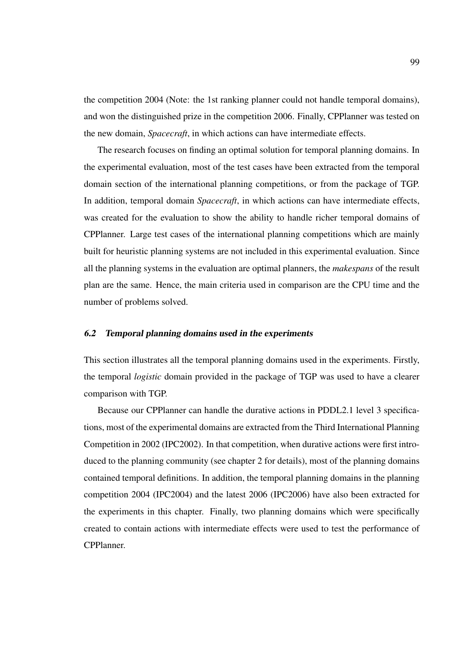the competition 2004 (Note: the 1st ranking planner could not handle temporal domains), and won the distinguished prize in the competition 2006. Finally, CPPlanner was tested on the new domain, *Spacecraft*, in which actions can have intermediate effects.

The research focuses on finding an optimal solution for temporal planning domains. In the experimental evaluation, most of the test cases have been extracted from the temporal domain section of the international planning competitions, or from the package of TGP. In addition, temporal domain *Spacecraft*, in which actions can have intermediate effects, was created for the evaluation to show the ability to handle richer temporal domains of CPPlanner. Large test cases of the international planning competitions which are mainly built for heuristic planning systems are not included in this experimental evaluation. Since all the planning systems in the evaluation are optimal planners, the *makespans* of the result plan are the same. Hence, the main criteria used in comparison are the CPU time and the number of problems solved.

#### 6.2 Temporal planning domains used in the experiments

This section illustrates all the temporal planning domains used in the experiments. Firstly, the temporal *logistic* domain provided in the package of TGP was used to have a clearer comparison with TGP.

Because our CPPlanner can handle the durative actions in PDDL2.1 level 3 specifications, most of the experimental domains are extracted from the Third International Planning Competition in 2002 (IPC2002). In that competition, when durative actions were first introduced to the planning community (see chapter 2 for details), most of the planning domains contained temporal definitions. In addition, the temporal planning domains in the planning competition 2004 (IPC2004) and the latest 2006 (IPC2006) have also been extracted for the experiments in this chapter. Finally, two planning domains which were specifically created to contain actions with intermediate effects were used to test the performance of CPPlanner.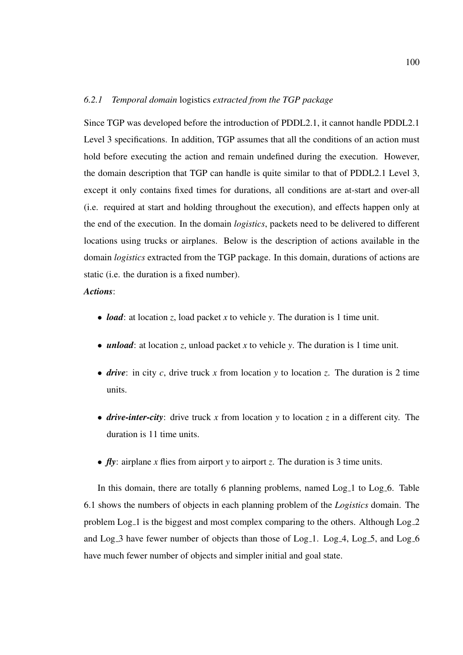#### *6.2.1 Temporal domain* logistics *extracted from the TGP package*

Since TGP was developed before the introduction of PDDL2.1, it cannot handle PDDL2.1 Level 3 specifications. In addition, TGP assumes that all the conditions of an action must hold before executing the action and remain undefined during the execution. However, the domain description that TGP can handle is quite similar to that of PDDL2.1 Level 3, except it only contains fixed times for durations, all conditions are at-start and over-all (i.e. required at start and holding throughout the execution), and effects happen only at the end of the execution. In the domain *logistics*, packets need to be delivered to different locations using trucks or airplanes. Below is the description of actions available in the domain *logistics* extracted from the TGP package. In this domain, durations of actions are static (i.e. the duration is a fixed number).

## *Actions*:

- *load*: at location *z*, load packet *x* to vehicle *y*. The duration is 1 time unit.
- *unload*: at location *z*, unload packet *x* to vehicle *y*. The duration is 1 time unit.
- *drive*: in city *c*, drive truck *x* from location *y* to location *z*. The duration is 2 time units.
- *drive-inter-city*: drive truck *x* from location *y* to location *z* in a different city. The duration is 11 time units.
- *fly*: airplane *x* flies from airport *y* to airport *z*. The duration is 3 time units.

In this domain, there are totally 6 planning problems, named Log<sub>-1</sub> to Log<sub>-6</sub>. Table 6.1 shows the numbers of objects in each planning problem of the *Logistics* domain. The problem Log 1 is the biggest and most complex comparing to the others. Although Log 2 and Log  $\bar{3}$  have fewer number of objects than those of Log  $\bar{1}$ . Log  $\bar{4}$ , Log  $\bar{5}$ , and Log  $\bar{6}$ have much fewer number of objects and simpler initial and goal state.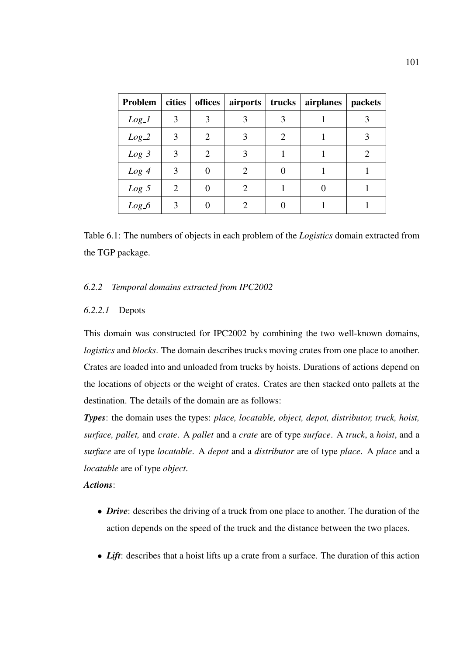| Problem | cities | offices | airports $\vert$ trucks $\vert$ |                  | airplanes   packets |   |
|---------|--------|---------|---------------------------------|------------------|---------------------|---|
| $Log_1$ | 3      | 3       | 3                               | 3                |                     |   |
| $Log_2$ | 3      | 2       | 3                               | 2                |                     | 3 |
| $Log_3$ | 3      | 2       | 3                               |                  |                     | 2 |
| $Log_4$ | 3      | 0       | $\mathfrak{D}$                  | $\left( \right)$ |                     |   |
| $Log_5$ | 2      | 0       | $\mathfrak{D}$                  |                  |                     |   |
| $Log_6$ | 3      |         |                                 |                  |                     |   |

Table 6.1: The numbers of objects in each problem of the *Logistics* domain extracted from the TGP package.

## *6.2.2 Temporal domains extracted from IPC2002*

### *6.2.2.1* Depots

This domain was constructed for IPC2002 by combining the two well-known domains, *logistics* and *blocks*. The domain describes trucks moving crates from one place to another. Crates are loaded into and unloaded from trucks by hoists. Durations of actions depend on the locations of objects or the weight of crates. Crates are then stacked onto pallets at the destination. The details of the domain are as follows:

*Types*: the domain uses the types: *place, locatable, object, depot, distributor, truck, hoist, surface, pallet,* and *crate*. A *pallet* and a *crate* are of type *surface*. A *truck*, a *hoist*, and a *surface* are of type *locatable*. A *depot* and a *distributor* are of type *place*. A *place* and a *locatable* are of type *object*.

## *Actions*:

- *Drive*: describes the driving of a truck from one place to another. The duration of the action depends on the speed of the truck and the distance between the two places.
- *Lift*: describes that a hoist lifts up a crate from a surface. The duration of this action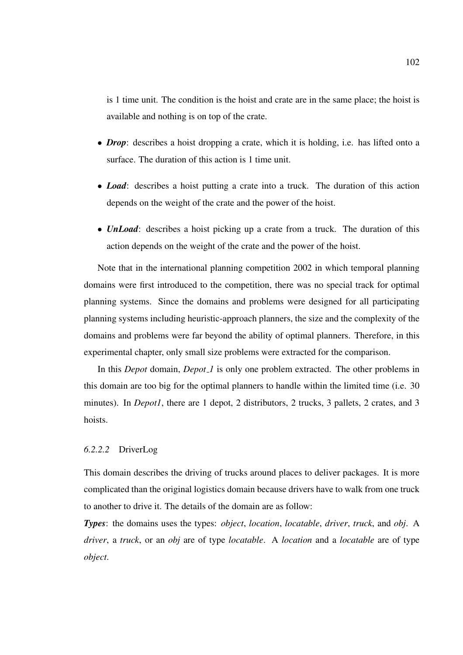is 1 time unit. The condition is the hoist and crate are in the same place; the hoist is available and nothing is on top of the crate.

- *Drop*: describes a hoist dropping a crate, which it is holding, i.e. has lifted onto a surface. The duration of this action is 1 time unit.
- *Load*: describes a hoist putting a crate into a truck. The duration of this action depends on the weight of the crate and the power of the hoist.
- *UnLoad*: describes a hoist picking up a crate from a truck. The duration of this action depends on the weight of the crate and the power of the hoist.

Note that in the international planning competition 2002 in which temporal planning domains were first introduced to the competition, there was no special track for optimal planning systems. Since the domains and problems were designed for all participating planning systems including heuristic-approach planners, the size and the complexity of the domains and problems were far beyond the ability of optimal planners. Therefore, in this experimental chapter, only small size problems were extracted for the comparison.

In this *Depot* domain, *Depot 1* is only one problem extracted. The other problems in this domain are too big for the optimal planners to handle within the limited time (i.e. 30 minutes). In *Depot1*, there are 1 depot, 2 distributors, 2 trucks, 3 pallets, 2 crates, and 3 hoists.

## *6.2.2.2* DriverLog

This domain describes the driving of trucks around places to deliver packages. It is more complicated than the original logistics domain because drivers have to walk from one truck to another to drive it. The details of the domain are as follow:

*Types*: the domains uses the types: *object*, *location*, *locatable*, *driver*, *truck*, and *obj*. A *driver*, a *truck*, or an *obj* are of type *locatable*. A *location* and a *locatable* are of type *object*.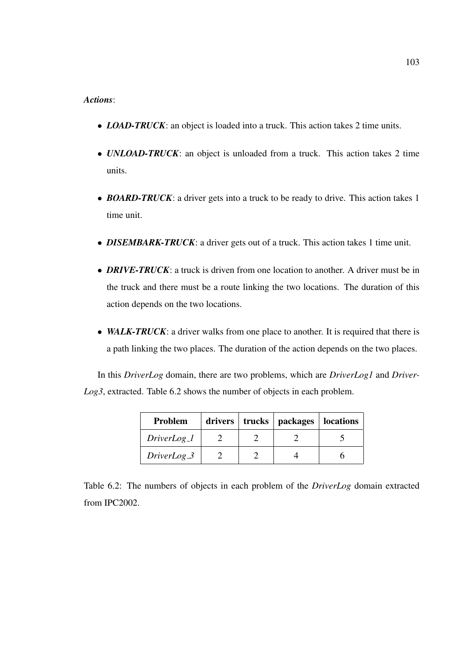## *Actions*:

- *LOAD-TRUCK*: an object is loaded into a truck. This action takes 2 time units.
- *UNLOAD-TRUCK*: an object is unloaded from a truck. This action takes 2 time units.
- **BOARD-TRUCK**: a driver gets into a truck to be ready to drive. This action takes 1 time unit.
- *DISEMBARK-TRUCK*: a driver gets out of a truck. This action takes 1 time unit.
- **DRIVE-TRUCK**: a truck is driven from one location to another. A driver must be in the truck and there must be a route linking the two locations. The duration of this action depends on the two locations.
- *WALK-TRUCK*: a driver walks from one place to another. It is required that there is a path linking the two places. The duration of the action depends on the two places.

In this *DriverLog* domain, there are two problems, which are *DriverLog1* and *Driver-Log3*, extracted. Table 6.2 shows the number of objects in each problem.

| <b>Problem</b> | drivers   trucks | packages | locations |
|----------------|------------------|----------|-----------|
| DriverLog_1    |                  |          |           |
| $DiriverLog_3$ |                  |          |           |

Table 6.2: The numbers of objects in each problem of the *DriverLog* domain extracted from IPC2002.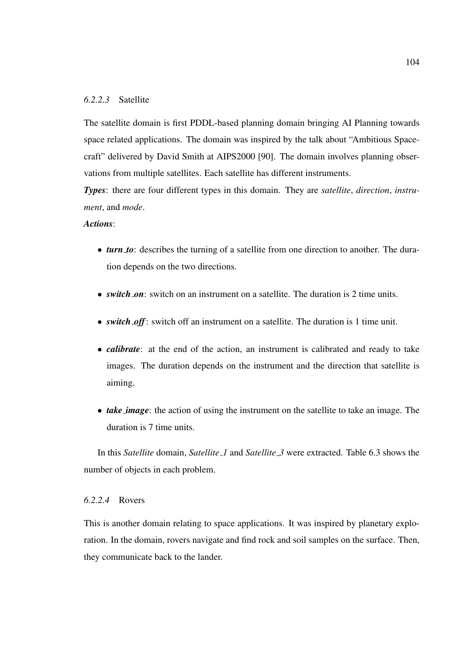## *6.2.2.3* Satellite

The satellite domain is first PDDL-based planning domain bringing AI Planning towards space related applications. The domain was inspired by the talk about "Ambitious Spacecraft" delivered by David Smith at AIPS2000 [90]. The domain involves planning observations from multiple satellites. Each satellite has different instruments.

*Types*: there are four different types in this domain. They are *satellite*, *direction*, *instrument*, and *mode*.

## *Actions*:

- *turn to*: describes the turning of a satellite from one direction to another. The duration depends on the two directions.
- *switch\_on*: switch on an instrument on a satellite. The duration is 2 time units.
- *switch off*: switch off an instrument on a satellite. The duration is 1 time unit.
- *calibrate*: at the end of the action, an instrument is calibrated and ready to take images. The duration depends on the instrument and the direction that satellite is aiming.
- *take image*: the action of using the instrument on the satellite to take an image. The duration is 7 time units.

In this *Satellite* domain, *Satellite 1* and *Satellite 3* were extracted. Table 6.3 shows the number of objects in each problem.

## *6.2.2.4* Rovers

This is another domain relating to space applications. It was inspired by planetary exploration. In the domain, rovers navigate and find rock and soil samples on the surface. Then, they communicate back to the lander.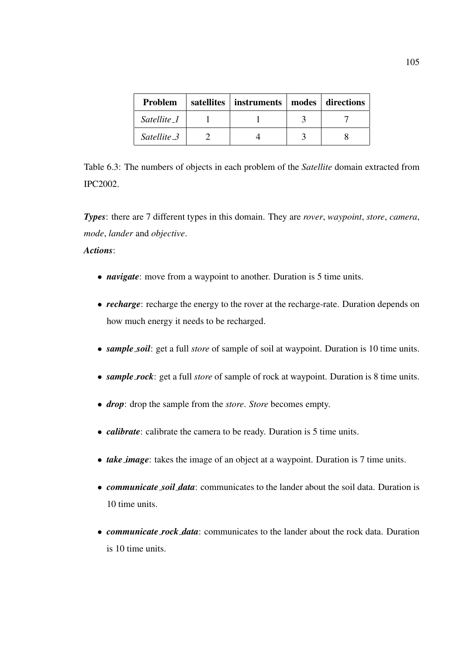| Problem     | satellites | instruments   modes   directions |  |
|-------------|------------|----------------------------------|--|
| Satellite 1 |            |                                  |  |
| Satellite_3 |            |                                  |  |

Table 6.3: The numbers of objects in each problem of the *Satellite* domain extracted from IPC2002.

*Types*: there are 7 different types in this domain. They are *rover*, *waypoint*, *store*, *camera*, *mode*, *lander* and *objective*.

*Actions*:

- *navigate*: move from a waypoint to another. Duration is 5 time units.
- *recharge*: recharge the energy to the rover at the recharge-rate. Duration depends on how much energy it needs to be recharged.
- *sample soil*: get a full *store* of sample of soil at waypoint. Duration is 10 time units.
- *sample rock*: get a full *store* of sample of rock at waypoint. Duration is 8 time units.
- *drop*: drop the sample from the *store*. *Store* becomes empty.
- *calibrate*: calibrate the camera to be ready. Duration is 5 time units.
- *take image*: takes the image of an object at a waypoint. Duration is 7 time units.
- *communicate soil data*: communicates to the lander about the soil data. Duration is 10 time units.
- *communicate rock data*: communicates to the lander about the rock data. Duration is 10 time units.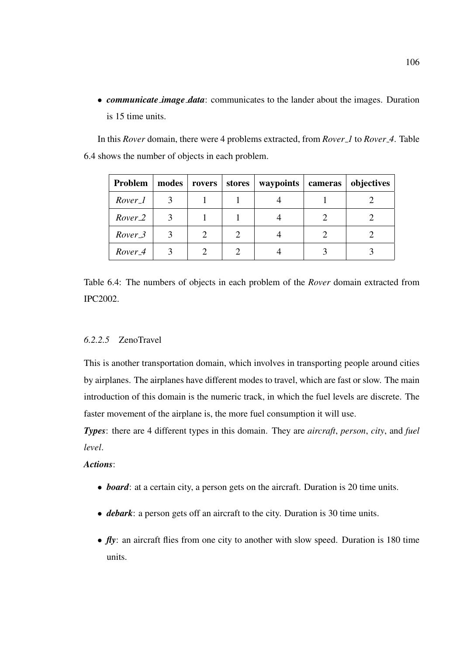• *communicate image data*: communicates to the lander about the images. Duration is 15 time units.

In this *Rover* domain, there were 4 problems extracted, from *Rover 1* to *Rover 4*. Table 6.4 shows the number of objects in each problem.

| Problem            | modes | rovers | stores | waypoints | cameras | objectives |
|--------------------|-------|--------|--------|-----------|---------|------------|
| Rover_1            |       |        |        |           |         |            |
| Rover <sub>2</sub> | 3     |        |        |           |         |            |
| Rover_3            | 3     |        |        |           |         |            |
| Rover <sub>4</sub> | 3     |        |        |           |         |            |

Table 6.4: The numbers of objects in each problem of the *Rover* domain extracted from IPC2002.

## *6.2.2.5* ZenoTravel

This is another transportation domain, which involves in transporting people around cities by airplanes. The airplanes have different modes to travel, which are fast or slow. The main introduction of this domain is the numeric track, in which the fuel levels are discrete. The faster movement of the airplane is, the more fuel consumption it will use.

*Types*: there are 4 different types in this domain. They are *aircraft*, *person*, *city*, and *fuel level*.

## *Actions*:

- *board*: at a certain city, a person gets on the aircraft. Duration is 20 time units.
- *debark*: a person gets off an aircraft to the city. Duration is 30 time units.
- *fly*: an aircraft flies from one city to another with slow speed. Duration is 180 time units.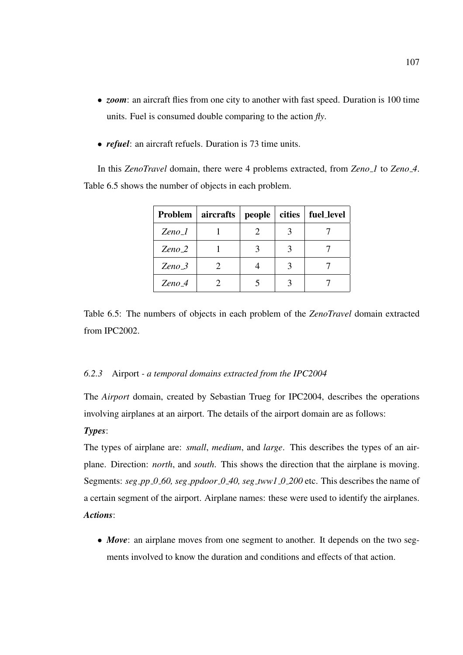- *zoom*: an aircraft flies from one city to another with fast speed. Duration is 100 time units. Fuel is consumed double comparing to the action *fly*.
- *refuel*: an aircraft refuels. Duration is 73 time units.

In this *ZenoTravel* domain, there were 4 problems extracted, from *Zeno 1* to *Zeno 4*. Table 6.5 shows the number of objects in each problem.

|                               | Problem   aircrafts | people | cities | fuel_level |
|-------------------------------|---------------------|--------|--------|------------|
| $\mathbb{Z}$ eno_l            |                     |        |        |            |
| $\mathbb{Z}$ eno $\mathbb{Z}$ |                     |        |        |            |
| $Zeno_3$                      |                     |        |        |            |
| $Zeno_4$                      |                     |        |        |            |

Table 6.5: The numbers of objects in each problem of the *ZenoTravel* domain extracted from IPC2002.

#### *6.2.3* Airport *- a temporal domains extracted from the IPC2004*

The *Airport* domain, created by Sebastian Trueg for IPC2004, describes the operations involving airplanes at an airport. The details of the airport domain are as follows: *Types*:

The types of airplane are: *small*, *medium*, and *large*. This describes the types of an airplane. Direction: *north*, and *south*. This shows the direction that the airplane is moving. Segments: *seg pp 0 60, seg ppdoor 0 40, seg tww1 0 200* etc. This describes the name of a certain segment of the airport. Airplane names: these were used to identify the airplanes. *Actions*:

• *Move*: an airplane moves from one segment to another. It depends on the two segments involved to know the duration and conditions and effects of that action.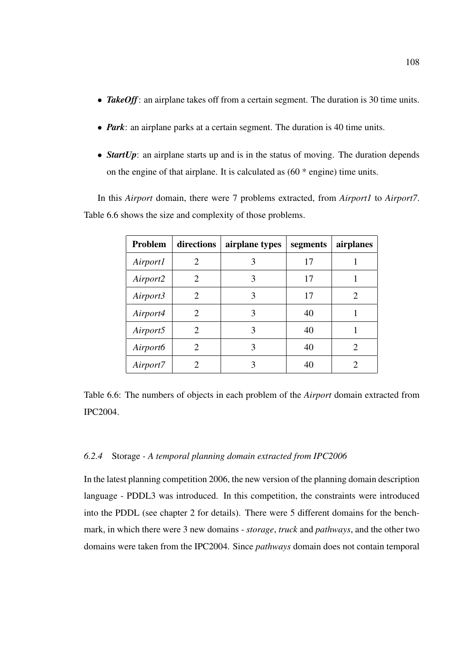- **TakeOff**: an airplane takes off from a certain segment. The duration is 30 time units.
- *Park*: an airplane parks at a certain segment. The duration is 40 time units.
- *StartUp*: an airplane starts up and is in the status of moving. The duration depends on the engine of that airplane. It is calculated as (60 \* engine) time units.

In this *Airport* domain, there were 7 problems extracted, from *Airport1* to *Airport7*. Table 6.6 shows the size and complexity of those problems.

| Problem              | directions                  | airplane types | segments | airplanes |
|----------------------|-----------------------------|----------------|----------|-----------|
| Airport1             | 2                           | 3              | 17       |           |
| Airport2             | $\mathcal{D}_{\mathcal{L}}$ | 3              | 17       |           |
| Airport3             | 2                           | 3              | 17       | 2         |
| Airport4             | $\mathcal{D}_{\cdot}$       | 3              | 40       |           |
| Airport5             | $\mathcal{D}_{\mathcal{L}}$ | 3              | 40       |           |
| Airport <sub>6</sub> | 2                           | 3              | 40       | 2         |
| Airport7             |                             | 3              | 40       |           |

Table 6.6: The numbers of objects in each problem of the *Airport* domain extracted from IPC2004.

#### *6.2.4* Storage *- A temporal planning domain extracted from IPC2006*

In the latest planning competition 2006, the new version of the planning domain description language - PDDL3 was introduced. In this competition, the constraints were introduced into the PDDL (see chapter 2 for details). There were 5 different domains for the benchmark, in which there were 3 new domains - *storage*, *truck* and *pathways*, and the other two domains were taken from the IPC2004. Since *pathways* domain does not contain temporal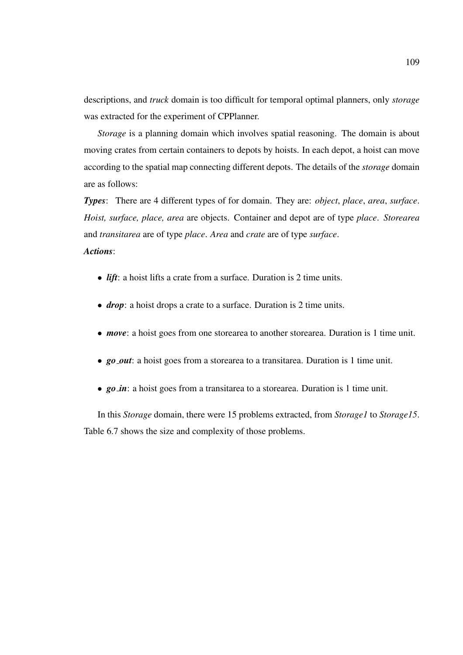descriptions, and *truck* domain is too difficult for temporal optimal planners, only *storage* was extracted for the experiment of CPPlanner.

*Storage* is a planning domain which involves spatial reasoning. The domain is about moving crates from certain containers to depots by hoists. In each depot, a hoist can move according to the spatial map connecting different depots. The details of the *storage* domain are as follows:

*Types*: There are 4 different types of for domain. They are: *object*, *place*, *area*, *surface*. *Hoist, surface, place, area* are objects. Container and depot are of type *place*. *Storearea* and *transitarea* are of type *place*. *Area* and *crate* are of type *surface*. *Actions*:

- *lift*: a hoist lifts a crate from a surface. Duration is 2 time units.
- *drop*: a hoist drops a crate to a surface. Duration is 2 time units.
- *move*: a hoist goes from one storearea to another storearea. Duration is 1 time unit.
- *go out*: a hoist goes from a storearea to a transitarea. Duration is 1 time unit.
- *go in*: a hoist goes from a transitarea to a storearea. Duration is 1 time unit.

In this *Storage* domain, there were 15 problems extracted, from *Storage1* to *Storage15*. Table 6.7 shows the size and complexity of those problems.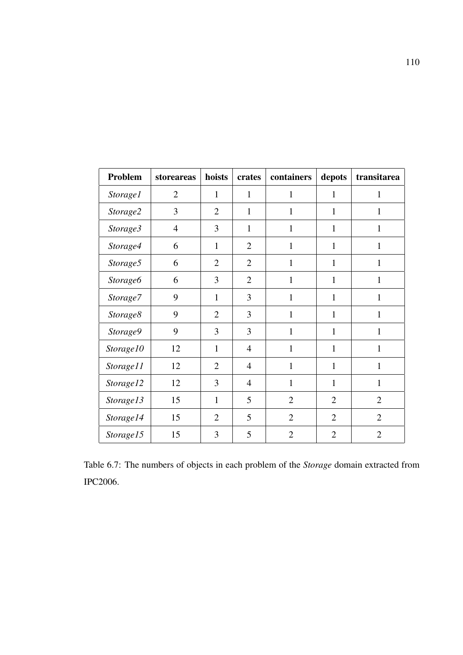| Problem         | storeareas     | hoists         | crates         | containers     | depots         | transitarea    |
|-----------------|----------------|----------------|----------------|----------------|----------------|----------------|
| <i>Storage1</i> | $\overline{2}$ | $\mathbf{1}$   | $\mathbf{1}$   | 1              | 1              | 1              |
| Storage2        | 3              | $\overline{2}$ | $\mathbf{1}$   | $\mathbf{1}$   | $\mathbf{1}$   | $\mathbf{1}$   |
| Storage3        | $\overline{4}$ | 3              | $\mathbf{1}$   | $\mathbf{1}$   | $\mathbf{1}$   | $\mathbf{1}$   |
| Storage4        | 6              | $\mathbf{1}$   | $\overline{2}$ | 1              | $\mathbf{1}$   | 1              |
| Storage5        | 6              | $\overline{2}$ | $\overline{2}$ | $\mathbf{1}$   | $\mathbf{1}$   | $\mathbf{1}$   |
| <b>Storage6</b> | 6              | 3              | $\overline{2}$ | $\mathbf{1}$   | $\mathbf{1}$   | $\mathbf{1}$   |
| Storage7        | 9              | $\mathbf{1}$   | 3              | 1              | 1              | $\mathbf{1}$   |
| Storage8        | 9              | $\overline{2}$ | 3              | $\mathbf{1}$   | $\mathbf{1}$   | $\mathbf{1}$   |
| Storage9        | 9              | 3              | 3              | $\mathbf{1}$   | $\mathbf{1}$   | $\mathbf{1}$   |
| Storage10       | 12             | 1              | $\overline{4}$ | 1              | $\mathbf{1}$   | 1              |
| Storage11       | 12             | $\overline{2}$ | $\overline{4}$ | $\mathbf{1}$   | $\mathbf{1}$   | $\mathbf{1}$   |
| Storage12       | 12             | 3              | $\overline{4}$ | $\mathbf{1}$   | $\mathbf{1}$   | $\mathbf{1}$   |
| Storage13       | 15             | 1              | 5              | $\overline{2}$ | $\overline{2}$ | $\overline{2}$ |
| Storage14       | 15             | $\overline{2}$ | 5              | $\overline{2}$ | $\overline{2}$ | $\overline{2}$ |
| Storage15       | 15             | 3              | 5              | $\overline{2}$ | $\overline{2}$ | $\overline{2}$ |

Table 6.7: The numbers of objects in each problem of the *Storage* domain extracted from IPC2006.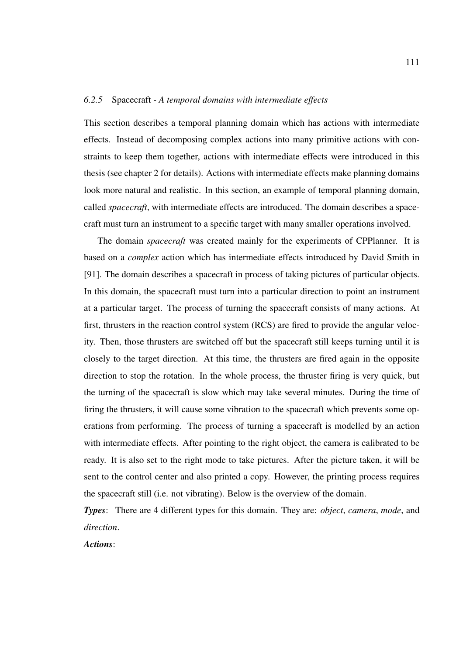#### *6.2.5* Spacecraft *- A temporal domains with intermediate effects*

This section describes a temporal planning domain which has actions with intermediate effects. Instead of decomposing complex actions into many primitive actions with constraints to keep them together, actions with intermediate effects were introduced in this thesis (see chapter 2 for details). Actions with intermediate effects make planning domains look more natural and realistic. In this section, an example of temporal planning domain, called *spacecraft*, with intermediate effects are introduced. The domain describes a spacecraft must turn an instrument to a specific target with many smaller operations involved.

The domain *spacecraft* was created mainly for the experiments of CPPlanner. It is based on a *complex* action which has intermediate effects introduced by David Smith in [91]. The domain describes a spacecraft in process of taking pictures of particular objects. In this domain, the spacecraft must turn into a particular direction to point an instrument at a particular target. The process of turning the spacecraft consists of many actions. At first, thrusters in the reaction control system (RCS) are fired to provide the angular velocity. Then, those thrusters are switched off but the spacecraft still keeps turning until it is closely to the target direction. At this time, the thrusters are fired again in the opposite direction to stop the rotation. In the whole process, the thruster firing is very quick, but the turning of the spacecraft is slow which may take several minutes. During the time of firing the thrusters, it will cause some vibration to the spacecraft which prevents some operations from performing. The process of turning a spacecraft is modelled by an action with intermediate effects. After pointing to the right object, the camera is calibrated to be ready. It is also set to the right mode to take pictures. After the picture taken, it will be sent to the control center and also printed a copy. However, the printing process requires the spacecraft still (i.e. not vibrating). Below is the overview of the domain.

*Types*: There are 4 different types for this domain. They are: *object*, *camera*, *mode*, and *direction*.

*Actions*: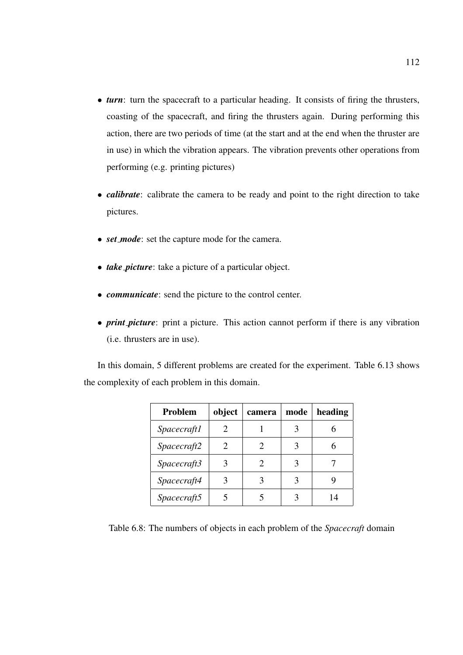- *turn*: turn the spacecraft to a particular heading. It consists of firing the thrusters, coasting of the spacecraft, and firing the thrusters again. During performing this action, there are two periods of time (at the start and at the end when the thruster are in use) in which the vibration appears. The vibration prevents other operations from performing (e.g. printing pictures)
- *calibrate*: calibrate the camera to be ready and point to the right direction to take pictures.
- *set mode*: set the capture mode for the camera.
- *take picture*: take a picture of a particular object.
- *communicate*: send the picture to the control center.
- *print picture*: print a picture. This action cannot perform if there is any vibration (i.e. thrusters are in use).

In this domain, 5 different problems are created for the experiment. Table 6.13 shows the complexity of each problem in this domain.

| Problem            | object                | camera | mode | heading |
|--------------------|-----------------------|--------|------|---------|
| <i>Spacecraft1</i> | $\mathcal{D}_{\cdot}$ |        | 3    |         |
| Spacecraft2        | $\mathcal{D}_{\cdot}$ |        | 3    |         |
| Spacecraft3        |                       |        | 3    |         |
| Spacecraft4        |                       |        | 3    |         |
| Spacecraft5        |                       |        |      |         |

Table 6.8: The numbers of objects in each problem of the *Spacecraft* domain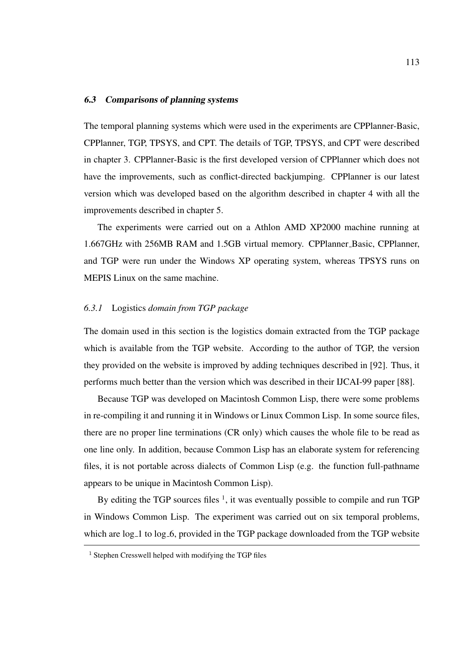#### 6.3 Comparisons of planning systems

The temporal planning systems which were used in the experiments are CPPlanner-Basic, CPPlanner, TGP, TPSYS, and CPT. The details of TGP, TPSYS, and CPT were described in chapter 3. CPPlanner-Basic is the first developed version of CPPlanner which does not have the improvements, such as conflict-directed backjumping. CPPlanner is our latest version which was developed based on the algorithm described in chapter 4 with all the improvements described in chapter 5.

The experiments were carried out on a Athlon AMD XP2000 machine running at 1.667GHz with 256MB RAM and 1.5GB virtual memory. CPPlanner Basic, CPPlanner, and TGP were run under the Windows XP operating system, whereas TPSYS runs on MEPIS Linux on the same machine.

#### *6.3.1* Logistics *domain from TGP package*

The domain used in this section is the logistics domain extracted from the TGP package which is available from the TGP website. According to the author of TGP, the version they provided on the website is improved by adding techniques described in [92]. Thus, it performs much better than the version which was described in their IJCAI-99 paper [88].

Because TGP was developed on Macintosh Common Lisp, there were some problems in re-compiling it and running it in Windows or Linux Common Lisp. In some source files, there are no proper line terminations (CR only) which causes the whole file to be read as one line only. In addition, because Common Lisp has an elaborate system for referencing files, it is not portable across dialects of Common Lisp (e.g. the function full-pathname appears to be unique in Macintosh Common Lisp).

By editing the TGP sources files  $<sup>1</sup>$ , it was eventually possible to compile and run TGP</sup> in Windows Common Lisp. The experiment was carried out on six temporal problems, which are log<sub>-1</sub> to log<sub>-6</sub>, provided in the TGP package downloaded from the TGP website

<sup>&</sup>lt;sup>1</sup> Stephen Cresswell helped with modifying the TGP files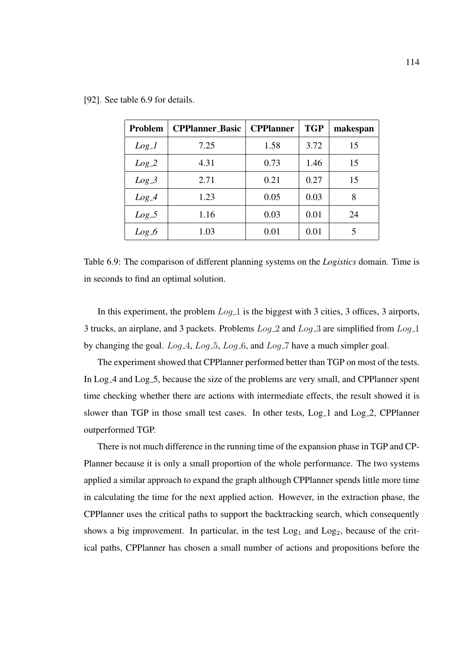| [92]. See table 6.9 for details. |  |
|----------------------------------|--|
|                                  |  |

| <b>Problem</b> | <b>CPPlanner_Basic</b> | <b>CPPlanner</b> | <b>TGP</b> | makespan |
|----------------|------------------------|------------------|------------|----------|
| $Log_1$        | 7.25                   | 1.58             | 3.72       | 15       |
| $Log_2$        | 4.31                   | 0.73             | 1.46       | 15       |
| $Log_3$        | 2.71                   | 0.21             | 0.27       | 15       |
| $Log_4$        | 1.23                   | 0.05             | 0.03       | 8        |
| $Log_5$        | 1.16                   | 0.03             | 0.01       | 24       |
| $Log_6$        | 1.03                   | 0.01             | 0.01       | 5        |

Table 6.9: The comparison of different planning systems on the *Logistics* domain. Time is in seconds to find an optimal solution.

In this experiment, the problem  $Log_1 1$  is the biggest with 3 cities, 3 offices, 3 airports, 3 trucks, an airplane, and 3 packets. Problems  $Log_2$  and  $Log_3$  are simplified from  $Log_1$ by changing the goal.  $Log_4$ ,  $Log_5$ ,  $Log_6$ , and  $Log_7$  have a much simpler goal.

The experiment showed that CPPlanner performed better than TGP on most of the tests. In Log<sub>-4</sub> and Log<sub>-5</sub>, because the size of the problems are very small, and CPPlanner spent time checking whether there are actions with intermediate effects, the result showed it is slower than TGP in those small test cases. In other tests, Log<sub>1</sub> and Log<sub>2</sub>, CPPlanner outperformed TGP.

There is not much difference in the running time of the expansion phase in TGP and CP-Planner because it is only a small proportion of the whole performance. The two systems applied a similar approach to expand the graph although CPPlanner spends little more time in calculating the time for the next applied action. However, in the extraction phase, the CPPlanner uses the critical paths to support the backtracking search, which consequently shows a big improvement. In particular, in the test  $Log<sub>1</sub>$  and  $Log<sub>2</sub>$ , because of the critical paths, CPPlanner has chosen a small number of actions and propositions before the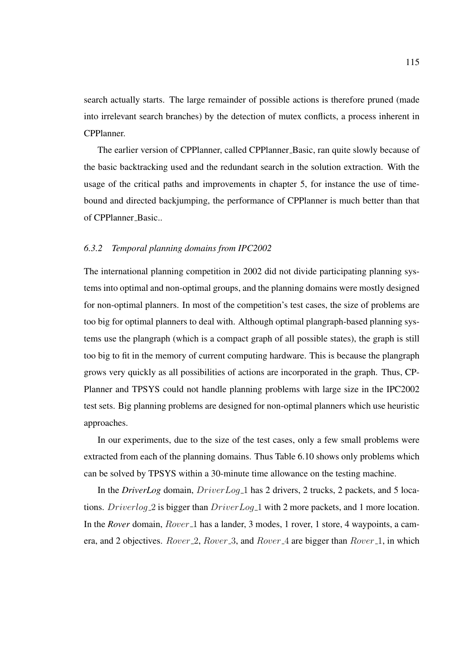search actually starts. The large remainder of possible actions is therefore pruned (made into irrelevant search branches) by the detection of mutex conflicts, a process inherent in CPPlanner.

The earlier version of CPPlanner, called CPPlanner Basic, ran quite slowly because of the basic backtracking used and the redundant search in the solution extraction. With the usage of the critical paths and improvements in chapter 5, for instance the use of timebound and directed backjumping, the performance of CPPlanner is much better than that of CPPlanner\_Basic..

#### *6.3.2 Temporal planning domains from IPC2002*

The international planning competition in 2002 did not divide participating planning systems into optimal and non-optimal groups, and the planning domains were mostly designed for non-optimal planners. In most of the competition's test cases, the size of problems are too big for optimal planners to deal with. Although optimal plangraph-based planning systems use the plangraph (which is a compact graph of all possible states), the graph is still too big to fit in the memory of current computing hardware. This is because the plangraph grows very quickly as all possibilities of actions are incorporated in the graph. Thus, CP-Planner and TPSYS could not handle planning problems with large size in the IPC2002 test sets. Big planning problems are designed for non-optimal planners which use heuristic approaches.

In our experiments, due to the size of the test cases, only a few small problems were extracted from each of the planning domains. Thus Table 6.10 shows only problems which can be solved by TPSYS within a 30-minute time allowance on the testing machine.

In the *DriverLog* domain, *DriverLog*<sub>-1</sub> has 2 drivers, 2 trucks, 2 packets, and 5 locations. Driverlog 2 is bigger than DriverLog<sub>-1</sub> with 2 more packets, and 1 more location. In the *Rover* domain, *Rover* 1 has a lander, 3 modes, 1 rover, 1 store, 4 waypoints, a camera, and 2 objectives. Rover 2, Rover 3, and Rover 4 are bigger than Rover 1, in which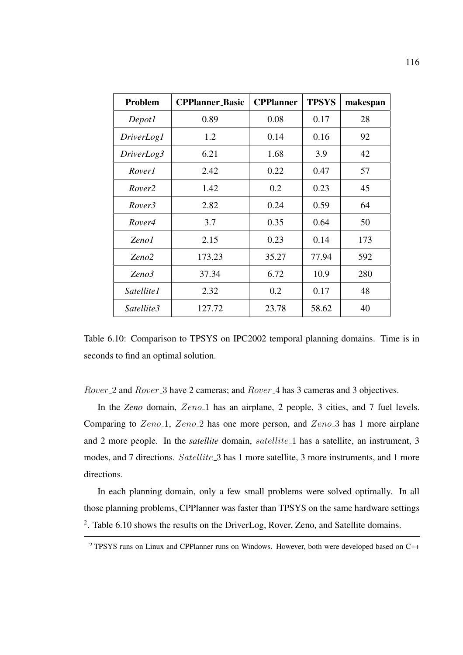| <b>Problem</b>     | <b>CPPlanner_Basic</b> | <b>CPPlanner</b> | <b>TPSYS</b> | makespan |
|--------------------|------------------------|------------------|--------------|----------|
| Depot1             | 0.89                   | 0.08             | 0.17         | 28       |
| <i>DriverLog1</i>  | 1.2                    | 0.14             | 0.16         | 92       |
| DriverLog3         | 6.21                   | 1.68             | 3.9          | 42       |
| <i>Rover1</i>      | 2.42                   | 0.22             | 0.47         | 57       |
| Rover <sub>2</sub> | 1.42                   | 0.2              | 0.23         | 45       |
| Rover3             | 2.82                   | 0.24             | 0.59         | 64       |
| Rover4             | 3.7                    | 0.35             | 0.64         | 50       |
| Zeno1              | 2.15                   | 0.23             | 0.14         | 173      |
| Zeno2              | 173.23                 | 35.27            | 77.94        | 592      |
| Zeno3              | 37.34                  | 6.72             | 10.9         | 280      |
| Satellite1         | 2.32                   | 0.2              | 0.17         | 48       |
| Satellite3         | 127.72                 | 23.78            | 58.62        | 40       |

Table 6.10: Comparison to TPSYS on IPC2002 temporal planning domains. Time is in seconds to find an optimal solution.

Rover 2 and Rover 3 have 2 cameras; and Rover 4 has 3 cameras and 3 objectives.

In the *Zeno* domain, *Zeno*<sub>1</sub> has an airplane, 2 people, 3 cities, and 7 fuel levels. Comparing to  $Zeno_1$ ,  $Zeno_2$  has one more person, and  $Zeno_3$  has 1 more airplane and 2 more people. In the *satellite* domain, *satellite*<sub>1</sub> has a satellite, an instrument, 3 modes, and 7 directions. Satellite 3 has 1 more satellite, 3 more instruments, and 1 more directions.

In each planning domain, only a few small problems were solved optimally. In all those planning problems, CPPlanner was faster than TPSYS on the same hardware settings <sup>2</sup>. Table 6.10 shows the results on the DriverLog, Rover, Zeno, and Satellite domains.

<sup>2</sup> TPSYS runs on Linux and CPPlanner runs on Windows. However, both were developed based on C++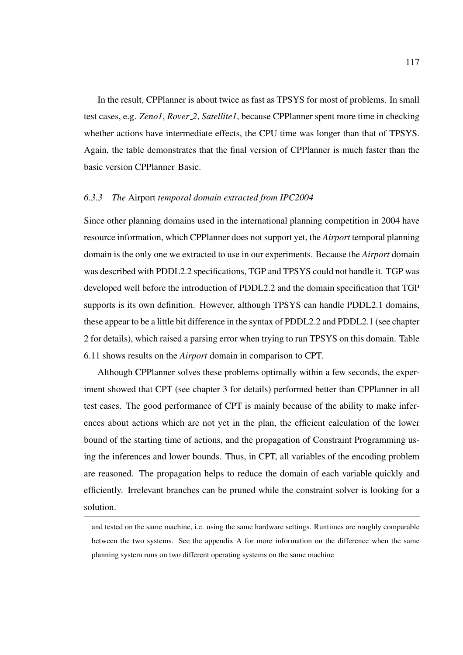In the result, CPPlanner is about twice as fast as TPSYS for most of problems. In small test cases, e.g. *Zeno1*, *Rover 2*, *Satellite1*, because CPPlanner spent more time in checking whether actions have intermediate effects, the CPU time was longer than that of TPSYS. Again, the table demonstrates that the final version of CPPlanner is much faster than the basic version CPPlanner Basic.

#### *6.3.3 The* Airport *temporal domain extracted from IPC2004*

Since other planning domains used in the international planning competition in 2004 have resource information, which CPPlanner does not support yet, the *Airport* temporal planning domain is the only one we extracted to use in our experiments. Because the *Airport* domain was described with PDDL2.2 specifications, TGP and TPSYS could not handle it. TGP was developed well before the introduction of PDDL2.2 and the domain specification that TGP supports is its own definition. However, although TPSYS can handle PDDL2.1 domains, these appear to be a little bit difference in the syntax of PDDL2.2 and PDDL2.1 (see chapter 2 for details), which raised a parsing error when trying to run TPSYS on this domain. Table 6.11 shows results on the *Airport* domain in comparison to CPT.

Although CPPlanner solves these problems optimally within a few seconds, the experiment showed that CPT (see chapter 3 for details) performed better than CPPlanner in all test cases. The good performance of CPT is mainly because of the ability to make inferences about actions which are not yet in the plan, the efficient calculation of the lower bound of the starting time of actions, and the propagation of Constraint Programming using the inferences and lower bounds. Thus, in CPT, all variables of the encoding problem are reasoned. The propagation helps to reduce the domain of each variable quickly and efficiently. Irrelevant branches can be pruned while the constraint solver is looking for a solution.

and tested on the same machine, i.e. using the same hardware settings. Runtimes are roughly comparable between the two systems. See the appendix A for more information on the difference when the same planning system runs on two different operating systems on the same machine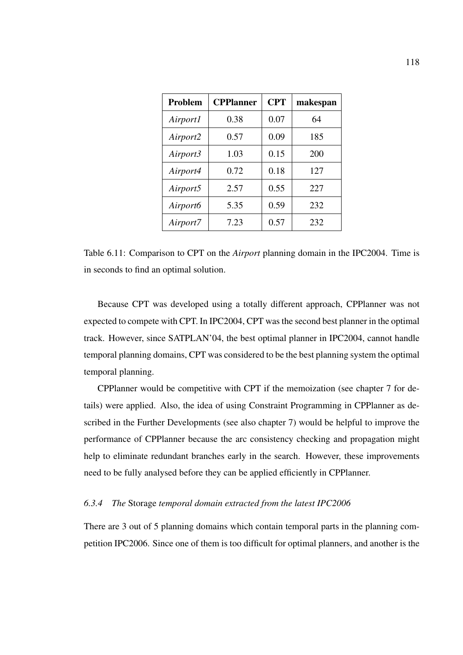| <b>Problem</b> | <b>CPPlanner</b> | <b>CPT</b> | makespan |
|----------------|------------------|------------|----------|
| Airport1       | 0.38             | 0.07       | 64       |
| Airport2       | 0.57             | 0.09       | 185      |
| Airport3       | 1.03             | 0.15       | 200      |
| Airport4       | 0.72             | 0.18       | 127      |
| Airport5       | 2.57             | 0.55       | 227      |
| Airport6       | 5.35             | 0.59       | 232      |
| Airport7       | 7.23             | 0.57       | 232      |

Table 6.11: Comparison to CPT on the *Airport* planning domain in the IPC2004. Time is in seconds to find an optimal solution.

Because CPT was developed using a totally different approach, CPPlanner was not expected to compete with CPT. In IPC2004, CPT was the second best planner in the optimal track. However, since SATPLAN'04, the best optimal planner in IPC2004, cannot handle temporal planning domains, CPT was considered to be the best planning system the optimal temporal planning.

CPPlanner would be competitive with CPT if the memoization (see chapter 7 for details) were applied. Also, the idea of using Constraint Programming in CPPlanner as described in the Further Developments (see also chapter 7) would be helpful to improve the performance of CPPlanner because the arc consistency checking and propagation might help to eliminate redundant branches early in the search. However, these improvements need to be fully analysed before they can be applied efficiently in CPPlanner.

#### *6.3.4 The* Storage *temporal domain extracted from the latest IPC2006*

There are 3 out of 5 planning domains which contain temporal parts in the planning competition IPC2006. Since one of them is too difficult for optimal planners, and another is the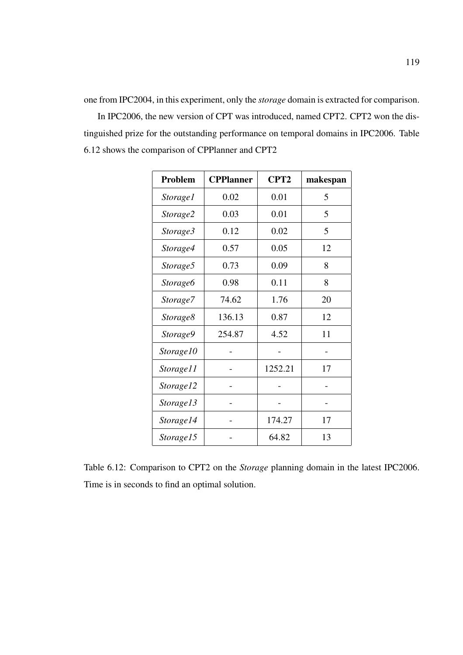one from IPC2004, in this experiment, only the *storage* domain is extracted for comparison.

In IPC2006, the new version of CPT was introduced, named CPT2. CPT2 won the distinguished prize for the outstanding performance on temporal domains in IPC2006. Table 6.12 shows the comparison of CPPlanner and CPT2

| Problem         | <b>CPPlanner</b> | CPT <sub>2</sub> | makespan |
|-----------------|------------------|------------------|----------|
| <i>Storage1</i> | 0.02             | 0.01             | 5        |
| Storage2        | 0.03             | 0.01             | 5        |
| Storage3        | 0.12             | 0.02             | 5        |
| Storage4        | 0.57             | 0.05             | 12       |
| Storage5        | 0.73             | 0.09             | 8        |
| Storage6        | 0.98             | 0.11             | 8        |
| Storage7        | 74.62            | 1.76             | 20       |
| Storage8        | 136.13           | 0.87             | 12       |
| Storage9        | 254.87           | 4.52             | 11       |
| Storage10       |                  |                  |          |
| Storage11       |                  | 1252.21          | 17       |
| Storage12       |                  |                  |          |
| Storage13       |                  |                  |          |
| Storage14       |                  | 174.27           | 17       |
| Storage15       |                  | 64.82            | 13       |

Table 6.12: Comparison to CPT2 on the *Storage* planning domain in the latest IPC2006. Time is in seconds to find an optimal solution.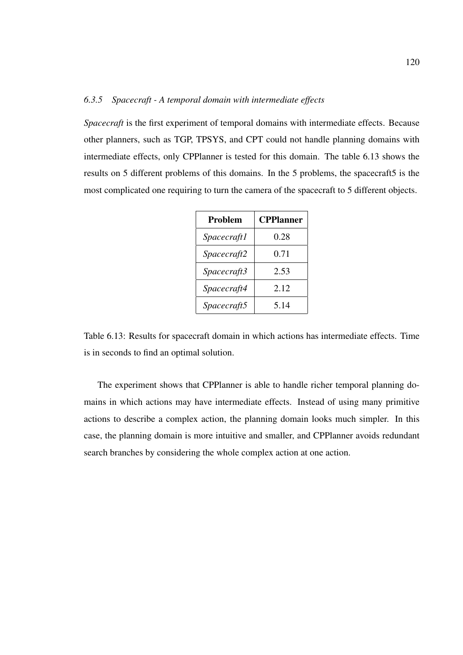## *6.3.5 Spacecraft - A temporal domain with intermediate effects*

*Spacecraft* is the first experiment of temporal domains with intermediate effects. Because other planners, such as TGP, TPSYS, and CPT could not handle planning domains with intermediate effects, only CPPlanner is tested for this domain. The table 6.13 shows the results on 5 different problems of this domains. In the 5 problems, the spacecraft5 is the most complicated one requiring to turn the camera of the spacecraft to 5 different objects.

| Problem     | <b>CPPlanner</b> |  |
|-------------|------------------|--|
| Spacecraft1 | 0.28             |  |
| Spacecraft2 | 0.71             |  |
| Spacecraft3 | 2.53             |  |
| Spacecraft4 | 2.12             |  |
| Spacecraft5 | 5.14             |  |

Table 6.13: Results for spacecraft domain in which actions has intermediate effects. Time is in seconds to find an optimal solution.

The experiment shows that CPPlanner is able to handle richer temporal planning domains in which actions may have intermediate effects. Instead of using many primitive actions to describe a complex action, the planning domain looks much simpler. In this case, the planning domain is more intuitive and smaller, and CPPlanner avoids redundant search branches by considering the whole complex action at one action.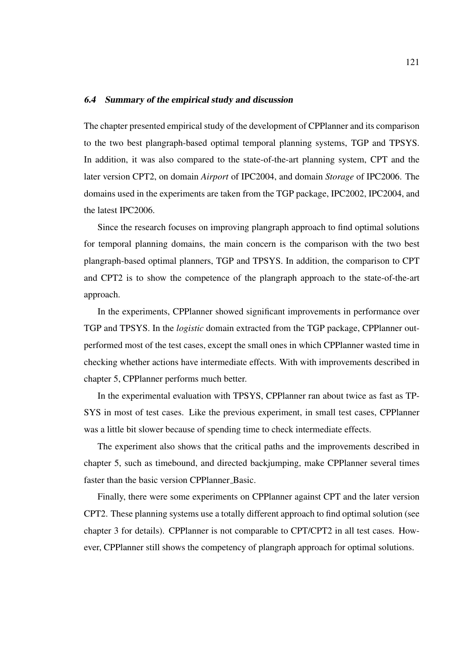#### 6.4 Summary of the empirical study and discussion

The chapter presented empirical study of the development of CPPlanner and its comparison to the two best plangraph-based optimal temporal planning systems, TGP and TPSYS. In addition, it was also compared to the state-of-the-art planning system, CPT and the later version CPT2, on domain *Airport* of IPC2004, and domain *Storage* of IPC2006. The domains used in the experiments are taken from the TGP package, IPC2002, IPC2004, and the latest IPC2006.

Since the research focuses on improving plangraph approach to find optimal solutions for temporal planning domains, the main concern is the comparison with the two best plangraph-based optimal planners, TGP and TPSYS. In addition, the comparison to CPT and CPT2 is to show the competence of the plangraph approach to the state-of-the-art approach.

In the experiments, CPPlanner showed significant improvements in performance over TGP and TPSYS. In the *logistic* domain extracted from the TGP package, CPPlanner outperformed most of the test cases, except the small ones in which CPPlanner wasted time in checking whether actions have intermediate effects. With with improvements described in chapter 5, CPPlanner performs much better.

In the experimental evaluation with TPSYS, CPPlanner ran about twice as fast as TP-SYS in most of test cases. Like the previous experiment, in small test cases, CPPlanner was a little bit slower because of spending time to check intermediate effects.

The experiment also shows that the critical paths and the improvements described in chapter 5, such as timebound, and directed backjumping, make CPPlanner several times faster than the basic version CPPlanner\_Basic.

Finally, there were some experiments on CPPlanner against CPT and the later version CPT2. These planning systems use a totally different approach to find optimal solution (see chapter 3 for details). CPPlanner is not comparable to CPT/CPT2 in all test cases. However, CPPlanner still shows the competency of plangraph approach for optimal solutions.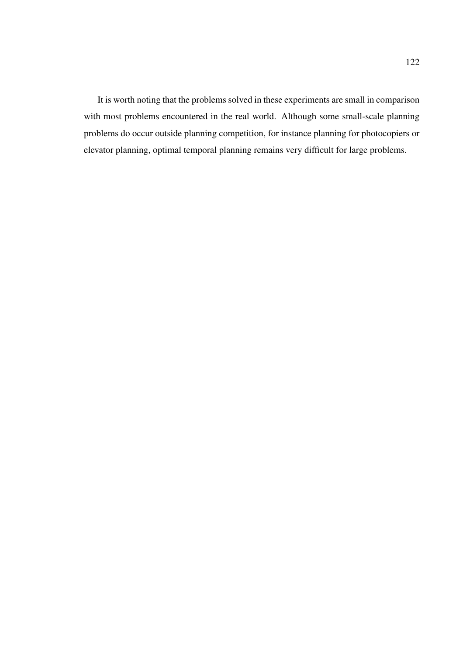It is worth noting that the problems solved in these experiments are small in comparison with most problems encountered in the real world. Although some small-scale planning problems do occur outside planning competition, for instance planning for photocopiers or elevator planning, optimal temporal planning remains very difficult for large problems.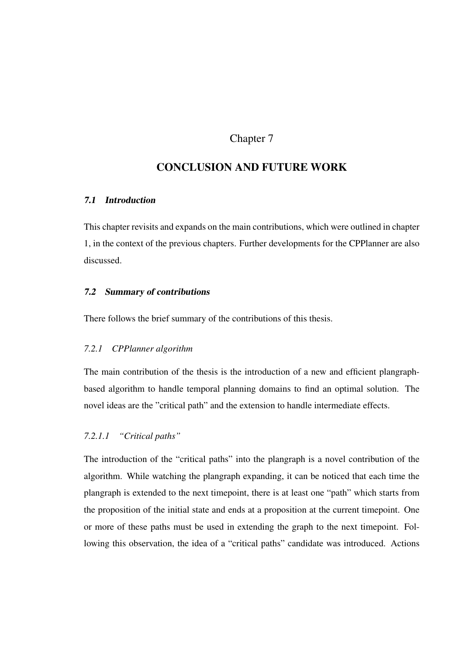## Chapter 7

# CONCLUSION AND FUTURE WORK

## 7.1 Introduction

This chapter revisits and expands on the main contributions, which were outlined in chapter 1, in the context of the previous chapters. Further developments for the CPPlanner are also discussed.

#### 7.2 Summary of contributions

There follows the brief summary of the contributions of this thesis.

#### *7.2.1 CPPlanner algorithm*

The main contribution of the thesis is the introduction of a new and efficient plangraphbased algorithm to handle temporal planning domains to find an optimal solution. The novel ideas are the "critical path" and the extension to handle intermediate effects.

## *7.2.1.1 "Critical paths"*

The introduction of the "critical paths" into the plangraph is a novel contribution of the algorithm. While watching the plangraph expanding, it can be noticed that each time the plangraph is extended to the next timepoint, there is at least one "path" which starts from the proposition of the initial state and ends at a proposition at the current timepoint. One or more of these paths must be used in extending the graph to the next timepoint. Following this observation, the idea of a "critical paths" candidate was introduced. Actions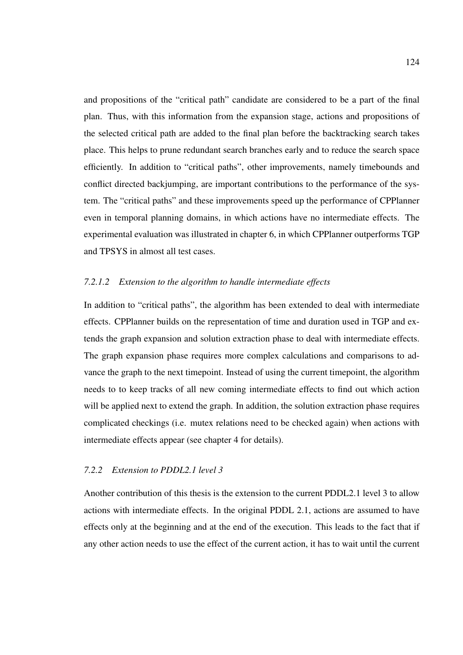and propositions of the "critical path" candidate are considered to be a part of the final plan. Thus, with this information from the expansion stage, actions and propositions of the selected critical path are added to the final plan before the backtracking search takes place. This helps to prune redundant search branches early and to reduce the search space efficiently. In addition to "critical paths", other improvements, namely timebounds and conflict directed backjumping, are important contributions to the performance of the system. The "critical paths" and these improvements speed up the performance of CPPlanner even in temporal planning domains, in which actions have no intermediate effects. The experimental evaluation was illustrated in chapter 6, in which CPPlanner outperforms TGP and TPSYS in almost all test cases.

## *7.2.1.2 Extension to the algorithm to handle intermediate effects*

In addition to "critical paths", the algorithm has been extended to deal with intermediate effects. CPPlanner builds on the representation of time and duration used in TGP and extends the graph expansion and solution extraction phase to deal with intermediate effects. The graph expansion phase requires more complex calculations and comparisons to advance the graph to the next timepoint. Instead of using the current timepoint, the algorithm needs to to keep tracks of all new coming intermediate effects to find out which action will be applied next to extend the graph. In addition, the solution extraction phase requires complicated checkings (i.e. mutex relations need to be checked again) when actions with intermediate effects appear (see chapter 4 for details).

#### *7.2.2 Extension to PDDL2.1 level 3*

Another contribution of this thesis is the extension to the current PDDL2.1 level 3 to allow actions with intermediate effects. In the original PDDL 2.1, actions are assumed to have effects only at the beginning and at the end of the execution. This leads to the fact that if any other action needs to use the effect of the current action, it has to wait until the current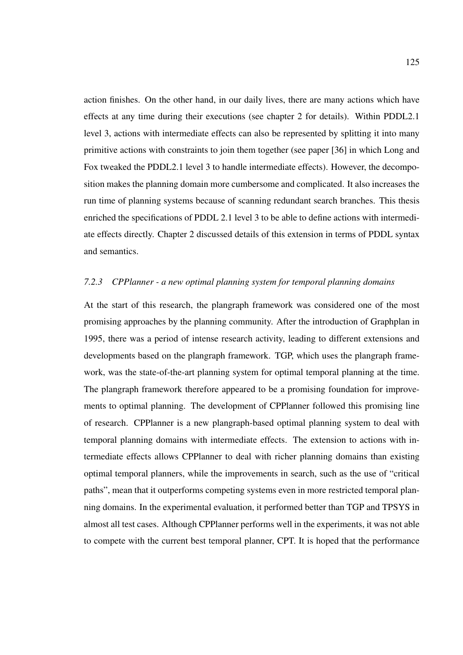action finishes. On the other hand, in our daily lives, there are many actions which have effects at any time during their executions (see chapter 2 for details). Within PDDL2.1 level 3, actions with intermediate effects can also be represented by splitting it into many primitive actions with constraints to join them together (see paper [36] in which Long and Fox tweaked the PDDL2.1 level 3 to handle intermediate effects). However, the decomposition makes the planning domain more cumbersome and complicated. It also increases the run time of planning systems because of scanning redundant search branches. This thesis enriched the specifications of PDDL 2.1 level 3 to be able to define actions with intermediate effects directly. Chapter 2 discussed details of this extension in terms of PDDL syntax and semantics.

## *7.2.3 CPPlanner - a new optimal planning system for temporal planning domains*

At the start of this research, the plangraph framework was considered one of the most promising approaches by the planning community. After the introduction of Graphplan in 1995, there was a period of intense research activity, leading to different extensions and developments based on the plangraph framework. TGP, which uses the plangraph framework, was the state-of-the-art planning system for optimal temporal planning at the time. The plangraph framework therefore appeared to be a promising foundation for improvements to optimal planning. The development of CPPlanner followed this promising line of research. CPPlanner is a new plangraph-based optimal planning system to deal with temporal planning domains with intermediate effects. The extension to actions with intermediate effects allows CPPlanner to deal with richer planning domains than existing optimal temporal planners, while the improvements in search, such as the use of "critical paths", mean that it outperforms competing systems even in more restricted temporal planning domains. In the experimental evaluation, it performed better than TGP and TPSYS in almost all test cases. Although CPPlanner performs well in the experiments, it was not able to compete with the current best temporal planner, CPT. It is hoped that the performance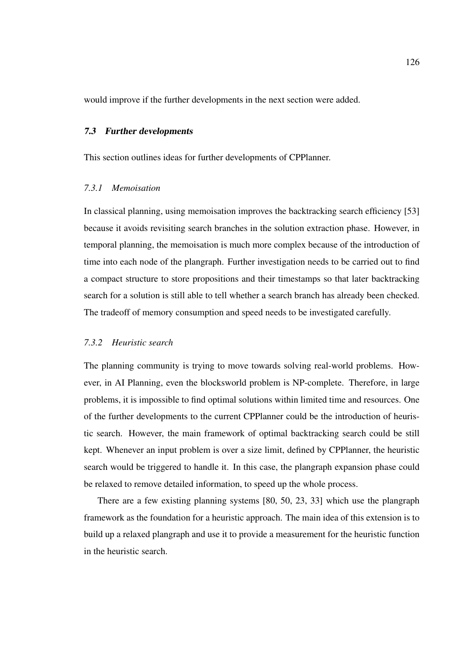would improve if the further developments in the next section were added.

#### 7.3 Further developments

This section outlines ideas for further developments of CPPlanner.

#### *7.3.1 Memoisation*

In classical planning, using memoisation improves the backtracking search efficiency [53] because it avoids revisiting search branches in the solution extraction phase. However, in temporal planning, the memoisation is much more complex because of the introduction of time into each node of the plangraph. Further investigation needs to be carried out to find a compact structure to store propositions and their timestamps so that later backtracking search for a solution is still able to tell whether a search branch has already been checked. The tradeoff of memory consumption and speed needs to be investigated carefully.

### *7.3.2 Heuristic search*

The planning community is trying to move towards solving real-world problems. However, in AI Planning, even the blocksworld problem is NP-complete. Therefore, in large problems, it is impossible to find optimal solutions within limited time and resources. One of the further developments to the current CPPlanner could be the introduction of heuristic search. However, the main framework of optimal backtracking search could be still kept. Whenever an input problem is over a size limit, defined by CPPlanner, the heuristic search would be triggered to handle it. In this case, the plangraph expansion phase could be relaxed to remove detailed information, to speed up the whole process.

There are a few existing planning systems [80, 50, 23, 33] which use the plangraph framework as the foundation for a heuristic approach. The main idea of this extension is to build up a relaxed plangraph and use it to provide a measurement for the heuristic function in the heuristic search.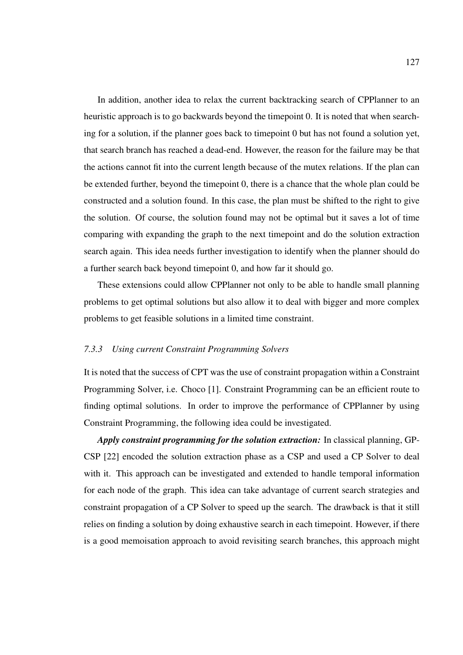In addition, another idea to relax the current backtracking search of CPPlanner to an heuristic approach is to go backwards beyond the timepoint 0. It is noted that when searching for a solution, if the planner goes back to timepoint 0 but has not found a solution yet, that search branch has reached a dead-end. However, the reason for the failure may be that the actions cannot fit into the current length because of the mutex relations. If the plan can be extended further, beyond the timepoint 0, there is a chance that the whole plan could be constructed and a solution found. In this case, the plan must be shifted to the right to give the solution. Of course, the solution found may not be optimal but it saves a lot of time comparing with expanding the graph to the next timepoint and do the solution extraction search again. This idea needs further investigation to identify when the planner should do a further search back beyond timepoint 0, and how far it should go.

These extensions could allow CPPlanner not only to be able to handle small planning problems to get optimal solutions but also allow it to deal with bigger and more complex problems to get feasible solutions in a limited time constraint.

#### *7.3.3 Using current Constraint Programming Solvers*

It is noted that the success of CPT was the use of constraint propagation within a Constraint Programming Solver, i.e. Choco [1]. Constraint Programming can be an efficient route to finding optimal solutions. In order to improve the performance of CPPlanner by using Constraint Programming, the following idea could be investigated.

*Apply constraint programming for the solution extraction:* In classical planning, GP-CSP [22] encoded the solution extraction phase as a CSP and used a CP Solver to deal with it. This approach can be investigated and extended to handle temporal information for each node of the graph. This idea can take advantage of current search strategies and constraint propagation of a CP Solver to speed up the search. The drawback is that it still relies on finding a solution by doing exhaustive search in each timepoint. However, if there is a good memoisation approach to avoid revisiting search branches, this approach might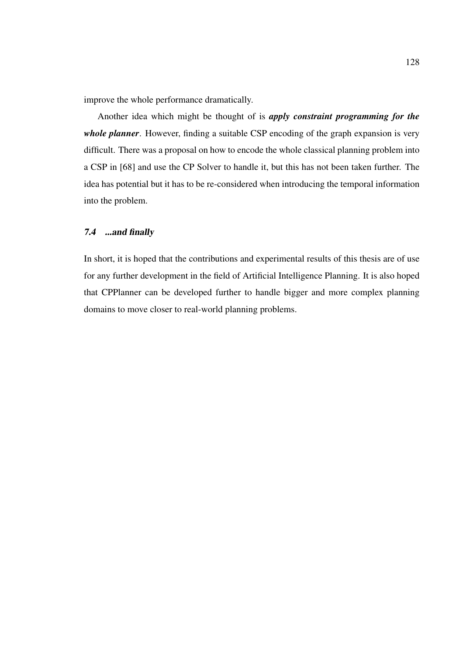improve the whole performance dramatically.

Another idea which might be thought of is *apply constraint programming for the whole planner*. However, finding a suitable CSP encoding of the graph expansion is very difficult. There was a proposal on how to encode the whole classical planning problem into a CSP in [68] and use the CP Solver to handle it, but this has not been taken further. The idea has potential but it has to be re-considered when introducing the temporal information into the problem.

### 7.4 ...and finally

In short, it is hoped that the contributions and experimental results of this thesis are of use for any further development in the field of Artificial Intelligence Planning. It is also hoped that CPPlanner can be developed further to handle bigger and more complex planning domains to move closer to real-world planning problems.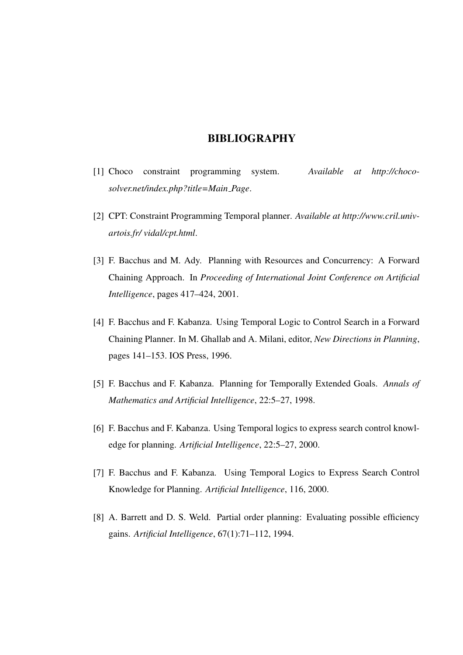## BIBLIOGRAPHY

- [1] Choco constraint programming system. *Available at http://chocosolver.net/index.php?title=Main Page*.
- [2] CPT: Constraint Programming Temporal planner. *Available at http://www.cril.univartois.fr/ vidal/cpt.html*.
- [3] F. Bacchus and M. Ady. Planning with Resources and Concurrency: A Forward Chaining Approach. In *Proceeding of International Joint Conference on Artificial Intelligence*, pages 417–424, 2001.
- [4] F. Bacchus and F. Kabanza. Using Temporal Logic to Control Search in a Forward Chaining Planner. In M. Ghallab and A. Milani, editor, *New Directions in Planning*, pages 141–153. IOS Press, 1996.
- [5] F. Bacchus and F. Kabanza. Planning for Temporally Extended Goals. *Annals of Mathematics and Artificial Intelligence*, 22:5–27, 1998.
- [6] F. Bacchus and F. Kabanza. Using Temporal logics to express search control knowledge for planning. *Artificial Intelligence*, 22:5–27, 2000.
- [7] F. Bacchus and F. Kabanza. Using Temporal Logics to Express Search Control Knowledge for Planning. *Artificial Intelligence*, 116, 2000.
- [8] A. Barrett and D. S. Weld. Partial order planning: Evaluating possible efficiency gains. *Artificial Intelligence*, 67(1):71–112, 1994.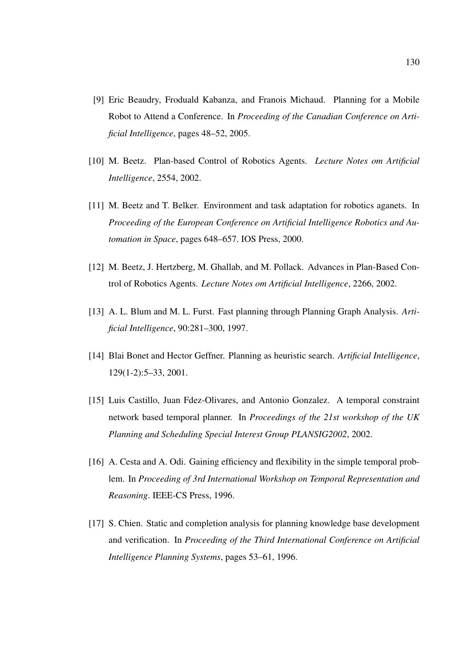- [9] Eric Beaudry, Froduald Kabanza, and Franois Michaud. Planning for a Mobile Robot to Attend a Conference. In *Proceeding of the Canadian Conference on Artificial Intelligence*, pages 48–52, 2005.
- [10] M. Beetz. Plan-based Control of Robotics Agents. *Lecture Notes om Artificial Intelligence*, 2554, 2002.
- [11] M. Beetz and T. Belker. Environment and task adaptation for robotics aganets. In *Proceeding of the European Conference on Artificial Intelligence Robotics and Automation in Space*, pages 648–657. IOS Press, 2000.
- [12] M. Beetz, J. Hertzberg, M. Ghallab, and M. Pollack. Advances in Plan-Based Control of Robotics Agents. *Lecture Notes om Artificial Intelligence*, 2266, 2002.
- [13] A. L. Blum and M. L. Furst. Fast planning through Planning Graph Analysis. *Artificial Intelligence*, 90:281–300, 1997.
- [14] Blai Bonet and Hector Geffner. Planning as heuristic search. *Artificial Intelligence*, 129(1-2):5–33, 2001.
- [15] Luis Castillo, Juan Fdez-Olivares, and Antonio Gonzalez. A temporal constraint network based temporal planner. In *Proceedings of the 21st workshop of the UK Planning and Scheduling Special Interest Group PLANSIG2002*, 2002.
- [16] A. Cesta and A. Odi. Gaining efficiency and flexibility in the simple temporal problem. In *Proceeding of 3rd International Workshop on Temporal Representation and Reasoning*. IEEE-CS Press, 1996.
- [17] S. Chien. Static and completion analysis for planning knowledge base development and verification. In *Proceeding of the Third International Conference on Artificial Intelligence Planning Systems*, pages 53–61, 1996.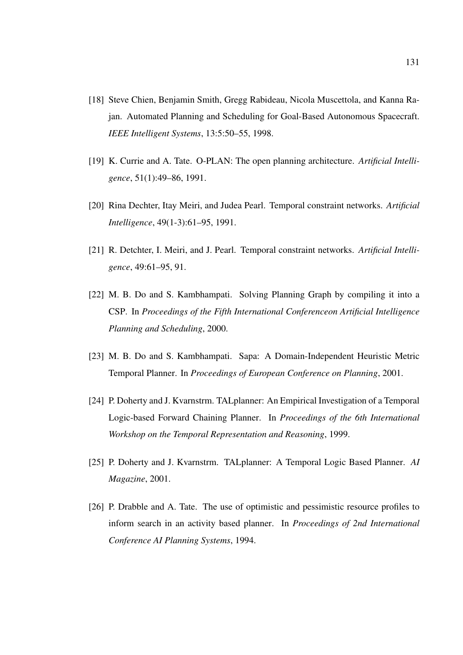- [18] Steve Chien, Benjamin Smith, Gregg Rabideau, Nicola Muscettola, and Kanna Rajan. Automated Planning and Scheduling for Goal-Based Autonomous Spacecraft. *IEEE Intelligent Systems*, 13:5:50–55, 1998.
- [19] K. Currie and A. Tate. O-PLAN: The open planning architecture. *Artificial Intelligence*, 51(1):49–86, 1991.
- [20] Rina Dechter, Itay Meiri, and Judea Pearl. Temporal constraint networks. *Artificial Intelligence*, 49(1-3):61–95, 1991.
- [21] R. Detchter, I. Meiri, and J. Pearl. Temporal constraint networks. *Artificial Intelligence*, 49:61–95, 91.
- [22] M. B. Do and S. Kambhampati. Solving Planning Graph by compiling it into a CSP. In *Proceedings of the Fifth International Conferenceon Artificial Intelligence Planning and Scheduling*, 2000.
- [23] M. B. Do and S. Kambhampati. Sapa: A Domain-Independent Heuristic Metric Temporal Planner. In *Proceedings of European Conference on Planning*, 2001.
- [24] P. Doherty and J. Kvarnstrm. TALplanner: An Empirical Investigation of a Temporal Logic-based Forward Chaining Planner. In *Proceedings of the 6th International Workshop on the Temporal Representation and Reasoning*, 1999.
- [25] P. Doherty and J. Kvarnstrm. TALplanner: A Temporal Logic Based Planner. *AI Magazine*, 2001.
- [26] P. Drabble and A. Tate. The use of optimistic and pessimistic resource profiles to inform search in an activity based planner. In *Proceedings of 2nd International Conference AI Planning Systems*, 1994.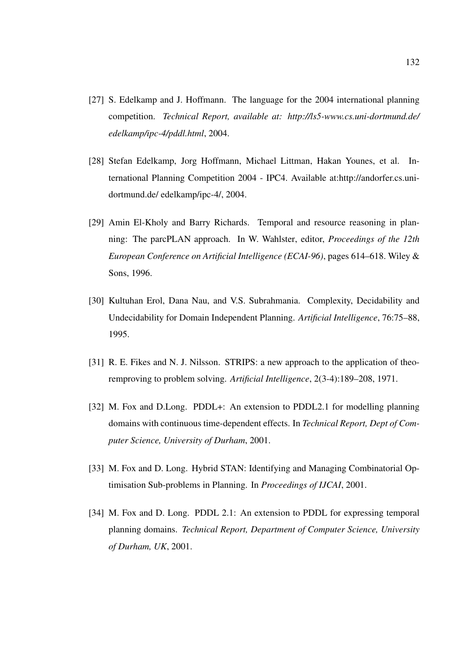- [27] S. Edelkamp and J. Hoffmann. The language for the 2004 international planning competition. *Technical Report, available at: http://ls5-www.cs.uni-dortmund.de/ edelkamp/ipc-4/pddl.html*, 2004.
- [28] Stefan Edelkamp, Jorg Hoffmann, Michael Littman, Hakan Younes, et al. International Planning Competition 2004 - IPC4. Available at:http://andorfer.cs.unidortmund.de/ edelkamp/ipc-4/, 2004.
- [29] Amin El-Kholy and Barry Richards. Temporal and resource reasoning in planning: The parcPLAN approach. In W. Wahlster, editor, *Proceedings of the 12th European Conference on Artificial Intelligence (ECAI-96)*, pages 614–618. Wiley & Sons, 1996.
- [30] Kultuhan Erol, Dana Nau, and V.S. Subrahmania. Complexity, Decidability and Undecidability for Domain Independent Planning. *Artificial Intelligence*, 76:75–88, 1995.
- [31] R. E. Fikes and N. J. Nilsson. STRIPS: a new approach to the application of theoremproving to problem solving. *Artificial Intelligence*, 2(3-4):189–208, 1971.
- [32] M. Fox and D.Long. PDDL+: An extension to PDDL2.1 for modelling planning domains with continuous time-dependent effects. In *Technical Report, Dept of Computer Science, University of Durham*, 2001.
- [33] M. Fox and D. Long. Hybrid STAN: Identifying and Managing Combinatorial Optimisation Sub-problems in Planning. In *Proceedings of IJCAI*, 2001.
- [34] M. Fox and D. Long. PDDL 2.1: An extension to PDDL for expressing temporal planning domains. *Technical Report, Department of Computer Science, University of Durham, UK*, 2001.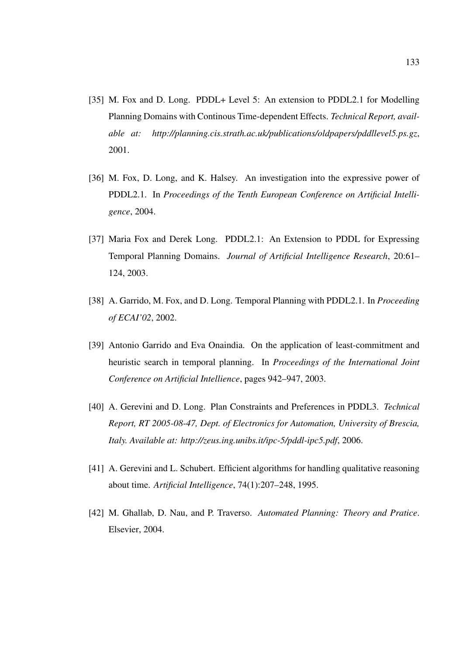- [35] M. Fox and D. Long. PDDL+ Level 5: An extension to PDDL2.1 for Modelling Planning Domains with Continous Time-dependent Effects. *Technical Report, available at: http://planning.cis.strath.ac.uk/publications/oldpapers/pddllevel5.ps.gz*, 2001.
- [36] M. Fox, D. Long, and K. Halsey. An investigation into the expressive power of PDDL2.1. In *Proceedings of the Tenth European Conference on Artificial Intelligence*, 2004.
- [37] Maria Fox and Derek Long. PDDL2.1: An Extension to PDDL for Expressing Temporal Planning Domains. *Journal of Artificial Intelligence Research*, 20:61– 124, 2003.
- [38] A. Garrido, M. Fox, and D. Long. Temporal Planning with PDDL2.1. In *Proceeding of ECAI'02*, 2002.
- [39] Antonio Garrido and Eva Onaindia. On the application of least-commitment and heuristic search in temporal planning. In *Proceedings of the International Joint Conference on Artificial Intellience*, pages 942–947, 2003.
- [40] A. Gerevini and D. Long. Plan Constraints and Preferences in PDDL3. *Technical Report, RT 2005-08-47, Dept. of Electronics for Automation, University of Brescia, Italy. Available at: http://zeus.ing.unibs.it/ipc-5/pddl-ipc5.pdf*, 2006.
- [41] A. Gerevini and L. Schubert. Efficient algorithms for handling qualitative reasoning about time. *Artificial Intelligence*, 74(1):207–248, 1995.
- [42] M. Ghallab, D. Nau, and P. Traverso. *Automated Planning: Theory and Pratice*. Elsevier, 2004.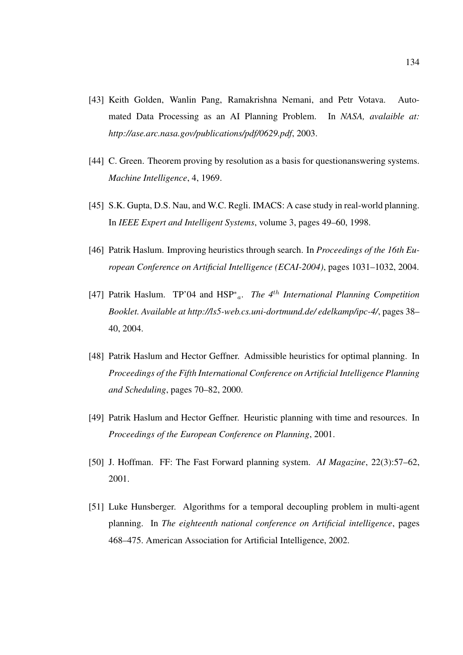- [43] Keith Golden, Wanlin Pang, Ramakrishna Nemani, and Petr Votava. Automated Data Processing as an AI Planning Problem. In *NASA, avalaible at: http://ase.arc.nasa.gov/publications/pdf/0629.pdf*, 2003.
- [44] C. Green. Theorem proving by resolution as a basis for questionanswering systems. *Machine Intelligence*, 4, 1969.
- [45] S.K. Gupta, D.S. Nau, and W.C. Regli. IMACS: A case study in real-world planning. In *IEEE Expert and Intelligent Systems*, volume 3, pages 49–60, 1998.
- [46] Patrik Haslum. Improving heuristics through search. In *Proceedings of the 16th European Conference on Artificial Intelligence (ECAI-2004)*, pages 1031–1032, 2004.
- [47] Patrik Haslum. TP'04 and HSP<sup>∗</sup> <sup>a</sup>. *The 4*th *International Planning Competition Booklet. Available at http://ls5-web.cs.uni-dortmund.de/ edelkamp/ipc-4/*, pages 38– 40, 2004.
- [48] Patrik Haslum and Hector Geffner. Admissible heuristics for optimal planning. In *Proceedings of the Fifth International Conference on Artificial Intelligence Planning and Scheduling*, pages 70–82, 2000.
- [49] Patrik Haslum and Hector Geffner. Heuristic planning with time and resources. In *Proceedings of the European Conference on Planning*, 2001.
- [50] J. Hoffman. FF: The Fast Forward planning system. *AI Magazine*, 22(3):57–62, 2001.
- [51] Luke Hunsberger. Algorithms for a temporal decoupling problem in multi-agent planning. In *The eighteenth national conference on Artificial intelligence*, pages 468–475. American Association for Artificial Intelligence, 2002.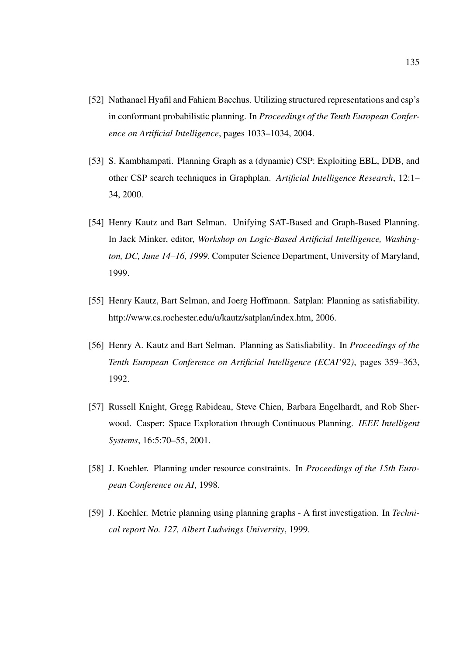- [52] Nathanael Hyafil and Fahiem Bacchus. Utilizing structured representations and csp's in conformant probabilistic planning. In *Proceedings of the Tenth European Conference on Artificial Intelligence*, pages 1033–1034, 2004.
- [53] S. Kambhampati. Planning Graph as a (dynamic) CSP: Exploiting EBL, DDB, and other CSP search techniques in Graphplan. *Artificial Intelligence Research*, 12:1– 34, 2000.
- [54] Henry Kautz and Bart Selman. Unifying SAT-Based and Graph-Based Planning. In Jack Minker, editor, *Workshop on Logic-Based Artificial Intelligence, Washington, DC, June 14–16, 1999*. Computer Science Department, University of Maryland, 1999.
- [55] Henry Kautz, Bart Selman, and Joerg Hoffmann. Satplan: Planning as satisfiability. http://www.cs.rochester.edu/u/kautz/satplan/index.htm, 2006.
- [56] Henry A. Kautz and Bart Selman. Planning as Satisfiability. In *Proceedings of the Tenth European Conference on Artificial Intelligence (ECAI'92)*, pages 359–363, 1992.
- [57] Russell Knight, Gregg Rabideau, Steve Chien, Barbara Engelhardt, and Rob Sherwood. Casper: Space Exploration through Continuous Planning. *IEEE Intelligent Systems*, 16:5:70–55, 2001.
- [58] J. Koehler. Planning under resource constraints. In *Proceedings of the 15th European Conference on AI*, 1998.
- [59] J. Koehler. Metric planning using planning graphs A first investigation. In *Technical report No. 127, Albert Ludwings University*, 1999.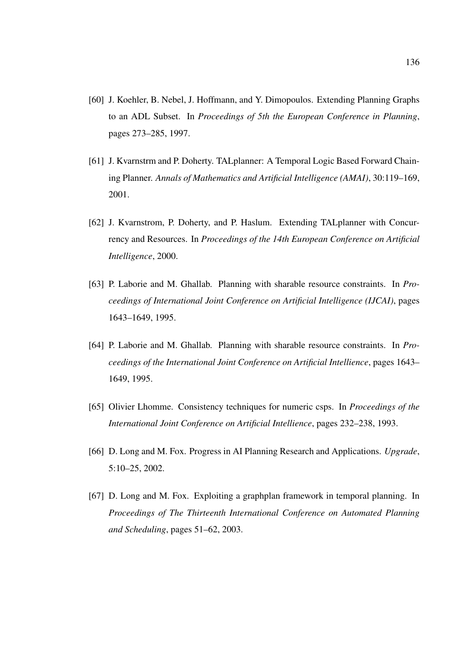- [60] J. Koehler, B. Nebel, J. Hoffmann, and Y. Dimopoulos. Extending Planning Graphs to an ADL Subset. In *Proceedings of 5th the European Conference in Planning*, pages 273–285, 1997.
- [61] J. Kvarnstrm and P. Doherty. TALplanner: A Temporal Logic Based Forward Chaining Planner. *Annals of Mathematics and Artificial Intelligence (AMAI)*, 30:119–169, 2001.
- [62] J. Kvarnstrom, P. Doherty, and P. Haslum. Extending TALplanner with Concurrency and Resources. In *Proceedings of the 14th European Conference on Artificial Intelligence*, 2000.
- [63] P. Laborie and M. Ghallab. Planning with sharable resource constraints. In *Proceedings of International Joint Conference on Artificial Intelligence (IJCAI)*, pages 1643–1649, 1995.
- [64] P. Laborie and M. Ghallab. Planning with sharable resource constraints. In *Proceedings of the International Joint Conference on Artificial Intellience*, pages 1643– 1649, 1995.
- [65] Olivier Lhomme. Consistency techniques for numeric csps. In *Proceedings of the International Joint Conference on Artificial Intellience*, pages 232–238, 1993.
- [66] D. Long and M. Fox. Progress in AI Planning Research and Applications. *Upgrade*, 5:10–25, 2002.
- [67] D. Long and M. Fox. Exploiting a graphplan framework in temporal planning. In *Proceedings of The Thirteenth International Conference on Automated Planning and Scheduling*, pages 51–62, 2003.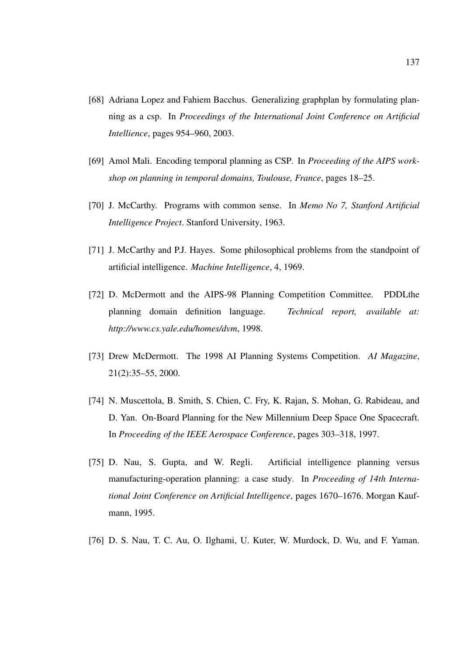- [68] Adriana Lopez and Fahiem Bacchus. Generalizing graphplan by formulating planning as a csp. In *Proceedings of the International Joint Conference on Artificial Intellience*, pages 954–960, 2003.
- [69] Amol Mali. Encoding temporal planning as CSP. In *Proceeding of the AIPS workshop on planning in temporal domains, Toulouse, France*, pages 18–25.
- [70] J. McCarthy. Programs with common sense. In *Memo No 7, Stanford Artificial Intelligence Project*. Stanford University, 1963.
- [71] J. McCarthy and P.J. Hayes. Some philosophical problems from the standpoint of artificial intelligence. *Machine Intelligence*, 4, 1969.
- [72] D. McDermott and the AIPS-98 Planning Competition Committee. PDDLthe planning domain definition language. *Technical report, available at: http://www.cs.yale.edu/homes/dvm*, 1998.
- [73] Drew McDermott. The 1998 AI Planning Systems Competition. *AI Magazine*, 21(2):35–55, 2000.
- [74] N. Muscettola, B. Smith, S. Chien, C. Fry, K. Rajan, S. Mohan, G. Rabideau, and D. Yan. On-Board Planning for the New Millennium Deep Space One Spacecraft. In *Proceeding of the IEEE Aerospace Conference*, pages 303–318, 1997.
- [75] D. Nau, S. Gupta, and W. Regli. Artificial intelligence planning versus manufacturing-operation planning: a case study. In *Proceeding of 14th International Joint Conference on Artificial Intelligence*, pages 1670–1676. Morgan Kaufmann, 1995.
- [76] D. S. Nau, T. C. Au, O. Ilghami, U. Kuter, W. Murdock, D. Wu, and F. Yaman.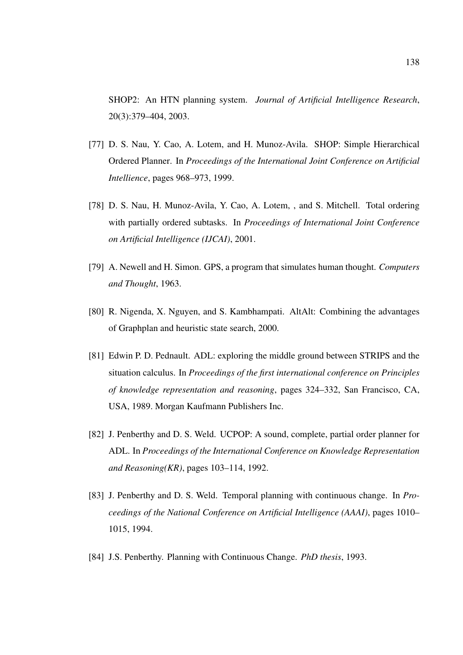SHOP2: An HTN planning system. *Journal of Artificial Intelligence Research*, 20(3):379–404, 2003.

- [77] D. S. Nau, Y. Cao, A. Lotem, and H. Munoz-Avila. SHOP: Simple Hierarchical Ordered Planner. In *Proceedings of the International Joint Conference on Artificial Intellience*, pages 968–973, 1999.
- [78] D. S. Nau, H. Munoz-Avila, Y. Cao, A. Lotem, , and S. Mitchell. Total ordering with partially ordered subtasks. In *Proceedings of International Joint Conference on Artificial Intelligence (IJCAI)*, 2001.
- [79] A. Newell and H. Simon. GPS, a program that simulates human thought. *Computers and Thought*, 1963.
- [80] R. Nigenda, X. Nguyen, and S. Kambhampati. AltAlt: Combining the advantages of Graphplan and heuristic state search, 2000.
- [81] Edwin P. D. Pednault. ADL: exploring the middle ground between STRIPS and the situation calculus. In *Proceedings of the first international conference on Principles of knowledge representation and reasoning*, pages 324–332, San Francisco, CA, USA, 1989. Morgan Kaufmann Publishers Inc.
- [82] J. Penberthy and D. S. Weld. UCPOP: A sound, complete, partial order planner for ADL. In *Proceedings of the International Conference on Knowledge Representation and Reasoning(KR)*, pages 103–114, 1992.
- [83] J. Penberthy and D. S. Weld. Temporal planning with continuous change. In *Proceedings of the National Conference on Artificial Intelligence (AAAI)*, pages 1010– 1015, 1994.
- [84] J.S. Penberthy. Planning with Continuous Change. *PhD thesis*, 1993.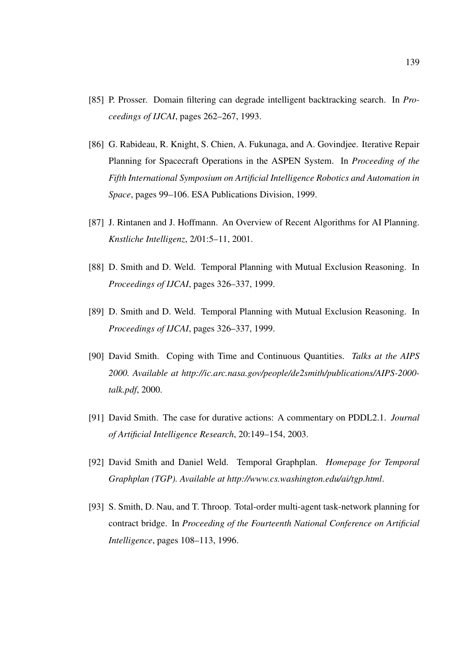- [85] P. Prosser. Domain filtering can degrade intelligent backtracking search. In *Proceedings of IJCAI*, pages 262–267, 1993.
- [86] G. Rabideau, R. Knight, S. Chien, A. Fukunaga, and A. Govindjee. Iterative Repair Planning for Spacecraft Operations in the ASPEN System. In *Proceeding of the Fifth International Symposium on Artificial Intelligence Robotics and Automation in Space*, pages 99–106. ESA Publications Division, 1999.
- [87] J. Rintanen and J. Hoffmann. An Overview of Recent Algorithms for AI Planning. *Knstliche Intelligenz*, 2/01:5–11, 2001.
- [88] D. Smith and D. Weld. Temporal Planning with Mutual Exclusion Reasoning. In *Proceedings of IJCAI*, pages 326–337, 1999.
- [89] D. Smith and D. Weld. Temporal Planning with Mutual Exclusion Reasoning. In *Proceedings of IJCAI*, pages 326–337, 1999.
- [90] David Smith. Coping with Time and Continuous Quantities. *Talks at the AIPS 2000. Available at http://ic.arc.nasa.gov/people/de2smith/publications/AIPS-2000 talk.pdf*, 2000.
- [91] David Smith. The case for durative actions: A commentary on PDDL2.1. *Journal of Artificial Intelligence Research*, 20:149–154, 2003.
- [92] David Smith and Daniel Weld. Temporal Graphplan. *Homepage for Temporal Graphplan (TGP). Available at http://www.cs.washington.edu/ai/tgp.html*.
- [93] S. Smith, D. Nau, and T. Throop. Total-order multi-agent task-network planning for contract bridge. In *Proceeding of the Fourteenth National Conference on Artificial Intelligence*, pages 108–113, 1996.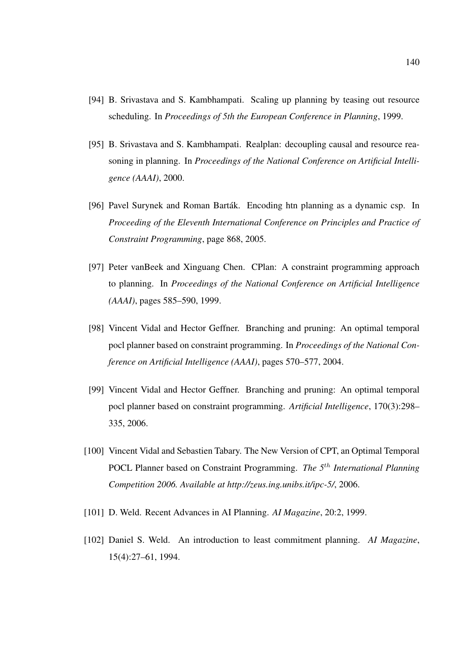- [94] B. Srivastava and S. Kambhampati. Scaling up planning by teasing out resource scheduling. In *Proceedings of 5th the European Conference in Planning*, 1999.
- [95] B. Srivastava and S. Kambhampati. Realplan: decoupling causal and resource reasoning in planning. In *Proceedings of the National Conference on Artificial Intelligence (AAAI)*, 2000.
- [96] Pavel Surynek and Roman Barták. Encoding htn planning as a dynamic csp. In *Proceeding of the Eleventh International Conference on Principles and Practice of Constraint Programming*, page 868, 2005.
- [97] Peter vanBeek and Xinguang Chen. CPlan: A constraint programming approach to planning. In *Proceedings of the National Conference on Artificial Intelligence (AAAI)*, pages 585–590, 1999.
- [98] Vincent Vidal and Hector Geffner. Branching and pruning: An optimal temporal pocl planner based on constraint programming. In *Proceedings of the National Conference on Artificial Intelligence (AAAI)*, pages 570–577, 2004.
- [99] Vincent Vidal and Hector Geffner. Branching and pruning: An optimal temporal pocl planner based on constraint programming. *Artificial Intelligence*, 170(3):298– 335, 2006.
- [100] Vincent Vidal and Sebastien Tabary. The New Version of CPT, an Optimal Temporal POCL Planner based on Constraint Programming. *The 5*th *International Planning Competition 2006. Available at http://zeus.ing.unibs.it/ipc-5/*, 2006.
- [101] D. Weld. Recent Advances in AI Planning. *AI Magazine*, 20:2, 1999.
- [102] Daniel S. Weld. An introduction to least commitment planning. *AI Magazine*, 15(4):27–61, 1994.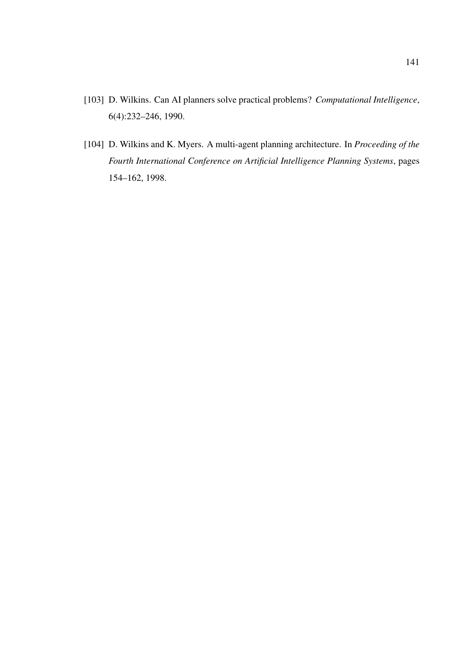- [103] D. Wilkins. Can AI planners solve practical problems? *Computational Intelligence*, 6(4):232–246, 1990.
- [104] D. Wilkins and K. Myers. A multi-agent planning architecture. In *Proceeding of the Fourth International Conference on Artificial Intelligence Planning Systems*, pages 154–162, 1998.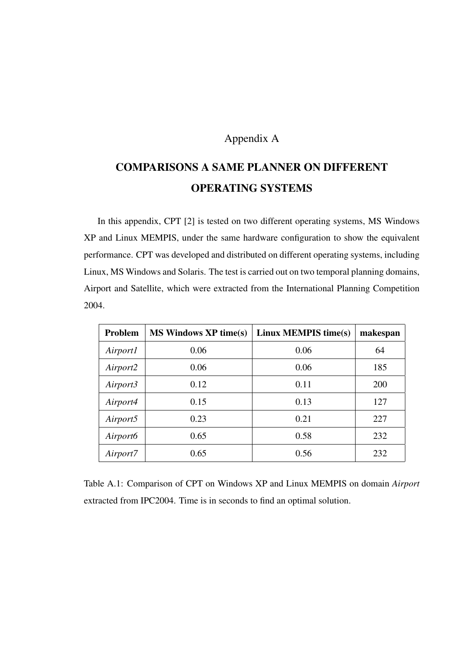# Appendix A

# COMPARISONS A SAME PLANNER ON DIFFERENT OPERATING SYSTEMS

In this appendix, CPT [2] is tested on two different operating systems, MS Windows XP and Linux MEMPIS, under the same hardware configuration to show the equivalent performance. CPT was developed and distributed on different operating systems, including Linux, MS Windows and Solaris. The test is carried out on two temporal planning domains, Airport and Satellite, which were extracted from the International Planning Competition 2004.

| Problem              | <b>MS Windows XP time(s)</b> | Linux MEMPIS time(s) | makespan |
|----------------------|------------------------------|----------------------|----------|
| Airport1             | 0.06                         | 0.06                 | 64       |
| Airport2             | 0.06                         | 0.06                 | 185      |
| Airport3             | 0.12                         | 0.11                 | 200      |
| Airport4             | 0.15                         | 0.13                 | 127      |
| Airport5             | 0.23                         | 0.21                 | 227      |
| Airport <sub>6</sub> | 0.65                         | 0.58                 | 232      |
| Airport7             | 0.65                         | 0.56                 | 232      |

Table A.1: Comparison of CPT on Windows XP and Linux MEMPIS on domain *Airport* extracted from IPC2004. Time is in seconds to find an optimal solution.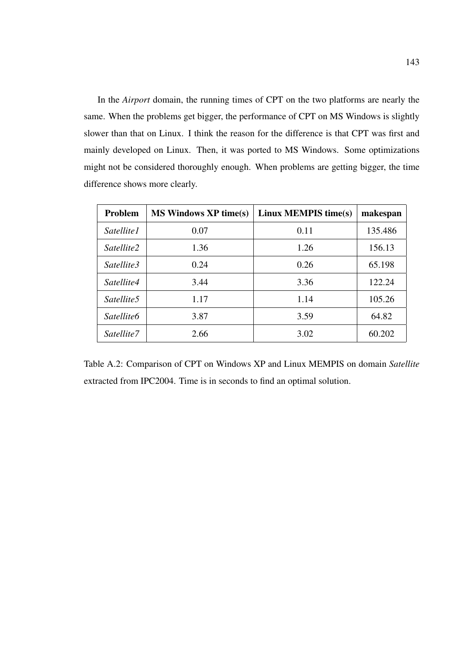In the *Airport* domain, the running times of CPT on the two platforms are nearly the same. When the problems get bigger, the performance of CPT on MS Windows is slightly slower than that on Linux. I think the reason for the difference is that CPT was first and mainly developed on Linux. Then, it was ported to MS Windows. Some optimizations might not be considered thoroughly enough. When problems are getting bigger, the time difference shows more clearly.

| Problem                | <b>MS Windows XP time(s)</b> | Linux MEMPIS time(s) | makespan |
|------------------------|------------------------------|----------------------|----------|
| <i>Satellite1</i>      | 0.07                         | 0.11                 | 135.486  |
| Satellite2             | 1.36                         | 1.26                 | 156.13   |
| Satellite3             | 0.24                         | 0.26                 | 65.198   |
| Satellite4             | 3.44                         | 3.36                 | 122.24   |
| Satellite <sub>5</sub> | 1.17                         | 1.14                 | 105.26   |
| Satellite6             | 3.87                         | 3.59                 | 64.82    |
| Satellite7             | 2.66                         | 3.02                 | 60.202   |

Table A.2: Comparison of CPT on Windows XP and Linux MEMPIS on domain *Satellite* extracted from IPC2004. Time is in seconds to find an optimal solution.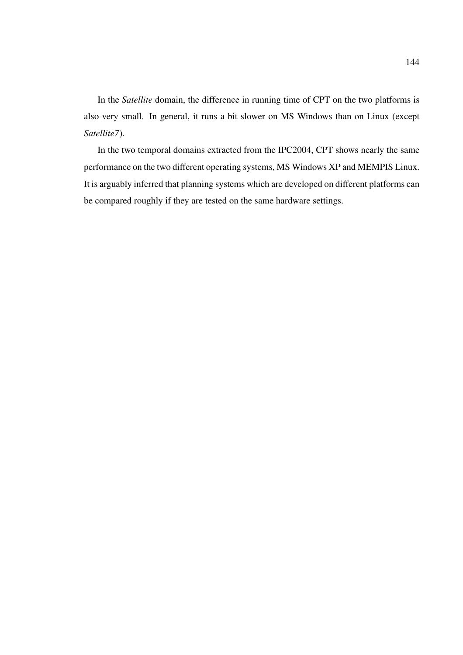In the *Satellite* domain, the difference in running time of CPT on the two platforms is also very small. In general, it runs a bit slower on MS Windows than on Linux (except *Satellite7*).

In the two temporal domains extracted from the IPC2004, CPT shows nearly the same performance on the two different operating systems, MS Windows XP and MEMPIS Linux. It is arguably inferred that planning systems which are developed on different platforms can be compared roughly if they are tested on the same hardware settings.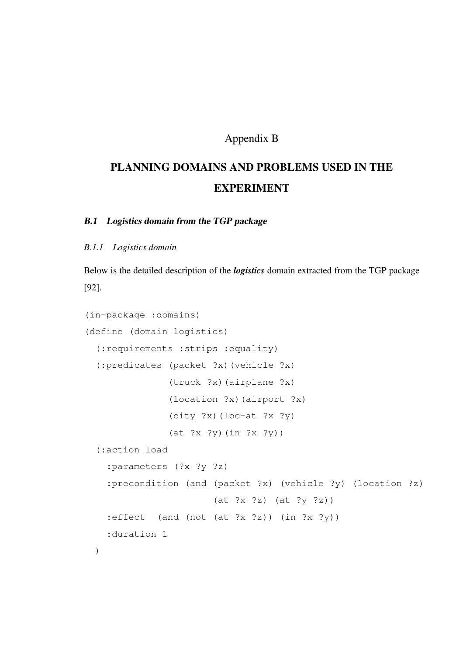# Appendix B

# PLANNING DOMAINS AND PROBLEMS USED IN THE EXPERIMENT

# B.1 Logistics domain from the TGP package

#### *B.1.1 Logistics domain*

Below is the detailed description of the *logistics* domain extracted from the TGP package [92].

```
(in-package :domains)
(define (domain logistics)
  (:requirements :strips :equality)
  (:predicates (packet ?x)(vehicle ?x)
               (truck ?x)(airplane ?x)
               (location ?x)(airport ?x)
               (city ?x)(loc-at ?x ?y)(at ?x ?y)(in ?x ?y))
  (:action load
    :parameters (?x ?y ?z)
    :precondition (and (packet ?x) (vehicle ?y) (location ?z)
                       (at ?x ?z) (at ?y ?z))
    : effect (and (not (at ?x ?z)) (in ?x ?y))
    :duration 1
 )
```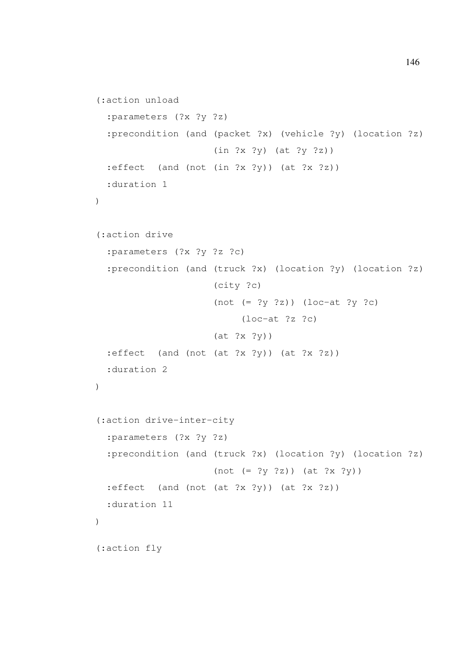```
(:action unload
  :parameters (?x ?y ?z)
  :precondition (and (packet ?x) (vehicle ?y) (location ?z)
                      (in ?x ?y) (at ?y ?z))
  : effect (and (not (in ?x ?y)) (at ?x ?z))
  :duration 1
)
(:action drive
  :parameters (?x ?y ?z ?c)
  :precondition (and (truck ?x) (location ?y) (location ?z)
                      (city ?c)
                      (not (= ?y ?z)) (loc-at ?y ?c)
                           (loc-at ?z ?c)
                      (at ?x ?y))
  : effect (and (not (at ?x ?y) (at ?x ?z))
  :duration 2
)
(:action drive-inter-city
  :parameters (?x ?y ?z)
  :precondition (and (truck ?x) (location ?y) (location ?z)
                      (not (= ?y ?z)) (at ?x ?y))
  :effect (and (not (at ?x ?y)) (at ?x ?z))
  :duration 11
\left( \right)(:action fly
```
146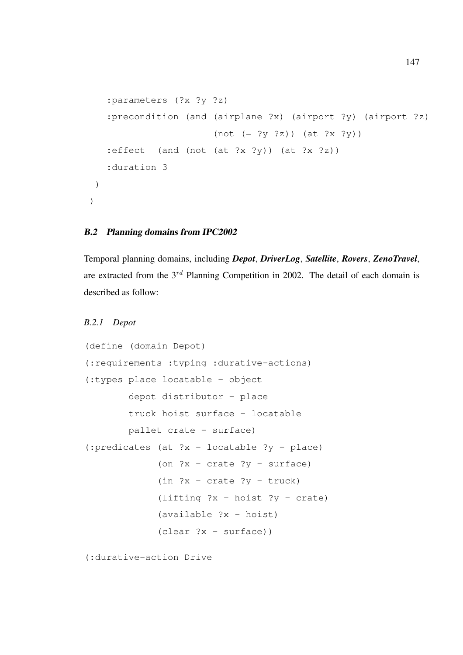```
:parameters (?x ?y ?z)
   :precondition (and (airplane ?x) (airport ?y) (airport ?z)
                      (not (= ?y ?z)) (at ?x ?y):effect (and (not (at ?x ?y)) (at ?x ?z))
   :duration 3
)
)
```
#### B.2 Planning domains from IPC2002

Temporal planning domains, including *Depot*, *DriverLog*, *Satellite*, *Rovers*, *ZenoTravel*, are extracted from the  $3^{rd}$  Planning Competition in 2002. The detail of each domain is described as follow:

#### *B.2.1 Depot*

```
(define (domain Depot)
(:requirements :typing :durative-actions)
(:types place locatable - object
        depot distributor - place
        truck hoist surface - locatable
        pallet crate - surface)
(:predicates (at ?x - locatable ?y - place)
              (on ?x - \text{crate } ?y - \text{surface})
              (in  ?x - crate  ?y - truck)(lifting ?x - \text{hoist } ?y - \text{crate})
              (available ?x - hoist)
              (clear ?x - surface))
```
(:durative-action Drive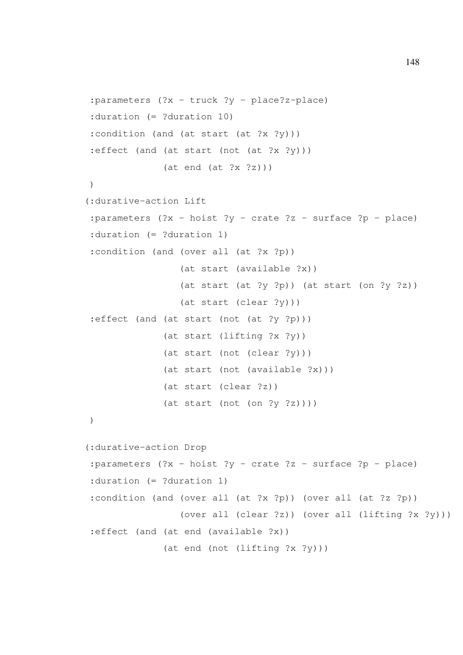```
:parameters (?x - truck ?y - place?z-place)
:duration (= ?duration 10)
:condition (and (at start (at ?x ?y)))
:effect (and (at start (not (at ?x ?y)))
              (at end (at ?x ?z)))\lambda(:durative-action Lift
:parameters (?x - hoist ?y - crate ?z - surface ?p - place):duration (= ?duration 1)
:condition (and (over all (at ?x ?p))
                 (at start (available ?x))
                 (at start (at ?y ?p)) (at start (on ?y ?z))
                 (at start (clear ?y)))
:effect (and (at start (not (at ?y ?p)))
              (at start (lifting ?x ?y))
              (at start (not (clear ?y)))
              (at start (not (available ?x)))
              (at start (clear ?z))
              (at start (not (on ?y ?z))))
(:durative-action Drop
:parameters (?x - hoist ?y - crate ?z - surface ?p - place):duration (= ?duration 1)
:condition (and (over all (at ?x ?p)) (over all (at ?z ?p))
                 (over all (clear ?z)) (over all (lifting ?x ?y)))
:effect (and (at end (available ?x))
              (at end (not (lifting ?x ?y)))
```
148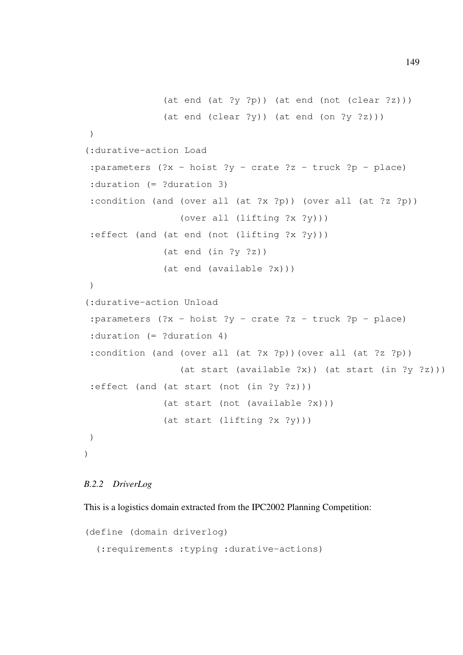```
(at end (at ?y ?p)) (at end (not (clear ?z)))
              (at end (clear ?y)) (at end (on ?y ?z)))
 )
(:durative-action Load
 :parameters (?x - hoist ?y - crate ?z - truck ?p - place):duration (= ?duration 3)
 :condition (and (over all (at ?x ?p)) (over all (at ?z ?p))
                 (over all (lifting ?x ?y)))
 :effect (and (at end (not (lifting ?x ?y)))
              (at end (in ?y ?z))(at end (available ?x)))
 )
(:durative-action Unload
 :parameters (?x - hoist ?y - crate ?z - truck ?p - place):duration (= ?duration 4)
 :condition (and (over all (at ?x ?p))(over all (at ?z ?p))
                 (at start (available ?x)) (at start (in ?y ?z)))
 :effect (and (at start (not (in ?y ?z)))
              (at start (not (available ?x)))
              (at start (lifting ?x ?y)))
)
)
```
## *B.2.2 DriverLog*

This is a logistics domain extracted from the IPC2002 Planning Competition:

```
(define (domain driverlog)
  (:requirements :typing :durative-actions)
```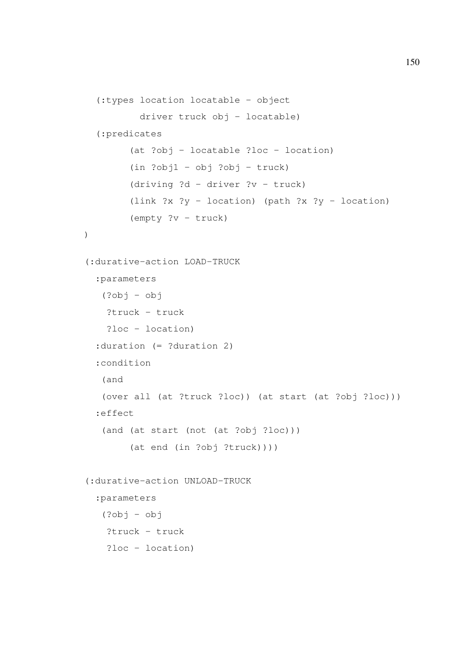```
(:types location locatable - object
          driver truck obj - locatable)
  (:predicates
        (at ?obj - locatable ?loc - location)
        (in  ?obj1 - obj ?obj - truck)(driving ?d - driver ?v - truck)
        (link ?x \t ?y - location) (path ?x \t ?y - location)
        (empty ?v - truck)
)
(:durative-action LOAD-TRUCK
  :parameters
   (?obj - obj
   ?truck - truck
    ?loc - location)
  :duration (= ?duration 2)
  :condition
   (and
   (over all (at ?truck ?loc)) (at start (at ?obj ?loc)))
  :effect
   (and (at start (not (at ?obj ?loc)))
        (at end (in ?obj ?truck))))
(:durative-action UNLOAD-TRUCK
  :parameters
   (?obj - obj)?truck - truck
    ?loc - location)
```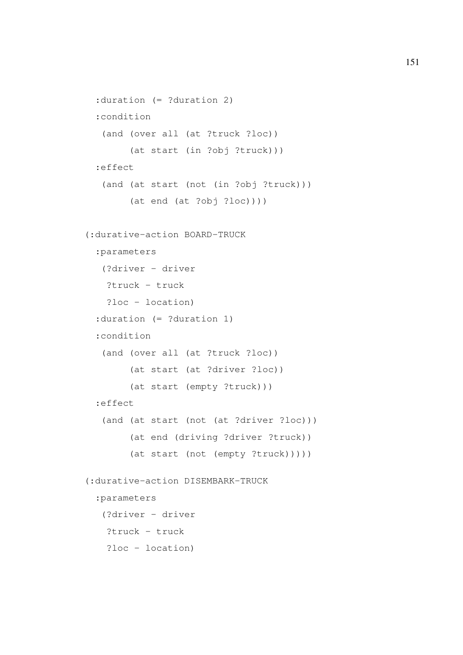```
:duration (= ?duration 2)
 :condition
   (and (over all (at ?truck ?loc))
        (at start (in ?obj ?truck)))
 :effect
   (and (at start (not (in ?obj ?truck)))
        (at end (at ?obj ?loc)))(:durative-action BOARD-TRUCK
 :parameters
   (?driver - driver
   ?truck - truck
   ?loc - location)
 :duration (= ?duration 1)
 :condition
  (and (over all (at ?truck ?loc))
        (at start (at ?driver ?loc))
        (at start (empty ?truck)))
 :effect
   (and (at start (not (at ?driver ?loc)))
        (at end (driving ?driver ?truck))
        (at start (not (empty ?truck)))))
(:durative-action DISEMBARK-TRUCK
 :parameters
   (?driver - driver
   ?truck - truck
   ?loc - location)
```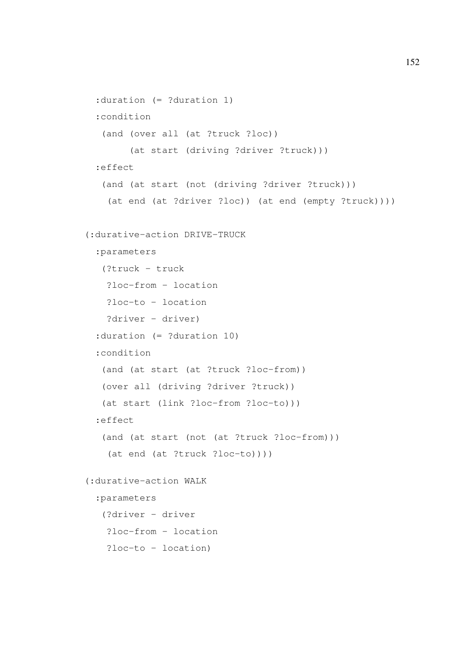```
:duration (= ?duration 1)
 :condition
   (and (over all (at ?truck ?loc))
        (at start (driving ?driver ?truck)))
 :effect
   (and (at start (not (driving ?driver ?truck)))
   (at end (at ?driver ?loc)) (at end (empty ?truck))))
(:durative-action DRIVE-TRUCK
 :parameters
   (?truck - truck
   ?loc-from - location
   ?loc-to - location
   ?driver - driver)
  :duration (= ?duration 10)
 :condition
   (and (at start (at ?truck ?loc-from))
  (over all (driving ?driver ?truck))
   (at start (link ?loc-from ?loc-to)))
 :effect
   (and (at start (not (at ?truck ?loc-from)))
    (at end (at ?truck ?loc-to))))
(:durative-action WALK
 :parameters
   (?driver - driver
   ?loc-from - location
   ?loc-to - location)
```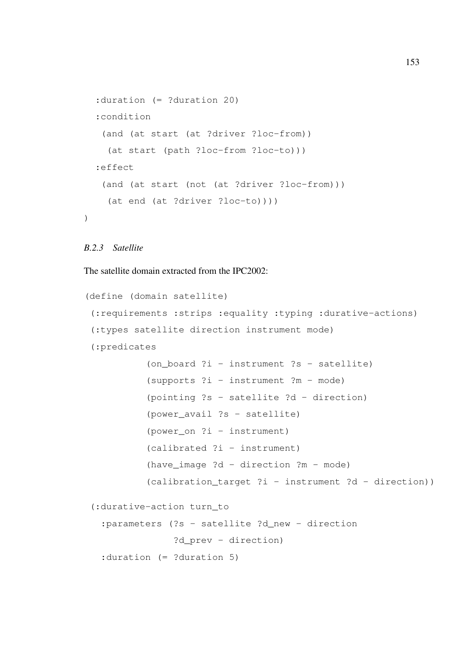```
:duration (= ?duration 20)
:condition
 (and (at start (at ?driver ?loc-from))
  (at start (path ?loc-from ?loc-to)))
:effect
 (and (at start (not (at ?driver ?loc-from)))
  (at end (at ?driver ?loc-to))))
```
## *B.2.3 Satellite*

)

The satellite domain extracted from the IPC2002:

```
(define (domain satellite)
 (:requirements :strips :equality :typing :durative-actions)
 (:types satellite direction instrument mode)
 (:predicates
           (on_board ?i - instrument ?s - satellite)
           (supports ?i - instrument ?m - mode)
           (pointing ?s - satellite ?d - direction)
           (power_avail ?s - satellite)
           (power_on ?i - instrument)
           (calibrated ?i - instrument)
           (have_image ?d - direction ?m - mode)
           (calibration target ?i - instrument ?d - direction))
 (:durative-action turn_to
   :parameters (?s - satellite ?d_new - direction
                ?d_prev - direction)
   :duration (= ?duration 5)
```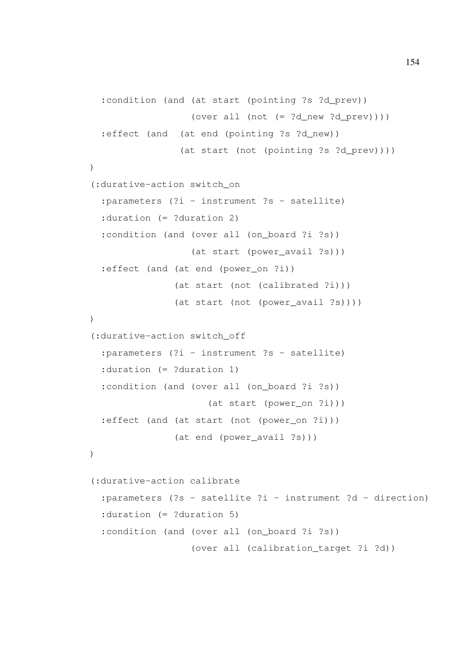```
:condition (and (at start (pointing ?s ?d_prev))
                  (over all (not (= ?d_new ?d\_prev))):effect (and (at end (pointing ?s ?d_new))
                (at start (not (pointing ?s ?d_prev))))
)
(:durative-action switch_on
  :parameters (?i - instrument ?s - satellite)
  :duration (= ?duration 2)
  : condition (and (over all (on board ?i ?s))
                  (at start (power_avail ?s)))
  :effect (and (at end (power on ?i))
               (at start (not (calibrated ?i)))
               (at start (not (power_avail ?s))))
)
(:durative-action switch_off
  :parameters (?i - instrument ?s - satellite)
 :duration (= ?duration 1)
  : condition (and (over all (on board ?i ?s))
                     (at start (power_on ?i)))
  :effect (and (at start (not (power_on ?i)))
               (at end (power_avail ?s)))
)
(:durative-action calibrate
  :parameters (?s - satellite ?i - instrument ?d - direction)
  :duration (= ?duration 5)
  :condition (and (over all (on_board ?i ?s))
                  (over all (calibration_target ?i ?d))
```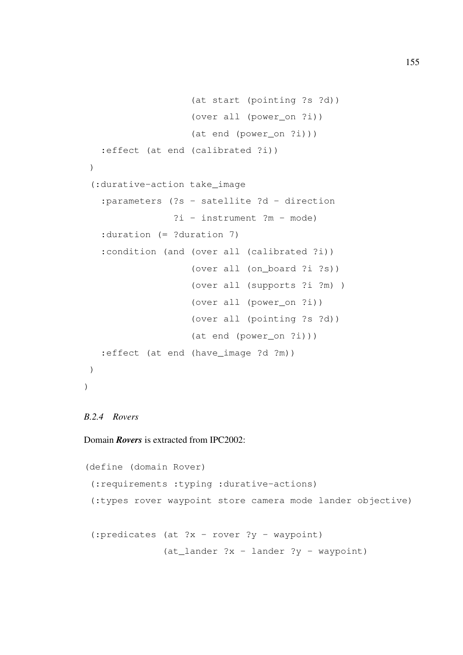```
(at start (pointing ?s ?d))
                   (over all (power_on ?i))
                   (at end (power_on ?i)))
   :effect (at end (calibrated ?i))
 )
 (:durative-action take_image
   :parameters (?s - satellite ?d - direction
                ?i - instrument ?m - mode)
   :duration (= ?duration 7)
   :condition (and (over all (calibrated ?i))
                   (over all (on_board ?i ?s))
                   (over all (supports ?i ?m) )
                   (over all (power_on ?i))
                   (over all (pointing ?s ?d))
                   (at end (power_on ?i)))
   :effect (at end (have_image ?d ?m))
)
)
```
#### *B.2.4 Rovers*

### Domain *Rovers* is extracted from IPC2002:

```
(define (domain Rover)
 (:requirements :typing :durative-actions)
 (:types rover waypoint store camera mode lander objective)
 (:predicates (at ?x - rover ?y - waypoint)
              (at_lander ?x - lander ?y - waypoint)
```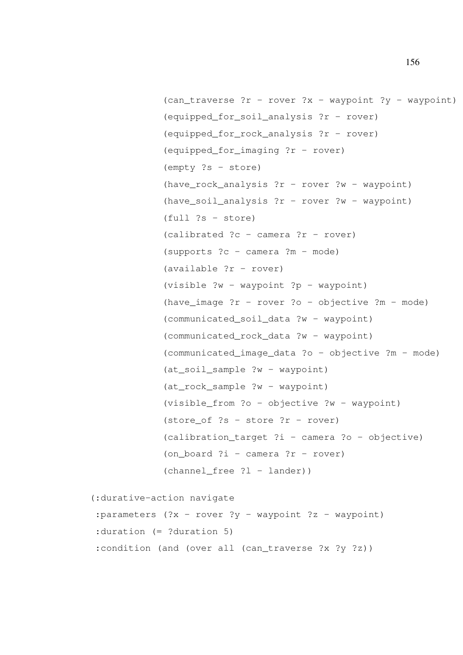```
(can\_traverse ?r - rover ?x - waypoint ?y - waypoint)(equipped_for_soil_analysis ?r - rover)
(equipped_for_rock_analysis ?r - rover)
(equipped_for_imaging ?r - rover)
(empty ?s - store)
(have rock analysis ?r - rover ?w - waypoint)
(have soil analysis ?r - rover ?w - waypoint)
(full ?s - store)
(calibrated ?c - camera ?r - rover)
(supports ?c - camera ?m - mode)
(available ?r - rover)
(visible ?w - waypoint ?p - waypoint)
(have_image ?r - rover ?o - objective ?m - mode)
(communicated_soil_data ?w - waypoint)
(communicated_rock_data ?w - waypoint)
(communicated_image_data ?o - objective ?m - mode)
(at_soil_sample ?w - waypoint)
(at_rock_sample ?w - waypoint)
(visible_from ?o - objective ?w - waypoint)
(store_of ?s - store ?r - rover)
(calibration_target ?i - camera ?o - objective)
(on_board ?i - camera ?r - rover)
(charnel_free ?l - lander))
```
(:durative-action navigate

: parameters  $(?x - rover ?y - waypoint ?z - waypoint)$ :duration (= ?duration 5) :condition (and (over all (can\_traverse ?x ?y ?z))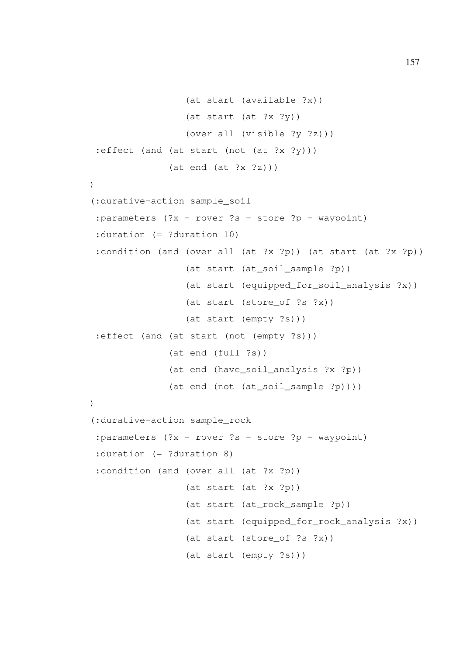```
(at start (available ?x))
                 (at start (at ?x ?y))
                 (over all (visible ?y ?z)))
 :effect (and (at start (not (at ?x ?y)))
              (at end (at ?x ?z)))\lambda(:durative-action sample_soil
 : parameters (2x - rover 2s - store 2p - waypoint):duration (= ?duration 10)
 :condition (and (over all (at ?x ?p)) (at start (at ?x ?p))
                 (at start (at_soil_sample ?p))
                 (at start (equipped_for_soil_analysis ?x))
                 (at start (store_of ?s ?x))
                 (at start (empty ?s)))
 :effect (and (at start (not (empty ?s)))
              (at end (full ?s))
              (at end (have_soil_analysis ?x ?p))
              (at end (not (at_soil_sample ?p))))
)
(:durative-action sample_rock
 :parameters (?x - rover ?s - store ?p - waypoint)
 :duration (= ?duration 8)
 :condition (and (over all (at ?x ?p))
                 (at start (at ?x ?p))
                 (at start (at_rock_sample ?p))
                 (at start (equipped_for_rock_analysis ?x))
                 (at start (store_of ?s ?x))
                 (at start (empty ?s)))
```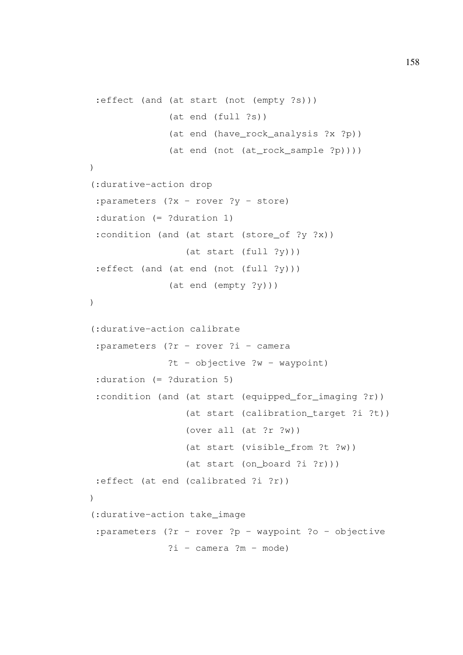```
:effect (and (at start (not (empty ?s)))
              (at end (full ?s))
              (at end (have_rock_analysis ?x ?p))
              (at end (not (at_rock_sample ?p))))
)
(:durative-action drop
 :parameters (?x - rover ?y - store)
 :duration (= ?duration 1)
 :condition (and (at start (store_of ?y ?x))
                 (at start (full ?y)))
 :effect (and (at end (not (full ?y)))
              (at end (empty ?y)))
)
(:durative-action calibrate
 :parameters (?r - rover ?i - camera
              ?t - objective ?w - waypoint):duration (= ?duration 5)
 :condition (and (at start (equipped_for_imaging ?r))
                 (at start (calibration target ?i ?t))
                 (over all (at ?r ?w))
                 (at start (visible from ?t ?w))
                 (at start (on_board ?i ?r)))
 :effect (at end (calibrated ?i ?r))
)
(:durative-action take_image
 :parameters (?r - rover ?p - waypoint ?o - objective
              ?i - camera ?m - mode)
```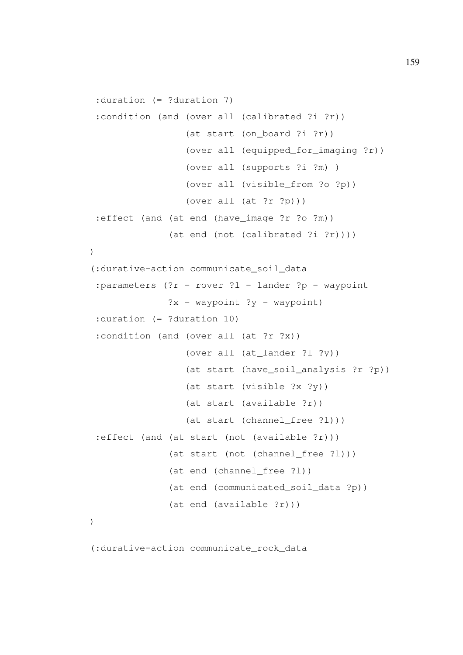```
:duration (= ?duration 7)
 :condition (and (over all (calibrated ?i ?r))
                 (at start (on_board ?i ?r))
                 (over all (equipped_for_imaging ?r))
                 (over all (supports ?i ?m) )
                 (over all (visible_from ?o ?p))
                 (over all (at ?r ?p)))
 :effect (and (at end (have image ?r ?o ?m))
              (at end (not (calibrated ?i ?r))))
)
(:durative-action communicate_soil_data
 :parameters (?r - rover ?1 - lander ?p - waypoint
              ?x - waypoint ?y - waypoint):duration (= ?duration 10)
 :condition (and (over all (at ?r ?x))
                 (over all (at_lander ?l ?y))
                 (at start (have_soil_analysis ?r ?p))
                 (at start (visible ?x ?y))
                 (at start (available ?r))
                 (at start (channel_free ?l)))
 :effect (and (at start (not (available ?r)))
              (at start (not (channel_free ?l)))
              (at end (channel_free ?l))
              (at end (communicated_soil_data ?p))
              (at end (available ?r)))
)
```
(:durative-action communicate\_rock\_data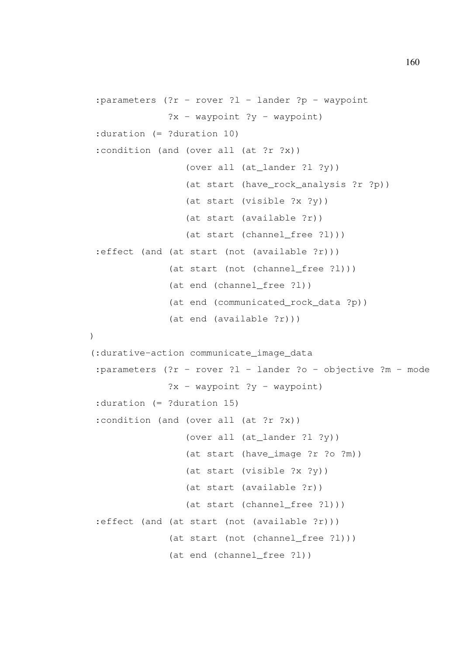```
:parameters (?r - rover ?l - lander ?p - waypoint
              ?x - waypoint ?y - waypoint):duration (= ?duration 10)
 :condition (and (over all (at ?r ?x))
                 (over all (at lander ?1 ?y))
                 (at start (have_rock_analysis ?r ?p))
                 (at start (visible ?x ?y))
                 (at start (available ?r))
                 (at start (channel free ?l)))
 :effect (and (at start (not (available ?r)))
              (at start (not (channel free ?l)))
              (at end (channel free ?l))
              (at end (communicated_rock_data ?p))
              (at end (available ?r)))
)
(:durative-action communicate_image_data
 :parameters (?r - rover ?l - lander ?o - objective ?m - mode
              ?x - waypoint ?y - waypoint):duration (= ?duration 15)
 :condition (and (over all (at ?r ?x))
                 (over all (at_lander ?l ?y))
                 (at start (have_image ?r ?o ?m))
                 (at start (visible ?x ?y))
                 (at start (available ?r))
                 (at start (channel_free ?l)))
 :effect (and (at start (not (available ?r)))
              (at start (not (channel_free ?l)))
              (at end (channel free ?l))
```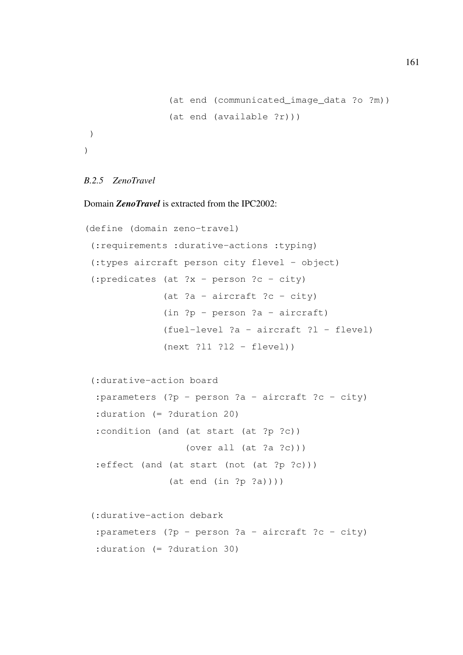```
(at end (communicated image data ?o ?m))
                (at end (available ?r)))
)
)
```
### *B.2.5 ZenoTravel*

# Domain *ZenoTravel* is extracted from the IPC2002:

```
(define (domain zeno-travel)
 (:requirements :durative-actions :typing)
 (:types aircraft person city flevel - object)
 (:predicates (at ?x - person ?c - city)
              (at ?a - aircraft ?c - city)
              (in ?p - person ?a - aircraft)
              (fuel-level ?a - aircraft ?l - flevel)
              (next ?l1 ?l2 - flevel))
 (:durative-action board
  :parameters (?p - person ?a - aircraft ?c - city)
 :duration (= ?duration 20)
  :condition (and (at start (at ?p ?c))
                  (over all (at ?a ?c)))
  :effect (and (at start (not (at ?p ?c)))
               (at end (in ?p ?a)))(:durative-action debark
```

```
: parameters (?p - person ?a - aircraft ?c - city)
:duration (= ?duration 30)
```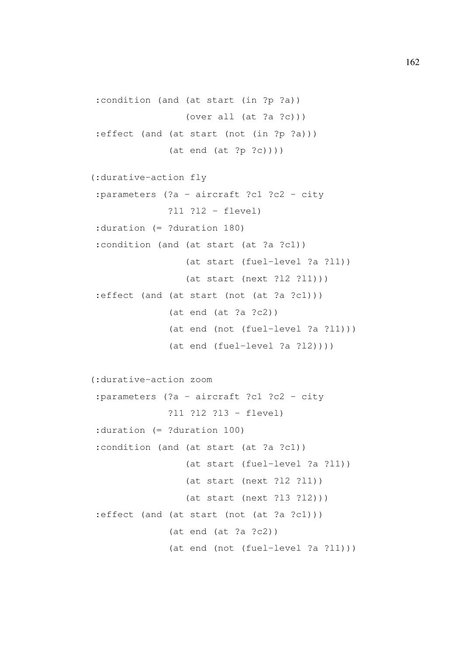```
:condition (and (at start (in ?p ?a))
                 (over all (at ?a ?c)))
:effect (and (at start (not (in ?p ?a)))
              (at end (at ?p ?c))))
(:durative-action fly
:parameters (?a - aircraft ?c1 ?c2 - city
              ?l1 ?l2 - flevel)
:duration (= ?duration 180)
:condition (and (at start (at ?a ?c1))
                 (at start (fuel-level ?a ?l1))
                 (at start (next ?l2 ?l1)))
:effect (and (at start (not (at ?a ?c1)))
              (at end (at ?a ?c2))
              (at end (not (fuel-level ?a ?l1)))
              (at end (fuel-level ?a ?l2))))
(:durative-action zoom
:parameters (?a - aircraft ?c1 ?c2 - city
              ?l1 ?l2 ?l3 - flevel)
:duration (= ?duration 100)
:condition (and (at start (at ?a ?c1))
                 (at start (fuel-level ?a ?l1))
                 (at start (next ?l2 ?l1))
                 (at start (next ?l3 ?l2)))
:effect (and (at start (not (at ?a ?c1)))
              (at end (at ?a ?c2))
              (at end (not (fuel-level ?a ?l1)))
```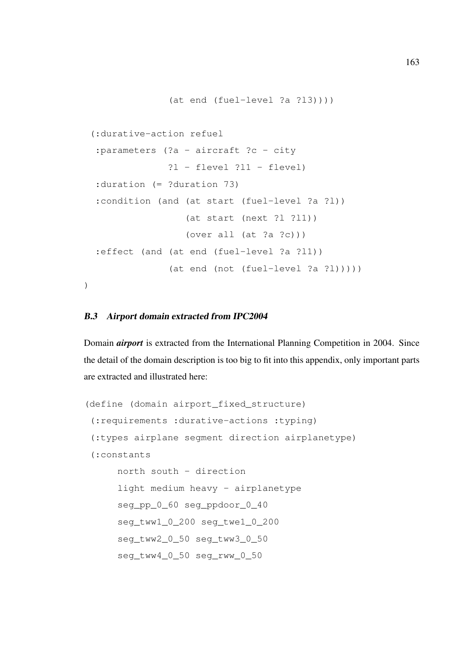```
(:durative-action refuel
:parameters (?a - aircraft ?c - city
              ?l - flevel ?l1 - flevel)
:duration (= ?duration 73)
:condition (and (at start (fuel-level ?a ?l))
                 (at start (next ?l ?l1))
                 (over all (at ?a ?c)))
:effect (and (at end (fuel-level ?a ?l1))
              (at end (not (fuel-level ?a ?l)))))
```
(at end (fuel-level ?a ?l3))))

)

#### B.3 Airport domain extracted from IPC2004

Domain *airport* is extracted from the International Planning Competition in 2004. Since the detail of the domain description is too big to fit into this appendix, only important parts are extracted and illustrated here:

```
(define (domain airport_fixed_structure)
 (:requirements :durative-actions :typing)
 (:types airplane segment direction airplanetype)
 (:constants
     north south - direction
      light medium heavy - airplanetype
      seg_pp_0_60 seg_ppdoor_0_40
      seg_tww1_0_200 seg_twe1_0_200
      seg_tww2_0_50 seg_tww3_0_50
      seg_tww4_0_50 seg_rww_0_50
```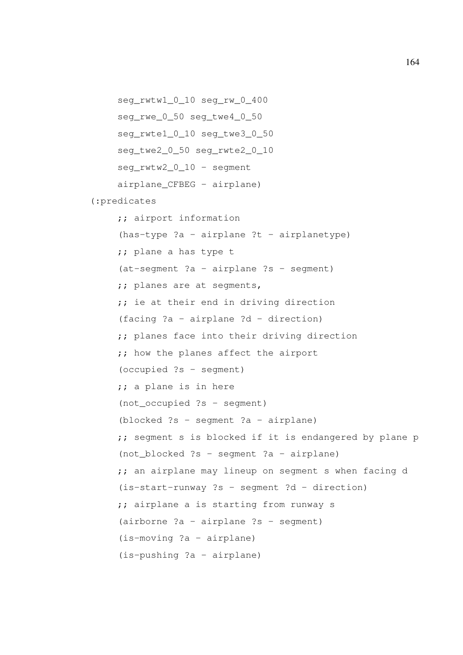seg\_rwtw1\_0\_10 seg\_rw\_0\_400 seg\_rwe\_0\_50 seg\_twe4\_0\_50 seg\_rwte1\_0\_10 seg\_twe3\_0\_50 seg\_twe2\_0\_50 seg\_rwte2\_0\_10 seg\_rwtw2\_0\_10 - segment airplane\_CFBEG - airplane) (:predicates ;; airport information  $(has-type ?a - airplane ?t - airplane)$ ;; plane a has type t (at-segment ?a - airplane ?s - segment) ;; planes are at segments, ;; ie at their end in driving direction (facing ?a - airplane ?d - direction) ;; planes face into their driving direction ;; how the planes affect the airport (occupied ?s - segment) ;; a plane is in here (not\_occupied ?s - segment) (blocked ?s - segment ?a - airplane) ;; segment s is blocked if it is endangered by plane p (not\_blocked ?s - segment ?a - airplane) ;; an airplane may lineup on segment s when facing d (is-start-runway ?s - segment ?d - direction) ;; airplane a is starting from runway s (airborne ?a - airplane ?s - segment) (is-moving ?a - airplane) (is-pushing ?a - airplane)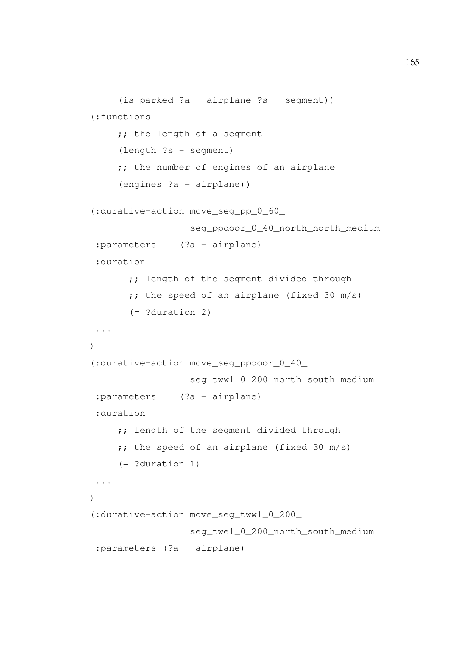```
(is-parked ?a - airplane ?s - segment))
(:functions
     ;; the length of a segment
     (length ?s - segment)
     ;; the number of engines of an airplane
     (engines ?a - airplane))
(:durative-action move_seg_pp_0_60_
                  seg_ppdoor_0_40_north_north_medium
 :parameters (?a - airplane)
 :duration
       ;; length of the segment divided through
       ; the speed of an airplane (fixed 30 m/s)
      (= ?duration 2)
 ...
\lambda(:durative-action move_seg_ppdoor_0_40_
                  seg_tww1_0_200_north_south_medium
 :parameters (?a - airplane)
 :duration
     ;; length of the segment divided through
     ;; the speed of an airplane (fixed 30 m/s)
     (= ?duration 1)
 ...
)
(:durative-action move_seg_tww1_0_200_
                  seg_twe1_0_200_north_south_medium
 :parameters (?a - airplane)
```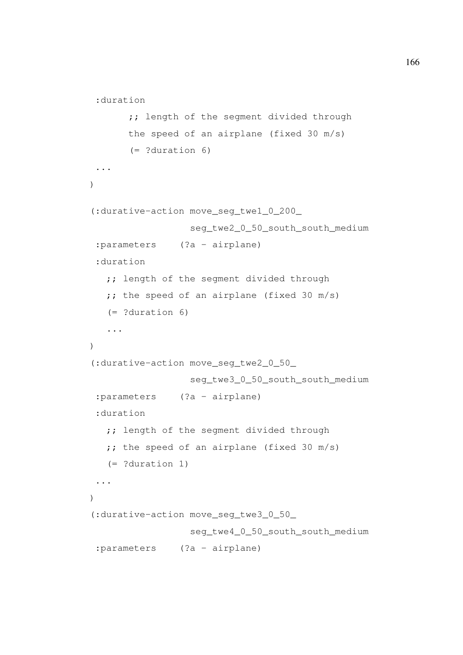```
:duration
       ;; length of the segment divided through
      the speed of an airplane (fixed 30 m/s)
       (= ?duration 6)
 ...
)
(:durative-action move_seg_twe1_0_200_
                  seg_twe2_0_50_south_south_medium
 :parameters (?a - airplane)
 :duration
  ;; length of the segment divided through
  ; the speed of an airplane (fixed 30 m/s)
   (= ?duration 6)
   ...
)
(:durative-action move_seg_twe2_0_50_
                  seg_twe3_0_50_south_south_medium
 :parameters (?a - airplane)
 :duration
   ;; length of the segment divided through
  ; the speed of an airplane (fixed 30 m/s)
  (= ?duration 1)
 ...
)
(:durative-action move_seg_twe3_0_50_
                 seg_twe4_0_50_south_south_medium
 :parameters (?a - airplane)
```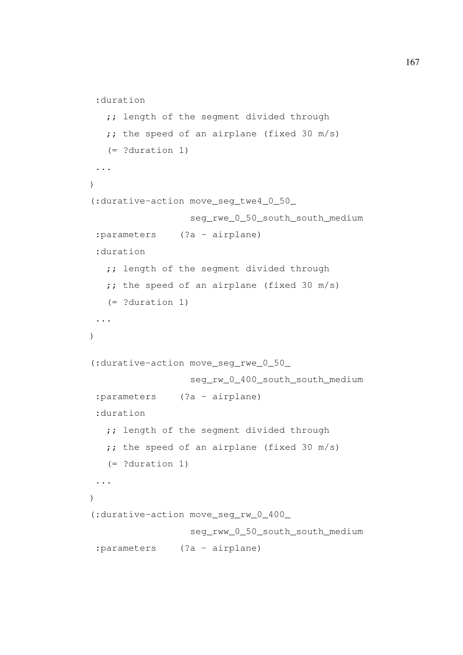```
:duration
   ;; length of the segment divided through
  ; the speed of an airplane (fixed 30 m/s)
  (= ?duration 1)
...
\lambda(:durative-action move_seg_twe4_0_50_
                  seg_rwe_0_50_south_south_medium
 :parameters (?a - airplane)
 :duration
   ;; length of the segment divided through
  ;; the speed of an airplane (fixed 30 m/s)
   (= ?duration 1)
 ...
)
(:durative-action move_seg_rwe_0_50_
                  seg_rw_0_400_south_south_medium
 :parameters (?a - airplane)
 :duration
   ;; length of the segment divided through
  ; the speed of an airplane (fixed 30 m/s)
  (= ?duration 1)
 ...
)
(:durative-action move_seg_rw_0_400_
                 seg_rww_0_50_south_south_medium
 :parameters (?a - airplane)
```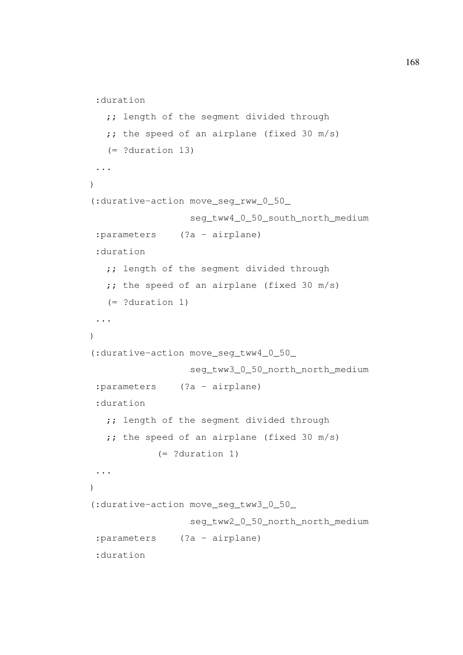```
:duration
   ;; length of the segment divided through
   ; the speed of an airplane (fixed 30 m/s)
   (= ?duration 13)
...
\lambda(:durative-action move_seg_rww_0_50_
                  seg_tww4_0_50_south_north_medium
 :parameters (?a - airplane)
 :duration
   ;; length of the segment divided through
   ;; the speed of an airplane (fixed 30 m/s)
   (= ?duration 1)
 ...
)
(:durative-action move_seg_tww4_0_50_
                  seg_tww3_0_50_north_north_medium
 :parameters (?a - airplane)
 :duration
   ;; length of the segment divided through
  ;; the speed of an airplane (fixed 30 m/s)
            (= ?duration 1)
 ...
)
(:durative-action move_seg_tww3_0_50_
                  seg_tww2_0_50_north_north_medium
 :parameters (?a - airplane)
 :duration
```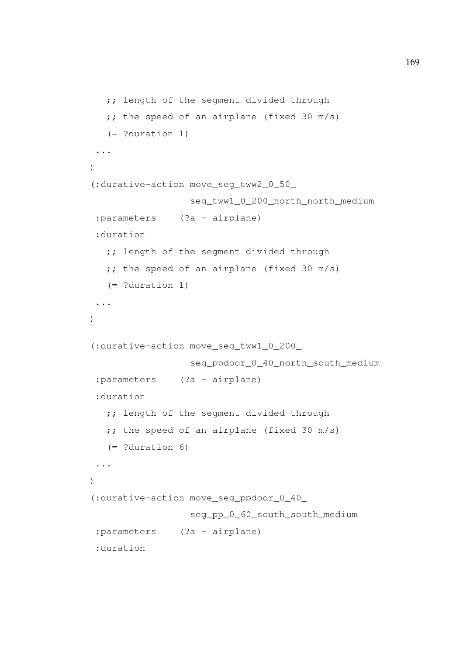```
;; length of the segment divided through
   ;; the speed of an airplane (fixed 30 m/s)
  (= ?duration 1)
...
)
(:durative-action move_seg_tww2_0_50_
                 seg_tww1_0_200_north_north_medium
 :parameters (?a - airplane)
 :duration
  ;; length of the segment divided through
  ; the speed of an airplane (fixed 30 m/s)
   (= ?duration 1)
 ...
)
(:durative-action move_seg_tww1_0_200_
                  seg_ppdoor_0_40_north_south_medium
 :parameters (?a - airplane)
 :duration
  ;; length of the segment divided through
  ;; the speed of an airplane (fixed 30 m/s)
  (= ?duration 6)
 ...
)
(:durative-action move_seg_ppdoor_0_40_
                  seg_pp_0_60_south_south_medium
 :parameters (?a - airplane)
 :duration
```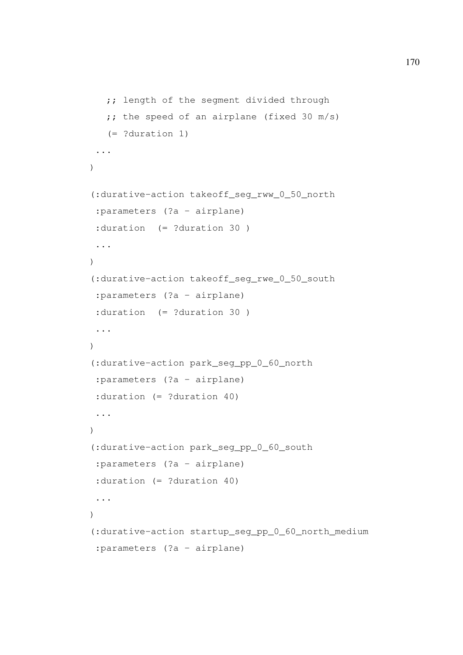```
;; length of the segment divided through
   ;; the speed of an airplane (fixed 30 m/s)
  (= ?duration 1)
...
)
(:durative-action takeoff_seg_rww_0_50_north
:parameters (?a - airplane)
 :duration (= ?duration 30 )
 ...
\lambda(:durative-action takeoff_seg_rwe_0_50_south
 :parameters (?a - airplane)
 :duration (= ?duration 30 )
 ...
)
(:durative-action park_seg_pp_0_60_north
 :parameters (?a - airplane)
:duration (= ?duration 40)
 ...
\lambda(:durative-action park_seg_pp_0_60_south
 :parameters (?a - airplane)
 :duration (= ?duration 40)
 ...
)
(:durative-action startup_seg_pp_0_60_north_medium
 :parameters (?a - airplane)
```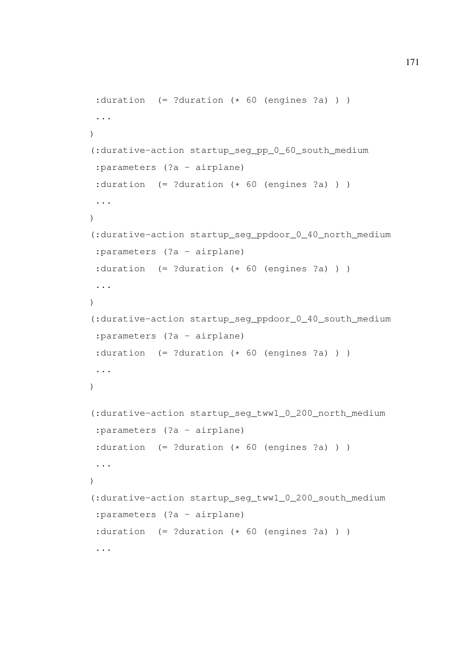```
: duration (= ? duration (* 60 (engines ?a) )
 ...
\lambda(:durative-action startup_seg_pp_0_60_south_medium
 :parameters (?a - airplane)
 :duration (= ?duration (* 60 (engines ?a) )
 ...
)
(:durative-action startup_seg_ppdoor_0_40_north_medium
 :parameters (?a - airplane)
 : duration (= ? duration (* 60 (engines ?a) )
 ...
)
(:durative-action startup_seg_ppdoor_0_40_south_medium
:parameters (?a - airplane)
 :duration (= ?duration (* 60 (engines ?a) ) )
 ...
)
(:durative-action startup_seg_tww1_0_200_north_medium
 :parameters (?a - airplane)
 :duration (= ?duration (* 60 (engines ?a) )
 ...
)
(:durative-action startup_seg_tww1_0_200_south_medium
 :parameters (?a - airplane)
 :duration (= ?duration (* 60 (engines ?a) )
 ...
```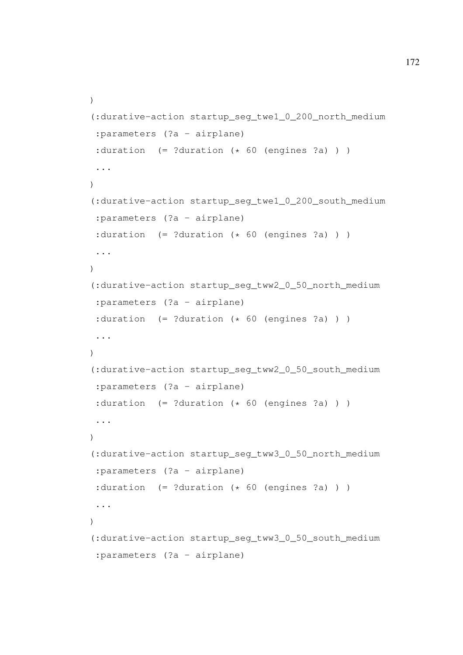```
)
(:durative-action startup_seg_twe1_0_200_north_medium
 :parameters (?a - airplane)
 :duration (= ?duration (* 60 (engines ?a) ) )...
\lambda(:durative-action startup_seg_twe1_0_200_south_medium
 :parameters (?a - airplane)
 :duration (= ?duration (* 60 (engines ?a) )
 ...
)
(:durative-action startup_seg_tww2_0_50_north_medium
 :parameters (?a - airplane)
 :duration (= ?duration (* 60 (engines ?a) )
 ...
\lambda(:durative-action startup_seg_tww2_0_50_south_medium
:parameters (?a - airplane)
 :duration (= ?duration (* 60 (engines ?a) ) )...
)
(:durative-action startup_seg_tww3_0_50_north_medium
 :parameters (?a - airplane)
 :duration (= ?duration (* 60 (engines ?a) ) )
 ...
)
(:durative-action startup_seg_tww3_0_50_south_medium
 :parameters (?a - airplane)
```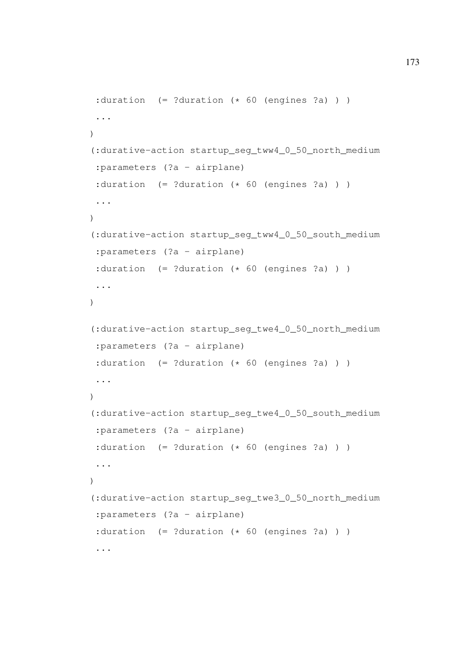```
: duration (= ? duration (* 60 (engines ?a) )
 ...
\lambda(:durative-action startup_seg_tww4_0_50_north_medium
 :parameters (?a - airplane)
 :duration (= ?duration (* 60 (engines ?a) )
 ...
)
(:durative-action startup_seg_tww4_0_50_south_medium
 :parameters (?a - airplane)
 : duration (= ? duration (* 60 (engines ?a) )
 ...
)
(:durative-action startup_seg_twe4_0_50_north_medium
 :parameters (?a - airplane)
 :duration (= ?duration (* 60 (engines ?a) )
 ...
)
(:durative-action startup_seg_twe4_0_50_south_medium
 :parameters (?a - airplane)
 :duration (= ?duration (* 60 (engine s ?a) ) )...
)
(:durative-action startup_seg_twe3_0_50_north_medium
 :parameters (?a - airplane)
 :duration (= ?duration (* 60 (engines ?a) )
 ...
```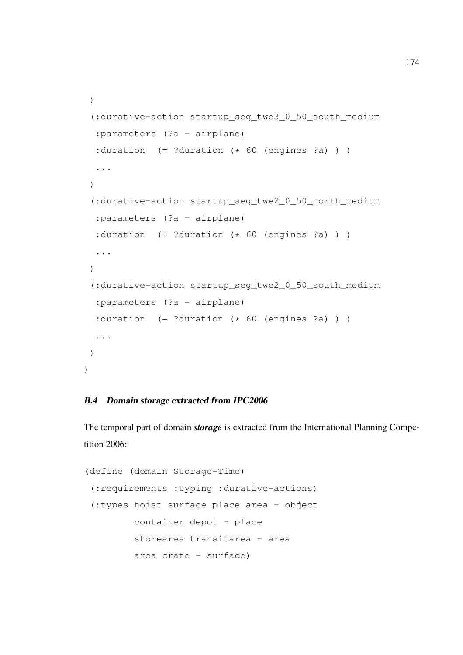```
)
 (:durative-action startup_seg_twe3_0_50_south_medium
  :parameters (?a - airplane)
  :duration (= ?duration (* 60 (engines ?a) ) )...
 \lambda(:durative-action startup_seg_twe2_0_50_north_medium
  :parameters (?a - airplane)
  :duration (= ?duration (* 60 (engines ?a) ) )
  ...
 )
 (:durative-action startup_seg_twe2_0_50_south_medium
  :parameters (?a - airplane)
  :duration (= ?duration (* 60 (engines ?a) )
  ...
 )
)
```
## B.4 Domain storage extracted from IPC2006

The temporal part of domain *storage* is extracted from the International Planning Competition 2006:

```
(define (domain Storage-Time)
 (:requirements :typing :durative-actions)
 (:types hoist surface place area - object
        container depot - place
        storearea transitarea - area
        area crate - surface)
```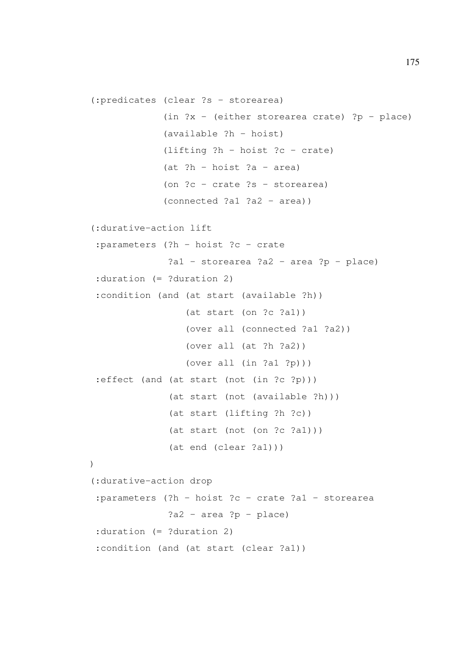```
(:predicates (clear ?s - storearea)
             (in ?x - (either storearea crate) ?p - place)
             (available ?h - hoist)
             (lifting ?h - hoist ?c - crate)
             (at ?h - hoist ?a - area)
             (on ?c - crate ?s - storearea)
             (connected ?a1 ?a2 - area))
(:durative-action lift
 :parameters (?h - hoist ?c - crate
              ?a1 - storearea ?a2 - area ?p - place)
 :duration (= ?duration 2)
 :condition (and (at start (available ?h))
                 (at start (on ?c ?a1))
                 (over all (connected ?a1 ?a2))
                 (over all (at ?h ?a2))
                 (over all (in ?a1 ?p)))
 :effect (and (at start (not (in ?c ?p)))
              (at start (not (available ?h)))
              (at start (lifting ?h ?c))
              (at start (not (on ?c ?a1)))
              (at end (clear ?a1)))
)
(:durative-action drop
 :parameters (?h - hoist ?c - crate ?a1 - storearea
              ?a2 - area ?p - place):duration (= ?duration 2)
 :condition (and (at start (clear ?a1))
```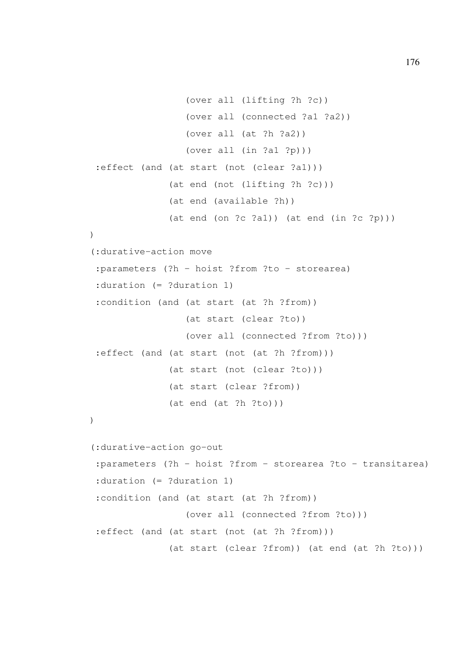```
(over all (lifting ?h ?c))
                 (over all (connected ?a1 ?a2))
                 (over all (at ?h ?a2))
                 (over all (in ?a1 ?p)))
 :effect (and (at start (not (clear ?a1)))
              (at end (not (lifting ?h ?c)))
              (at end (available ?h))
              (at end (on ?c ?a1)) (at end (in ?c ?p))))
(:durative-action move
 :parameters (?h - hoist ?from ?to - storearea)
 :duration (= ?duration 1)
 :condition (and (at start (at ?h ?from))
                 (at start (clear ?to))
                 (over all (connected ?from ?to)))
 :effect (and (at start (not (at ?h ?from)))
              (at start (not (clear ?to)))
              (at start (clear ?from))
              (at end (at ?h ?to)))
)
(:durative-action go-out
 :parameters (?h - hoist ?from - storearea ?to - transitarea)
 :duration (= ?duration 1)
 :condition (and (at start (at ?h ?from))
                 (over all (connected ?from ?to)))
 :effect (and (at start (not (at ?h ?from)))
              (at start (clear ?from)) (at end (at ?h ?to)))
```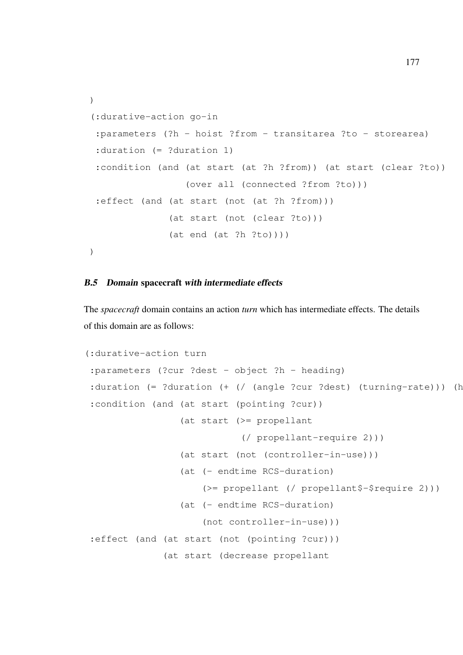```
)
(:durative-action go-in
 :parameters (?h - hoist ?from - transitarea ?to - storearea)
 :duration (= ?duration 1)
 :condition (and (at start (at ?h ?from)) (at start (clear ?to))
                 (over all (connected ?from ?to)))
 :effect (and (at start (not (at ?h ?from)))
              (at start (not (clear ?to)))
              (at end (at ?h ?to))))
)
```
## B.5 Domain spacecraft with intermediate effects

The *spacecraft* domain contains an action *turn* which has intermediate effects. The details of this domain are as follows:

```
(:durative-action turn
:parameters (?cur ?dest - object ?h - heading)
:duration (= ?duration (+ / / (angle ?cur ?dest) (turning-rate))) (h
:condition (and (at start (pointing ?cur))
                 (at start (>= propellant
                            (/ propellant-require 2)))
                 (at start (not (controller-in-use)))
                 (at (- endtime RCS-duration)
                     (>= propellant (/ propellant$-$require 2)))
                 (at (- endtime RCS-duration)
                     (not controller-in-use)))
:effect (and (at start (not (pointing ?cur)))
              (at start (decrease propellant
```